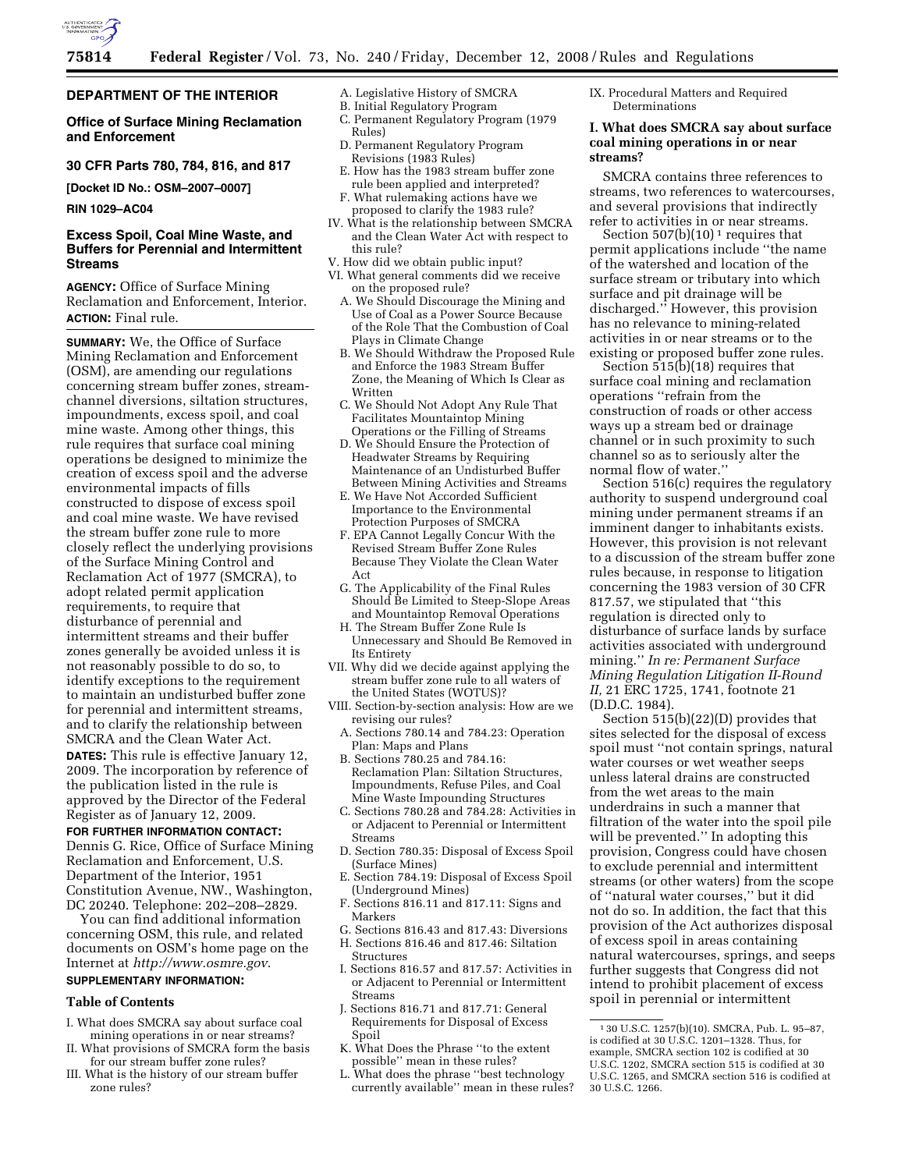

# **DEPARTMENT OF THE INTERIOR**

# **Office of Surface Mining Reclamation and Enforcement**

# **30 CFR Parts 780, 784, 816, and 817**

**[Docket ID No.: OSM–2007–0007]** 

### **RIN 1029–AC04**

# **Excess Spoil, Coal Mine Waste, and Buffers for Perennial and Intermittent Streams**

**AGENCY:** Office of Surface Mining Reclamation and Enforcement, Interior. **ACTION:** Final rule.

**SUMMARY:** We, the Office of Surface Mining Reclamation and Enforcement (OSM), are amending our regulations concerning stream buffer zones, streamchannel diversions, siltation structures, impoundments, excess spoil, and coal mine waste. Among other things, this rule requires that surface coal mining operations be designed to minimize the creation of excess spoil and the adverse environmental impacts of fills constructed to dispose of excess spoil and coal mine waste. We have revised the stream buffer zone rule to more closely reflect the underlying provisions of the Surface Mining Control and Reclamation Act of 1977 (SMCRA), to adopt related permit application requirements, to require that disturbance of perennial and intermittent streams and their buffer zones generally be avoided unless it is not reasonably possible to do so, to identify exceptions to the requirement to maintain an undisturbed buffer zone for perennial and intermittent streams, and to clarify the relationship between SMCRA and the Clean Water Act.

**DATES:** This rule is effective January 12, 2009. The incorporation by reference of the publication listed in the rule is approved by the Director of the Federal Register as of January 12, 2009.

# **FOR FURTHER INFORMATION CONTACT:**

Dennis G. Rice, Office of Surface Mining Reclamation and Enforcement, U.S. Department of the Interior, 1951 Constitution Avenue, NW., Washington, DC 20240. Telephone: 202–208–2829.

You can find additional information concerning OSM, this rule, and related documents on OSM's home page on the Internet at *http://www.osmre.gov*.

# **SUPPLEMENTARY INFORMATION:**

# **Table of Contents**

- I. What does SMCRA say about surface coal mining operations in or near streams?
- II. What provisions of SMCRA form the basis for our stream buffer zone rules?
- III. What is the history of our stream buffer zone rules?
- A. Legislative History of SMCRA
- B. Initial Regulatory Program C. Permanent Regulatory Program (1979
- Rules) D. Permanent Regulatory Program Revisions (1983 Rules)
- E. How has the 1983 stream buffer zone rule been applied and interpreted?
- F. What rulemaking actions have we proposed to clarify the 1983 rule?
- IV. What is the relationship between SMCRA and the Clean Water Act with respect to this rule?
- V. How did we obtain public input?
- VI. What general comments did we receive on the proposed rule?
	- A. We Should Discourage the Mining and Use of Coal as a Power Source Because of the Role That the Combustion of Coal Plays in Climate Change
	- B. We Should Withdraw the Proposed Rule and Enforce the 1983 Stream Buffer Zone, the Meaning of Which Is Clear as Written
	- C. We Should Not Adopt Any Rule That Facilitates Mountaintop Mining Operations or the Filling of Streams
	- D. We Should Ensure the Protection of Headwater Streams by Requiring Maintenance of an Undisturbed Buffer Between Mining Activities and Streams
	- E. We Have Not Accorded Sufficient Importance to the Environmental Protection Purposes of SMCRA
	- F. EPA Cannot Legally Concur With the Revised Stream Buffer Zone Rules Because They Violate the Clean Water Act
	- G. The Applicability of the Final Rules Should Be Limited to Steep-Slope Areas and Mountaintop Removal Operations
	- H. The Stream Buffer Zone Rule Is Unnecessary and Should Be Removed in Its Entirety
- VII. Why did we decide against applying the stream buffer zone rule to all waters of the United States (WOTUS)?
- VIII. Section-by-section analysis: How are we revising our rules?
	- A. Sections 780.14 and 784.23: Operation Plan: Maps and Plans
	- B. Sections 780.25 and 784.16: Reclamation Plan: Siltation Structures, Impoundments, Refuse Piles, and Coal Mine Waste Impounding Structures
	- C. Sections 780.28 and 784.28: Activities in or Adjacent to Perennial or Intermittent Streams
	- D. Section 780.35: Disposal of Excess Spoil (Surface Mines)
	- E. Section 784.19: Disposal of Excess Spoil (Underground Mines)
	- F. Sections 816.11 and 817.11: Signs and Markers
	- G. Sections 816.43 and 817.43: Diversions
	- H. Sections 816.46 and 817.46: Siltation Structures
	- I. Sections 816.57 and 817.57: Activities in or Adjacent to Perennial or Intermittent Streams
	- J. Sections 816.71 and 817.71: General Requirements for Disposal of Excess Spoil
	- K. What Does the Phrase ''to the extent possible'' mean in these rules?
	- L. What does the phrase ''best technology currently available'' mean in these rules?

IX. Procedural Matters and Required Determinations

# **I. What does SMCRA say about surface coal mining operations in or near streams?**

SMCRA contains three references to streams, two references to watercourses, and several provisions that indirectly refer to activities in or near streams.

Section  $507(b)(10)^1$  requires that permit applications include ''the name of the watershed and location of the surface stream or tributary into which surface and pit drainage will be discharged.'' However, this provision has no relevance to mining-related activities in or near streams or to the existing or proposed buffer zone rules.

Section 515(b)(18) requires that surface coal mining and reclamation operations ''refrain from the construction of roads or other access ways up a stream bed or drainage channel or in such proximity to such channel so as to seriously alter the normal flow of water.''

Section 516(c) requires the regulatory authority to suspend underground coal mining under permanent streams if an imminent danger to inhabitants exists. However, this provision is not relevant to a discussion of the stream buffer zone rules because, in response to litigation concerning the 1983 version of 30 CFR 817.57, we stipulated that ''this regulation is directed only to disturbance of surface lands by surface activities associated with underground mining.'' *In re: Permanent Surface Mining Regulation Litigation II-Round II,* 21 ERC 1725, 1741, footnote 21 (D.D.C. 1984).

Section 515(b)(22)(D) provides that sites selected for the disposal of excess spoil must ''not contain springs, natural water courses or wet weather seeps unless lateral drains are constructed from the wet areas to the main underdrains in such a manner that filtration of the water into the spoil pile will be prevented.'' In adopting this provision, Congress could have chosen to exclude perennial and intermittent streams (or other waters) from the scope of ''natural water courses,'' but it did not do so. In addition, the fact that this provision of the Act authorizes disposal of excess spoil in areas containing natural watercourses, springs, and seeps further suggests that Congress did not intend to prohibit placement of excess spoil in perennial or intermittent

<sup>1</sup> 30 U.S.C. 1257(b)(10). SMCRA, Pub. L. 95–87, is codified at 30 U.S.C. 1201–1328. Thus, for example, SMCRA section 102 is codified at 30 U.S.C. 1202, SMCRA section 515 is codified at 30 U.S.C. 1265, and SMCRA section 516 is codified at 30 U.S.C. 1266.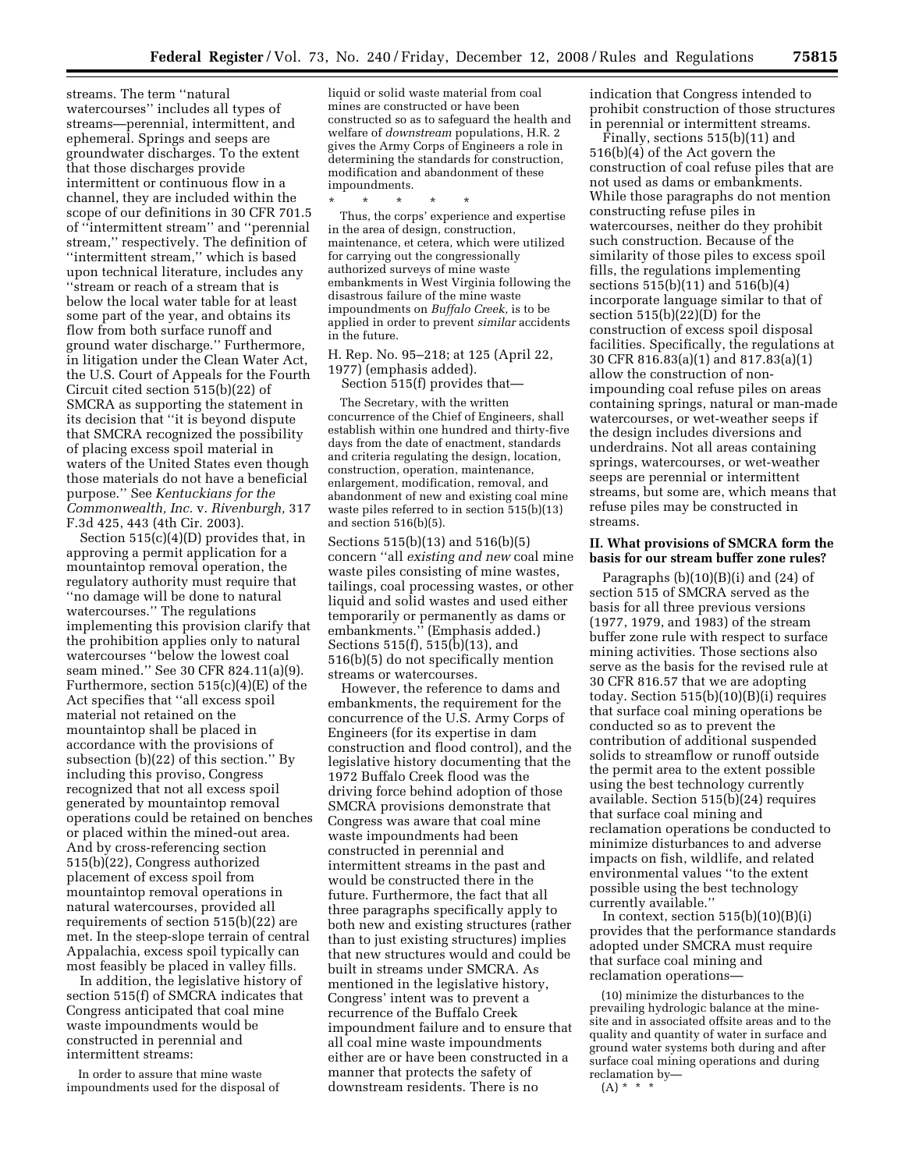streams. The term ''natural watercourses'' includes all types of streams—perennial, intermittent, and ephemeral. Springs and seeps are groundwater discharges. To the extent that those discharges provide intermittent or continuous flow in a channel, they are included within the scope of our definitions in 30 CFR 701.5 of ''intermittent stream'' and ''perennial stream,'' respectively. The definition of ''intermittent stream,'' which is based upon technical literature, includes any ''stream or reach of a stream that is below the local water table for at least some part of the year, and obtains its flow from both surface runoff and ground water discharge.'' Furthermore, in litigation under the Clean Water Act, the U.S. Court of Appeals for the Fourth Circuit cited section 515(b)(22) of SMCRA as supporting the statement in its decision that ''it is beyond dispute that SMCRA recognized the possibility of placing excess spoil material in waters of the United States even though those materials do not have a beneficial purpose.'' See *Kentuckians for the Commonwealth, Inc.* v. *Rivenburgh,* 317 F.3d 425, 443 (4th Cir. 2003).

Section 515(c)(4)(D) provides that, in approving a permit application for a mountaintop removal operation, the regulatory authority must require that ''no damage will be done to natural watercourses.'' The regulations implementing this provision clarify that the prohibition applies only to natural watercourses ''below the lowest coal seam mined.'' See 30 CFR 824.11(a)(9). Furthermore, section 515(c)(4)(E) of the Act specifies that ''all excess spoil material not retained on the mountaintop shall be placed in accordance with the provisions of subsection (b)(22) of this section.'' By including this proviso, Congress recognized that not all excess spoil generated by mountaintop removal operations could be retained on benches or placed within the mined-out area. And by cross-referencing section 515(b)(22), Congress authorized placement of excess spoil from mountaintop removal operations in natural watercourses, provided all requirements of section 515(b)(22) are met. In the steep-slope terrain of central Appalachia, excess spoil typically can most feasibly be placed in valley fills.

In addition, the legislative history of section 515(f) of SMCRA indicates that Congress anticipated that coal mine waste impoundments would be constructed in perennial and intermittent streams:

In order to assure that mine waste impoundments used for the disposal of

liquid or solid waste material from coal mines are constructed or have been constructed so as to safeguard the health and welfare of *downstream* populations, H.R. 2 gives the Army Corps of Engineers a role in determining the standards for construction, modification and abandonment of these impoundments.

\* \* \* \* \* Thus, the corps' experience and expertise in the area of design, construction, maintenance, et cetera, which were utilized for carrying out the congressionally authorized surveys of mine waste embankments in West Virginia following the disastrous failure of the mine waste impoundments on *Buffalo Creek,* is to be applied in order to prevent *similar* accidents in the future.

H. Rep. No. 95–218; at 125 (April 22, 1977) (emphasis added). Section 515(f) provides that—

The Secretary, with the written concurrence of the Chief of Engineers, shall establish within one hundred and thirty-five days from the date of enactment, standards and criteria regulating the design, location, construction, operation, maintenance, enlargement, modification, removal, and abandonment of new and existing coal mine waste piles referred to in section 515(b)(13) and section 516(b)(5).

Sections 515(b)(13) and 516(b)(5) concern ''all *existing and new* coal mine waste piles consisting of mine wastes, tailings, coal processing wastes, or other liquid and solid wastes and used either temporarily or permanently as dams or embankments.'' (Emphasis added.) Sections  $515(f)$ ,  $515(h)(13)$ , and 516(b)(5) do not specifically mention streams or watercourses.

However, the reference to dams and embankments, the requirement for the concurrence of the U.S. Army Corps of Engineers (for its expertise in dam construction and flood control), and the legislative history documenting that the 1972 Buffalo Creek flood was the driving force behind adoption of those SMCRA provisions demonstrate that Congress was aware that coal mine waste impoundments had been constructed in perennial and intermittent streams in the past and would be constructed there in the future. Furthermore, the fact that all three paragraphs specifically apply to both new and existing structures (rather than to just existing structures) implies that new structures would and could be built in streams under SMCRA. As mentioned in the legislative history, Congress' intent was to prevent a recurrence of the Buffalo Creek impoundment failure and to ensure that all coal mine waste impoundments either are or have been constructed in a manner that protects the safety of downstream residents. There is no

indication that Congress intended to prohibit construction of those structures in perennial or intermittent streams.

Finally, sections 515(b)(11) and 516(b)(4) of the Act govern the construction of coal refuse piles that are not used as dams or embankments. While those paragraphs do not mention constructing refuse piles in watercourses, neither do they prohibit such construction. Because of the similarity of those piles to excess spoil fills, the regulations implementing sections 515(b)(11) and 516(b)(4) incorporate language similar to that of section 515(b)(22)(D) for the construction of excess spoil disposal facilities. Specifically, the regulations at 30 CFR 816.83(a)(1) and 817.83(a)(1) allow the construction of nonimpounding coal refuse piles on areas containing springs, natural or man-made watercourses, or wet-weather seeps if the design includes diversions and underdrains. Not all areas containing springs, watercourses, or wet-weather seeps are perennial or intermittent streams, but some are, which means that refuse piles may be constructed in streams.

## **II. What provisions of SMCRA form the basis for our stream buffer zone rules?**

Paragraphs  $(b)(10)(B)(i)$  and  $(24)$  of section 515 of SMCRA served as the basis for all three previous versions (1977, 1979, and 1983) of the stream buffer zone rule with respect to surface mining activities. Those sections also serve as the basis for the revised rule at 30 CFR 816.57 that we are adopting today. Section 515(b)(10)(B)(i) requires that surface coal mining operations be conducted so as to prevent the contribution of additional suspended solids to streamflow or runoff outside the permit area to the extent possible using the best technology currently available. Section 515(b)(24) requires that surface coal mining and reclamation operations be conducted to minimize disturbances to and adverse impacts on fish, wildlife, and related environmental values ''to the extent possible using the best technology currently available.''

In context, section  $515(b)(10)(B)(i)$ provides that the performance standards adopted under SMCRA must require that surface coal mining and reclamation operations—

(10) minimize the disturbances to the prevailing hydrologic balance at the minesite and in associated offsite areas and to the quality and quantity of water in surface and ground water systems both during and after surface coal mining operations and during reclamation by—  $(A) * * * *$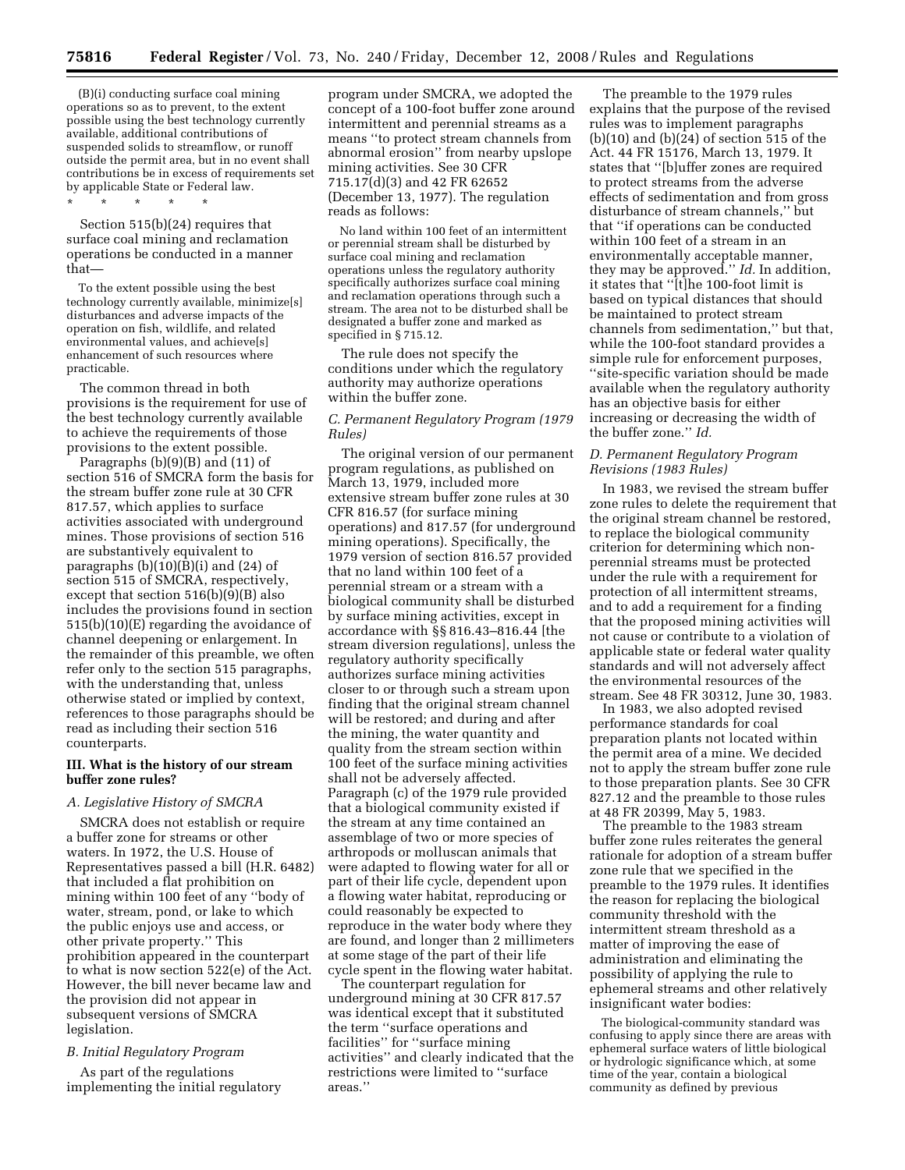(B)(i) conducting surface coal mining operations so as to prevent, to the extent possible using the best technology currently available, additional contributions of suspended solids to streamflow, or runoff outside the permit area, but in no event shall contributions be in excess of requirements set by applicable State or Federal law.

\* \* \* \* \*

Section 515(b)(24) requires that surface coal mining and reclamation operations be conducted in a manner that—

To the extent possible using the best technology currently available, minimize[s] disturbances and adverse impacts of the operation on fish, wildlife, and related environmental values, and achieve[s] enhancement of such resources where practicable.

The common thread in both provisions is the requirement for use of the best technology currently available to achieve the requirements of those provisions to the extent possible.

Paragraphs (b)(9)(B) and (11) of section 516 of SMCRA form the basis for the stream buffer zone rule at 30 CFR 817.57, which applies to surface activities associated with underground mines. Those provisions of section 516 are substantively equivalent to paragraphs  $(b)(10)(B)(i)$  and  $(24)$  of section 515 of SMCRA, respectively, except that section 516(b)(9)(B) also includes the provisions found in section 515(b)(10)(E) regarding the avoidance of channel deepening or enlargement. In the remainder of this preamble, we often refer only to the section 515 paragraphs, with the understanding that, unless otherwise stated or implied by context, references to those paragraphs should be read as including their section 516 counterparts.

### **III. What is the history of our stream buffer zone rules?**

# *A. Legislative History of SMCRA*

SMCRA does not establish or require a buffer zone for streams or other waters. In 1972, the U.S. House of Representatives passed a bill (H.R. 6482) that included a flat prohibition on mining within 100 feet of any ''body of water, stream, pond, or lake to which the public enjoys use and access, or other private property.'' This prohibition appeared in the counterpart to what is now section 522(e) of the Act. However, the bill never became law and the provision did not appear in subsequent versions of SMCRA legislation.

#### *B. Initial Regulatory Program*

As part of the regulations implementing the initial regulatory

program under SMCRA, we adopted the concept of a 100-foot buffer zone around intermittent and perennial streams as a means ''to protect stream channels from abnormal erosion'' from nearby upslope mining activities. See 30 CFR 715.17(d)(3) and 42 FR 62652 (December 13, 1977). The regulation reads as follows:

No land within 100 feet of an intermittent or perennial stream shall be disturbed by surface coal mining and reclamation operations unless the regulatory authority specifically authorizes surface coal mining and reclamation operations through such a stream. The area not to be disturbed shall be designated a buffer zone and marked as specified in § 715.12.

The rule does not specify the conditions under which the regulatory authority may authorize operations within the buffer zone.

## *C. Permanent Regulatory Program (1979 Rules)*

The original version of our permanent program regulations, as published on March 13, 1979, included more extensive stream buffer zone rules at 30 CFR 816.57 (for surface mining operations) and 817.57 (for underground mining operations). Specifically, the 1979 version of section 816.57 provided that no land within 100 feet of a perennial stream or a stream with a biological community shall be disturbed by surface mining activities, except in accordance with §§ 816.43–816.44 [the stream diversion regulations], unless the regulatory authority specifically authorizes surface mining activities closer to or through such a stream upon finding that the original stream channel will be restored; and during and after the mining, the water quantity and quality from the stream section within 100 feet of the surface mining activities shall not be adversely affected. Paragraph (c) of the 1979 rule provided that a biological community existed if the stream at any time contained an assemblage of two or more species of arthropods or molluscan animals that were adapted to flowing water for all or part of their life cycle, dependent upon a flowing water habitat, reproducing or could reasonably be expected to reproduce in the water body where they are found, and longer than 2 millimeters at some stage of the part of their life cycle spent in the flowing water habitat.

The counterpart regulation for underground mining at 30 CFR 817.57 was identical except that it substituted the term ''surface operations and facilities'' for ''surface mining activities'' and clearly indicated that the restrictions were limited to ''surface areas.''

The preamble to the 1979 rules explains that the purpose of the revised rules was to implement paragraphs  $(b)(10)$  and  $(b)(24)$  of section 515 of the Act. 44 FR 15176, March 13, 1979. It states that ''[b]uffer zones are required to protect streams from the adverse effects of sedimentation and from gross disturbance of stream channels,'' but that ''if operations can be conducted within 100 feet of a stream in an environmentally acceptable manner, they may be approved.'' *Id.* In addition, it states that ''[t]he 100-foot limit is based on typical distances that should be maintained to protect stream channels from sedimentation,'' but that, while the 100-foot standard provides a simple rule for enforcement purposes, ''site-specific variation should be made available when the regulatory authority has an objective basis for either increasing or decreasing the width of the buffer zone.'' *Id.* 

#### *D. Permanent Regulatory Program Revisions (1983 Rules)*

In 1983, we revised the stream buffer zone rules to delete the requirement that the original stream channel be restored, to replace the biological community criterion for determining which nonperennial streams must be protected under the rule with a requirement for protection of all intermittent streams, and to add a requirement for a finding that the proposed mining activities will not cause or contribute to a violation of applicable state or federal water quality standards and will not adversely affect the environmental resources of the stream. See 48 FR 30312, June 30, 1983.

In 1983, we also adopted revised performance standards for coal preparation plants not located within the permit area of a mine. We decided not to apply the stream buffer zone rule to those preparation plants. See 30 CFR 827.12 and the preamble to those rules at 48 FR 20399, May 5, 1983.

The preamble to the 1983 stream buffer zone rules reiterates the general rationale for adoption of a stream buffer zone rule that we specified in the preamble to the 1979 rules. It identifies the reason for replacing the biological community threshold with the intermittent stream threshold as a matter of improving the ease of administration and eliminating the possibility of applying the rule to ephemeral streams and other relatively insignificant water bodies:

The biological-community standard was confusing to apply since there are areas with ephemeral surface waters of little biological or hydrologic significance which, at some time of the year, contain a biological community as defined by previous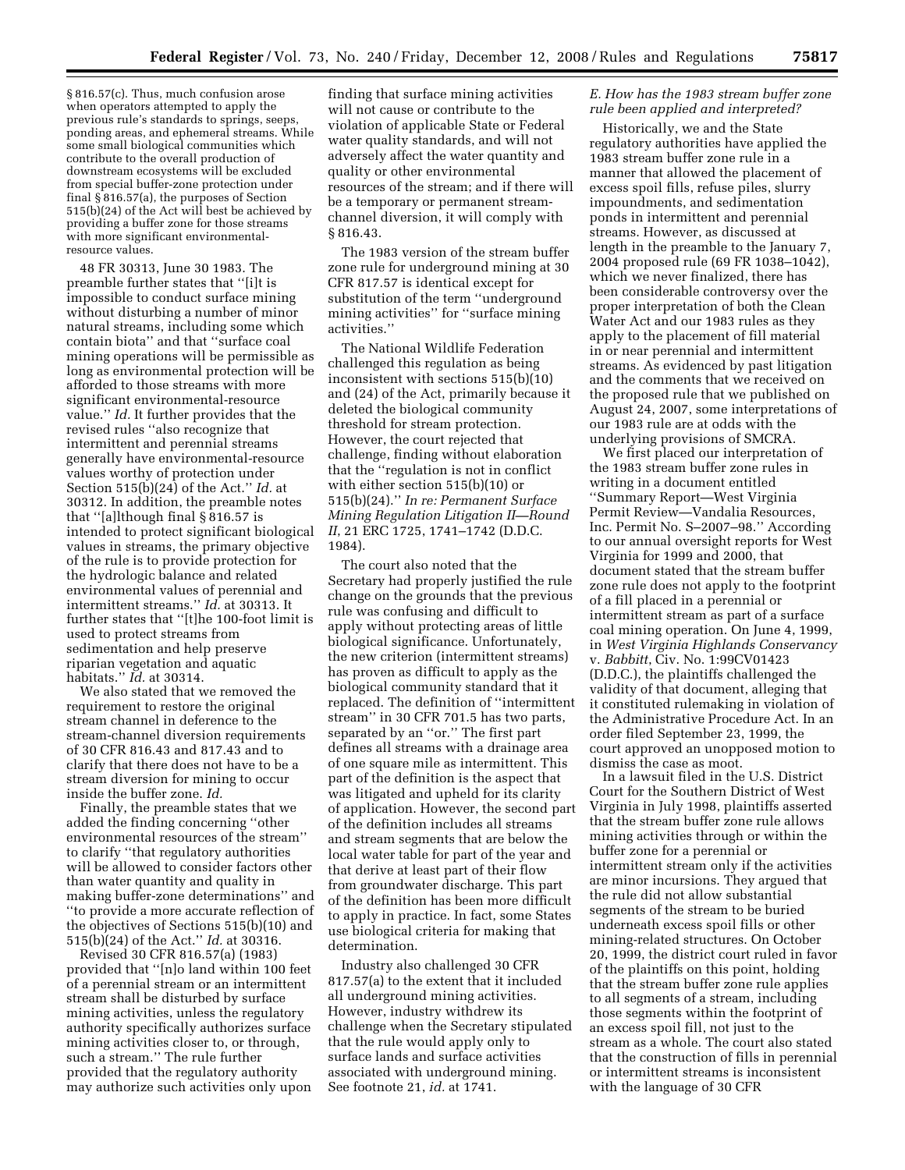§ 816.57(c). Thus, much confusion arose when operators attempted to apply the previous rule's standards to springs, seeps, ponding areas, and ephemeral streams. While some small biological communities which contribute to the overall production of downstream ecosystems will be excluded from special buffer-zone protection under final § 816.57(a), the purposes of Section 515(b)(24) of the Act will best be achieved by providing a buffer zone for those streams with more significant environmentalresource values.

48 FR 30313, June 30 1983. The preamble further states that ''[i]t is impossible to conduct surface mining without disturbing a number of minor natural streams, including some which contain biota'' and that ''surface coal mining operations will be permissible as long as environmental protection will be afforded to those streams with more significant environmental-resource value.'' *Id.* It further provides that the revised rules ''also recognize that intermittent and perennial streams generally have environmental-resource values worthy of protection under Section 515(b)(24) of the Act.'' *Id.* at 30312. In addition, the preamble notes that ''[a]lthough final § 816.57 is intended to protect significant biological values in streams, the primary objective of the rule is to provide protection for the hydrologic balance and related environmental values of perennial and intermittent streams.'' *Id.* at 30313. It further states that ''[t]he 100-foot limit is used to protect streams from sedimentation and help preserve riparian vegetation and aquatic habitats.'' *Id.* at 30314.

We also stated that we removed the requirement to restore the original stream channel in deference to the stream-channel diversion requirements of 30 CFR 816.43 and 817.43 and to clarify that there does not have to be a stream diversion for mining to occur inside the buffer zone. *Id.* 

Finally, the preamble states that we added the finding concerning ''other environmental resources of the stream'' to clarify ''that regulatory authorities will be allowed to consider factors other than water quantity and quality in making buffer-zone determinations'' and ''to provide a more accurate reflection of the objectives of Sections 515(b)(10) and 515(b)(24) of the Act.'' *Id.* at 30316.

Revised 30 CFR 816.57(a) (1983) provided that ''[n]o land within 100 feet of a perennial stream or an intermittent stream shall be disturbed by surface mining activities, unless the regulatory authority specifically authorizes surface mining activities closer to, or through, such a stream.'' The rule further provided that the regulatory authority may authorize such activities only upon finding that surface mining activities will not cause or contribute to the violation of applicable State or Federal water quality standards, and will not adversely affect the water quantity and quality or other environmental resources of the stream; and if there will be a temporary or permanent streamchannel diversion, it will comply with § 816.43.

The 1983 version of the stream buffer zone rule for underground mining at 30 CFR 817.57 is identical except for substitution of the term ''underground mining activities'' for ''surface mining activities.''

The National Wildlife Federation challenged this regulation as being inconsistent with sections 515(b)(10) and (24) of the Act, primarily because it deleted the biological community threshold for stream protection. However, the court rejected that challenge, finding without elaboration that the ''regulation is not in conflict with either section 515(b)(10) or 515(b)(24).'' *In re: Permanent Surface Mining Regulation Litigation II—Round II*, 21 ERC 1725, 1741–1742 (D.D.C. 1984).

The court also noted that the Secretary had properly justified the rule change on the grounds that the previous rule was confusing and difficult to apply without protecting areas of little biological significance. Unfortunately, the new criterion (intermittent streams) has proven as difficult to apply as the biological community standard that it replaced. The definition of ''intermittent stream'' in 30 CFR 701.5 has two parts, separated by an ''or.'' The first part defines all streams with a drainage area of one square mile as intermittent. This part of the definition is the aspect that was litigated and upheld for its clarity of application. However, the second part of the definition includes all streams and stream segments that are below the local water table for part of the year and that derive at least part of their flow from groundwater discharge. This part of the definition has been more difficult to apply in practice. In fact, some States use biological criteria for making that determination.

Industry also challenged 30 CFR 817.57(a) to the extent that it included all underground mining activities. However, industry withdrew its challenge when the Secretary stipulated that the rule would apply only to surface lands and surface activities associated with underground mining. See footnote 21, *id.* at 1741.

# *E. How has the 1983 stream buffer zone rule been applied and interpreted?*

Historically, we and the State regulatory authorities have applied the 1983 stream buffer zone rule in a manner that allowed the placement of excess spoil fills, refuse piles, slurry impoundments, and sedimentation ponds in intermittent and perennial streams. However, as discussed at length in the preamble to the January 7, 2004 proposed rule (69 FR 1038–1042), which we never finalized, there has been considerable controversy over the proper interpretation of both the Clean Water Act and our 1983 rules as they apply to the placement of fill material in or near perennial and intermittent streams. As evidenced by past litigation and the comments that we received on the proposed rule that we published on August 24, 2007, some interpretations of our 1983 rule are at odds with the underlying provisions of SMCRA.

We first placed our interpretation of the 1983 stream buffer zone rules in writing in a document entitled ''Summary Report—West Virginia Permit Review—Vandalia Resources, Inc. Permit No. S–2007–98.'' According to our annual oversight reports for West Virginia for 1999 and 2000, that document stated that the stream buffer zone rule does not apply to the footprint of a fill placed in a perennial or intermittent stream as part of a surface coal mining operation. On June 4, 1999, in *West Virginia Highlands Conservancy*  v. *Babbitt*, Civ. No. 1:99CV01423 (D.D.C.), the plaintiffs challenged the validity of that document, alleging that it constituted rulemaking in violation of the Administrative Procedure Act. In an order filed September 23, 1999, the court approved an unopposed motion to dismiss the case as moot.

In a lawsuit filed in the U.S. District Court for the Southern District of West Virginia in July 1998, plaintiffs asserted that the stream buffer zone rule allows mining activities through or within the buffer zone for a perennial or intermittent stream only if the activities are minor incursions. They argued that the rule did not allow substantial segments of the stream to be buried underneath excess spoil fills or other mining-related structures. On October 20, 1999, the district court ruled in favor of the plaintiffs on this point, holding that the stream buffer zone rule applies to all segments of a stream, including those segments within the footprint of an excess spoil fill, not just to the stream as a whole. The court also stated that the construction of fills in perennial or intermittent streams is inconsistent with the language of 30 CFR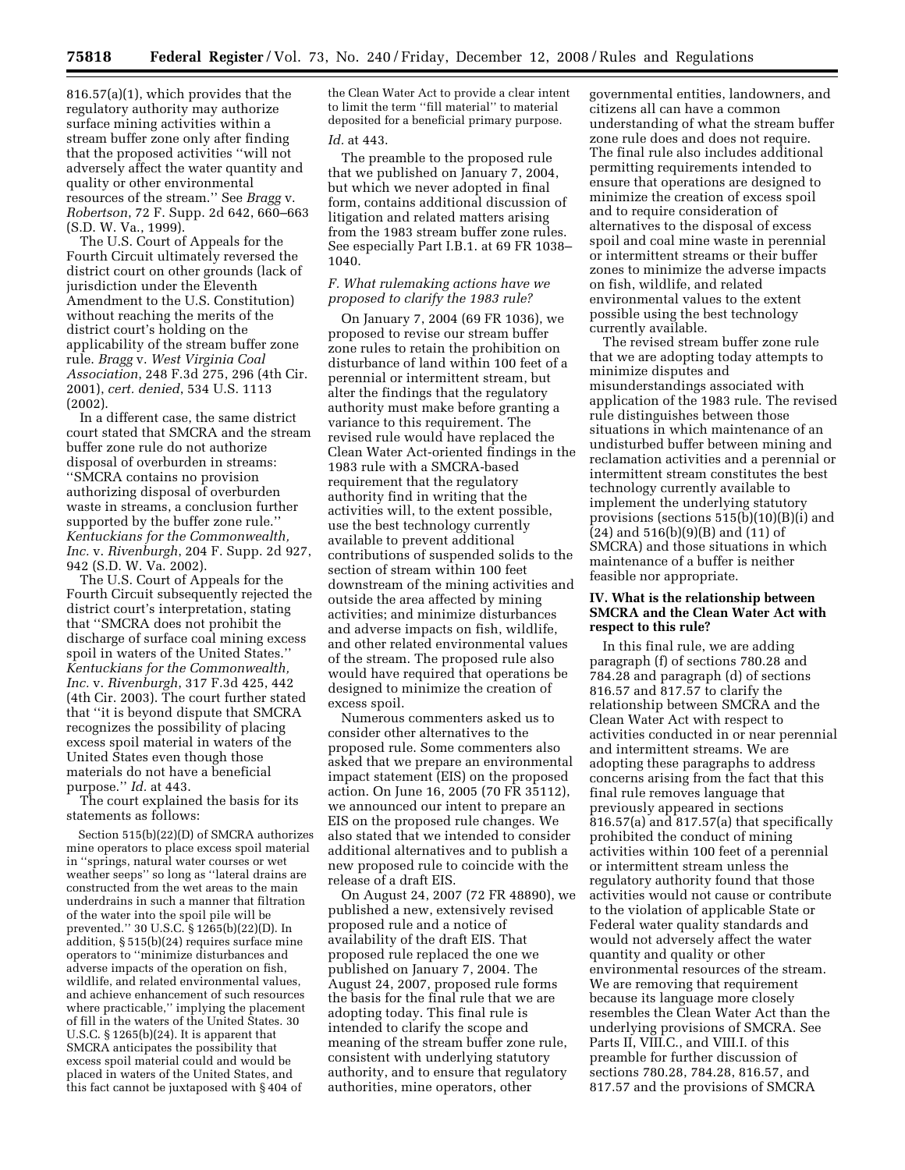816.57(a)(1), which provides that the regulatory authority may authorize surface mining activities within a stream buffer zone only after finding that the proposed activities ''will not adversely affect the water quantity and quality or other environmental resources of the stream.'' See *Bragg* v. *Robertson*, 72 F. Supp. 2d 642, 660–663 (S.D. W. Va., 1999).

The U.S. Court of Appeals for the Fourth Circuit ultimately reversed the district court on other grounds (lack of jurisdiction under the Eleventh Amendment to the U.S. Constitution) without reaching the merits of the district court's holding on the applicability of the stream buffer zone rule. *Bragg* v. *West Virginia Coal Association*, 248 F.3d 275, 296 (4th Cir. 2001), *cert. denied*, 534 U.S. 1113 (2002).

In a different case, the same district court stated that SMCRA and the stream buffer zone rule do not authorize disposal of overburden in streams: ''SMCRA contains no provision authorizing disposal of overburden waste in streams, a conclusion further supported by the buffer zone rule.'' *Kentuckians for the Commonwealth, Inc.* v. *Rivenburgh*, 204 F. Supp. 2d 927, 942 (S.D. W. Va. 2002).

The U.S. Court of Appeals for the Fourth Circuit subsequently rejected the district court's interpretation, stating that ''SMCRA does not prohibit the discharge of surface coal mining excess spoil in waters of the United States.'' *Kentuckians for the Commonwealth, Inc.* v. *Rivenburgh*, 317 F.3d 425, 442 (4th Cir. 2003). The court further stated that ''it is beyond dispute that SMCRA recognizes the possibility of placing excess spoil material in waters of the United States even though those materials do not have a beneficial purpose.'' *Id.* at 443.

The court explained the basis for its statements as follows:

Section 515(b)(22)(D) of SMCRA authorizes mine operators to place excess spoil material in ''springs, natural water courses or wet weather seeps'' so long as ''lateral drains are constructed from the wet areas to the main underdrains in such a manner that filtration of the water into the spoil pile will be prevented.'' 30 U.S.C. § 1265(b)(22)(D). In addition, § 515(b)(24) requires surface mine operators to ''minimize disturbances and adverse impacts of the operation on fish, wildlife, and related environmental values, and achieve enhancement of such resources where practicable,'' implying the placement of fill in the waters of the United States. 30 U.S.C. § 1265(b)(24). It is apparent that SMCRA anticipates the possibility that excess spoil material could and would be placed in waters of the United States, and this fact cannot be juxtaposed with § 404 of

the Clean Water Act to provide a clear intent to limit the term ''fill material'' to material deposited for a beneficial primary purpose.

## *Id.* at 443.

The preamble to the proposed rule that we published on January 7, 2004, but which we never adopted in final form, contains additional discussion of litigation and related matters arising from the 1983 stream buffer zone rules. See especially Part I.B.1. at 69 FR 1038– 1040.

# *F. What rulemaking actions have we proposed to clarify the 1983 rule?*

On January 7, 2004 (69 FR 1036), we proposed to revise our stream buffer zone rules to retain the prohibition on disturbance of land within 100 feet of a perennial or intermittent stream, but alter the findings that the regulatory authority must make before granting a variance to this requirement. The revised rule would have replaced the Clean Water Act-oriented findings in the 1983 rule with a SMCRA-based requirement that the regulatory authority find in writing that the activities will, to the extent possible, use the best technology currently available to prevent additional contributions of suspended solids to the section of stream within 100 feet downstream of the mining activities and outside the area affected by mining activities; and minimize disturbances and adverse impacts on fish, wildlife, and other related environmental values of the stream. The proposed rule also would have required that operations be designed to minimize the creation of excess spoil.

Numerous commenters asked us to consider other alternatives to the proposed rule. Some commenters also asked that we prepare an environmental impact statement (EIS) on the proposed action. On June 16, 2005 (70 FR 35112), we announced our intent to prepare an EIS on the proposed rule changes. We also stated that we intended to consider additional alternatives and to publish a new proposed rule to coincide with the release of a draft EIS.

On August 24, 2007 (72 FR 48890), we published a new, extensively revised proposed rule and a notice of availability of the draft EIS. That proposed rule replaced the one we published on January 7, 2004. The August 24, 2007, proposed rule forms the basis for the final rule that we are adopting today. This final rule is intended to clarify the scope and meaning of the stream buffer zone rule, consistent with underlying statutory authority, and to ensure that regulatory authorities, mine operators, other

governmental entities, landowners, and citizens all can have a common understanding of what the stream buffer zone rule does and does not require. The final rule also includes additional permitting requirements intended to ensure that operations are designed to minimize the creation of excess spoil and to require consideration of alternatives to the disposal of excess spoil and coal mine waste in perennial or intermittent streams or their buffer zones to minimize the adverse impacts on fish, wildlife, and related environmental values to the extent possible using the best technology currently available.

The revised stream buffer zone rule that we are adopting today attempts to minimize disputes and misunderstandings associated with application of the 1983 rule. The revised rule distinguishes between those situations in which maintenance of an undisturbed buffer between mining and reclamation activities and a perennial or intermittent stream constitutes the best technology currently available to implement the underlying statutory provisions (sections 515(b)(10)(B)(i) and  $(24)$  and  $516(b)(9)(B)$  and  $(11)$  of SMCRA) and those situations in which maintenance of a buffer is neither feasible nor appropriate.

## **IV. What is the relationship between SMCRA and the Clean Water Act with respect to this rule?**

In this final rule, we are adding paragraph (f) of sections 780.28 and 784.28 and paragraph (d) of sections 816.57 and 817.57 to clarify the relationship between SMCRA and the Clean Water Act with respect to activities conducted in or near perennial and intermittent streams. We are adopting these paragraphs to address concerns arising from the fact that this final rule removes language that previously appeared in sections 816.57(a) and 817.57(a) that specifically prohibited the conduct of mining activities within 100 feet of a perennial or intermittent stream unless the regulatory authority found that those activities would not cause or contribute to the violation of applicable State or Federal water quality standards and would not adversely affect the water quantity and quality or other environmental resources of the stream. We are removing that requirement because its language more closely resembles the Clean Water Act than the underlying provisions of SMCRA. See Parts II, VIII.C., and VIII.I. of this preamble for further discussion of sections 780.28, 784.28, 816.57, and 817.57 and the provisions of SMCRA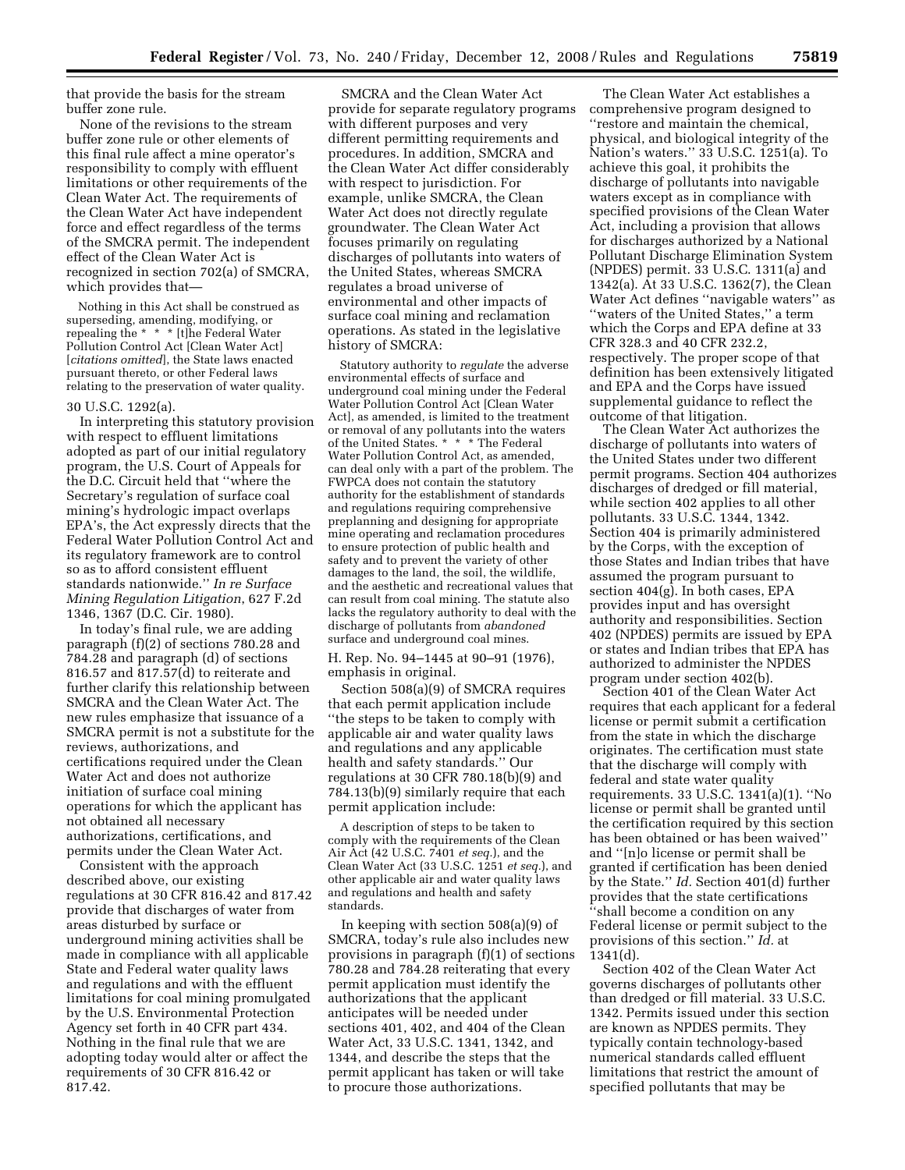that provide the basis for the stream buffer zone rule.

None of the revisions to the stream buffer zone rule or other elements of this final rule affect a mine operator's responsibility to comply with effluent limitations or other requirements of the Clean Water Act. The requirements of the Clean Water Act have independent force and effect regardless of the terms of the SMCRA permit. The independent effect of the Clean Water Act is recognized in section 702(a) of SMCRA, which provides that—

Nothing in this Act shall be construed as superseding, amending, modifying, or repealing the \* \* \* [t]he Federal Water Pollution Control Act [Clean Water Act] [*citations omitted*], the State laws enacted pursuant thereto, or other Federal laws relating to the preservation of water quality.

#### 30 U.S.C. 1292(a).

In interpreting this statutory provision with respect to effluent limitations adopted as part of our initial regulatory program, the U.S. Court of Appeals for the D.C. Circuit held that ''where the Secretary's regulation of surface coal mining's hydrologic impact overlaps EPA's, the Act expressly directs that the Federal Water Pollution Control Act and its regulatory framework are to control so as to afford consistent effluent standards nationwide.'' *In re Surface Mining Regulation Litigation*, 627 F.2d 1346, 1367 (D.C. Cir. 1980).

In today's final rule, we are adding paragraph (f)(2) of sections 780.28 and 784.28 and paragraph (d) of sections 816.57 and 817.57(d) to reiterate and further clarify this relationship between SMCRA and the Clean Water Act. The new rules emphasize that issuance of a SMCRA permit is not a substitute for the reviews, authorizations, and certifications required under the Clean Water Act and does not authorize initiation of surface coal mining operations for which the applicant has not obtained all necessary authorizations, certifications, and permits under the Clean Water Act.

Consistent with the approach described above, our existing regulations at 30 CFR 816.42 and 817.42 provide that discharges of water from areas disturbed by surface or underground mining activities shall be made in compliance with all applicable State and Federal water quality laws and regulations and with the effluent limitations for coal mining promulgated by the U.S. Environmental Protection Agency set forth in 40 CFR part 434. Nothing in the final rule that we are adopting today would alter or affect the requirements of 30 CFR 816.42 or 817.42.

SMCRA and the Clean Water Act provide for separate regulatory programs with different purposes and very different permitting requirements and procedures. In addition, SMCRA and the Clean Water Act differ considerably with respect to jurisdiction. For example, unlike SMCRA, the Clean Water Act does not directly regulate groundwater. The Clean Water Act focuses primarily on regulating discharges of pollutants into waters of the United States, whereas SMCRA regulates a broad universe of environmental and other impacts of surface coal mining and reclamation operations. As stated in the legislative history of SMCRA:

Statutory authority to *regulate* the adverse environmental effects of surface and underground coal mining under the Federal Water Pollution Control Act [Clean Water Act], as amended, is limited to the treatment or removal of any pollutants into the waters of the United States. \* \* \* The Federal Water Pollution Control Act, as amended, can deal only with a part of the problem. The FWPCA does not contain the statutory authority for the establishment of standards and regulations requiring comprehensive preplanning and designing for appropriate mine operating and reclamation procedures to ensure protection of public health and safety and to prevent the variety of other damages to the land, the soil, the wildlife, and the aesthetic and recreational values that can result from coal mining. The statute also lacks the regulatory authority to deal with the discharge of pollutants from *abandoned*  surface and underground coal mines.

H. Rep. No. 94–1445 at 90–91 (1976), emphasis in original.

Section 508(a)(9) of SMCRA requires that each permit application include ''the steps to be taken to comply with applicable air and water quality laws and regulations and any applicable health and safety standards.'' Our regulations at 30 CFR 780.18(b)(9) and 784.13(b)(9) similarly require that each permit application include:

A description of steps to be taken to comply with the requirements of the Clean Air Act (42 U.S.C. 7401 *et seq.*), and the Clean Water Act (33 U.S.C. 1251 *et seq.*), and other applicable air and water quality laws and regulations and health and safety standards.

In keeping with section 508(a)(9) of SMCRA, today's rule also includes new provisions in paragraph (f)(1) of sections 780.28 and 784.28 reiterating that every permit application must identify the authorizations that the applicant anticipates will be needed under sections 401, 402, and 404 of the Clean Water Act, 33 U.S.C. 1341, 1342, and 1344, and describe the steps that the permit applicant has taken or will take to procure those authorizations.

The Clean Water Act establishes a comprehensive program designed to ''restore and maintain the chemical, physical, and biological integrity of the Nation's waters." 33 U.S.C. 1251(a). To achieve this goal, it prohibits the discharge of pollutants into navigable waters except as in compliance with specified provisions of the Clean Water Act, including a provision that allows for discharges authorized by a National Pollutant Discharge Elimination System (NPDES) permit. 33 U.S.C. 1311(a) and 1342(a). At 33 U.S.C. 1362(7), the Clean Water Act defines ''navigable waters'' as ''waters of the United States,'' a term which the Corps and EPA define at 33 CFR 328.3 and 40 CFR 232.2, respectively. The proper scope of that definition has been extensively litigated and EPA and the Corps have issued supplemental guidance to reflect the outcome of that litigation.

The Clean Water Act authorizes the discharge of pollutants into waters of the United States under two different permit programs. Section 404 authorizes discharges of dredged or fill material, while section 402 applies to all other pollutants. 33 U.S.C. 1344, 1342. Section 404 is primarily administered by the Corps, with the exception of those States and Indian tribes that have assumed the program pursuant to section 404(g). In both cases, EPA provides input and has oversight authority and responsibilities. Section 402 (NPDES) permits are issued by EPA or states and Indian tribes that EPA has authorized to administer the NPDES program under section 402(b).

Section 401 of the Clean Water Act requires that each applicant for a federal license or permit submit a certification from the state in which the discharge originates. The certification must state that the discharge will comply with federal and state water quality requirements. 33 U.S.C. 1341(a)(1). ''No license or permit shall be granted until the certification required by this section has been obtained or has been waived'' and ''[n]o license or permit shall be granted if certification has been denied by the State.'' *Id.* Section 401(d) further provides that the state certifications ''shall become a condition on any Federal license or permit subject to the provisions of this section.'' *Id.* at 1341(d).

Section 402 of the Clean Water Act governs discharges of pollutants other than dredged or fill material. 33 U.S.C. 1342. Permits issued under this section are known as NPDES permits. They typically contain technology-based numerical standards called effluent limitations that restrict the amount of specified pollutants that may be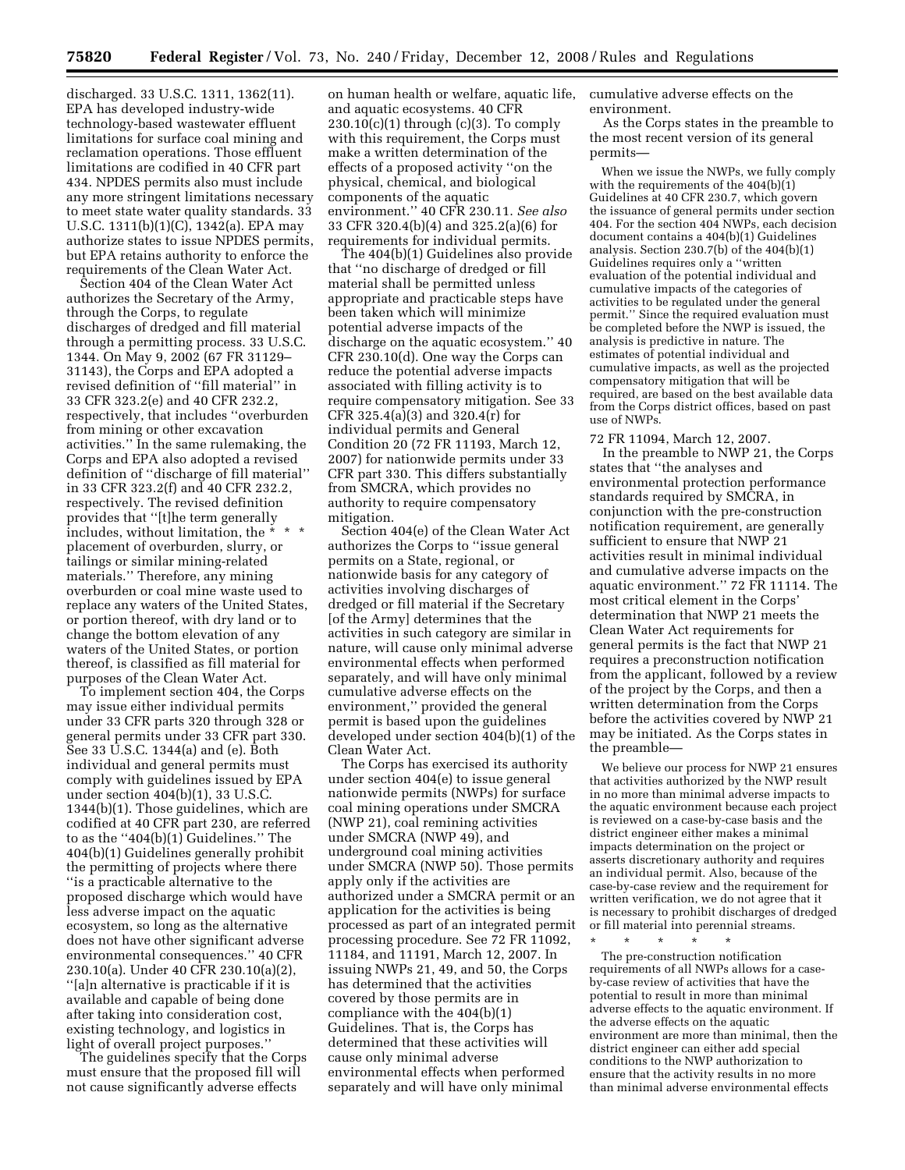discharged. 33 U.S.C. 1311, 1362(11). EPA has developed industry-wide technology-based wastewater effluent limitations for surface coal mining and reclamation operations. Those effluent limitations are codified in 40 CFR part 434. NPDES permits also must include any more stringent limitations necessary to meet state water quality standards. 33 U.S.C. 1311(b)(1)(C), 1342(a). EPA may authorize states to issue NPDES permits, but EPA retains authority to enforce the requirements of the Clean Water Act.

Section 404 of the Clean Water Act authorizes the Secretary of the Army, through the Corps, to regulate discharges of dredged and fill material through a permitting process. 33 U.S.C. 1344. On May 9, 2002 (67 FR 31129– 31143), the Corps and EPA adopted a revised definition of ''fill material'' in 33 CFR 323.2(e) and 40 CFR 232.2, respectively, that includes ''overburden from mining or other excavation activities.'' In the same rulemaking, the Corps and EPA also adopted a revised definition of ''discharge of fill material'' in 33 CFR 323.2(f) and 40 CFR 232.2, respectively. The revised definition provides that ''[t]he term generally includes, without limitation, the \* placement of overburden, slurry, or tailings or similar mining-related materials.'' Therefore, any mining overburden or coal mine waste used to replace any waters of the United States, or portion thereof, with dry land or to change the bottom elevation of any waters of the United States, or portion thereof, is classified as fill material for purposes of the Clean Water Act.

To implement section 404, the Corps may issue either individual permits under 33 CFR parts 320 through 328 or general permits under 33 CFR part 330. See 33 U.S.C. 1344(a) and (e). Both individual and general permits must comply with guidelines issued by EPA under section 404(b)(1), 33 U.S.C. 1344(b)(1). Those guidelines, which are codified at 40 CFR part 230, are referred to as the ''404(b)(1) Guidelines.'' The 404(b)(1) Guidelines generally prohibit the permitting of projects where there ''is a practicable alternative to the proposed discharge which would have less adverse impact on the aquatic ecosystem, so long as the alternative does not have other significant adverse environmental consequences.'' 40 CFR 230.10(a). Under 40 CFR 230.10(a)(2), ''[a]n alternative is practicable if it is available and capable of being done after taking into consideration cost, existing technology, and logistics in light of overall project purposes.''

The guidelines specify that the Corps must ensure that the proposed fill will not cause significantly adverse effects

on human health or welfare, aquatic life, and aquatic ecosystems. 40 CFR  $230.10(c)(1)$  through  $(c)(3)$ . To comply with this requirement, the Corps must make a written determination of the effects of a proposed activity ''on the physical, chemical, and biological components of the aquatic environment.'' 40 CFR 230.11. *See also*  33 CFR 320.4(b)(4) and 325.2(a)(6) for requirements for individual permits.

The 404(b)(1) Guidelines also provide that ''no discharge of dredged or fill material shall be permitted unless appropriate and practicable steps have been taken which will minimize potential adverse impacts of the discharge on the aquatic ecosystem.'' 40 CFR 230.10(d). One way the Corps can reduce the potential adverse impacts associated with filling activity is to require compensatory mitigation. See 33 CFR 325.4(a)(3) and 320.4(r) for individual permits and General Condition 20 (72 FR 11193, March 12, 2007) for nationwide permits under 33 CFR part 330. This differs substantially from SMCRA, which provides no authority to require compensatory mitigation.

Section 404(e) of the Clean Water Act authorizes the Corps to ''issue general permits on a State, regional, or nationwide basis for any category of activities involving discharges of dredged or fill material if the Secretary [of the Army] determines that the activities in such category are similar in nature, will cause only minimal adverse environmental effects when performed separately, and will have only minimal cumulative adverse effects on the environment,'' provided the general permit is based upon the guidelines developed under section 404(b)(1) of the Clean Water Act.

The Corps has exercised its authority under section 404(e) to issue general nationwide permits (NWPs) for surface coal mining operations under SMCRA (NWP 21), coal remining activities under SMCRA (NWP 49), and underground coal mining activities under SMCRA (NWP 50). Those permits apply only if the activities are authorized under a SMCRA permit or an application for the activities is being processed as part of an integrated permit processing procedure. See 72 FR 11092, 11184, and 11191, March 12, 2007. In issuing NWPs 21, 49, and 50, the Corps has determined that the activities covered by those permits are in compliance with the 404(b)(1) Guidelines. That is, the Corps has determined that these activities will cause only minimal adverse environmental effects when performed separately and will have only minimal

cumulative adverse effects on the environment.

As the Corps states in the preamble to the most recent version of its general permits—

When we issue the NWPs, we fully comply with the requirements of the  $404(b)(1)$ Guidelines at 40 CFR 230.7, which govern the issuance of general permits under section 404. For the section 404 NWPs, each decision document contains a 404(b)(1) Guidelines analysis. Section 230.7(b) of the 404(b)(1) Guidelines requires only a ''written evaluation of the potential individual and cumulative impacts of the categories of activities to be regulated under the general permit.'' Since the required evaluation must be completed before the NWP is issued, the analysis is predictive in nature. The estimates of potential individual and cumulative impacts, as well as the projected compensatory mitigation that will be required, are based on the best available data from the Corps district offices, based on past use of NWPs.

72 FR 11094, March 12, 2007.

In the preamble to NWP 21, the Corps states that ''the analyses and environmental protection performance standards required by SMCRA, in conjunction with the pre-construction notification requirement, are generally sufficient to ensure that NWP 21 activities result in minimal individual and cumulative adverse impacts on the aquatic environment.'' 72 FR 11114. The most critical element in the Corps' determination that NWP 21 meets the Clean Water Act requirements for general permits is the fact that NWP 21 requires a preconstruction notification from the applicant, followed by a review of the project by the Corps, and then a written determination from the Corps before the activities covered by NWP 21 may be initiated. As the Corps states in the preamble—

We believe our process for NWP 21 ensures that activities authorized by the NWP result in no more than minimal adverse impacts to the aquatic environment because each project is reviewed on a case-by-case basis and the district engineer either makes a minimal impacts determination on the project or asserts discretionary authority and requires an individual permit. Also, because of the case-by-case review and the requirement for written verification, we do not agree that it is necessary to prohibit discharges of dredged or fill material into perennial streams.

\* \* \* \* \*

The pre-construction notification requirements of all NWPs allows for a caseby-case review of activities that have the potential to result in more than minimal adverse effects to the aquatic environment. If the adverse effects on the aquatic environment are more than minimal, then the district engineer can either add special conditions to the NWP authorization to ensure that the activity results in no more than minimal adverse environmental effects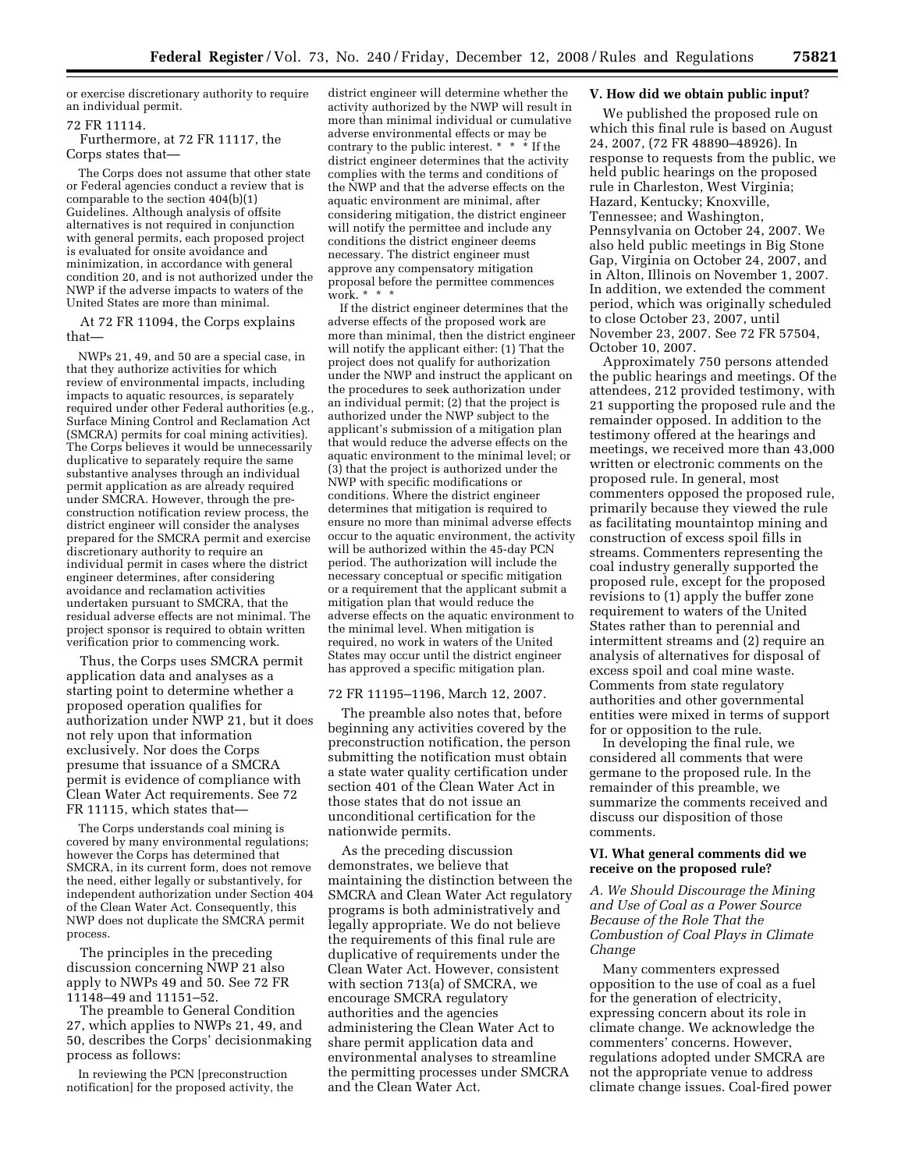or exercise discretionary authority to require an individual permit.

#### 72 FR 11114.

Furthermore, at 72 FR 11117, the Corps states that—

The Corps does not assume that other state or Federal agencies conduct a review that is comparable to the section 404(b)(1) Guidelines. Although analysis of offsite alternatives is not required in conjunction with general permits, each proposed project is evaluated for onsite avoidance and minimization, in accordance with general condition 20, and is not authorized under the NWP if the adverse impacts to waters of the United States are more than minimal.

At 72 FR 11094, the Corps explains that—

NWPs 21, 49, and 50 are a special case, in that they authorize activities for which review of environmental impacts, including impacts to aquatic resources, is separately required under other Federal authorities (e.g., Surface Mining Control and Reclamation Act (SMCRA) permits for coal mining activities). The Corps believes it would be unnecessarily duplicative to separately require the same substantive analyses through an individual permit application as are already required under SMCRA. However, through the preconstruction notification review process, the district engineer will consider the analyses prepared for the SMCRA permit and exercise discretionary authority to require an individual permit in cases where the district engineer determines, after considering avoidance and reclamation activities undertaken pursuant to SMCRA, that the residual adverse effects are not minimal. The project sponsor is required to obtain written verification prior to commencing work.

Thus, the Corps uses SMCRA permit application data and analyses as a starting point to determine whether a proposed operation qualifies for authorization under NWP 21, but it does not rely upon that information exclusively. Nor does the Corps presume that issuance of a SMCRA permit is evidence of compliance with Clean Water Act requirements. See 72 FR 11115, which states that—

The Corps understands coal mining is covered by many environmental regulations; however the Corps has determined that SMCRA, in its current form, does not remove the need, either legally or substantively, for independent authorization under Section 404 of the Clean Water Act. Consequently, this NWP does not duplicate the SMCRA permit process.

The principles in the preceding discussion concerning NWP 21 also apply to NWPs 49 and 50. See 72 FR 11148–49 and 11151–52.

The preamble to General Condition 27, which applies to NWPs 21, 49, and 50, describes the Corps' decisionmaking process as follows:

In reviewing the PCN [preconstruction notification] for the proposed activity, the

district engineer will determine whether the activity authorized by the NWP will result in more than minimal individual or cumulative adverse environmental effects or may be contrary to the public interest.  $* * * if$  the district engineer determines that the activity complies with the terms and conditions of the NWP and that the adverse effects on the aquatic environment are minimal, after considering mitigation, the district engineer will notify the permittee and include any conditions the district engineer deems necessary. The district engineer must approve any compensatory mitigation proposal before the permittee commences work. \* \* \*

If the district engineer determines that the adverse effects of the proposed work are more than minimal, then the district engineer will notify the applicant either: (1) That the project does not qualify for authorization under the NWP and instruct the applicant on the procedures to seek authorization under an individual permit; (2) that the project is authorized under the NWP subject to the applicant's submission of a mitigation plan that would reduce the adverse effects on the aquatic environment to the minimal level; or (3) that the project is authorized under the NWP with specific modifications or conditions. Where the district engineer determines that mitigation is required to ensure no more than minimal adverse effects occur to the aquatic environment, the activity will be authorized within the 45-day PCN period. The authorization will include the necessary conceptual or specific mitigation or a requirement that the applicant submit a mitigation plan that would reduce the adverse effects on the aquatic environment to the minimal level. When mitigation is required, no work in waters of the United States may occur until the district engineer has approved a specific mitigation plan.

#### 72 FR 11195–1196, March 12, 2007.

The preamble also notes that, before beginning any activities covered by the preconstruction notification, the person submitting the notification must obtain a state water quality certification under section 401 of the Clean Water Act in those states that do not issue an unconditional certification for the nationwide permits.

As the preceding discussion demonstrates, we believe that maintaining the distinction between the SMCRA and Clean Water Act regulatory programs is both administratively and legally appropriate. We do not believe the requirements of this final rule are duplicative of requirements under the Clean Water Act. However, consistent with section 713(a) of SMCRA, we encourage SMCRA regulatory authorities and the agencies administering the Clean Water Act to share permit application data and environmental analyses to streamline the permitting processes under SMCRA and the Clean Water Act.

# **V. How did we obtain public input?**

We published the proposed rule on which this final rule is based on August 24, 2007, (72 FR 48890–48926). In response to requests from the public, we held public hearings on the proposed rule in Charleston, West Virginia; Hazard, Kentucky; Knoxville, Tennessee; and Washington, Pennsylvania on October 24, 2007. We also held public meetings in Big Stone Gap, Virginia on October 24, 2007, and in Alton, Illinois on November 1, 2007. In addition, we extended the comment period, which was originally scheduled to close October 23, 2007, until November 23, 2007. See 72 FR 57504, October 10, 2007.

Approximately 750 persons attended the public hearings and meetings. Of the attendees, 212 provided testimony, with 21 supporting the proposed rule and the remainder opposed. In addition to the testimony offered at the hearings and meetings, we received more than 43,000 written or electronic comments on the proposed rule. In general, most commenters opposed the proposed rule, primarily because they viewed the rule as facilitating mountaintop mining and construction of excess spoil fills in streams. Commenters representing the coal industry generally supported the proposed rule, except for the proposed revisions to (1) apply the buffer zone requirement to waters of the United States rather than to perennial and intermittent streams and (2) require an analysis of alternatives for disposal of excess spoil and coal mine waste. Comments from state regulatory authorities and other governmental entities were mixed in terms of support for or opposition to the rule.

In developing the final rule, we considered all comments that were germane to the proposed rule. In the remainder of this preamble, we summarize the comments received and discuss our disposition of those comments.

## **VI. What general comments did we receive on the proposed rule?**

*A. We Should Discourage the Mining and Use of Coal as a Power Source Because of the Role That the Combustion of Coal Plays in Climate Change* 

Many commenters expressed opposition to the use of coal as a fuel for the generation of electricity, expressing concern about its role in climate change. We acknowledge the commenters' concerns. However, regulations adopted under SMCRA are not the appropriate venue to address climate change issues. Coal-fired power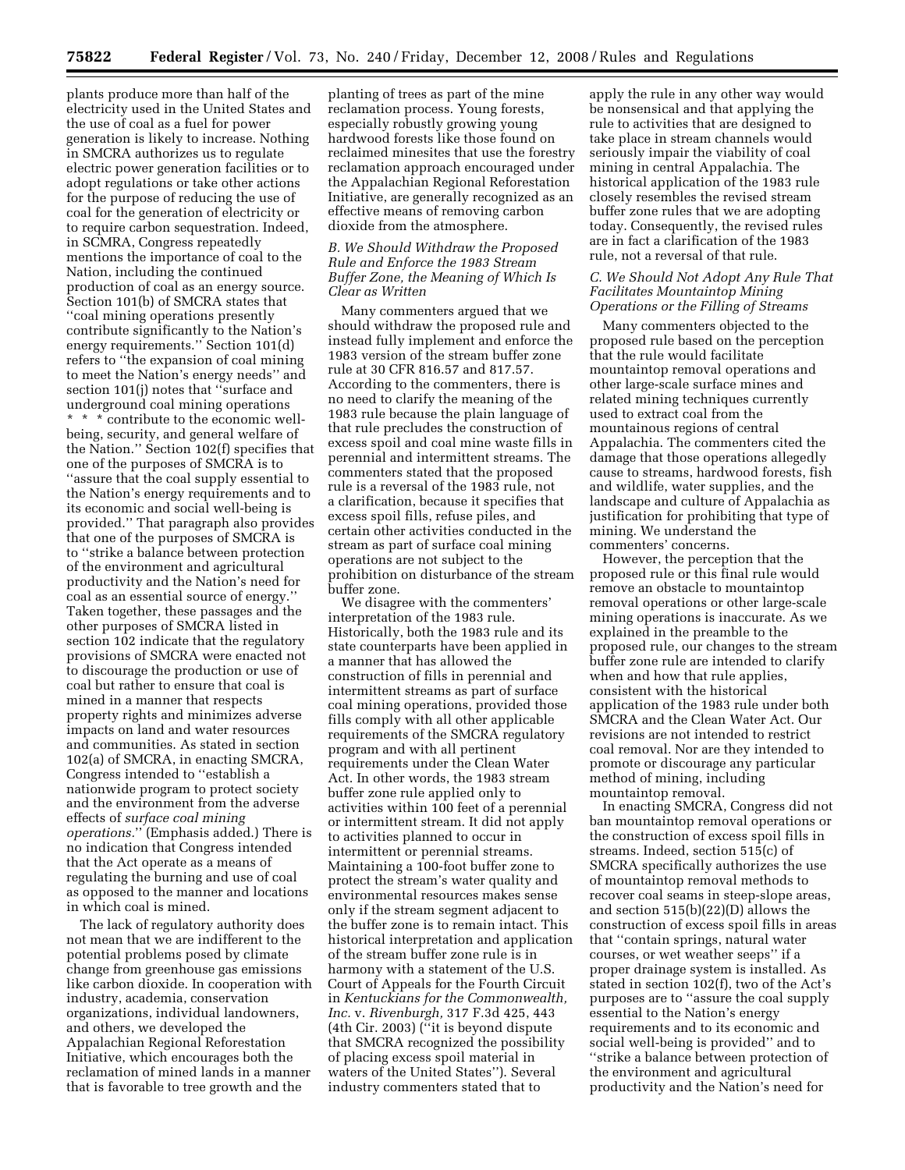plants produce more than half of the electricity used in the United States and the use of coal as a fuel for power generation is likely to increase. Nothing in SMCRA authorizes us to regulate electric power generation facilities or to adopt regulations or take other actions for the purpose of reducing the use of coal for the generation of electricity or to require carbon sequestration. Indeed, in SCMRA, Congress repeatedly mentions the importance of coal to the Nation, including the continued production of coal as an energy source. Section 101(b) of SMCRA states that ''coal mining operations presently contribute significantly to the Nation's energy requirements.'' Section 101(d) refers to ''the expansion of coal mining to meet the Nation's energy needs'' and section 101(j) notes that ''surface and underground coal mining operations \* \* \* contribute to the economic wellbeing, security, and general welfare of the Nation.'' Section 102(f) specifies that one of the purposes of SMCRA is to ''assure that the coal supply essential to the Nation's energy requirements and to its economic and social well-being is provided.'' That paragraph also provides that one of the purposes of SMCRA is to ''strike a balance between protection of the environment and agricultural productivity and the Nation's need for coal as an essential source of energy.'' Taken together, these passages and the other purposes of SMCRA listed in section 102 indicate that the regulatory provisions of SMCRA were enacted not to discourage the production or use of coal but rather to ensure that coal is mined in a manner that respects property rights and minimizes adverse impacts on land and water resources and communities. As stated in section 102(a) of SMCRA, in enacting SMCRA, Congress intended to ''establish a nationwide program to protect society and the environment from the adverse effects of *surface coal mining operations.*'' (Emphasis added.) There is no indication that Congress intended that the Act operate as a means of regulating the burning and use of coal as opposed to the manner and locations in which coal is mined.

The lack of regulatory authority does not mean that we are indifferent to the potential problems posed by climate change from greenhouse gas emissions like carbon dioxide. In cooperation with industry, academia, conservation organizations, individual landowners, and others, we developed the Appalachian Regional Reforestation Initiative, which encourages both the reclamation of mined lands in a manner that is favorable to tree growth and the

planting of trees as part of the mine reclamation process. Young forests, especially robustly growing young hardwood forests like those found on reclaimed minesites that use the forestry reclamation approach encouraged under the Appalachian Regional Reforestation Initiative, are generally recognized as an effective means of removing carbon dioxide from the atmosphere.

### *B. We Should Withdraw the Proposed Rule and Enforce the 1983 Stream Buffer Zone, the Meaning of Which Is Clear as Written*

Many commenters argued that we should withdraw the proposed rule and instead fully implement and enforce the 1983 version of the stream buffer zone rule at 30 CFR 816.57 and 817.57. According to the commenters, there is no need to clarify the meaning of the 1983 rule because the plain language of that rule precludes the construction of excess spoil and coal mine waste fills in perennial and intermittent streams. The commenters stated that the proposed rule is a reversal of the 1983 rule, not a clarification, because it specifies that excess spoil fills, refuse piles, and certain other activities conducted in the stream as part of surface coal mining operations are not subject to the prohibition on disturbance of the stream buffer zone.

We disagree with the commenters' interpretation of the 1983 rule. Historically, both the 1983 rule and its state counterparts have been applied in a manner that has allowed the construction of fills in perennial and intermittent streams as part of surface coal mining operations, provided those fills comply with all other applicable requirements of the SMCRA regulatory program and with all pertinent requirements under the Clean Water Act. In other words, the 1983 stream buffer zone rule applied only to activities within 100 feet of a perennial or intermittent stream. It did not apply to activities planned to occur in intermittent or perennial streams. Maintaining a 100-foot buffer zone to protect the stream's water quality and environmental resources makes sense only if the stream segment adjacent to the buffer zone is to remain intact. This historical interpretation and application of the stream buffer zone rule is in harmony with a statement of the U.S. Court of Appeals for the Fourth Circuit in *Kentuckians for the Commonwealth, Inc.* v. *Rivenburgh,* 317 F.3d 425, 443 (4th Cir. 2003) (''it is beyond dispute that SMCRA recognized the possibility of placing excess spoil material in waters of the United States''). Several industry commenters stated that to

apply the rule in any other way would be nonsensical and that applying the rule to activities that are designed to take place in stream channels would seriously impair the viability of coal mining in central Appalachia. The historical application of the 1983 rule closely resembles the revised stream buffer zone rules that we are adopting today. Consequently, the revised rules are in fact a clarification of the 1983 rule, not a reversal of that rule.

# *C. We Should Not Adopt Any Rule That Facilitates Mountaintop Mining Operations or the Filling of Streams*

Many commenters objected to the proposed rule based on the perception that the rule would facilitate mountaintop removal operations and other large-scale surface mines and related mining techniques currently used to extract coal from the mountainous regions of central Appalachia. The commenters cited the damage that those operations allegedly cause to streams, hardwood forests, fish and wildlife, water supplies, and the landscape and culture of Appalachia as justification for prohibiting that type of mining. We understand the commenters' concerns.

However, the perception that the proposed rule or this final rule would remove an obstacle to mountaintop removal operations or other large-scale mining operations is inaccurate. As we explained in the preamble to the proposed rule, our changes to the stream buffer zone rule are intended to clarify when and how that rule applies, consistent with the historical application of the 1983 rule under both SMCRA and the Clean Water Act. Our revisions are not intended to restrict coal removal. Nor are they intended to promote or discourage any particular method of mining, including mountaintop removal.

In enacting SMCRA, Congress did not ban mountaintop removal operations or the construction of excess spoil fills in streams. Indeed, section 515(c) of SMCRA specifically authorizes the use of mountaintop removal methods to recover coal seams in steep-slope areas, and section 515(b)(22)(D) allows the construction of excess spoil fills in areas that ''contain springs, natural water courses, or wet weather seeps'' if a proper drainage system is installed. As stated in section 102(f), two of the Act's purposes are to ''assure the coal supply essential to the Nation's energy requirements and to its economic and social well-being is provided'' and to ''strike a balance between protection of the environment and agricultural productivity and the Nation's need for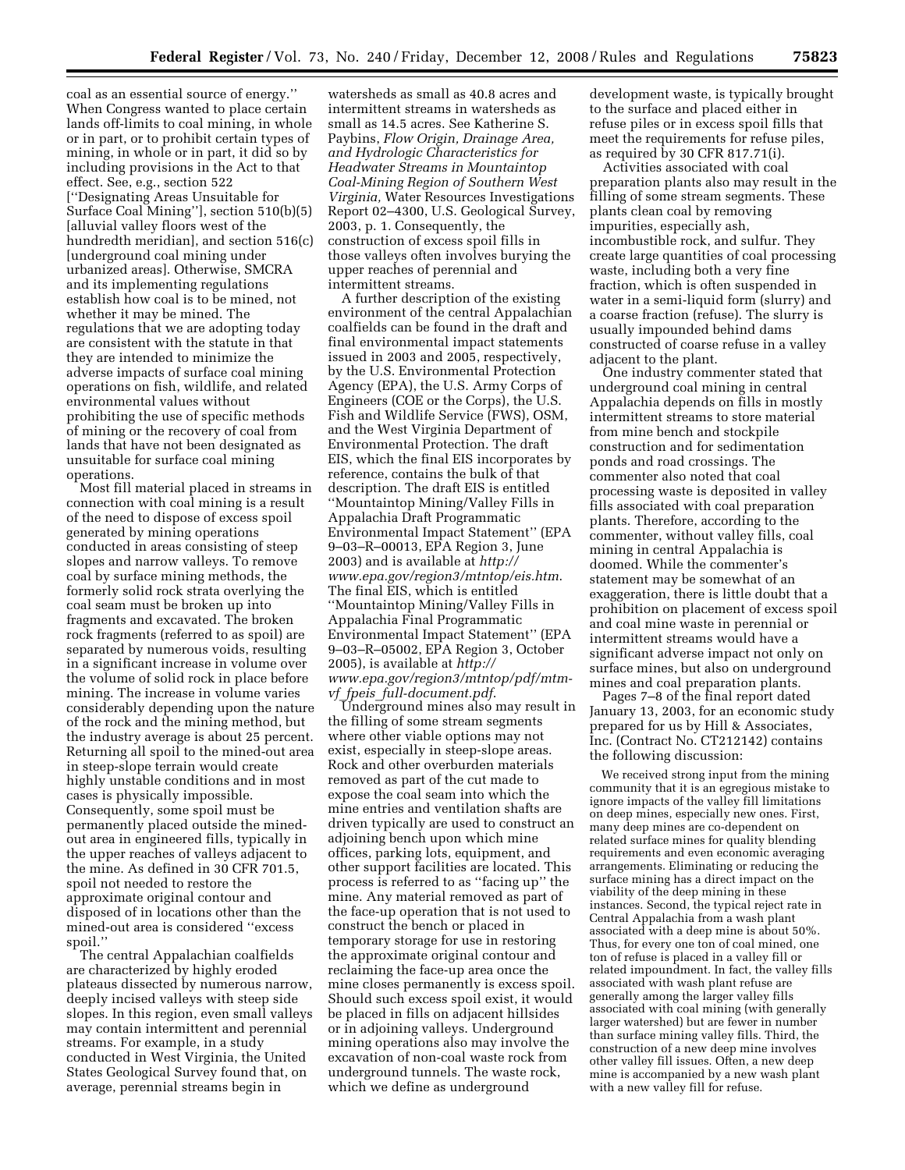coal as an essential source of energy.'' When Congress wanted to place certain lands off-limits to coal mining, in whole or in part, or to prohibit certain types of mining, in whole or in part, it did so by including provisions in the Act to that effect. See, e.g., section 522 [''Designating Areas Unsuitable for Surface Coal Mining''], section 510(b)(5) [alluvial valley floors west of the hundredth meridian], and section 516(c) [underground coal mining under urbanized areas]. Otherwise, SMCRA and its implementing regulations establish how coal is to be mined, not whether it may be mined. The regulations that we are adopting today are consistent with the statute in that they are intended to minimize the adverse impacts of surface coal mining operations on fish, wildlife, and related environmental values without prohibiting the use of specific methods of mining or the recovery of coal from lands that have not been designated as unsuitable for surface coal mining operations.

Most fill material placed in streams in connection with coal mining is a result of the need to dispose of excess spoil generated by mining operations conducted in areas consisting of steep slopes and narrow valleys. To remove coal by surface mining methods, the formerly solid rock strata overlying the coal seam must be broken up into fragments and excavated. The broken rock fragments (referred to as spoil) are separated by numerous voids, resulting in a significant increase in volume over the volume of solid rock in place before mining. The increase in volume varies considerably depending upon the nature of the rock and the mining method, but the industry average is about 25 percent. Returning all spoil to the mined-out area in steep-slope terrain would create highly unstable conditions and in most cases is physically impossible. Consequently, some spoil must be permanently placed outside the minedout area in engineered fills, typically in the upper reaches of valleys adjacent to the mine. As defined in 30 CFR 701.5, spoil not needed to restore the approximate original contour and disposed of in locations other than the mined-out area is considered ''excess spoil.''

The central Appalachian coalfields are characterized by highly eroded plateaus dissected by numerous narrow, deeply incised valleys with steep side slopes. In this region, even small valleys may contain intermittent and perennial streams. For example, in a study conducted in West Virginia, the United States Geological Survey found that, on average, perennial streams begin in

watersheds as small as 40.8 acres and intermittent streams in watersheds as small as 14.5 acres. See Katherine S. Paybins, *Flow Origin, Drainage Area, and Hydrologic Characteristics for Headwater Streams in Mountaintop Coal-Mining Region of Southern West Virginia,* Water Resources Investigations Report 02–4300, U.S. Geological Survey, 2003, p. 1. Consequently, the construction of excess spoil fills in those valleys often involves burying the upper reaches of perennial and intermittent streams.

A further description of the existing environment of the central Appalachian coalfields can be found in the draft and final environmental impact statements issued in 2003 and 2005, respectively, by the U.S. Environmental Protection Agency (EPA), the U.S. Army Corps of Engineers (COE or the Corps), the U.S. Fish and Wildlife Service (FWS), OSM, and the West Virginia Department of Environmental Protection. The draft EIS, which the final EIS incorporates by reference, contains the bulk of that description. The draft EIS is entitled ''Mountaintop Mining/Valley Fills in Appalachia Draft Programmatic Environmental Impact Statement'' (EPA 9–03–R–00013, EPA Region 3, June 2003) and is available at *http:// www.epa.gov/region3/mtntop/eis.htm*. The final EIS, which is entitled ''Mountaintop Mining/Valley Fills in Appalachia Final Programmatic Environmental Impact Statement'' (EPA 9–03–R–05002, EPA Region 3, October 2005), is available at *http:// www.epa.gov/region3/mtntop/pdf/mtmvf*\_*fpeis*\_*full-document.pdf*.

Underground mines also may result in the filling of some stream segments where other viable options may not exist, especially in steep-slope areas. Rock and other overburden materials removed as part of the cut made to expose the coal seam into which the mine entries and ventilation shafts are driven typically are used to construct an adjoining bench upon which mine offices, parking lots, equipment, and other support facilities are located. This process is referred to as ''facing up'' the mine. Any material removed as part of the face-up operation that is not used to construct the bench or placed in temporary storage for use in restoring the approximate original contour and reclaiming the face-up area once the mine closes permanently is excess spoil. Should such excess spoil exist, it would be placed in fills on adjacent hillsides or in adjoining valleys. Underground mining operations also may involve the excavation of non-coal waste rock from underground tunnels. The waste rock, which we define as underground

development waste, is typically brought to the surface and placed either in refuse piles or in excess spoil fills that meet the requirements for refuse piles, as required by 30 CFR 817.71(i).

Activities associated with coal preparation plants also may result in the filling of some stream segments. These plants clean coal by removing impurities, especially ash, incombustible rock, and sulfur. They create large quantities of coal processing waste, including both a very fine fraction, which is often suspended in water in a semi-liquid form (slurry) and a coarse fraction (refuse). The slurry is usually impounded behind dams constructed of coarse refuse in a valley adjacent to the plant.

One industry commenter stated that underground coal mining in central Appalachia depends on fills in mostly intermittent streams to store material from mine bench and stockpile construction and for sedimentation ponds and road crossings. The commenter also noted that coal processing waste is deposited in valley fills associated with coal preparation plants. Therefore, according to the commenter, without valley fills, coal mining in central Appalachia is doomed. While the commenter's statement may be somewhat of an exaggeration, there is little doubt that a prohibition on placement of excess spoil and coal mine waste in perennial or intermittent streams would have a significant adverse impact not only on surface mines, but also on underground mines and coal preparation plants.

Pages 7–8 of the final report dated January 13, 2003, for an economic study prepared for us by Hill & Associates, Inc. (Contract No. CT212142) contains the following discussion:

We received strong input from the mining community that it is an egregious mistake to ignore impacts of the valley fill limitations on deep mines, especially new ones. First, many deep mines are co-dependent on related surface mines for quality blending requirements and even economic averaging arrangements. Eliminating or reducing the surface mining has a direct impact on the viability of the deep mining in these instances. Second, the typical reject rate in Central Appalachia from a wash plant associated with a deep mine is about 50%. Thus, for every one ton of coal mined, one ton of refuse is placed in a valley fill or related impoundment. In fact, the valley fills associated with wash plant refuse are generally among the larger valley fills associated with coal mining (with generally larger watershed) but are fewer in number than surface mining valley fills. Third, the construction of a new deep mine involves other valley fill issues. Often, a new deep mine is accompanied by a new wash plant with a new valley fill for refuse.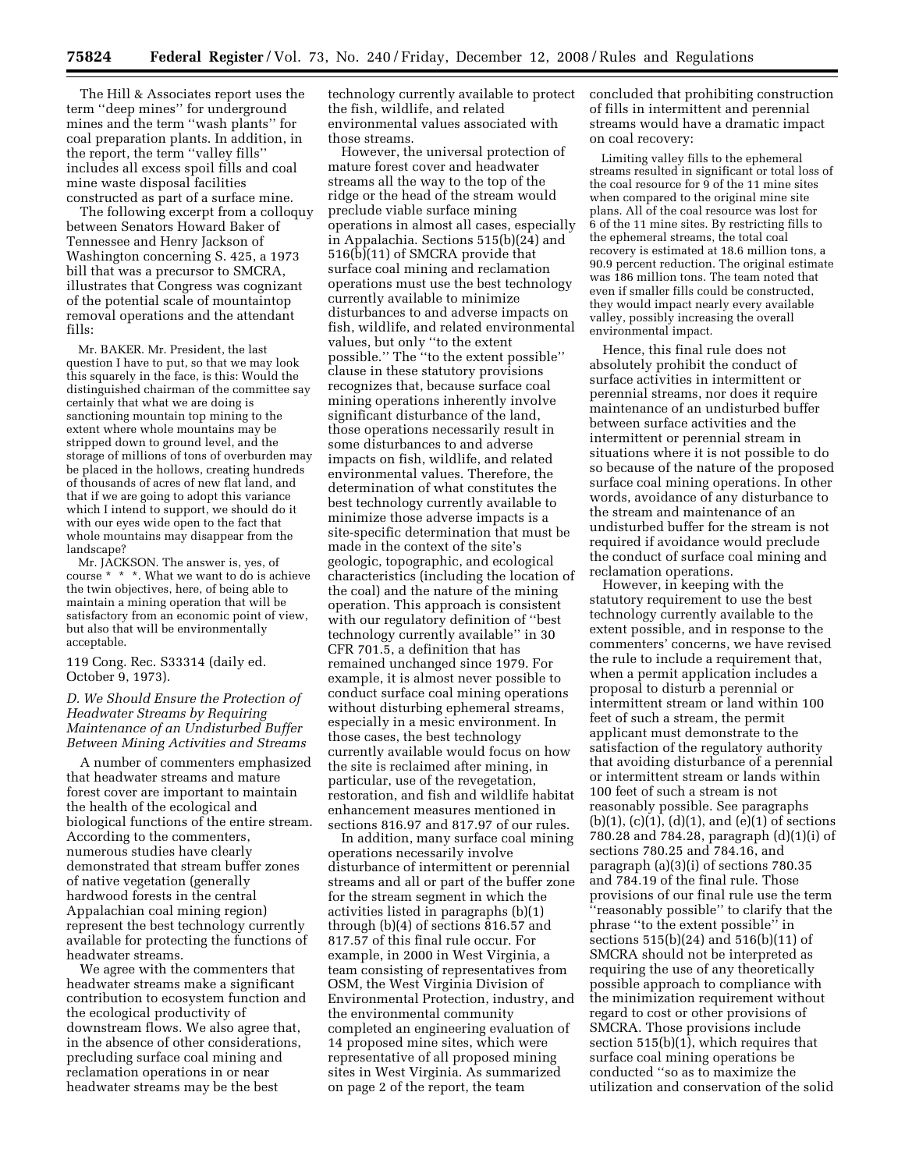The Hill & Associates report uses the term ''deep mines'' for underground mines and the term ''wash plants'' for coal preparation plants. In addition, in the report, the term ''valley fills'' includes all excess spoil fills and coal mine waste disposal facilities constructed as part of a surface mine.

The following excerpt from a colloquy between Senators Howard Baker of Tennessee and Henry Jackson of Washington concerning S. 425, a 1973 bill that was a precursor to SMCRA, illustrates that Congress was cognizant of the potential scale of mountaintop removal operations and the attendant fills:

Mr. BAKER. Mr. President, the last question I have to put, so that we may look this squarely in the face, is this: Would the distinguished chairman of the committee say certainly that what we are doing is sanctioning mountain top mining to the extent where whole mountains may be stripped down to ground level, and the storage of millions of tons of overburden may be placed in the hollows, creating hundreds of thousands of acres of new flat land, and that if we are going to adopt this variance which I intend to support, we should do it with our eyes wide open to the fact that whole mountains may disappear from the landscape?

Mr. JACKSON. The answer is, yes, of course  $* * *$ . What we want to do is achieve the twin objectives, here, of being able to maintain a mining operation that will be satisfactory from an economic point of view, but also that will be environmentally acceptable.

119 Cong. Rec. S33314 (daily ed. October 9, 1973).

# *D. We Should Ensure the Protection of Headwater Streams by Requiring Maintenance of an Undisturbed Buffer Between Mining Activities and Streams*

A number of commenters emphasized that headwater streams and mature forest cover are important to maintain the health of the ecological and biological functions of the entire stream. According to the commenters, numerous studies have clearly demonstrated that stream buffer zones of native vegetation (generally hardwood forests in the central Appalachian coal mining region) represent the best technology currently available for protecting the functions of headwater streams.

We agree with the commenters that headwater streams make a significant contribution to ecosystem function and the ecological productivity of downstream flows. We also agree that, in the absence of other considerations, precluding surface coal mining and reclamation operations in or near headwater streams may be the best

technology currently available to protect the fish, wildlife, and related environmental values associated with those streams.

However, the universal protection of mature forest cover and headwater streams all the way to the top of the ridge or the head of the stream would preclude viable surface mining operations in almost all cases, especially in Appalachia. Sections 515(b)(24) and 516(b)(11) of SMCRA provide that surface coal mining and reclamation operations must use the best technology currently available to minimize disturbances to and adverse impacts on fish, wildlife, and related environmental values, but only ''to the extent possible.'' The ''to the extent possible'' clause in these statutory provisions recognizes that, because surface coal mining operations inherently involve significant disturbance of the land, those operations necessarily result in some disturbances to and adverse impacts on fish, wildlife, and related environmental values. Therefore, the determination of what constitutes the best technology currently available to minimize those adverse impacts is a site-specific determination that must be made in the context of the site's geologic, topographic, and ecological characteristics (including the location of the coal) and the nature of the mining operation. This approach is consistent with our regulatory definition of ''best technology currently available'' in 30 CFR 701.5, a definition that has remained unchanged since 1979. For example, it is almost never possible to conduct surface coal mining operations without disturbing ephemeral streams, especially in a mesic environment. In those cases, the best technology currently available would focus on how the site is reclaimed after mining, in particular, use of the revegetation, restoration, and fish and wildlife habitat enhancement measures mentioned in sections 816.97 and 817.97 of our rules.

In addition, many surface coal mining operations necessarily involve disturbance of intermittent or perennial streams and all or part of the buffer zone for the stream segment in which the activities listed in paragraphs (b)(1) through (b)(4) of sections 816.57 and 817.57 of this final rule occur. For example, in 2000 in West Virginia, a team consisting of representatives from OSM, the West Virginia Division of Environmental Protection, industry, and the environmental community completed an engineering evaluation of 14 proposed mine sites, which were representative of all proposed mining sites in West Virginia. As summarized on page 2 of the report, the team

concluded that prohibiting construction of fills in intermittent and perennial streams would have a dramatic impact on coal recovery:

Limiting valley fills to the ephemeral streams resulted in significant or total loss of the coal resource for 9 of the 11 mine sites when compared to the original mine site plans. All of the coal resource was lost for 6 of the 11 mine sites. By restricting fills to the ephemeral streams, the total coal recovery is estimated at 18.6 million tons, a 90.9 percent reduction. The original estimate was 186 million tons. The team noted that even if smaller fills could be constructed, they would impact nearly every available valley, possibly increasing the overall environmental impact.

Hence, this final rule does not absolutely prohibit the conduct of surface activities in intermittent or perennial streams, nor does it require maintenance of an undisturbed buffer between surface activities and the intermittent or perennial stream in situations where it is not possible to do so because of the nature of the proposed surface coal mining operations. In other words, avoidance of any disturbance to the stream and maintenance of an undisturbed buffer for the stream is not required if avoidance would preclude the conduct of surface coal mining and reclamation operations.

However, in keeping with the statutory requirement to use the best technology currently available to the extent possible, and in response to the commenters' concerns, we have revised the rule to include a requirement that, when a permit application includes a proposal to disturb a perennial or intermittent stream or land within 100 feet of such a stream, the permit applicant must demonstrate to the satisfaction of the regulatory authority that avoiding disturbance of a perennial or intermittent stream or lands within 100 feet of such a stream is not reasonably possible. See paragraphs  $(b)(1), (c)(1), (d)(1), and (e)(1)$  of sections 780.28 and 784.28, paragraph (d)(1)(i) of sections 780.25 and 784.16, and paragraph (a)(3)(i) of sections 780.35 and 784.19 of the final rule. Those provisions of our final rule use the term ''reasonably possible'' to clarify that the phrase ''to the extent possible'' in sections 515(b)(24) and 516(b)(11) of SMCRA should not be interpreted as requiring the use of any theoretically possible approach to compliance with the minimization requirement without regard to cost or other provisions of SMCRA. Those provisions include section 515(b)(1), which requires that surface coal mining operations be conducted ''so as to maximize the utilization and conservation of the solid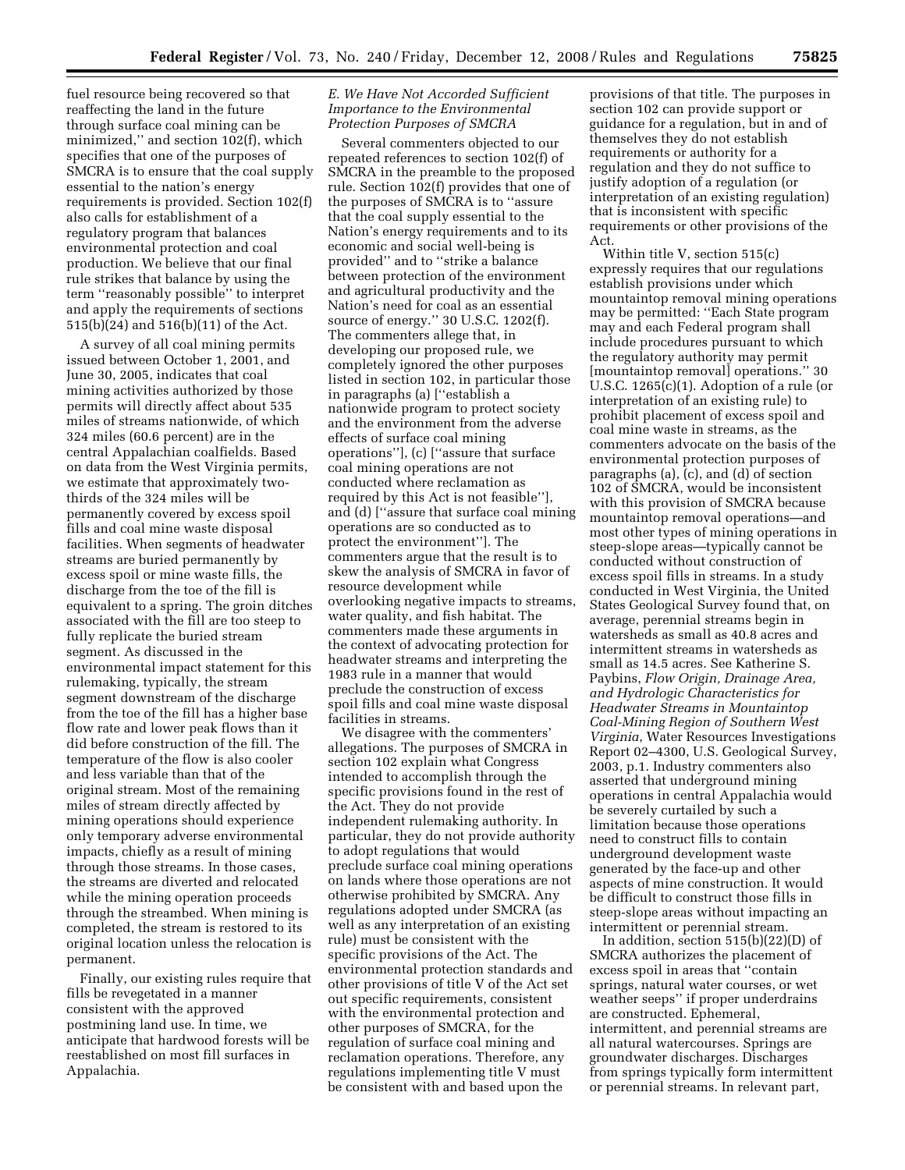fuel resource being recovered so that reaffecting the land in the future through surface coal mining can be minimized,'' and section 102(f), which specifies that one of the purposes of SMCRA is to ensure that the coal supply essential to the nation's energy requirements is provided. Section 102(f) also calls for establishment of a regulatory program that balances environmental protection and coal production. We believe that our final rule strikes that balance by using the term ''reasonably possible'' to interpret and apply the requirements of sections 515(b)(24) and 516(b)(11) of the Act.

A survey of all coal mining permits issued between October 1, 2001, and June 30, 2005, indicates that coal mining activities authorized by those permits will directly affect about 535 miles of streams nationwide, of which 324 miles (60.6 percent) are in the central Appalachian coalfields. Based on data from the West Virginia permits, we estimate that approximately twothirds of the 324 miles will be permanently covered by excess spoil fills and coal mine waste disposal facilities. When segments of headwater streams are buried permanently by excess spoil or mine waste fills, the discharge from the toe of the fill is equivalent to a spring. The groin ditches associated with the fill are too steep to fully replicate the buried stream segment. As discussed in the environmental impact statement for this rulemaking, typically, the stream segment downstream of the discharge from the toe of the fill has a higher base flow rate and lower peak flows than it did before construction of the fill. The temperature of the flow is also cooler and less variable than that of the original stream. Most of the remaining miles of stream directly affected by mining operations should experience only temporary adverse environmental impacts, chiefly as a result of mining through those streams. In those cases, the streams are diverted and relocated while the mining operation proceeds through the streambed. When mining is completed, the stream is restored to its original location unless the relocation is permanent.

Finally, our existing rules require that fills be revegetated in a manner consistent with the approved postmining land use. In time, we anticipate that hardwood forests will be reestablished on most fill surfaces in Appalachia.

# *E. We Have Not Accorded Sufficient Importance to the Environmental Protection Purposes of SMCRA*

Several commenters objected to our repeated references to section 102(f) of SMCRA in the preamble to the proposed rule. Section 102(f) provides that one of the purposes of SMCRA is to ''assure that the coal supply essential to the Nation's energy requirements and to its economic and social well-being is provided'' and to ''strike a balance between protection of the environment and agricultural productivity and the Nation's need for coal as an essential source of energy.'' 30 U.S.C. 1202(f). The commenters allege that, in developing our proposed rule, we completely ignored the other purposes listed in section 102, in particular those in paragraphs (a) [''establish a nationwide program to protect society and the environment from the adverse effects of surface coal mining operations''], (c) [''assure that surface coal mining operations are not conducted where reclamation as required by this Act is not feasible''], and (d) [''assure that surface coal mining operations are so conducted as to protect the environment'']. The commenters argue that the result is to skew the analysis of SMCRA in favor of resource development while overlooking negative impacts to streams, water quality, and fish habitat. The commenters made these arguments in the context of advocating protection for headwater streams and interpreting the 1983 rule in a manner that would preclude the construction of excess spoil fills and coal mine waste disposal facilities in streams.

We disagree with the commenters' allegations. The purposes of SMCRA in section 102 explain what Congress intended to accomplish through the specific provisions found in the rest of the Act. They do not provide independent rulemaking authority. In particular, they do not provide authority to adopt regulations that would preclude surface coal mining operations on lands where those operations are not otherwise prohibited by SMCRA. Any regulations adopted under SMCRA (as well as any interpretation of an existing rule) must be consistent with the specific provisions of the Act. The environmental protection standards and other provisions of title V of the Act set out specific requirements, consistent with the environmental protection and other purposes of SMCRA, for the regulation of surface coal mining and reclamation operations. Therefore, any regulations implementing title V must be consistent with and based upon the

provisions of that title. The purposes in section 102 can provide support or guidance for a regulation, but in and of themselves they do not establish requirements or authority for a regulation and they do not suffice to justify adoption of a regulation (or interpretation of an existing regulation) that is inconsistent with specific requirements or other provisions of the Act.

Within title V, section 515(c) expressly requires that our regulations establish provisions under which mountaintop removal mining operations may be permitted: ''Each State program may and each Federal program shall include procedures pursuant to which the regulatory authority may permit [mountaintop removal] operations.'' 30 U.S.C. 1265(c)(1). Adoption of a rule (or interpretation of an existing rule) to prohibit placement of excess spoil and coal mine waste in streams, as the commenters advocate on the basis of the environmental protection purposes of paragraphs (a), (c), and (d) of section 102 of SMCRA, would be inconsistent with this provision of SMCRA because mountaintop removal operations—and most other types of mining operations in steep-slope areas—typically cannot be conducted without construction of excess spoil fills in streams. In a study conducted in West Virginia, the United States Geological Survey found that, on average, perennial streams begin in watersheds as small as 40.8 acres and intermittent streams in watersheds as small as 14.5 acres. See Katherine S. Paybins, *Flow Origin, Drainage Area, and Hydrologic Characteristics for Headwater Streams in Mountaintop Coal-Mining Region of Southern West Virginia*, Water Resources Investigations Report 02–4300, U.S. Geological Survey, 2003, p.1. Industry commenters also asserted that underground mining operations in central Appalachia would be severely curtailed by such a limitation because those operations need to construct fills to contain underground development waste generated by the face-up and other aspects of mine construction. It would be difficult to construct those fills in steep-slope areas without impacting an intermittent or perennial stream.

In addition, section 515(b)(22)(D) of SMCRA authorizes the placement of excess spoil in areas that ''contain springs, natural water courses, or wet weather seeps'' if proper underdrains are constructed. Ephemeral, intermittent, and perennial streams are all natural watercourses. Springs are groundwater discharges. Discharges from springs typically form intermittent or perennial streams. In relevant part,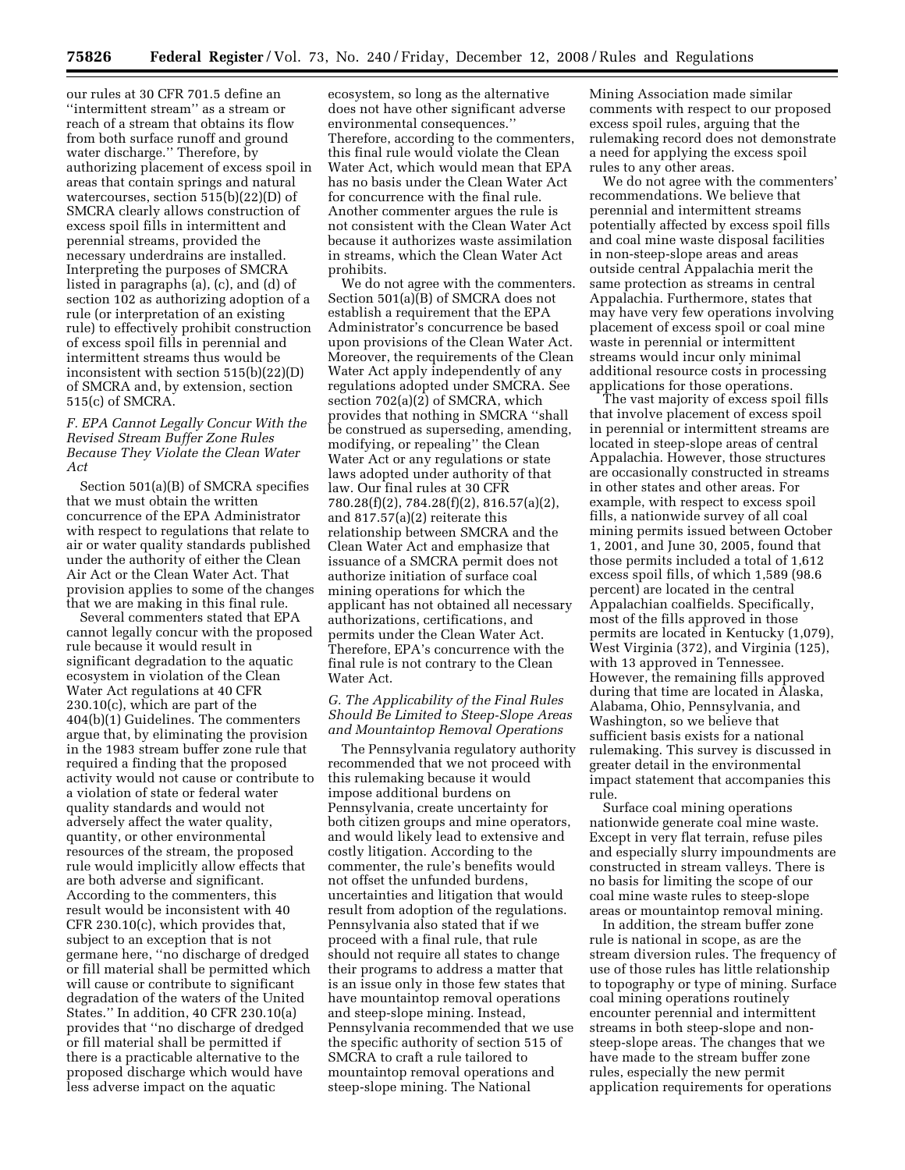our rules at 30 CFR 701.5 define an ''intermittent stream'' as a stream or reach of a stream that obtains its flow from both surface runoff and ground water discharge." Therefore, by authorizing placement of excess spoil in areas that contain springs and natural watercourses, section 515(b)(22)(D) of SMCRA clearly allows construction of excess spoil fills in intermittent and perennial streams, provided the necessary underdrains are installed. Interpreting the purposes of SMCRA listed in paragraphs (a), (c), and (d) of section 102 as authorizing adoption of a rule (or interpretation of an existing rule) to effectively prohibit construction of excess spoil fills in perennial and intermittent streams thus would be inconsistent with section 515(b)(22)(D) of SMCRA and, by extension, section 515(c) of SMCRA.

# *F. EPA Cannot Legally Concur With the Revised Stream Buffer Zone Rules Because They Violate the Clean Water Act*

Section 501(a)(B) of SMCRA specifies that we must obtain the written concurrence of the EPA Administrator with respect to regulations that relate to air or water quality standards published under the authority of either the Clean Air Act or the Clean Water Act. That provision applies to some of the changes that we are making in this final rule.

Several commenters stated that EPA cannot legally concur with the proposed rule because it would result in significant degradation to the aquatic ecosystem in violation of the Clean Water Act regulations at 40 CFR 230.10(c), which are part of the 404(b)(1) Guidelines. The commenters argue that, by eliminating the provision in the 1983 stream buffer zone rule that required a finding that the proposed activity would not cause or contribute to a violation of state or federal water quality standards and would not adversely affect the water quality, quantity, or other environmental resources of the stream, the proposed rule would implicitly allow effects that are both adverse and significant. According to the commenters, this result would be inconsistent with 40 CFR 230.10(c), which provides that, subject to an exception that is not germane here, ''no discharge of dredged or fill material shall be permitted which will cause or contribute to significant degradation of the waters of the United States.'' In addition, 40 CFR 230.10(a) provides that ''no discharge of dredged or fill material shall be permitted if there is a practicable alternative to the proposed discharge which would have less adverse impact on the aquatic

ecosystem, so long as the alternative does not have other significant adverse environmental consequences.'' Therefore, according to the commenters, this final rule would violate the Clean Water Act, which would mean that EPA has no basis under the Clean Water Act for concurrence with the final rule. Another commenter argues the rule is not consistent with the Clean Water Act because it authorizes waste assimilation in streams, which the Clean Water Act prohibits.

We do not agree with the commenters. Section 501(a)(B) of SMCRA does not establish a requirement that the EPA Administrator's concurrence be based upon provisions of the Clean Water Act. Moreover, the requirements of the Clean Water Act apply independently of any regulations adopted under SMCRA. See section 702(a)(2) of SMCRA, which provides that nothing in SMCRA ''shall be construed as superseding, amending, modifying, or repealing'' the Clean Water Act or any regulations or state laws adopted under authority of that law. Our final rules at 30 CFR 780.28(f)(2), 784.28(f)(2), 816.57(a)(2), and 817.57(a)(2) reiterate this relationship between SMCRA and the Clean Water Act and emphasize that issuance of a SMCRA permit does not authorize initiation of surface coal mining operations for which the applicant has not obtained all necessary authorizations, certifications, and permits under the Clean Water Act. Therefore, EPA's concurrence with the final rule is not contrary to the Clean Water Act.

# *G. The Applicability of the Final Rules Should Be Limited to Steep-Slope Areas and Mountaintop Removal Operations*

The Pennsylvania regulatory authority recommended that we not proceed with this rulemaking because it would impose additional burdens on Pennsylvania, create uncertainty for both citizen groups and mine operators, and would likely lead to extensive and costly litigation. According to the commenter, the rule's benefits would not offset the unfunded burdens, uncertainties and litigation that would result from adoption of the regulations. Pennsylvania also stated that if we proceed with a final rule, that rule should not require all states to change their programs to address a matter that is an issue only in those few states that have mountaintop removal operations and steep-slope mining. Instead, Pennsylvania recommended that we use the specific authority of section 515 of SMCRA to craft a rule tailored to mountaintop removal operations and steep-slope mining. The National

Mining Association made similar comments with respect to our proposed excess spoil rules, arguing that the rulemaking record does not demonstrate a need for applying the excess spoil rules to any other areas.

We do not agree with the commenters' recommendations. We believe that perennial and intermittent streams potentially affected by excess spoil fills and coal mine waste disposal facilities in non-steep-slope areas and areas outside central Appalachia merit the same protection as streams in central Appalachia. Furthermore, states that may have very few operations involving placement of excess spoil or coal mine waste in perennial or intermittent streams would incur only minimal additional resource costs in processing applications for those operations.

The vast majority of excess spoil fills that involve placement of excess spoil in perennial or intermittent streams are located in steep-slope areas of central Appalachia. However, those structures are occasionally constructed in streams in other states and other areas. For example, with respect to excess spoil fills, a nationwide survey of all coal mining permits issued between October 1, 2001, and June 30, 2005, found that those permits included a total of 1,612 excess spoil fills, of which 1,589 (98.6 percent) are located in the central Appalachian coalfields. Specifically, most of the fills approved in those permits are located in Kentucky (1,079), West Virginia (372), and Virginia (125), with 13 approved in Tennessee. However, the remaining fills approved during that time are located in Alaska, Alabama, Ohio, Pennsylvania, and Washington, so we believe that sufficient basis exists for a national rulemaking. This survey is discussed in greater detail in the environmental impact statement that accompanies this rule.

Surface coal mining operations nationwide generate coal mine waste. Except in very flat terrain, refuse piles and especially slurry impoundments are constructed in stream valleys. There is no basis for limiting the scope of our coal mine waste rules to steep-slope areas or mountaintop removal mining.

In addition, the stream buffer zone rule is national in scope, as are the stream diversion rules. The frequency of use of those rules has little relationship to topography or type of mining. Surface coal mining operations routinely encounter perennial and intermittent streams in both steep-slope and nonsteep-slope areas. The changes that we have made to the stream buffer zone rules, especially the new permit application requirements for operations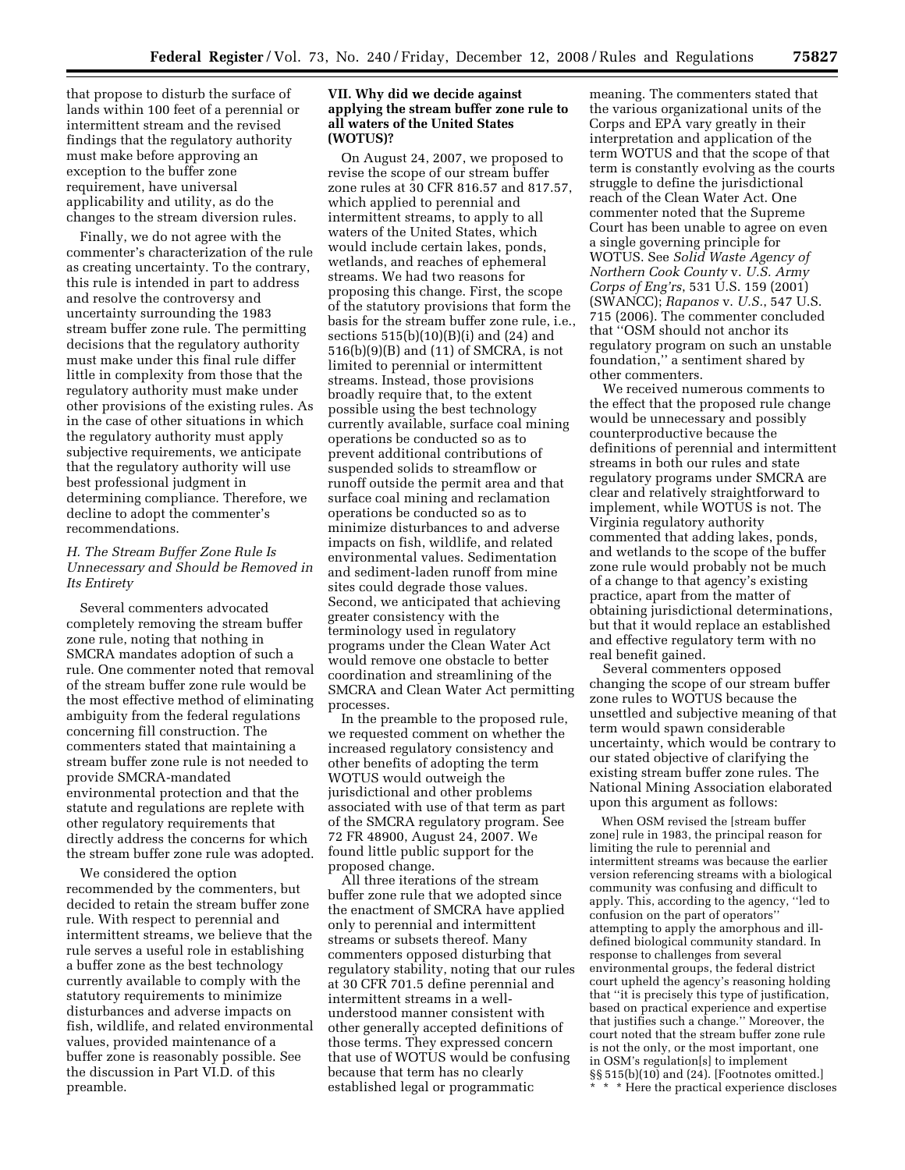that propose to disturb the surface of lands within 100 feet of a perennial or intermittent stream and the revised findings that the regulatory authority must make before approving an exception to the buffer zone requirement, have universal applicability and utility, as do the changes to the stream diversion rules.

Finally, we do not agree with the commenter's characterization of the rule as creating uncertainty. To the contrary, this rule is intended in part to address and resolve the controversy and uncertainty surrounding the 1983 stream buffer zone rule. The permitting decisions that the regulatory authority must make under this final rule differ little in complexity from those that the regulatory authority must make under other provisions of the existing rules. As in the case of other situations in which the regulatory authority must apply subjective requirements, we anticipate that the regulatory authority will use best professional judgment in determining compliance. Therefore, we decline to adopt the commenter's recommendations.

# *H. The Stream Buffer Zone Rule Is Unnecessary and Should be Removed in Its Entirety*

Several commenters advocated completely removing the stream buffer zone rule, noting that nothing in SMCRA mandates adoption of such a rule. One commenter noted that removal of the stream buffer zone rule would be the most effective method of eliminating ambiguity from the federal regulations concerning fill construction. The commenters stated that maintaining a stream buffer zone rule is not needed to provide SMCRA-mandated environmental protection and that the statute and regulations are replete with other regulatory requirements that directly address the concerns for which the stream buffer zone rule was adopted.

We considered the option recommended by the commenters, but decided to retain the stream buffer zone rule. With respect to perennial and intermittent streams, we believe that the rule serves a useful role in establishing a buffer zone as the best technology currently available to comply with the statutory requirements to minimize disturbances and adverse impacts on fish, wildlife, and related environmental values, provided maintenance of a buffer zone is reasonably possible. See the discussion in Part VI.D. of this preamble.

# **VII. Why did we decide against applying the stream buffer zone rule to all waters of the United States (WOTUS)?**

On August 24, 2007, we proposed to revise the scope of our stream buffer zone rules at 30 CFR 816.57 and 817.57, which applied to perennial and intermittent streams, to apply to all waters of the United States, which would include certain lakes, ponds, wetlands, and reaches of ephemeral streams. We had two reasons for proposing this change. First, the scope of the statutory provisions that form the basis for the stream buffer zone rule, i.e., sections 515(b)(10)(B)(i) and (24) and 516(b)(9)(B) and (11) of SMCRA, is not limited to perennial or intermittent streams. Instead, those provisions broadly require that, to the extent possible using the best technology currently available, surface coal mining operations be conducted so as to prevent additional contributions of suspended solids to streamflow or runoff outside the permit area and that surface coal mining and reclamation operations be conducted so as to minimize disturbances to and adverse impacts on fish, wildlife, and related environmental values. Sedimentation and sediment-laden runoff from mine sites could degrade those values. Second, we anticipated that achieving greater consistency with the terminology used in regulatory programs under the Clean Water Act would remove one obstacle to better coordination and streamlining of the SMCRA and Clean Water Act permitting processes.

In the preamble to the proposed rule, we requested comment on whether the increased regulatory consistency and other benefits of adopting the term WOTUS would outweigh the jurisdictional and other problems associated with use of that term as part of the SMCRA regulatory program. See 72 FR 48900, August 24, 2007. We found little public support for the proposed change.

All three iterations of the stream buffer zone rule that we adopted since the enactment of SMCRA have applied only to perennial and intermittent streams or subsets thereof. Many commenters opposed disturbing that regulatory stability, noting that our rules at 30 CFR 701.5 define perennial and intermittent streams in a wellunderstood manner consistent with other generally accepted definitions of those terms. They expressed concern that use of WOTUS would be confusing because that term has no clearly established legal or programmatic

meaning. The commenters stated that the various organizational units of the Corps and EPA vary greatly in their interpretation and application of the term WOTUS and that the scope of that term is constantly evolving as the courts struggle to define the jurisdictional reach of the Clean Water Act. One commenter noted that the Supreme Court has been unable to agree on even a single governing principle for WOTUS. See *Solid Waste Agency of Northern Cook County* v. *U.S. Army Corps of Eng'rs*, 531 U.S. 159 (2001) (SWANCC); *Rapanos* v. *U.S.*, 547 U.S. 715 (2006). The commenter concluded that ''OSM should not anchor its regulatory program on such an unstable foundation,'' a sentiment shared by other commenters.

We received numerous comments to the effect that the proposed rule change would be unnecessary and possibly counterproductive because the definitions of perennial and intermittent streams in both our rules and state regulatory programs under SMCRA are clear and relatively straightforward to implement, while WOTUS is not. The Virginia regulatory authority commented that adding lakes, ponds, and wetlands to the scope of the buffer zone rule would probably not be much of a change to that agency's existing practice, apart from the matter of obtaining jurisdictional determinations, but that it would replace an established and effective regulatory term with no real benefit gained.

Several commenters opposed changing the scope of our stream buffer zone rules to WOTUS because the unsettled and subjective meaning of that term would spawn considerable uncertainty, which would be contrary to our stated objective of clarifying the existing stream buffer zone rules. The National Mining Association elaborated upon this argument as follows:

When OSM revised the [stream buffer zone] rule in 1983, the principal reason for limiting the rule to perennial and intermittent streams was because the earlier version referencing streams with a biological community was confusing and difficult to apply. This, according to the agency, ''led to confusion on the part of operators'' attempting to apply the amorphous and illdefined biological community standard. In response to challenges from several environmental groups, the federal district court upheld the agency's reasoning holding that ''it is precisely this type of justification, based on practical experience and expertise that justifies such a change.'' Moreover, the court noted that the stream buffer zone rule is not the only, or the most important, one in OSM's regulation[s] to implement §§ 515(b)(10) and (24). [Footnotes omitted.] \* \* Here the practical experience discloses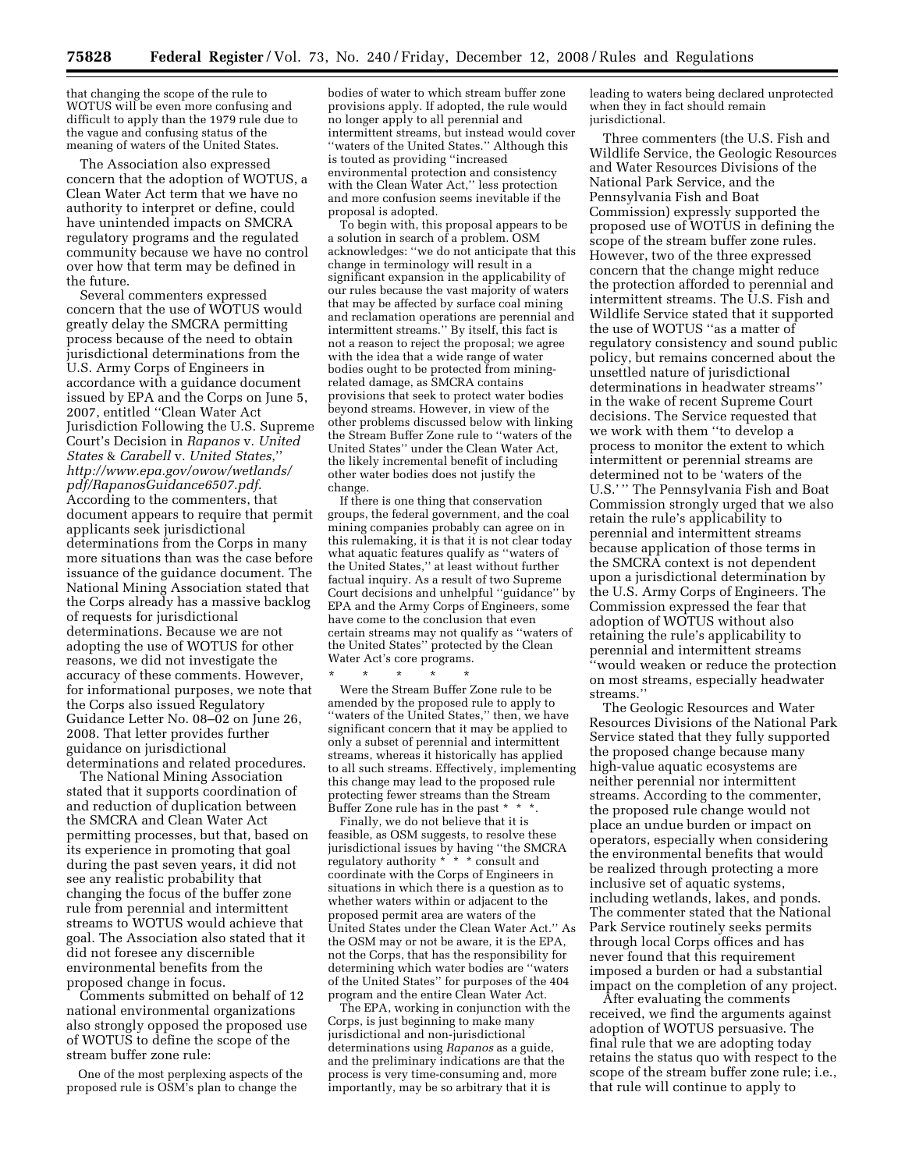that changing the scope of the rule to WOTUS will be even more confusing and difficult to apply than the 1979 rule due to the vague and confusing status of the meaning of waters of the United States.

The Association also expressed concern that the adoption of WOTUS, a Clean Water Act term that we have no authority to interpret or define, could have unintended impacts on SMCRA regulatory programs and the regulated community because we have no control over how that term may be defined in the future.

Several commenters expressed concern that the use of WOTUS would greatly delay the SMCRA permitting process because of the need to obtain jurisdictional determinations from the U.S. Army Corps of Engineers in accordance with a guidance document issued by EPA and the Corps on June 5, 2007, entitled ''Clean Water Act Jurisdiction Following the U.S. Supreme Court's Decision in *Rapanos* v. *United States* & *Carabell* v. *United States*,'' *http://www.epa.gov/owow/wetlands/ pdf/RapanosGuidance6507.pdf*. According to the commenters, that document appears to require that permit applicants seek jurisdictional determinations from the Corps in many more situations than was the case before issuance of the guidance document. The National Mining Association stated that the Corps already has a massive backlog of requests for jurisdictional determinations. Because we are not adopting the use of WOTUS for other reasons, we did not investigate the accuracy of these comments. However, for informational purposes, we note that the Corps also issued Regulatory Guidance Letter No. 08–02 on June 26, 2008. That letter provides further guidance on jurisdictional determinations and related procedures.

The National Mining Association stated that it supports coordination of and reduction of duplication between the SMCRA and Clean Water Act permitting processes, but that, based on its experience in promoting that goal during the past seven years, it did not see any realistic probability that changing the focus of the buffer zone rule from perennial and intermittent streams to WOTUS would achieve that goal. The Association also stated that it did not foresee any discernible environmental benefits from the proposed change in focus.

Comments submitted on behalf of 12 national environmental organizations also strongly opposed the proposed use of WOTUS to define the scope of the stream buffer zone rule:

One of the most perplexing aspects of the proposed rule is OSM's plan to change the

bodies of water to which stream buffer zone provisions apply. If adopted, the rule would no longer apply to all perennial and intermittent streams, but instead would cover ''waters of the United States.'' Although this is touted as providing ''increased environmental protection and consistency with the Clean Water Act,'' less protection and more confusion seems inevitable if the proposal is adopted.

To begin with, this proposal appears to be a solution in search of a problem. OSM acknowledges: ''we do not anticipate that this change in terminology will result in a significant expansion in the applicability of our rules because the vast majority of waters that may be affected by surface coal mining and reclamation operations are perennial and intermittent streams.'' By itself, this fact is not a reason to reject the proposal; we agree with the idea that a wide range of water bodies ought to be protected from miningrelated damage, as SMCRA contains provisions that seek to protect water bodies beyond streams. However, in view of the other problems discussed below with linking the Stream Buffer Zone rule to ''waters of the United States'' under the Clean Water Act, the likely incremental benefit of including other water bodies does not justify the change.

If there is one thing that conservation groups, the federal government, and the coal mining companies probably can agree on in this rulemaking, it is that it is not clear today what aquatic features qualify as ''waters of the United States,'' at least without further factual inquiry. As a result of two Supreme Court decisions and unhelpful ''guidance'' by EPA and the Army Corps of Engineers, some have come to the conclusion that even certain streams may not qualify as ''waters of the United States'' protected by the Clean Water Act's core programs.

\* \* \* \* \* Were the Stream Buffer Zone rule to be

amended by the proposed rule to apply to ''waters of the United States,'' then, we have significant concern that it may be applied to only a subset of perennial and intermittent streams, whereas it historically has applied to all such streams. Effectively, implementing this change may lead to the proposed rule protecting fewer streams than the Stream Buffer Zone rule has in the past \* \* \*.

Finally, we do not believe that it is feasible, as OSM suggests, to resolve these jurisdictional issues by having "the SMCRA regulatory authority \* \* \* consult and coordinate with the Corps of Engineers in situations in which there is a question as to whether waters within or adjacent to the proposed permit area are waters of the United States under the Clean Water Act.'' As the OSM may or not be aware, it is the EPA, not the Corps, that has the responsibility for determining which water bodies are ''waters of the United States'' for purposes of the 404 program and the entire Clean Water Act.

The EPA, working in conjunction with the Corps, is just beginning to make many jurisdictional and non-jurisdictional determinations using *Rapanos* as a guide, and the preliminary indications are that the process is very time-consuming and, more importantly, may be so arbitrary that it is

leading to waters being declared unprotected when they in fact should remain jurisdictional.

Three commenters (the U.S. Fish and Wildlife Service, the Geologic Resources and Water Resources Divisions of the National Park Service, and the Pennsylvania Fish and Boat Commission) expressly supported the proposed use of WOTUS in defining the scope of the stream buffer zone rules. However, two of the three expressed concern that the change might reduce the protection afforded to perennial and intermittent streams. The U.S. Fish and Wildlife Service stated that it supported the use of WOTUS ''as a matter of regulatory consistency and sound public policy, but remains concerned about the unsettled nature of jurisdictional determinations in headwater streams'' in the wake of recent Supreme Court decisions. The Service requested that we work with them ''to develop a process to monitor the extent to which intermittent or perennial streams are determined not to be 'waters of the U.S.' '' The Pennsylvania Fish and Boat Commission strongly urged that we also retain the rule's applicability to perennial and intermittent streams because application of those terms in the SMCRA context is not dependent upon a jurisdictional determination by the U.S. Army Corps of Engineers. The Commission expressed the fear that adoption of WOTUS without also retaining the rule's applicability to perennial and intermittent streams ''would weaken or reduce the protection on most streams, especially headwater streams.''

The Geologic Resources and Water Resources Divisions of the National Park Service stated that they fully supported the proposed change because many high-value aquatic ecosystems are neither perennial nor intermittent streams. According to the commenter, the proposed rule change would not place an undue burden or impact on operators, especially when considering the environmental benefits that would be realized through protecting a more inclusive set of aquatic systems, including wetlands, lakes, and ponds. The commenter stated that the National Park Service routinely seeks permits through local Corps offices and has never found that this requirement imposed a burden or had a substantial impact on the completion of any project.

After evaluating the comments received, we find the arguments against adoption of WOTUS persuasive. The final rule that we are adopting today retains the status quo with respect to the scope of the stream buffer zone rule; i.e., that rule will continue to apply to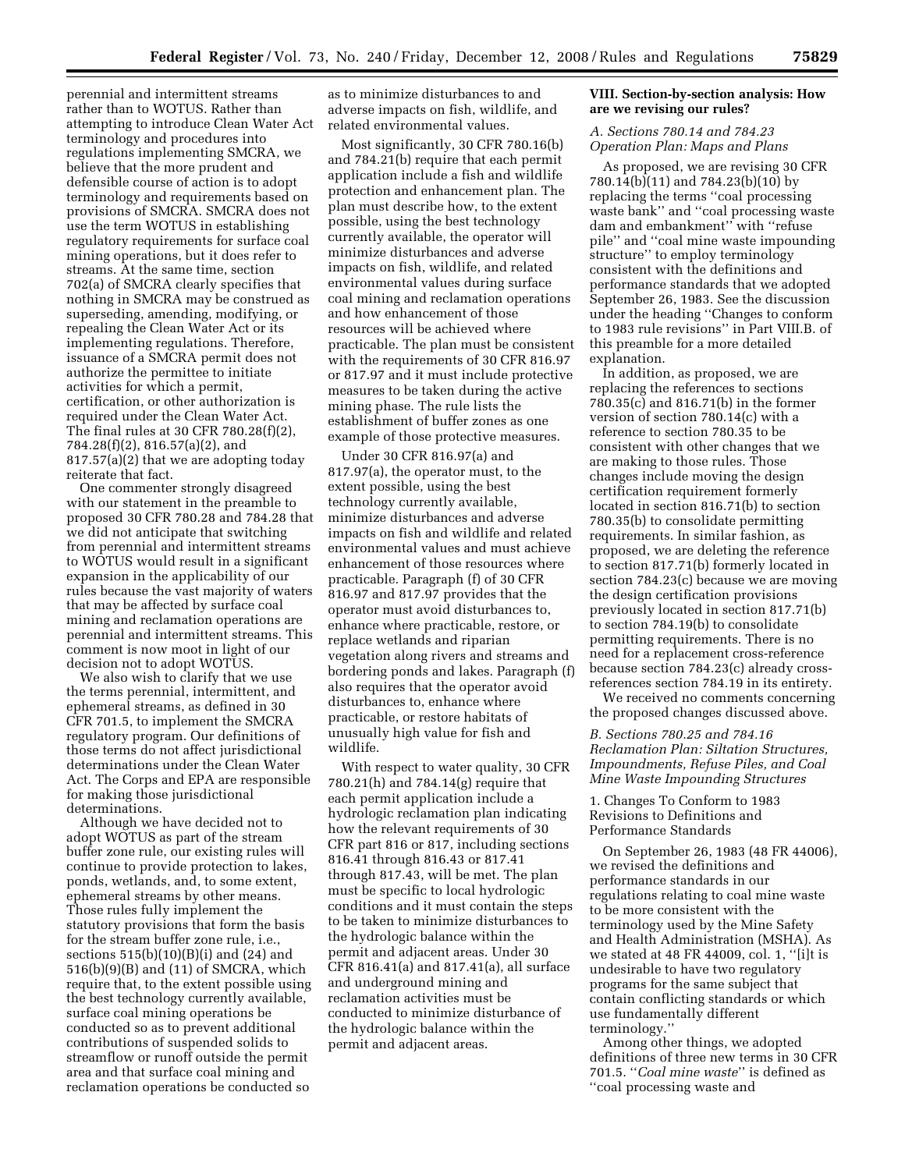perennial and intermittent streams rather than to WOTUS. Rather than attempting to introduce Clean Water Act terminology and procedures into regulations implementing SMCRA, we believe that the more prudent and defensible course of action is to adopt terminology and requirements based on provisions of SMCRA. SMCRA does not use the term WOTUS in establishing regulatory requirements for surface coal mining operations, but it does refer to streams. At the same time, section 702(a) of SMCRA clearly specifies that nothing in SMCRA may be construed as superseding, amending, modifying, or repealing the Clean Water Act or its implementing regulations. Therefore, issuance of a SMCRA permit does not authorize the permittee to initiate activities for which a permit, certification, or other authorization is required under the Clean Water Act. The final rules at 30 CFR 780.28(f)(2), 784.28(f)(2), 816.57(a)(2), and 817.57(a)(2) that we are adopting today reiterate that fact.

One commenter strongly disagreed with our statement in the preamble to proposed 30 CFR 780.28 and 784.28 that we did not anticipate that switching from perennial and intermittent streams to WOTUS would result in a significant expansion in the applicability of our rules because the vast majority of waters that may be affected by surface coal mining and reclamation operations are perennial and intermittent streams. This comment is now moot in light of our decision not to adopt WOTUS.

We also wish to clarify that we use the terms perennial, intermittent, and ephemeral streams, as defined in 30 CFR 701.5, to implement the SMCRA regulatory program. Our definitions of those terms do not affect jurisdictional determinations under the Clean Water Act. The Corps and EPA are responsible for making those jurisdictional determinations.

Although we have decided not to adopt WOTUS as part of the stream buffer zone rule, our existing rules will continue to provide protection to lakes, ponds, wetlands, and, to some extent, ephemeral streams by other means. Those rules fully implement the statutory provisions that form the basis for the stream buffer zone rule, i.e., sections 515(b)(10)(B)(i) and (24) and 516(b)(9)(B) and (11) of SMCRA, which require that, to the extent possible using the best technology currently available, surface coal mining operations be conducted so as to prevent additional contributions of suspended solids to streamflow or runoff outside the permit area and that surface coal mining and reclamation operations be conducted so

as to minimize disturbances to and adverse impacts on fish, wildlife, and related environmental values.

Most significantly, 30 CFR 780.16(b) and 784.21(b) require that each permit application include a fish and wildlife protection and enhancement plan. The plan must describe how, to the extent possible, using the best technology currently available, the operator will minimize disturbances and adverse impacts on fish, wildlife, and related environmental values during surface coal mining and reclamation operations and how enhancement of those resources will be achieved where practicable. The plan must be consistent with the requirements of 30 CFR 816.97 or 817.97 and it must include protective measures to be taken during the active mining phase. The rule lists the establishment of buffer zones as one example of those protective measures.

Under 30 CFR 816.97(a) and 817.97(a), the operator must, to the extent possible, using the best technology currently available, minimize disturbances and adverse impacts on fish and wildlife and related environmental values and must achieve enhancement of those resources where practicable. Paragraph (f) of 30 CFR 816.97 and 817.97 provides that the operator must avoid disturbances to, enhance where practicable, restore, or replace wetlands and riparian vegetation along rivers and streams and bordering ponds and lakes. Paragraph (f) also requires that the operator avoid disturbances to, enhance where practicable, or restore habitats of unusually high value for fish and wildlife.

With respect to water quality, 30 CFR 780.21(h) and 784.14(g) require that each permit application include a hydrologic reclamation plan indicating how the relevant requirements of 30 CFR part 816 or 817, including sections 816.41 through 816.43 or 817.41 through 817.43, will be met. The plan must be specific to local hydrologic conditions and it must contain the steps to be taken to minimize disturbances to the hydrologic balance within the permit and adjacent areas. Under 30 CFR 816.41(a) and 817.41(a), all surface and underground mining and reclamation activities must be conducted to minimize disturbance of the hydrologic balance within the permit and adjacent areas.

### **VIII. Section-by-section analysis: How are we revising our rules?**

# *A. Sections 780.14 and 784.23 Operation Plan: Maps and Plans*

As proposed, we are revising 30 CFR 780.14(b)(11) and 784.23(b)(10) by replacing the terms ''coal processing waste bank'' and ''coal processing waste dam and embankment'' with ''refuse pile'' and ''coal mine waste impounding structure'' to employ terminology consistent with the definitions and performance standards that we adopted September 26, 1983. See the discussion under the heading ''Changes to conform to 1983 rule revisions'' in Part VIII.B. of this preamble for a more detailed explanation.

In addition, as proposed, we are replacing the references to sections 780.35(c) and 816.71(b) in the former version of section 780.14(c) with a reference to section 780.35 to be consistent with other changes that we are making to those rules. Those changes include moving the design certification requirement formerly located in section 816.71(b) to section 780.35(b) to consolidate permitting requirements. In similar fashion, as proposed, we are deleting the reference to section 817.71(b) formerly located in section 784.23(c) because we are moving the design certification provisions previously located in section 817.71(b) to section 784.19(b) to consolidate permitting requirements. There is no need for a replacement cross-reference because section 784.23(c) already crossreferences section 784.19 in its entirety.

We received no comments concerning the proposed changes discussed above.

## *B. Sections 780.25 and 784.16 Reclamation Plan: Siltation Structures, Impoundments, Refuse Piles, and Coal Mine Waste Impounding Structures*

# 1. Changes To Conform to 1983 Revisions to Definitions and Performance Standards

On September 26, 1983 (48 FR 44006), we revised the definitions and performance standards in our regulations relating to coal mine waste to be more consistent with the terminology used by the Mine Safety and Health Administration (MSHA). As we stated at 48 FR 44009, col. 1, ''[i]t is undesirable to have two regulatory programs for the same subject that contain conflicting standards or which use fundamentally different terminology.''

Among other things, we adopted definitions of three new terms in 30 CFR 701.5. ''*Coal mine waste*'' is defined as ''coal processing waste and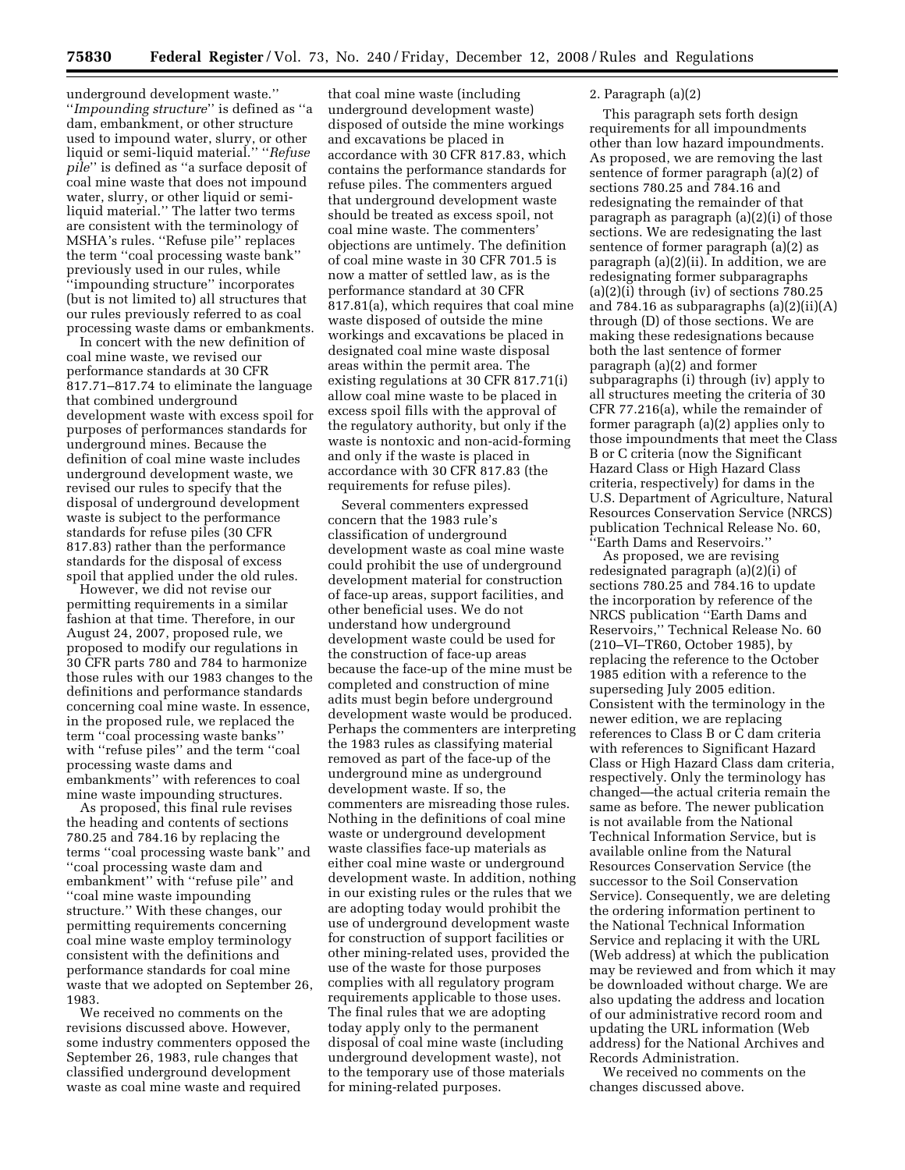underground development waste.'' ''*Impounding structure*'' is defined as ''a dam, embankment, or other structure used to impound water, slurry, or other liquid or semi-liquid material.'' ''*Refuse pile*'' is defined as ''a surface deposit of coal mine waste that does not impound water, slurry, or other liquid or semiliquid material.'' The latter two terms are consistent with the terminology of MSHA's rules. ''Refuse pile'' replaces the term ''coal processing waste bank'' previously used in our rules, while ''impounding structure'' incorporates (but is not limited to) all structures that our rules previously referred to as coal processing waste dams or embankments.

In concert with the new definition of coal mine waste, we revised our performance standards at 30 CFR 817.71–817.74 to eliminate the language that combined underground development waste with excess spoil for purposes of performances standards for underground mines. Because the definition of coal mine waste includes underground development waste, we revised our rules to specify that the disposal of underground development waste is subject to the performance standards for refuse piles (30 CFR 817.83) rather than the performance standards for the disposal of excess spoil that applied under the old rules.

However, we did not revise our permitting requirements in a similar fashion at that time. Therefore, in our August 24, 2007, proposed rule, we proposed to modify our regulations in 30 CFR parts 780 and 784 to harmonize those rules with our 1983 changes to the definitions and performance standards concerning coal mine waste. In essence, in the proposed rule, we replaced the term ''coal processing waste banks'' with ''refuse piles'' and the term ''coal processing waste dams and embankments'' with references to coal mine waste impounding structures.

As proposed, this final rule revises the heading and contents of sections 780.25 and 784.16 by replacing the terms ''coal processing waste bank'' and ''coal processing waste dam and embankment'' with ''refuse pile'' and ''coal mine waste impounding structure.'' With these changes, our permitting requirements concerning coal mine waste employ terminology consistent with the definitions and performance standards for coal mine waste that we adopted on September 26, 1983.

We received no comments on the revisions discussed above. However, some industry commenters opposed the September 26, 1983, rule changes that classified underground development waste as coal mine waste and required

that coal mine waste (including underground development waste) disposed of outside the mine workings and excavations be placed in accordance with 30 CFR 817.83, which contains the performance standards for refuse piles. The commenters argued that underground development waste should be treated as excess spoil, not coal mine waste. The commenters' objections are untimely. The definition of coal mine waste in 30 CFR 701.5 is now a matter of settled law, as is the performance standard at 30 CFR 817.81(a), which requires that coal mine waste disposed of outside the mine workings and excavations be placed in designated coal mine waste disposal areas within the permit area. The existing regulations at 30 CFR 817.71(i) allow coal mine waste to be placed in excess spoil fills with the approval of the regulatory authority, but only if the waste is nontoxic and non-acid-forming and only if the waste is placed in accordance with 30 CFR 817.83 (the requirements for refuse piles).

Several commenters expressed concern that the 1983 rule's classification of underground development waste as coal mine waste could prohibit the use of underground development material for construction of face-up areas, support facilities, and other beneficial uses. We do not understand how underground development waste could be used for the construction of face-up areas because the face-up of the mine must be completed and construction of mine adits must begin before underground development waste would be produced. Perhaps the commenters are interpreting the 1983 rules as classifying material removed as part of the face-up of the underground mine as underground development waste. If so, the commenters are misreading those rules. Nothing in the definitions of coal mine waste or underground development waste classifies face-up materials as either coal mine waste or underground development waste. In addition, nothing in our existing rules or the rules that we are adopting today would prohibit the use of underground development waste for construction of support facilities or other mining-related uses, provided the use of the waste for those purposes complies with all regulatory program requirements applicable to those uses. The final rules that we are adopting today apply only to the permanent disposal of coal mine waste (including underground development waste), not to the temporary use of those materials for mining-related purposes.

#### 2. Paragraph (a)(2)

This paragraph sets forth design requirements for all impoundments other than low hazard impoundments. As proposed, we are removing the last sentence of former paragraph (a)(2) of sections 780.25 and 784.16 and redesignating the remainder of that paragraph as paragraph (a)(2)(i) of those sections. We are redesignating the last sentence of former paragraph (a)(2) as paragraph (a)(2)(ii). In addition, we are redesignating former subparagraphs  $(a)(2)(i)$  through  $(iv)$  of sections 780.25 and 784.16 as subparagraphs  $(a)(2)(ii)(A)$ through (D) of those sections. We are making these redesignations because both the last sentence of former paragraph (a)(2) and former subparagraphs (i) through (iv) apply to all structures meeting the criteria of 30 CFR 77.216(a), while the remainder of former paragraph (a)(2) applies only to those impoundments that meet the Class B or C criteria (now the Significant Hazard Class or High Hazard Class criteria, respectively) for dams in the U.S. Department of Agriculture, Natural Resources Conservation Service (NRCS) publication Technical Release No. 60, ''Earth Dams and Reservoirs.''

As proposed, we are revising redesignated paragraph (a)(2)(i) of sections 780.25 and 784.16 to update the incorporation by reference of the NRCS publication ''Earth Dams and Reservoirs,'' Technical Release No. 60 (210–VI–TR60, October 1985), by replacing the reference to the October 1985 edition with a reference to the superseding July 2005 edition. Consistent with the terminology in the newer edition, we are replacing references to Class B or C dam criteria with references to Significant Hazard Class or High Hazard Class dam criteria, respectively. Only the terminology has changed—the actual criteria remain the same as before. The newer publication is not available from the National Technical Information Service, but is available online from the Natural Resources Conservation Service (the successor to the Soil Conservation Service). Consequently, we are deleting the ordering information pertinent to the National Technical Information Service and replacing it with the URL (Web address) at which the publication may be reviewed and from which it may be downloaded without charge. We are also updating the address and location of our administrative record room and updating the URL information (Web address) for the National Archives and Records Administration.

We received no comments on the changes discussed above.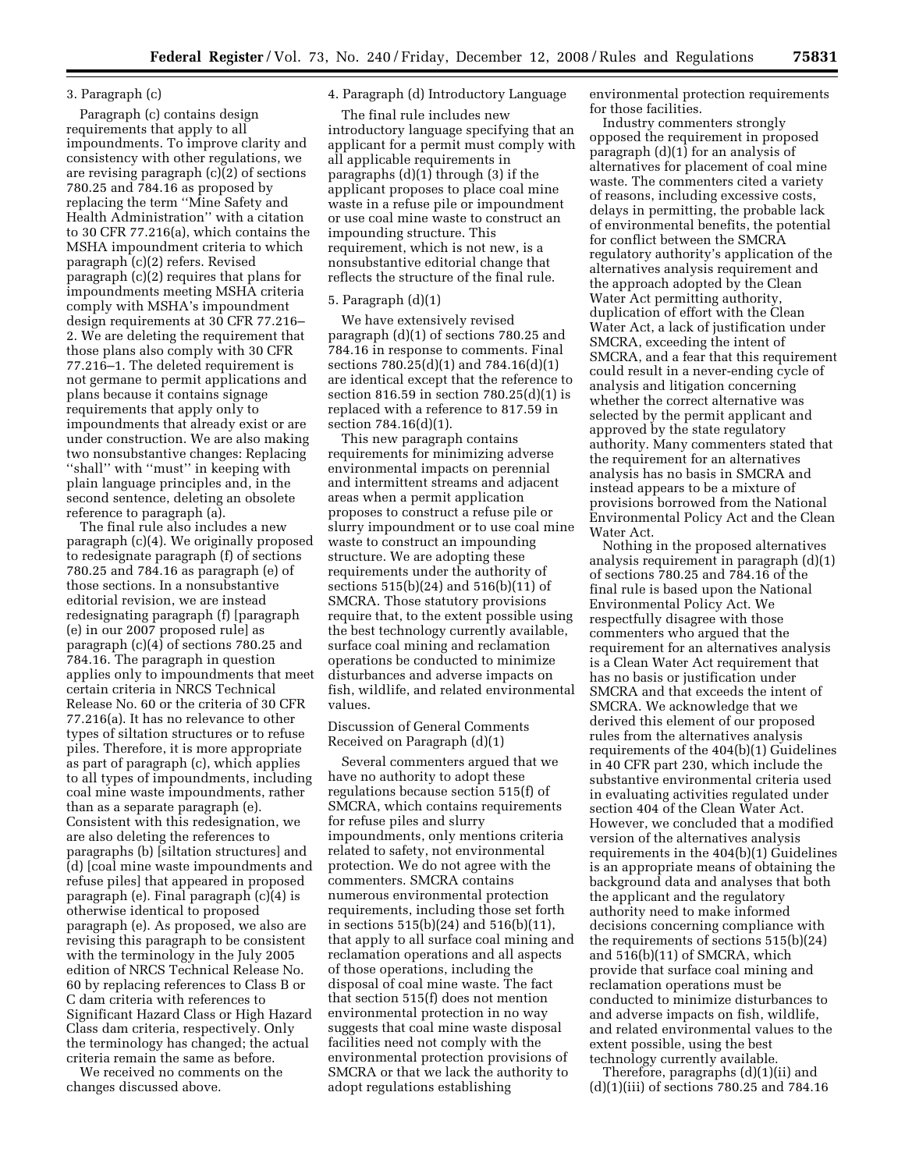# 3. Paragraph (c)

Paragraph (c) contains design requirements that apply to all impoundments. To improve clarity and consistency with other regulations, we are revising paragraph (c)(2) of sections 780.25 and 784.16 as proposed by replacing the term ''Mine Safety and Health Administration'' with a citation to 30 CFR 77.216(a), which contains the MSHA impoundment criteria to which paragraph (c)(2) refers. Revised paragraph (c)(2) requires that plans for impoundments meeting MSHA criteria comply with MSHA's impoundment design requirements at 30 CFR 77.216– 2. We are deleting the requirement that those plans also comply with 30 CFR 77.216–1. The deleted requirement is not germane to permit applications and plans because it contains signage requirements that apply only to impoundments that already exist or are under construction. We are also making two nonsubstantive changes: Replacing ''shall'' with ''must'' in keeping with plain language principles and, in the second sentence, deleting an obsolete reference to paragraph (a).

The final rule also includes a new paragraph (c)(4). We originally proposed to redesignate paragraph (f) of sections 780.25 and 784.16 as paragraph (e) of those sections. In a nonsubstantive editorial revision, we are instead redesignating paragraph (f) [paragraph (e) in our 2007 proposed rule] as paragraph  $(c)(4)$  of sections 780.25 and 784.16. The paragraph in question applies only to impoundments that meet certain criteria in NRCS Technical Release No. 60 or the criteria of 30 CFR 77.216(a). It has no relevance to other types of siltation structures or to refuse piles. Therefore, it is more appropriate as part of paragraph (c), which applies to all types of impoundments, including coal mine waste impoundments, rather than as a separate paragraph (e). Consistent with this redesignation, we are also deleting the references to paragraphs (b) [siltation structures] and (d) [coal mine waste impoundments and refuse piles] that appeared in proposed paragraph (e). Final paragraph (c)(4) is otherwise identical to proposed paragraph (e). As proposed, we also are revising this paragraph to be consistent with the terminology in the July 2005 edition of NRCS Technical Release No. 60 by replacing references to Class B or C dam criteria with references to Significant Hazard Class or High Hazard Class dam criteria, respectively. Only the terminology has changed; the actual criteria remain the same as before.

We received no comments on the changes discussed above.

# 4. Paragraph (d) Introductory Language

The final rule includes new introductory language specifying that an applicant for a permit must comply with all applicable requirements in paragraphs (d)(1) through (3) if the applicant proposes to place coal mine waste in a refuse pile or impoundment or use coal mine waste to construct an impounding structure. This requirement, which is not new, is a nonsubstantive editorial change that reflects the structure of the final rule.

## 5. Paragraph (d)(1)

We have extensively revised paragraph (d)(1) of sections 780.25 and 784.16 in response to comments. Final sections 780.25(d)(1) and 784.16(d)(1) are identical except that the reference to section 816.59 in section 780.25(d)(1) is replaced with a reference to 817.59 in section 784.16(d)(1).

This new paragraph contains requirements for minimizing adverse environmental impacts on perennial and intermittent streams and adjacent areas when a permit application proposes to construct a refuse pile or slurry impoundment or to use coal mine waste to construct an impounding structure. We are adopting these requirements under the authority of sections 515(b)(24) and 516(b)(11) of SMCRA. Those statutory provisions require that, to the extent possible using the best technology currently available, surface coal mining and reclamation operations be conducted to minimize disturbances and adverse impacts on fish, wildlife, and related environmental values.

### Discussion of General Comments Received on Paragraph (d)(1)

Several commenters argued that we have no authority to adopt these regulations because section 515(f) of SMCRA, which contains requirements for refuse piles and slurry impoundments, only mentions criteria related to safety, not environmental protection. We do not agree with the commenters. SMCRA contains numerous environmental protection requirements, including those set forth in sections 515(b)(24) and 516(b)(11), that apply to all surface coal mining and reclamation operations and all aspects of those operations, including the disposal of coal mine waste. The fact that section 515(f) does not mention environmental protection in no way suggests that coal mine waste disposal facilities need not comply with the environmental protection provisions of SMCRA or that we lack the authority to adopt regulations establishing

environmental protection requirements for those facilities.

Industry commenters strongly opposed the requirement in proposed paragraph (d)(1) for an analysis of alternatives for placement of coal mine waste. The commenters cited a variety of reasons, including excessive costs, delays in permitting, the probable lack of environmental benefits, the potential for conflict between the SMCRA regulatory authority's application of the alternatives analysis requirement and the approach adopted by the Clean Water Act permitting authority, duplication of effort with the Clean Water Act, a lack of justification under SMCRA, exceeding the intent of SMCRA, and a fear that this requirement could result in a never-ending cycle of analysis and litigation concerning whether the correct alternative was selected by the permit applicant and approved by the state regulatory authority. Many commenters stated that the requirement for an alternatives analysis has no basis in SMCRA and instead appears to be a mixture of provisions borrowed from the National Environmental Policy Act and the Clean Water Act.

Nothing in the proposed alternatives analysis requirement in paragraph (d)(1) of sections 780.25 and 784.16 of the final rule is based upon the National Environmental Policy Act. We respectfully disagree with those commenters who argued that the requirement for an alternatives analysis is a Clean Water Act requirement that has no basis or justification under SMCRA and that exceeds the intent of SMCRA. We acknowledge that we derived this element of our proposed rules from the alternatives analysis requirements of the 404(b)(1) Guidelines in 40 CFR part 230, which include the substantive environmental criteria used in evaluating activities regulated under section 404 of the Clean Water Act. However, we concluded that a modified version of the alternatives analysis requirements in the 404(b)(1) Guidelines is an appropriate means of obtaining the background data and analyses that both the applicant and the regulatory authority need to make informed decisions concerning compliance with the requirements of sections 515(b)(24) and 516(b)(11) of SMCRA, which provide that surface coal mining and reclamation operations must be conducted to minimize disturbances to and adverse impacts on fish, wildlife, and related environmental values to the extent possible, using the best technology currently available.

Therefore, paragraphs (d)(1)(ii) and (d)(1)(iii) of sections 780.25 and 784.16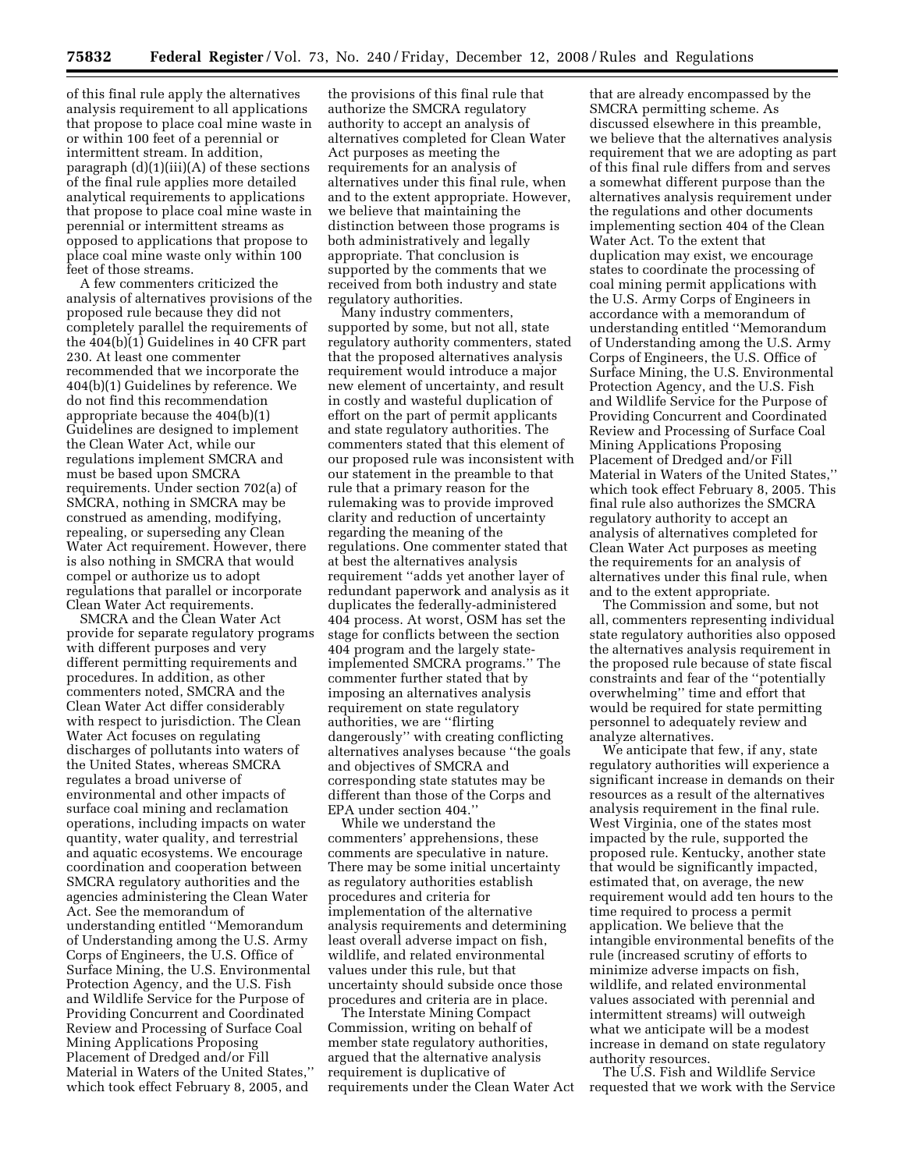of this final rule apply the alternatives analysis requirement to all applications that propose to place coal mine waste in or within 100 feet of a perennial or intermittent stream. In addition, paragraph  $(d)(1)(iii)(A)$  of these sections of the final rule applies more detailed analytical requirements to applications that propose to place coal mine waste in perennial or intermittent streams as opposed to applications that propose to place coal mine waste only within 100 feet of those streams.

A few commenters criticized the analysis of alternatives provisions of the proposed rule because they did not completely parallel the requirements of the 404(b)(1) Guidelines in 40 CFR part 230. At least one commenter recommended that we incorporate the 404(b)(1) Guidelines by reference. We do not find this recommendation appropriate because the 404(b)(1) Guidelines are designed to implement the Clean Water Act, while our regulations implement SMCRA and must be based upon SMCRA requirements. Under section 702(a) of SMCRA, nothing in SMCRA may be construed as amending, modifying, repealing, or superseding any Clean Water Act requirement. However, there is also nothing in SMCRA that would compel or authorize us to adopt regulations that parallel or incorporate Clean Water Act requirements.

SMCRA and the Clean Water Act provide for separate regulatory programs with different purposes and very different permitting requirements and procedures. In addition, as other commenters noted, SMCRA and the Clean Water Act differ considerably with respect to jurisdiction. The Clean Water Act focuses on regulating discharges of pollutants into waters of the United States, whereas SMCRA regulates a broad universe of environmental and other impacts of surface coal mining and reclamation operations, including impacts on water quantity, water quality, and terrestrial and aquatic ecosystems. We encourage coordination and cooperation between SMCRA regulatory authorities and the agencies administering the Clean Water Act. See the memorandum of understanding entitled ''Memorandum of Understanding among the U.S. Army Corps of Engineers, the U.S. Office of Surface Mining, the U.S. Environmental Protection Agency, and the U.S. Fish and Wildlife Service for the Purpose of Providing Concurrent and Coordinated Review and Processing of Surface Coal Mining Applications Proposing Placement of Dredged and/or Fill Material in Waters of the United States,'' which took effect February 8, 2005, and

the provisions of this final rule that authorize the SMCRA regulatory authority to accept an analysis of alternatives completed for Clean Water Act purposes as meeting the requirements for an analysis of alternatives under this final rule, when and to the extent appropriate. However, we believe that maintaining the distinction between those programs is both administratively and legally appropriate. That conclusion is supported by the comments that we received from both industry and state regulatory authorities.

Many industry commenters, supported by some, but not all, state regulatory authority commenters, stated that the proposed alternatives analysis requirement would introduce a major new element of uncertainty, and result in costly and wasteful duplication of effort on the part of permit applicants and state regulatory authorities. The commenters stated that this element of our proposed rule was inconsistent with our statement in the preamble to that rule that a primary reason for the rulemaking was to provide improved clarity and reduction of uncertainty regarding the meaning of the regulations. One commenter stated that at best the alternatives analysis requirement ''adds yet another layer of redundant paperwork and analysis as it duplicates the federally-administered 404 process. At worst, OSM has set the stage for conflicts between the section 404 program and the largely stateimplemented SMCRA programs.'' The commenter further stated that by imposing an alternatives analysis requirement on state regulatory authorities, we are ''flirting dangerously'' with creating conflicting alternatives analyses because ''the goals and objectives of SMCRA and corresponding state statutes may be different than those of the Corps and EPA under section 404.''

While we understand the commenters' apprehensions, these comments are speculative in nature. There may be some initial uncertainty as regulatory authorities establish procedures and criteria for implementation of the alternative analysis requirements and determining least overall adverse impact on fish, wildlife, and related environmental values under this rule, but that uncertainty should subside once those procedures and criteria are in place.

The Interstate Mining Compact Commission, writing on behalf of member state regulatory authorities, argued that the alternative analysis requirement is duplicative of requirements under the Clean Water Act

that are already encompassed by the SMCRA permitting scheme. As discussed elsewhere in this preamble, we believe that the alternatives analysis requirement that we are adopting as part of this final rule differs from and serves a somewhat different purpose than the alternatives analysis requirement under the regulations and other documents implementing section 404 of the Clean Water Act. To the extent that duplication may exist, we encourage states to coordinate the processing of coal mining permit applications with the U.S. Army Corps of Engineers in accordance with a memorandum of understanding entitled ''Memorandum of Understanding among the U.S. Army Corps of Engineers, the U.S. Office of Surface Mining, the U.S. Environmental Protection Agency, and the U.S. Fish and Wildlife Service for the Purpose of Providing Concurrent and Coordinated Review and Processing of Surface Coal Mining Applications Proposing Placement of Dredged and/or Fill Material in Waters of the United States,'' which took effect February 8, 2005. This final rule also authorizes the SMCRA regulatory authority to accept an analysis of alternatives completed for Clean Water Act purposes as meeting the requirements for an analysis of alternatives under this final rule, when and to the extent appropriate.

The Commission and some, but not all, commenters representing individual state regulatory authorities also opposed the alternatives analysis requirement in the proposed rule because of state fiscal constraints and fear of the ''potentially overwhelming'' time and effort that would be required for state permitting personnel to adequately review and analyze alternatives.

We anticipate that few, if any, state regulatory authorities will experience a significant increase in demands on their resources as a result of the alternatives analysis requirement in the final rule. West Virginia, one of the states most impacted by the rule, supported the proposed rule. Kentucky, another state that would be significantly impacted, estimated that, on average, the new requirement would add ten hours to the time required to process a permit application. We believe that the intangible environmental benefits of the rule (increased scrutiny of efforts to minimize adverse impacts on fish, wildlife, and related environmental values associated with perennial and intermittent streams) will outweigh what we anticipate will be a modest increase in demand on state regulatory authority resources.

The U.S. Fish and Wildlife Service requested that we work with the Service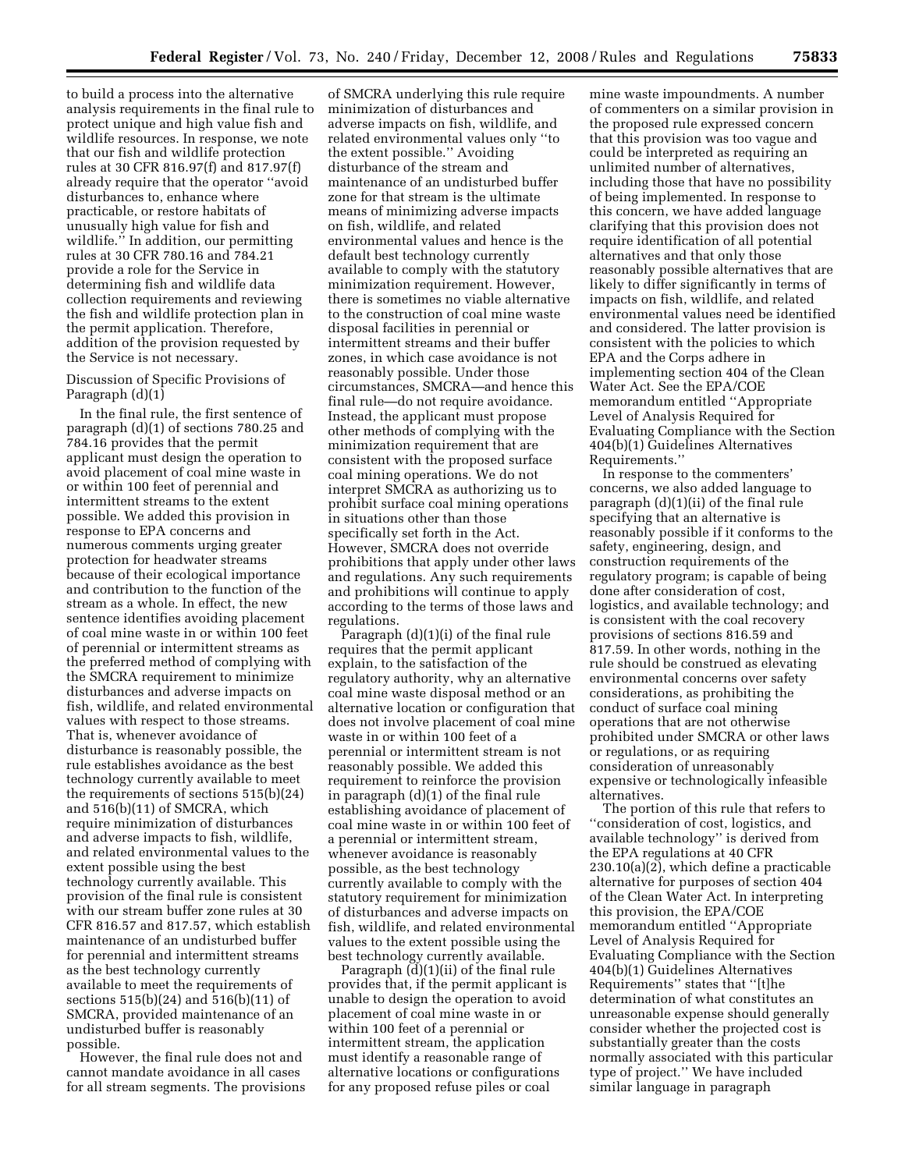to build a process into the alternative analysis requirements in the final rule to protect unique and high value fish and wildlife resources. In response, we note that our fish and wildlife protection rules at 30 CFR 816.97(f) and 817.97(f) already require that the operator ''avoid disturbances to, enhance where practicable, or restore habitats of unusually high value for fish and wildlife.'' In addition, our permitting rules at 30 CFR 780.16 and 784.21 provide a role for the Service in determining fish and wildlife data collection requirements and reviewing the fish and wildlife protection plan in the permit application. Therefore, addition of the provision requested by the Service is not necessary.

Discussion of Specific Provisions of Paragraph (d)(1)

In the final rule, the first sentence of paragraph (d)(1) of sections 780.25 and 784.16 provides that the permit applicant must design the operation to avoid placement of coal mine waste in or within 100 feet of perennial and intermittent streams to the extent possible. We added this provision in response to EPA concerns and numerous comments urging greater protection for headwater streams because of their ecological importance and contribution to the function of the stream as a whole. In effect, the new sentence identifies avoiding placement of coal mine waste in or within 100 feet of perennial or intermittent streams as the preferred method of complying with the SMCRA requirement to minimize disturbances and adverse impacts on fish, wildlife, and related environmental values with respect to those streams. That is, whenever avoidance of disturbance is reasonably possible, the rule establishes avoidance as the best technology currently available to meet the requirements of sections 515(b)(24) and 516(b)(11) of SMCRA, which require minimization of disturbances and adverse impacts to fish, wildlife, and related environmental values to the extent possible using the best technology currently available. This provision of the final rule is consistent with our stream buffer zone rules at 30 CFR 816.57 and 817.57, which establish maintenance of an undisturbed buffer for perennial and intermittent streams as the best technology currently available to meet the requirements of sections 515(b)(24) and 516(b)(11) of SMCRA, provided maintenance of an undisturbed buffer is reasonably possible.

However, the final rule does not and cannot mandate avoidance in all cases for all stream segments. The provisions

of SMCRA underlying this rule require minimization of disturbances and adverse impacts on fish, wildlife, and related environmental values only ''to the extent possible.'' Avoiding disturbance of the stream and maintenance of an undisturbed buffer zone for that stream is the ultimate means of minimizing adverse impacts on fish, wildlife, and related environmental values and hence is the default best technology currently available to comply with the statutory minimization requirement. However, there is sometimes no viable alternative to the construction of coal mine waste disposal facilities in perennial or intermittent streams and their buffer zones, in which case avoidance is not reasonably possible. Under those circumstances, SMCRA—and hence this final rule—do not require avoidance. Instead, the applicant must propose other methods of complying with the minimization requirement that are consistent with the proposed surface coal mining operations. We do not interpret SMCRA as authorizing us to prohibit surface coal mining operations in situations other than those specifically set forth in the Act. However, SMCRA does not override prohibitions that apply under other laws and regulations. Any such requirements and prohibitions will continue to apply according to the terms of those laws and regulations.

Paragraph (d)(1)(i) of the final rule requires that the permit applicant explain, to the satisfaction of the regulatory authority, why an alternative coal mine waste disposal method or an alternative location or configuration that does not involve placement of coal mine waste in or within 100 feet of a perennial or intermittent stream is not reasonably possible. We added this requirement to reinforce the provision in paragraph (d)(1) of the final rule establishing avoidance of placement of coal mine waste in or within 100 feet of a perennial or intermittent stream, whenever avoidance is reasonably possible, as the best technology currently available to comply with the statutory requirement for minimization of disturbances and adverse impacts on fish, wildlife, and related environmental values to the extent possible using the best technology currently available.

Paragraph (d)(1)(ii) of the final rule provides that, if the permit applicant is unable to design the operation to avoid placement of coal mine waste in or within 100 feet of a perennial or intermittent stream, the application must identify a reasonable range of alternative locations or configurations for any proposed refuse piles or coal

mine waste impoundments. A number of commenters on a similar provision in the proposed rule expressed concern that this provision was too vague and could be interpreted as requiring an unlimited number of alternatives, including those that have no possibility of being implemented. In response to this concern, we have added language clarifying that this provision does not require identification of all potential alternatives and that only those reasonably possible alternatives that are likely to differ significantly in terms of impacts on fish, wildlife, and related environmental values need be identified and considered. The latter provision is consistent with the policies to which EPA and the Corps adhere in implementing section 404 of the Clean Water Act. See the EPA/COE memorandum entitled ''Appropriate Level of Analysis Required for Evaluating Compliance with the Section 404(b)(1) Guidelines Alternatives Requirements.''

In response to the commenters' concerns, we also added language to paragraph (d)(1)(ii) of the final rule specifying that an alternative is reasonably possible if it conforms to the safety, engineering, design, and construction requirements of the regulatory program; is capable of being done after consideration of cost, logistics, and available technology; and is consistent with the coal recovery provisions of sections 816.59 and 817.59. In other words, nothing in the rule should be construed as elevating environmental concerns over safety considerations, as prohibiting the conduct of surface coal mining operations that are not otherwise prohibited under SMCRA or other laws or regulations, or as requiring consideration of unreasonably expensive or technologically infeasible alternatives.

The portion of this rule that refers to ''consideration of cost, logistics, and available technology'' is derived from the EPA regulations at 40 CFR 230.10(a)(2), which define a practicable alternative for purposes of section 404 of the Clean Water Act. In interpreting this provision, the EPA/COE memorandum entitled ''Appropriate Level of Analysis Required for Evaluating Compliance with the Section 404(b)(1) Guidelines Alternatives Requirements'' states that ''[t]he determination of what constitutes an unreasonable expense should generally consider whether the projected cost is substantially greater than the costs normally associated with this particular type of project.'' We have included similar language in paragraph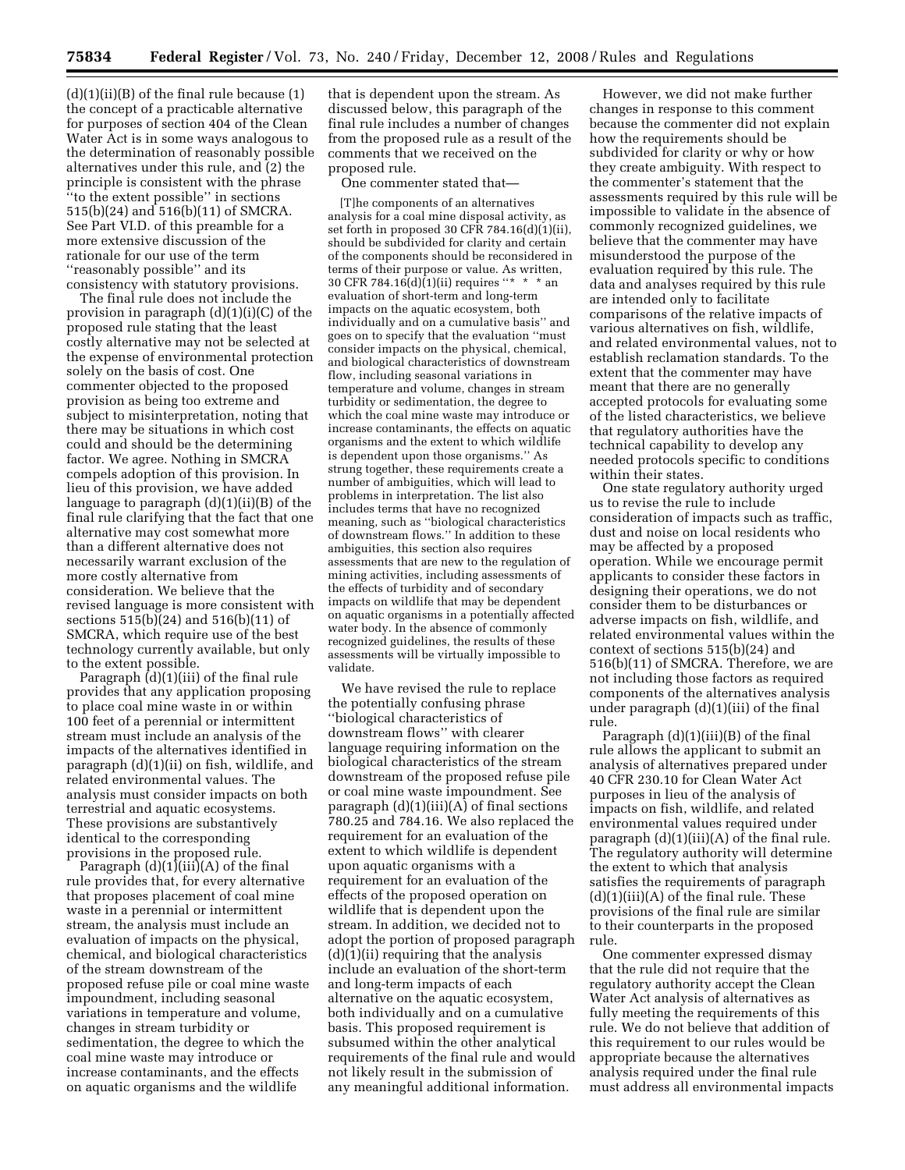$(d)(1)(ii)(B)$  of the final rule because  $(1)$ the concept of a practicable alternative for purposes of section 404 of the Clean Water Act is in some ways analogous to the determination of reasonably possible alternatives under this rule, and (2) the principle is consistent with the phrase ''to the extent possible'' in sections 515(b)(24) and 516(b)(11) of SMCRA. See Part VI.D. of this preamble for a more extensive discussion of the rationale for our use of the term ''reasonably possible'' and its consistency with statutory provisions.

The final rule does not include the provision in paragraph (d)(1)(i)(C) of the proposed rule stating that the least costly alternative may not be selected at the expense of environmental protection solely on the basis of cost. One commenter objected to the proposed provision as being too extreme and subject to misinterpretation, noting that there may be situations in which cost could and should be the determining factor. We agree. Nothing in SMCRA compels adoption of this provision. In lieu of this provision, we have added language to paragraph (d)(1)(ii)(B) of the final rule clarifying that the fact that one alternative may cost somewhat more than a different alternative does not necessarily warrant exclusion of the more costly alternative from consideration. We believe that the revised language is more consistent with sections 515(b)(24) and 516(b)(11) of SMCRA, which require use of the best technology currently available, but only to the extent possible.

Paragraph (d)(1)(iii) of the final rule provides that any application proposing to place coal mine waste in or within 100 feet of a perennial or intermittent stream must include an analysis of the impacts of the alternatives identified in paragraph (d)(1)(ii) on fish, wildlife, and related environmental values. The analysis must consider impacts on both terrestrial and aquatic ecosystems. These provisions are substantively identical to the corresponding provisions in the proposed rule.

Paragraph  $(d)(1)(iii)(A)$  of the final rule provides that, for every alternative that proposes placement of coal mine waste in a perennial or intermittent stream, the analysis must include an evaluation of impacts on the physical, chemical, and biological characteristics of the stream downstream of the proposed refuse pile or coal mine waste impoundment, including seasonal variations in temperature and volume, changes in stream turbidity or sedimentation, the degree to which the coal mine waste may introduce or increase contaminants, and the effects on aquatic organisms and the wildlife

that is dependent upon the stream. As discussed below, this paragraph of the final rule includes a number of changes from the proposed rule as a result of the comments that we received on the proposed rule.

One commenter stated that—

[T]he components of an alternatives analysis for a coal mine disposal activity, as set forth in proposed 30 CFR 784.16(d)(1)(ii), should be subdivided for clarity and certain of the components should be reconsidered in terms of their purpose or value. As written, 30 CFR 784.16(d) $(1)(ii)$  requires "\* \* \* an evaluation of short-term and long-term impacts on the aquatic ecosystem, both individually and on a cumulative basis'' and goes on to specify that the evaluation ''must consider impacts on the physical, chemical, and biological characteristics of downstream flow, including seasonal variations in temperature and volume, changes in stream turbidity or sedimentation, the degree to which the coal mine waste may introduce or increase contaminants, the effects on aquatic organisms and the extent to which wildlife is dependent upon those organisms.'' As strung together, these requirements create a number of ambiguities, which will lead to problems in interpretation. The list also includes terms that have no recognized meaning, such as ''biological characteristics of downstream flows.'' In addition to these ambiguities, this section also requires assessments that are new to the regulation of mining activities, including assessments of the effects of turbidity and of secondary impacts on wildlife that may be dependent on aquatic organisms in a potentially affected water body. In the absence of commonly recognized guidelines, the results of these assessments will be virtually impossible to validate.

We have revised the rule to replace the potentially confusing phrase ''biological characteristics of downstream flows'' with clearer language requiring information on the biological characteristics of the stream downstream of the proposed refuse pile or coal mine waste impoundment. See paragraph  $(d)(1)(iii)(A)$  of final sections 780.25 and 784.16. We also replaced the requirement for an evaluation of the extent to which wildlife is dependent upon aquatic organisms with a requirement for an evaluation of the effects of the proposed operation on wildlife that is dependent upon the stream. In addition, we decided not to adopt the portion of proposed paragraph (d)(1)(ii) requiring that the analysis include an evaluation of the short-term and long-term impacts of each alternative on the aquatic ecosystem, both individually and on a cumulative basis. This proposed requirement is subsumed within the other analytical requirements of the final rule and would not likely result in the submission of any meaningful additional information.

However, we did not make further changes in response to this comment because the commenter did not explain how the requirements should be subdivided for clarity or why or how they create ambiguity. With respect to the commenter's statement that the assessments required by this rule will be impossible to validate in the absence of commonly recognized guidelines, we believe that the commenter may have misunderstood the purpose of the evaluation required by this rule. The data and analyses required by this rule are intended only to facilitate comparisons of the relative impacts of various alternatives on fish, wildlife, and related environmental values, not to establish reclamation standards. To the extent that the commenter may have meant that there are no generally accepted protocols for evaluating some of the listed characteristics, we believe that regulatory authorities have the technical capability to develop any needed protocols specific to conditions within their states.

One state regulatory authority urged us to revise the rule to include consideration of impacts such as traffic, dust and noise on local residents who may be affected by a proposed operation. While we encourage permit applicants to consider these factors in designing their operations, we do not consider them to be disturbances or adverse impacts on fish, wildlife, and related environmental values within the context of sections 515(b)(24) and 516(b)(11) of SMCRA. Therefore, we are not including those factors as required components of the alternatives analysis under paragraph (d)(1)(iii) of the final rule.

Paragraph (d)(1)(iii)(B) of the final rule allows the applicant to submit an analysis of alternatives prepared under 40 CFR 230.10 for Clean Water Act purposes in lieu of the analysis of impacts on fish, wildlife, and related environmental values required under paragraph  $(d)(1)(iii)(A)$  of the final rule. The regulatory authority will determine the extent to which that analysis satisfies the requirements of paragraph  $(d)(1)(iii)(A)$  of the final rule. These provisions of the final rule are similar to their counterparts in the proposed rule.

One commenter expressed dismay that the rule did not require that the regulatory authority accept the Clean Water Act analysis of alternatives as fully meeting the requirements of this rule. We do not believe that addition of this requirement to our rules would be appropriate because the alternatives analysis required under the final rule must address all environmental impacts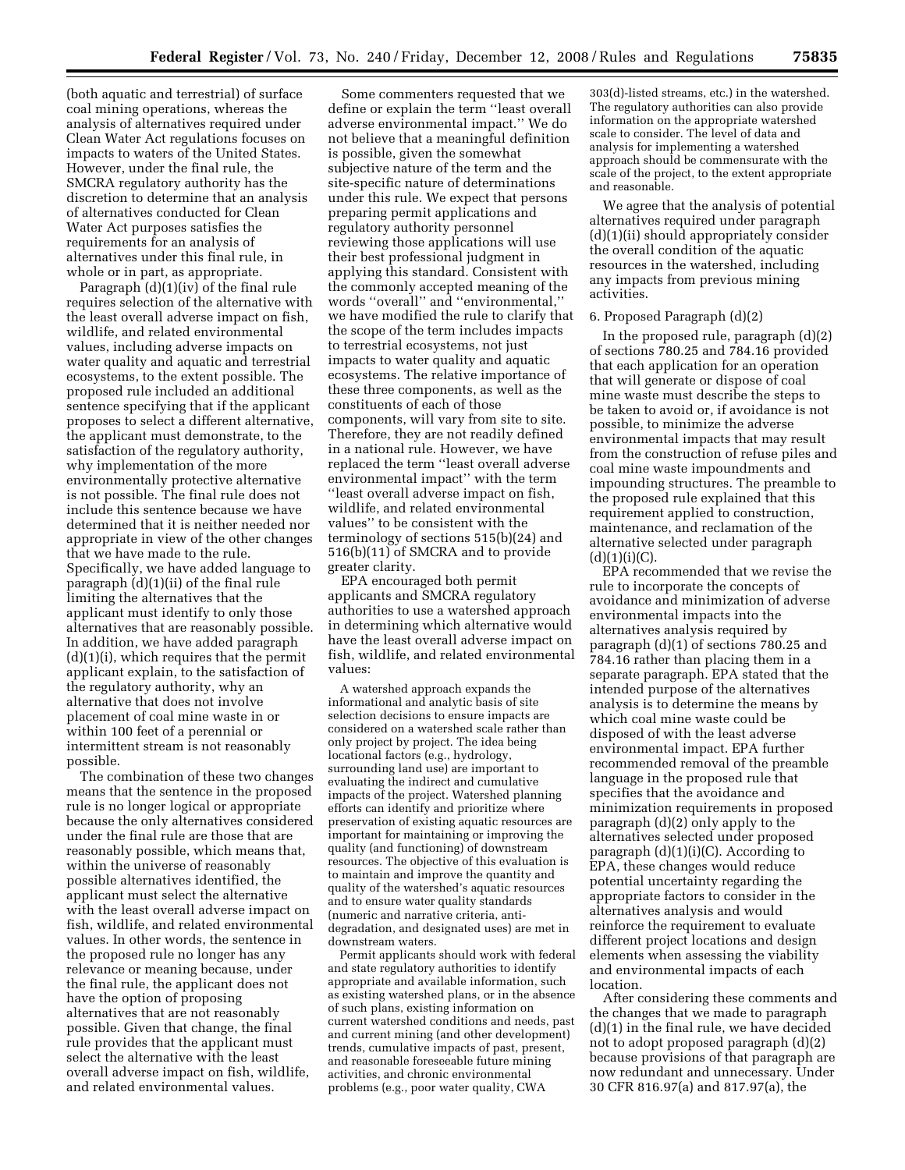(both aquatic and terrestrial) of surface coal mining operations, whereas the analysis of alternatives required under Clean Water Act regulations focuses on impacts to waters of the United States. However, under the final rule, the SMCRA regulatory authority has the discretion to determine that an analysis of alternatives conducted for Clean Water Act purposes satisfies the requirements for an analysis of alternatives under this final rule, in whole or in part, as appropriate.

Paragraph (d)(1)(iv) of the final rule requires selection of the alternative with the least overall adverse impact on fish, wildlife, and related environmental values, including adverse impacts on water quality and aquatic and terrestrial ecosystems, to the extent possible. The proposed rule included an additional sentence specifying that if the applicant proposes to select a different alternative, the applicant must demonstrate, to the satisfaction of the regulatory authority, why implementation of the more environmentally protective alternative is not possible. The final rule does not include this sentence because we have determined that it is neither needed nor appropriate in view of the other changes that we have made to the rule. Specifically, we have added language to paragraph (d)(1)(ii) of the final rule limiting the alternatives that the applicant must identify to only those alternatives that are reasonably possible. In addition, we have added paragraph (d)(1)(i), which requires that the permit applicant explain, to the satisfaction of the regulatory authority, why an alternative that does not involve placement of coal mine waste in or within 100 feet of a perennial or intermittent stream is not reasonably possible.

The combination of these two changes means that the sentence in the proposed rule is no longer logical or appropriate because the only alternatives considered under the final rule are those that are reasonably possible, which means that, within the universe of reasonably possible alternatives identified, the applicant must select the alternative with the least overall adverse impact on fish, wildlife, and related environmental values. In other words, the sentence in the proposed rule no longer has any relevance or meaning because, under the final rule, the applicant does not have the option of proposing alternatives that are not reasonably possible. Given that change, the final rule provides that the applicant must select the alternative with the least overall adverse impact on fish, wildlife, and related environmental values.

Some commenters requested that we define or explain the term ''least overall adverse environmental impact.'' We do not believe that a meaningful definition is possible, given the somewhat subjective nature of the term and the site-specific nature of determinations under this rule. We expect that persons preparing permit applications and regulatory authority personnel reviewing those applications will use their best professional judgment in applying this standard. Consistent with the commonly accepted meaning of the words ''overall'' and ''environmental,'' we have modified the rule to clarify that the scope of the term includes impacts to terrestrial ecosystems, not just impacts to water quality and aquatic ecosystems. The relative importance of these three components, as well as the constituents of each of those components, will vary from site to site. Therefore, they are not readily defined in a national rule. However, we have replaced the term ''least overall adverse environmental impact'' with the term ''least overall adverse impact on fish, wildlife, and related environmental values'' to be consistent with the terminology of sections 515(b)(24) and 516(b)(11) of SMCRA and to provide greater clarity.

EPA encouraged both permit applicants and SMCRA regulatory authorities to use a watershed approach in determining which alternative would have the least overall adverse impact on fish, wildlife, and related environmental values:

A watershed approach expands the informational and analytic basis of site selection decisions to ensure impacts are considered on a watershed scale rather than only project by project. The idea being locational factors (e.g., hydrology, surrounding land use) are important to evaluating the indirect and cumulative impacts of the project. Watershed planning efforts can identify and prioritize where preservation of existing aquatic resources are important for maintaining or improving the quality (and functioning) of downstream resources. The objective of this evaluation is to maintain and improve the quantity and quality of the watershed's aquatic resources and to ensure water quality standards (numeric and narrative criteria, antidegradation, and designated uses) are met in downstream waters.

Permit applicants should work with federal and state regulatory authorities to identify appropriate and available information, such as existing watershed plans, or in the absence of such plans, existing information on current watershed conditions and needs, past and current mining (and other development) trends, cumulative impacts of past, present, and reasonable foreseeable future mining activities, and chronic environmental problems (e.g., poor water quality, CWA

303(d)-listed streams, etc.) in the watershed. The regulatory authorities can also provide information on the appropriate watershed scale to consider. The level of data and analysis for implementing a watershed approach should be commensurate with the scale of the project, to the extent appropriate and reasonable.

We agree that the analysis of potential alternatives required under paragraph (d)(1)(ii) should appropriately consider the overall condition of the aquatic resources in the watershed, including any impacts from previous mining activities.

#### 6. Proposed Paragraph (d)(2)

In the proposed rule, paragraph (d)(2) of sections 780.25 and 784.16 provided that each application for an operation that will generate or dispose of coal mine waste must describe the steps to be taken to avoid or, if avoidance is not possible, to minimize the adverse environmental impacts that may result from the construction of refuse piles and coal mine waste impoundments and impounding structures. The preamble to the proposed rule explained that this requirement applied to construction, maintenance, and reclamation of the alternative selected under paragraph  $(d)(1)(i)(C).$ 

EPA recommended that we revise the rule to incorporate the concepts of avoidance and minimization of adverse environmental impacts into the alternatives analysis required by paragraph (d)(1) of sections 780.25 and 784.16 rather than placing them in a separate paragraph. EPA stated that the intended purpose of the alternatives analysis is to determine the means by which coal mine waste could be disposed of with the least adverse environmental impact. EPA further recommended removal of the preamble language in the proposed rule that specifies that the avoidance and minimization requirements in proposed paragraph (d)(2) only apply to the alternatives selected under proposed paragraph  $(d)(1)(i)(C)$ . According to EPA, these changes would reduce potential uncertainty regarding the appropriate factors to consider in the alternatives analysis and would reinforce the requirement to evaluate different project locations and design elements when assessing the viability and environmental impacts of each location.

After considering these comments and the changes that we made to paragraph (d)(1) in the final rule, we have decided not to adopt proposed paragraph (d)(2) because provisions of that paragraph are now redundant and unnecessary. Under 30 CFR 816.97(a) and 817.97(a), the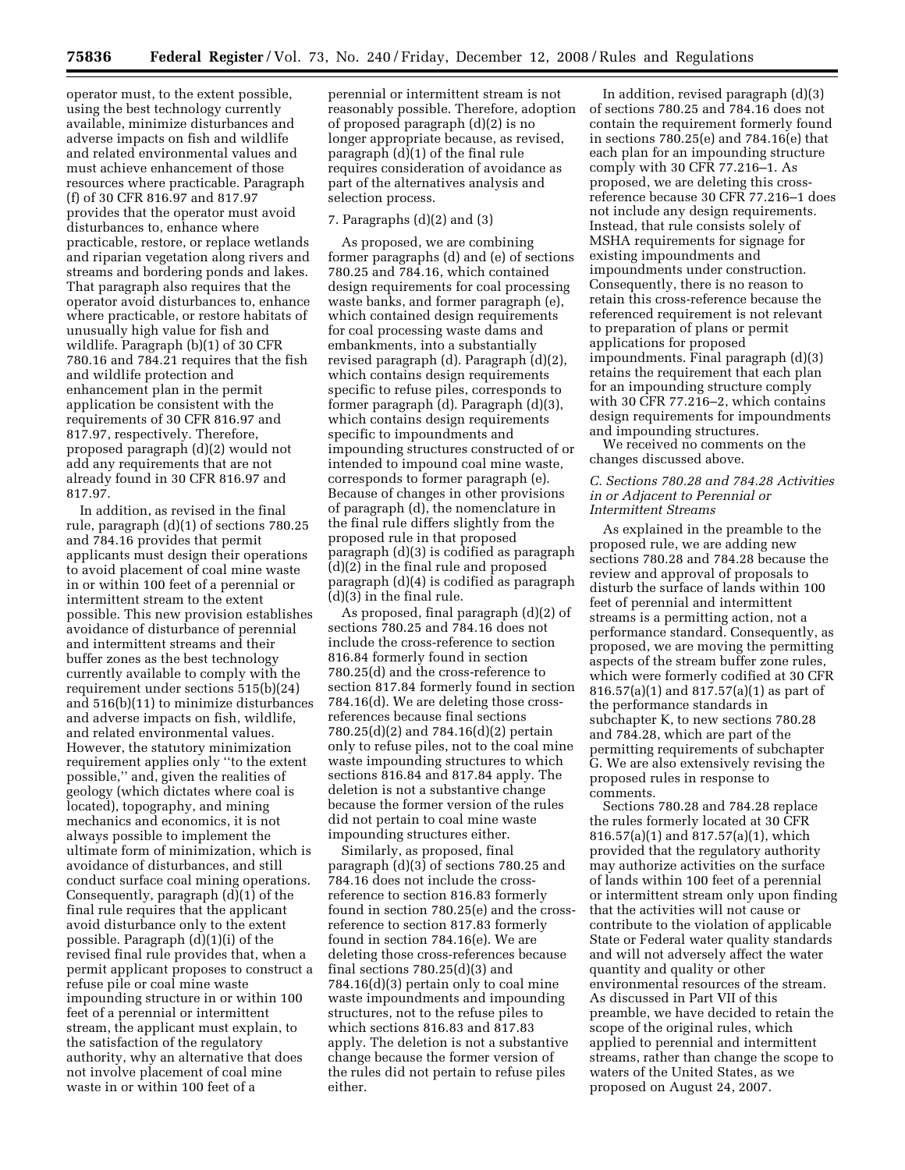operator must, to the extent possible, using the best technology currently available, minimize disturbances and adverse impacts on fish and wildlife and related environmental values and must achieve enhancement of those resources where practicable. Paragraph (f) of 30 CFR 816.97 and 817.97 provides that the operator must avoid disturbances to, enhance where practicable, restore, or replace wetlands and riparian vegetation along rivers and streams and bordering ponds and lakes. That paragraph also requires that the operator avoid disturbances to, enhance where practicable, or restore habitats of unusually high value for fish and wildlife. Paragraph (b)(1) of 30 CFR 780.16 and 784.21 requires that the fish and wildlife protection and enhancement plan in the permit application be consistent with the requirements of 30 CFR 816.97 and 817.97, respectively. Therefore, proposed paragraph (d)(2) would not add any requirements that are not already found in 30 CFR 816.97 and 817.97.

In addition, as revised in the final rule, paragraph (d)(1) of sections 780.25 and 784.16 provides that permit applicants must design their operations to avoid placement of coal mine waste in or within 100 feet of a perennial or intermittent stream to the extent possible. This new provision establishes avoidance of disturbance of perennial and intermittent streams and their buffer zones as the best technology currently available to comply with the requirement under sections 515(b)(24) and 516(b)(11) to minimize disturbances and adverse impacts on fish, wildlife, and related environmental values. However, the statutory minimization requirement applies only ''to the extent possible,'' and, given the realities of geology (which dictates where coal is located), topography, and mining mechanics and economics, it is not always possible to implement the ultimate form of minimization, which is avoidance of disturbances, and still conduct surface coal mining operations. Consequently, paragraph (d)(1) of the final rule requires that the applicant avoid disturbance only to the extent possible. Paragraph (d)(1)(i) of the revised final rule provides that, when a permit applicant proposes to construct a refuse pile or coal mine waste impounding structure in or within 100 feet of a perennial or intermittent stream, the applicant must explain, to the satisfaction of the regulatory authority, why an alternative that does not involve placement of coal mine waste in or within 100 feet of a

perennial or intermittent stream is not reasonably possible. Therefore, adoption of proposed paragraph (d)(2) is no longer appropriate because, as revised, paragraph (d)(1) of the final rule requires consideration of avoidance as part of the alternatives analysis and selection process.

#### 7. Paragraphs (d)(2) and (3)

As proposed, we are combining former paragraphs (d) and (e) of sections 780.25 and 784.16, which contained design requirements for coal processing waste banks, and former paragraph (e), which contained design requirements for coal processing waste dams and embankments, into a substantially revised paragraph (d). Paragraph (d)(2), which contains design requirements specific to refuse piles, corresponds to former paragraph (d). Paragraph (d)(3), which contains design requirements specific to impoundments and impounding structures constructed of or intended to impound coal mine waste, corresponds to former paragraph (e). Because of changes in other provisions of paragraph (d), the nomenclature in the final rule differs slightly from the proposed rule in that proposed paragraph (d)(3) is codified as paragraph (d)(2) in the final rule and proposed paragraph (d)(4) is codified as paragraph (d)(3) in the final rule.

As proposed, final paragraph (d)(2) of sections 780.25 and 784.16 does not include the cross-reference to section 816.84 formerly found in section 780.25(d) and the cross-reference to section 817.84 formerly found in section 784.16(d). We are deleting those crossreferences because final sections 780.25(d)(2) and 784.16(d)(2) pertain only to refuse piles, not to the coal mine waste impounding structures to which sections 816.84 and 817.84 apply. The deletion is not a substantive change because the former version of the rules did not pertain to coal mine waste impounding structures either.

Similarly, as proposed, final paragraph (d)(3) of sections 780.25 and 784.16 does not include the crossreference to section 816.83 formerly found in section 780.25(e) and the crossreference to section 817.83 formerly found in section 784.16(e). We are deleting those cross-references because final sections 780.25(d)(3) and 784.16(d)(3) pertain only to coal mine waste impoundments and impounding structures, not to the refuse piles to which sections 816.83 and 817.83 apply. The deletion is not a substantive change because the former version of the rules did not pertain to refuse piles either.

In addition, revised paragraph (d)(3) of sections 780.25 and 784.16 does not contain the requirement formerly found in sections 780.25(e) and 784.16(e) that each plan for an impounding structure comply with 30 CFR 77.216–1. As proposed, we are deleting this crossreference because 30 CFR 77.216–1 does not include any design requirements. Instead, that rule consists solely of MSHA requirements for signage for existing impoundments and impoundments under construction. Consequently, there is no reason to retain this cross-reference because the referenced requirement is not relevant to preparation of plans or permit applications for proposed impoundments. Final paragraph (d)(3) retains the requirement that each plan for an impounding structure comply with 30 CFR 77.216–2, which contains design requirements for impoundments and impounding structures.

We received no comments on the changes discussed above.

## *C. Sections 780.28 and 784.28 Activities in or Adjacent to Perennial or Intermittent Streams*

As explained in the preamble to the proposed rule, we are adding new sections 780.28 and 784.28 because the review and approval of proposals to disturb the surface of lands within 100 feet of perennial and intermittent streams is a permitting action, not a performance standard. Consequently, as proposed, we are moving the permitting aspects of the stream buffer zone rules, which were formerly codified at 30 CFR 816.57(a)(1) and 817.57(a)(1) as part of the performance standards in subchapter K, to new sections 780.28 and 784.28, which are part of the permitting requirements of subchapter G. We are also extensively revising the proposed rules in response to comments.

Sections 780.28 and 784.28 replace the rules formerly located at 30 CFR 816.57(a)(1) and 817.57(a)(1), which provided that the regulatory authority may authorize activities on the surface of lands within 100 feet of a perennial or intermittent stream only upon finding that the activities will not cause or contribute to the violation of applicable State or Federal water quality standards and will not adversely affect the water quantity and quality or other environmental resources of the stream. As discussed in Part VII of this preamble, we have decided to retain the scope of the original rules, which applied to perennial and intermittent streams, rather than change the scope to waters of the United States, as we proposed on August 24, 2007.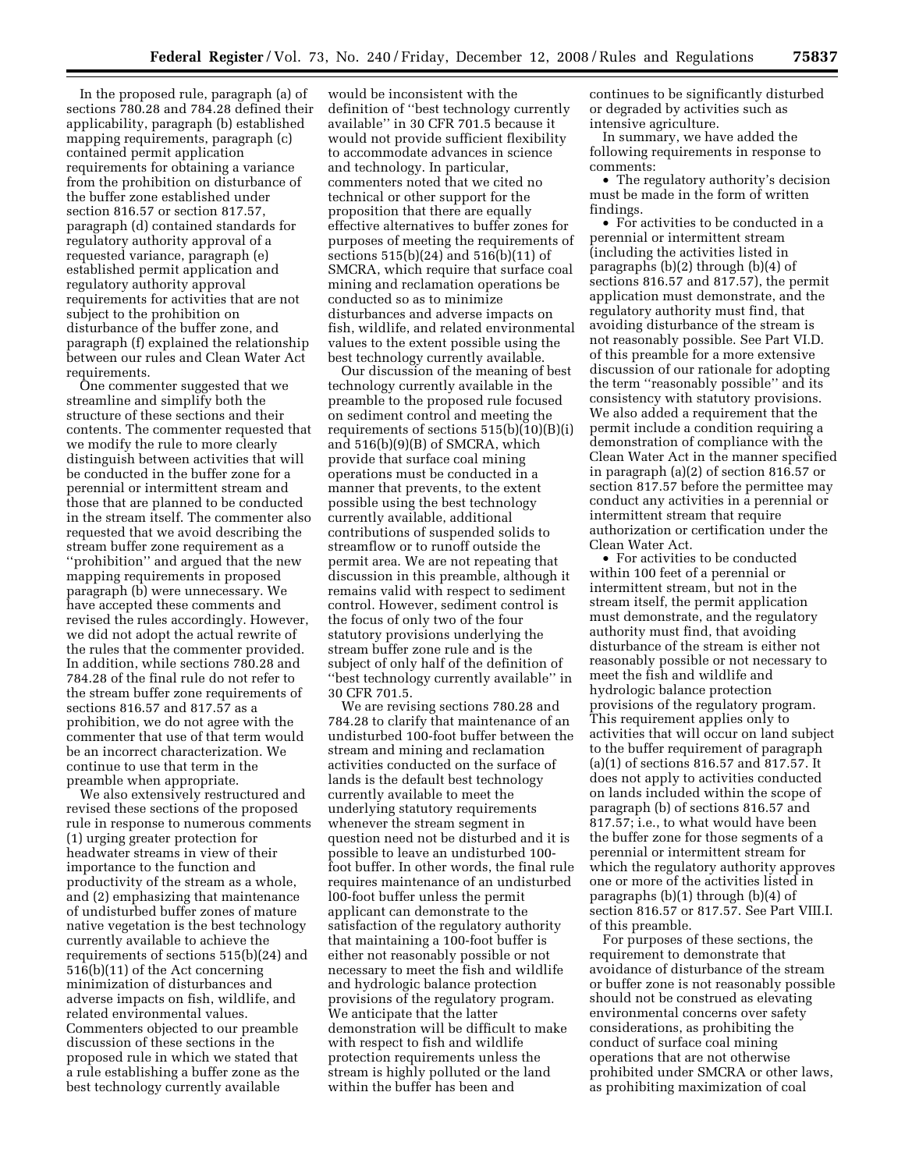In the proposed rule, paragraph (a) of sections 780.28 and 784.28 defined their applicability, paragraph (b) established mapping requirements, paragraph (c) contained permit application requirements for obtaining a variance from the prohibition on disturbance of the buffer zone established under section 816.57 or section 817.57, paragraph (d) contained standards for regulatory authority approval of a requested variance, paragraph (e) established permit application and regulatory authority approval requirements for activities that are not subject to the prohibition on disturbance of the buffer zone, and paragraph (f) explained the relationship between our rules and Clean Water Act requirements.

One commenter suggested that we streamline and simplify both the structure of these sections and their contents. The commenter requested that we modify the rule to more clearly distinguish between activities that will be conducted in the buffer zone for a perennial or intermittent stream and those that are planned to be conducted in the stream itself. The commenter also requested that we avoid describing the stream buffer zone requirement as a ''prohibition'' and argued that the new mapping requirements in proposed paragraph (b) were unnecessary. We have accepted these comments and revised the rules accordingly. However, we did not adopt the actual rewrite of the rules that the commenter provided. In addition, while sections 780.28 and 784.28 of the final rule do not refer to the stream buffer zone requirements of sections 816.57 and 817.57 as a prohibition, we do not agree with the commenter that use of that term would be an incorrect characterization. We continue to use that term in the preamble when appropriate.

We also extensively restructured and revised these sections of the proposed rule in response to numerous comments (1) urging greater protection for headwater streams in view of their importance to the function and productivity of the stream as a whole, and (2) emphasizing that maintenance of undisturbed buffer zones of mature native vegetation is the best technology currently available to achieve the requirements of sections 515(b)(24) and 516(b)(11) of the Act concerning minimization of disturbances and adverse impacts on fish, wildlife, and related environmental values. Commenters objected to our preamble discussion of these sections in the proposed rule in which we stated that a rule establishing a buffer zone as the best technology currently available

would be inconsistent with the definition of ''best technology currently available'' in 30 CFR 701.5 because it would not provide sufficient flexibility to accommodate advances in science and technology. In particular, commenters noted that we cited no technical or other support for the proposition that there are equally effective alternatives to buffer zones for purposes of meeting the requirements of sections 515(b)(24) and 516(b)(11) of SMCRA, which require that surface coal mining and reclamation operations be conducted so as to minimize disturbances and adverse impacts on fish, wildlife, and related environmental values to the extent possible using the best technology currently available.

Our discussion of the meaning of best technology currently available in the preamble to the proposed rule focused on sediment control and meeting the requirements of sections  $515(b)(10)(B)(i)$ and 516(b)(9)(B) of SMCRA, which provide that surface coal mining operations must be conducted in a manner that prevents, to the extent possible using the best technology currently available, additional contributions of suspended solids to streamflow or to runoff outside the permit area. We are not repeating that discussion in this preamble, although it remains valid with respect to sediment control. However, sediment control is the focus of only two of the four statutory provisions underlying the stream buffer zone rule and is the subject of only half of the definition of ''best technology currently available'' in 30 CFR 701.5.

We are revising sections 780.28 and 784.28 to clarify that maintenance of an undisturbed 100-foot buffer between the stream and mining and reclamation activities conducted on the surface of lands is the default best technology currently available to meet the underlying statutory requirements whenever the stream segment in question need not be disturbed and it is possible to leave an undisturbed 100 foot buffer. In other words, the final rule requires maintenance of an undisturbed l00-foot buffer unless the permit applicant can demonstrate to the satisfaction of the regulatory authority that maintaining a 100-foot buffer is either not reasonably possible or not necessary to meet the fish and wildlife and hydrologic balance protection provisions of the regulatory program. We anticipate that the latter demonstration will be difficult to make with respect to fish and wildlife protection requirements unless the stream is highly polluted or the land within the buffer has been and

continues to be significantly disturbed or degraded by activities such as intensive agriculture.

In summary, we have added the following requirements in response to comments:

• The regulatory authority's decision must be made in the form of written findings.

• For activities to be conducted in a perennial or intermittent stream (including the activities listed in paragraphs (b)(2) through (b)(4) of sections 816.57 and 817.57), the permit application must demonstrate, and the regulatory authority must find, that avoiding disturbance of the stream is not reasonably possible. See Part VI.D. of this preamble for a more extensive discussion of our rationale for adopting the term ''reasonably possible'' and its consistency with statutory provisions. We also added a requirement that the permit include a condition requiring a demonstration of compliance with the Clean Water Act in the manner specified in paragraph (a)(2) of section 816.57 or section 817.57 before the permittee may conduct any activities in a perennial or intermittent stream that require authorization or certification under the Clean Water Act.

• For activities to be conducted within 100 feet of a perennial or intermittent stream, but not in the stream itself, the permit application must demonstrate, and the regulatory authority must find, that avoiding disturbance of the stream is either not reasonably possible or not necessary to meet the fish and wildlife and hydrologic balance protection provisions of the regulatory program. This requirement applies only to activities that will occur on land subject to the buffer requirement of paragraph (a)(1) of sections 816.57 and 817.57. It does not apply to activities conducted on lands included within the scope of paragraph (b) of sections 816.57 and 817.57; i.e., to what would have been the buffer zone for those segments of a perennial or intermittent stream for which the regulatory authority approves one or more of the activities listed in paragraphs (b)(1) through (b)(4) of section 816.57 or 817.57. See Part VIII.I. of this preamble.

For purposes of these sections, the requirement to demonstrate that avoidance of disturbance of the stream or buffer zone is not reasonably possible should not be construed as elevating environmental concerns over safety considerations, as prohibiting the conduct of surface coal mining operations that are not otherwise prohibited under SMCRA or other laws, as prohibiting maximization of coal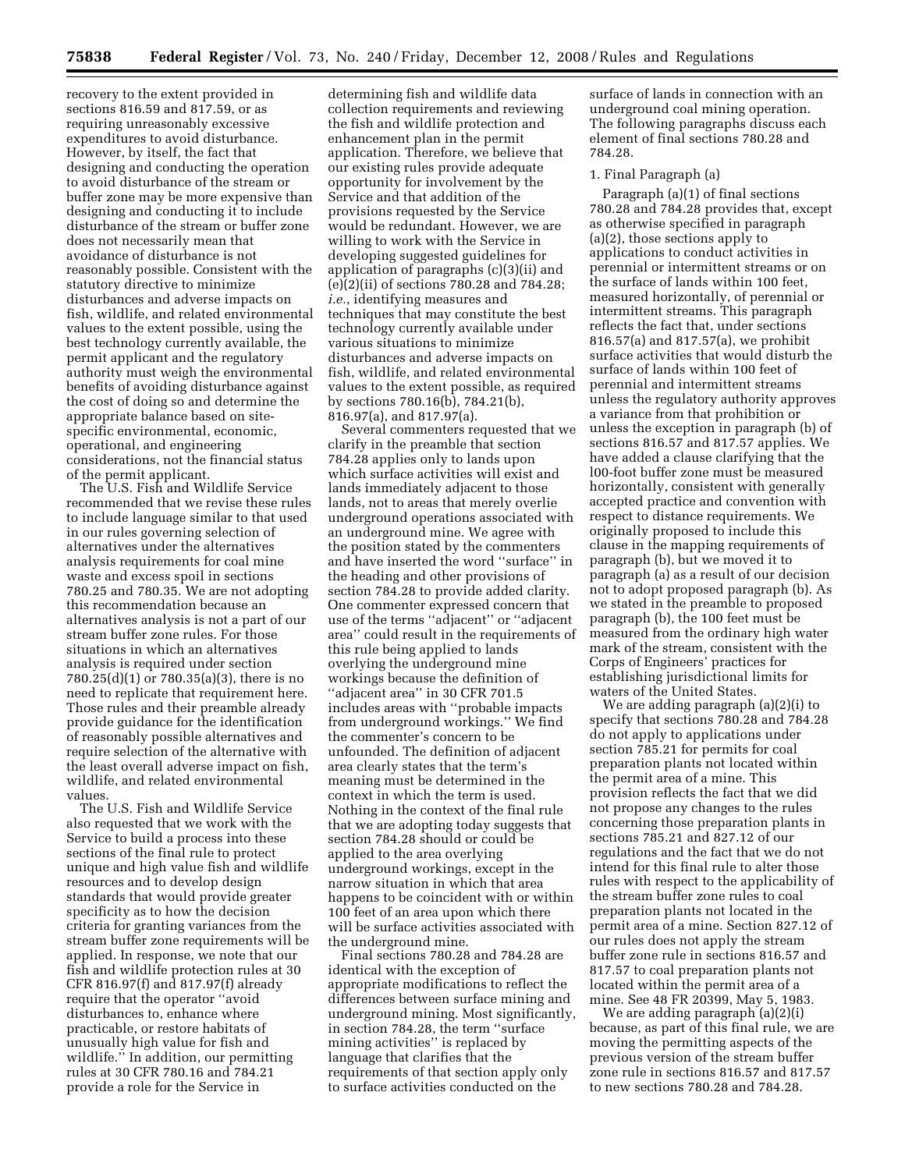recovery to the extent provided in sections 816.59 and 817.59, or as requiring unreasonably excessive expenditures to avoid disturbance. However, by itself, the fact that designing and conducting the operation to avoid disturbance of the stream or buffer zone may be more expensive than designing and conducting it to include disturbance of the stream or buffer zone does not necessarily mean that avoidance of disturbance is not reasonably possible. Consistent with the statutory directive to minimize disturbances and adverse impacts on fish, wildlife, and related environmental values to the extent possible, using the best technology currently available, the permit applicant and the regulatory authority must weigh the environmental benefits of avoiding disturbance against the cost of doing so and determine the appropriate balance based on sitespecific environmental, economic, operational, and engineering considerations, not the financial status of the permit applicant.

The U.S. Fish and Wildlife Service recommended that we revise these rules to include language similar to that used in our rules governing selection of alternatives under the alternatives analysis requirements for coal mine waste and excess spoil in sections 780.25 and 780.35. We are not adopting this recommendation because an alternatives analysis is not a part of our stream buffer zone rules. For those situations in which an alternatives analysis is required under section 780.25(d)(1) or 780.35(a)(3), there is no need to replicate that requirement here. Those rules and their preamble already provide guidance for the identification of reasonably possible alternatives and require selection of the alternative with the least overall adverse impact on fish, wildlife, and related environmental values.

The U.S. Fish and Wildlife Service also requested that we work with the Service to build a process into these sections of the final rule to protect unique and high value fish and wildlife resources and to develop design standards that would provide greater specificity as to how the decision criteria for granting variances from the stream buffer zone requirements will be applied. In response, we note that our fish and wildlife protection rules at 30 CFR 816.97(f) and 817.97(f) already require that the operator ''avoid disturbances to, enhance where practicable, or restore habitats of unusually high value for fish and wildlife.'' In addition, our permitting rules at 30 CFR 780.16 and 784.21 provide a role for the Service in

determining fish and wildlife data collection requirements and reviewing the fish and wildlife protection and enhancement plan in the permit application. Therefore, we believe that our existing rules provide adequate opportunity for involvement by the Service and that addition of the provisions requested by the Service would be redundant. However, we are willing to work with the Service in developing suggested guidelines for application of paragraphs (c)(3)(ii) and (e)(2)(ii) of sections 780.28 and 784.28; *i.e.*, identifying measures and techniques that may constitute the best technology currently available under various situations to minimize disturbances and adverse impacts on fish, wildlife, and related environmental values to the extent possible, as required by sections 780.16(b), 784.21(b), 816.97(a), and 817.97(a).

Several commenters requested that we clarify in the preamble that section 784.28 applies only to lands upon which surface activities will exist and lands immediately adjacent to those lands, not to areas that merely overlie underground operations associated with an underground mine. We agree with the position stated by the commenters and have inserted the word ''surface'' in the heading and other provisions of section 784.28 to provide added clarity. One commenter expressed concern that use of the terms ''adjacent'' or ''adjacent area'' could result in the requirements of this rule being applied to lands overlying the underground mine workings because the definition of ''adjacent area'' in 30 CFR 701.5 includes areas with ''probable impacts from underground workings.'' We find the commenter's concern to be unfounded. The definition of adjacent area clearly states that the term's meaning must be determined in the context in which the term is used. Nothing in the context of the final rule that we are adopting today suggests that section 784.28 should or could be applied to the area overlying underground workings, except in the narrow situation in which that area happens to be coincident with or within 100 feet of an area upon which there will be surface activities associated with the underground mine.

Final sections 780.28 and 784.28 are identical with the exception of appropriate modifications to reflect the differences between surface mining and underground mining. Most significantly, in section 784.28, the term ''surface mining activities'' is replaced by language that clarifies that the requirements of that section apply only to surface activities conducted on the

surface of lands in connection with an underground coal mining operation. The following paragraphs discuss each element of final sections 780.28 and 784.28.

### 1. Final Paragraph (a)

Paragraph (a)(1) of final sections 780.28 and 784.28 provides that, except as otherwise specified in paragraph (a)(2), those sections apply to applications to conduct activities in perennial or intermittent streams or on the surface of lands within 100 feet, measured horizontally, of perennial or intermittent streams. This paragraph reflects the fact that, under sections 816.57(a) and 817.57(a), we prohibit surface activities that would disturb the surface of lands within 100 feet of perennial and intermittent streams unless the regulatory authority approves a variance from that prohibition or unless the exception in paragraph (b) of sections 816.57 and 817.57 applies. We have added a clause clarifying that the l00-foot buffer zone must be measured horizontally, consistent with generally accepted practice and convention with respect to distance requirements. We originally proposed to include this clause in the mapping requirements of paragraph (b), but we moved it to paragraph (a) as a result of our decision not to adopt proposed paragraph (b). As we stated in the preamble to proposed paragraph (b), the 100 feet must be measured from the ordinary high water mark of the stream, consistent with the Corps of Engineers' practices for establishing jurisdictional limits for waters of the United States.

We are adding paragraph (a)(2)(i) to specify that sections 780.28 and 784.28 do not apply to applications under section 785.21 for permits for coal preparation plants not located within the permit area of a mine. This provision reflects the fact that we did not propose any changes to the rules concerning those preparation plants in sections 785.21 and 827.12 of our regulations and the fact that we do not intend for this final rule to alter those rules with respect to the applicability of the stream buffer zone rules to coal preparation plants not located in the permit area of a mine. Section 827.12 of our rules does not apply the stream buffer zone rule in sections 816.57 and 817.57 to coal preparation plants not located within the permit area of a mine. See 48 FR 20399, May 5, 1983.

We are adding paragraph (a)(2)(i) because, as part of this final rule, we are moving the permitting aspects of the previous version of the stream buffer zone rule in sections 816.57 and 817.57 to new sections 780.28 and 784.28.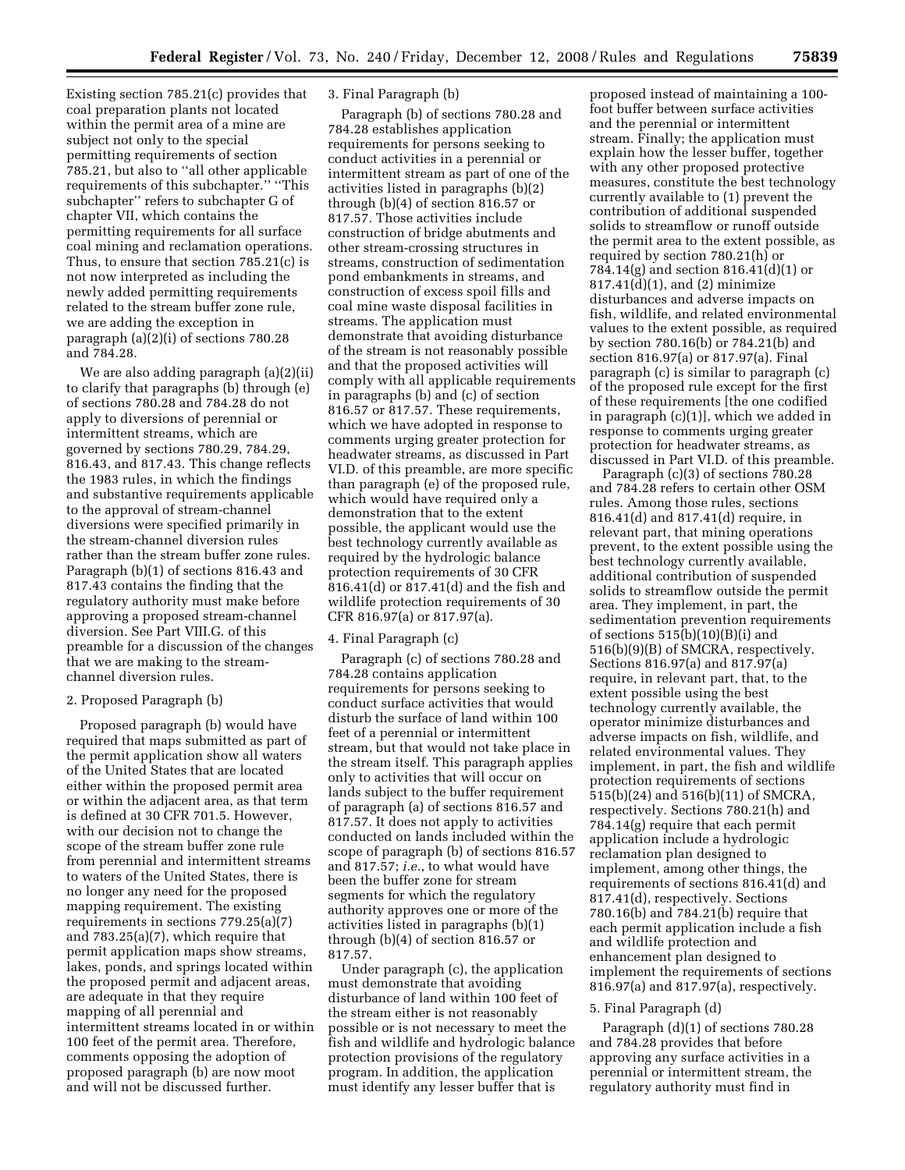Existing section 785.21(c) provides that coal preparation plants not located within the permit area of a mine are subject not only to the special permitting requirements of section 785.21, but also to ''all other applicable requirements of this subchapter.'' ''This subchapter'' refers to subchapter G of chapter VII, which contains the permitting requirements for all surface coal mining and reclamation operations. Thus, to ensure that section 785.21(c) is not now interpreted as including the newly added permitting requirements related to the stream buffer zone rule, we are adding the exception in paragraph (a)(2)(i) of sections 780.28 and 784.28.

We are also adding paragraph (a)(2)(ii) to clarify that paragraphs (b) through (e) of sections 780.28 and 784.28 do not apply to diversions of perennial or intermittent streams, which are governed by sections 780.29, 784.29, 816.43, and 817.43. This change reflects the 1983 rules, in which the findings and substantive requirements applicable to the approval of stream-channel diversions were specified primarily in the stream-channel diversion rules rather than the stream buffer zone rules. Paragraph (b)(1) of sections 816.43 and 817.43 contains the finding that the regulatory authority must make before approving a proposed stream-channel diversion. See Part VIII.G. of this preamble for a discussion of the changes that we are making to the streamchannel diversion rules.

#### 2. Proposed Paragraph (b)

Proposed paragraph (b) would have required that maps submitted as part of the permit application show all waters of the United States that are located either within the proposed permit area or within the adjacent area, as that term is defined at 30 CFR 701.5. However, with our decision not to change the scope of the stream buffer zone rule from perennial and intermittent streams to waters of the United States, there is no longer any need for the proposed mapping requirement. The existing requirements in sections 779.25(a)(7) and 783.25(a)(7), which require that permit application maps show streams, lakes, ponds, and springs located within the proposed permit and adjacent areas, are adequate in that they require mapping of all perennial and intermittent streams located in or within 100 feet of the permit area. Therefore, comments opposing the adoption of proposed paragraph (b) are now moot and will not be discussed further.

# 3. Final Paragraph (b)

Paragraph (b) of sections 780.28 and 784.28 establishes application requirements for persons seeking to conduct activities in a perennial or intermittent stream as part of one of the activities listed in paragraphs (b)(2) through (b)(4) of section 816.57 or 817.57. Those activities include construction of bridge abutments and other stream-crossing structures in streams, construction of sedimentation pond embankments in streams, and construction of excess spoil fills and coal mine waste disposal facilities in streams. The application must demonstrate that avoiding disturbance of the stream is not reasonably possible and that the proposed activities will comply with all applicable requirements in paragraphs (b) and (c) of section 816.57 or 817.57. These requirements, which we have adopted in response to comments urging greater protection for headwater streams, as discussed in Part VI.D. of this preamble, are more specific than paragraph (e) of the proposed rule, which would have required only a demonstration that to the extent possible, the applicant would use the best technology currently available as required by the hydrologic balance protection requirements of 30 CFR 816.41(d) or 817.41(d) and the fish and wildlife protection requirements of 30 CFR 816.97(a) or 817.97(a).

#### 4. Final Paragraph (c)

Paragraph (c) of sections 780.28 and 784.28 contains application requirements for persons seeking to conduct surface activities that would disturb the surface of land within 100 feet of a perennial or intermittent stream, but that would not take place in the stream itself. This paragraph applies only to activities that will occur on lands subject to the buffer requirement of paragraph (a) of sections 816.57 and 817.57. It does not apply to activities conducted on lands included within the scope of paragraph (b) of sections 816.57 and 817.57; *i.e.*, to what would have been the buffer zone for stream segments for which the regulatory authority approves one or more of the activities listed in paragraphs (b)(1) through (b)(4) of section 816.57 or 817.57.

Under paragraph (c), the application must demonstrate that avoiding disturbance of land within 100 feet of the stream either is not reasonably possible or is not necessary to meet the fish and wildlife and hydrologic balance protection provisions of the regulatory program. In addition, the application must identify any lesser buffer that is

proposed instead of maintaining a 100 foot buffer between surface activities and the perennial or intermittent stream. Finally; the application must explain how the lesser buffer, together with any other proposed protective measures, constitute the best technology currently available to (1) prevent the contribution of additional suspended solids to streamflow or runoff outside the permit area to the extent possible, as required by section 780.21(h) or 784.14(g) and section 816.41(d)(1) or 817.41(d)(1), and (2) minimize disturbances and adverse impacts on fish, wildlife, and related environmental values to the extent possible, as required by section 780.16(b) or 784.21(b) and section 816.97(a) or 817.97(a). Final paragraph (c) is similar to paragraph (c) of the proposed rule except for the first of these requirements [the one codified in paragraph (c)(1)], which we added in response to comments urging greater protection for headwater streams, as discussed in Part VI.D. of this preamble.

Paragraph (c)(3) of sections 780.28 and 784.28 refers to certain other OSM rules. Among those rules, sections 816.41(d) and 817.41(d) require, in relevant part, that mining operations prevent, to the extent possible using the best technology currently available, additional contribution of suspended solids to streamflow outside the permit area. They implement, in part, the sedimentation prevention requirements of sections  $515(b)(10)(B)(i)$  and 516(b)(9)(B) of SMCRA, respectively. Sections 816.97(a) and 817.97(a) require, in relevant part, that, to the extent possible using the best technology currently available, the operator minimize disturbances and adverse impacts on fish, wildlife, and related environmental values. They implement, in part, the fish and wildlife protection requirements of sections 515(b)(24) and 516(b)(11) of SMCRA, respectively. Sections 780.21(h) and 784.14(g) require that each permit application include a hydrologic reclamation plan designed to implement, among other things, the requirements of sections 816.41(d) and 817.41(d), respectively. Sections 780.16(b) and 784.21(b) require that each permit application include a fish and wildlife protection and enhancement plan designed to implement the requirements of sections 816.97(a) and 817.97(a), respectively.

#### 5. Final Paragraph (d)

Paragraph (d)(1) of sections 780.28 and 784.28 provides that before approving any surface activities in a perennial or intermittent stream, the regulatory authority must find in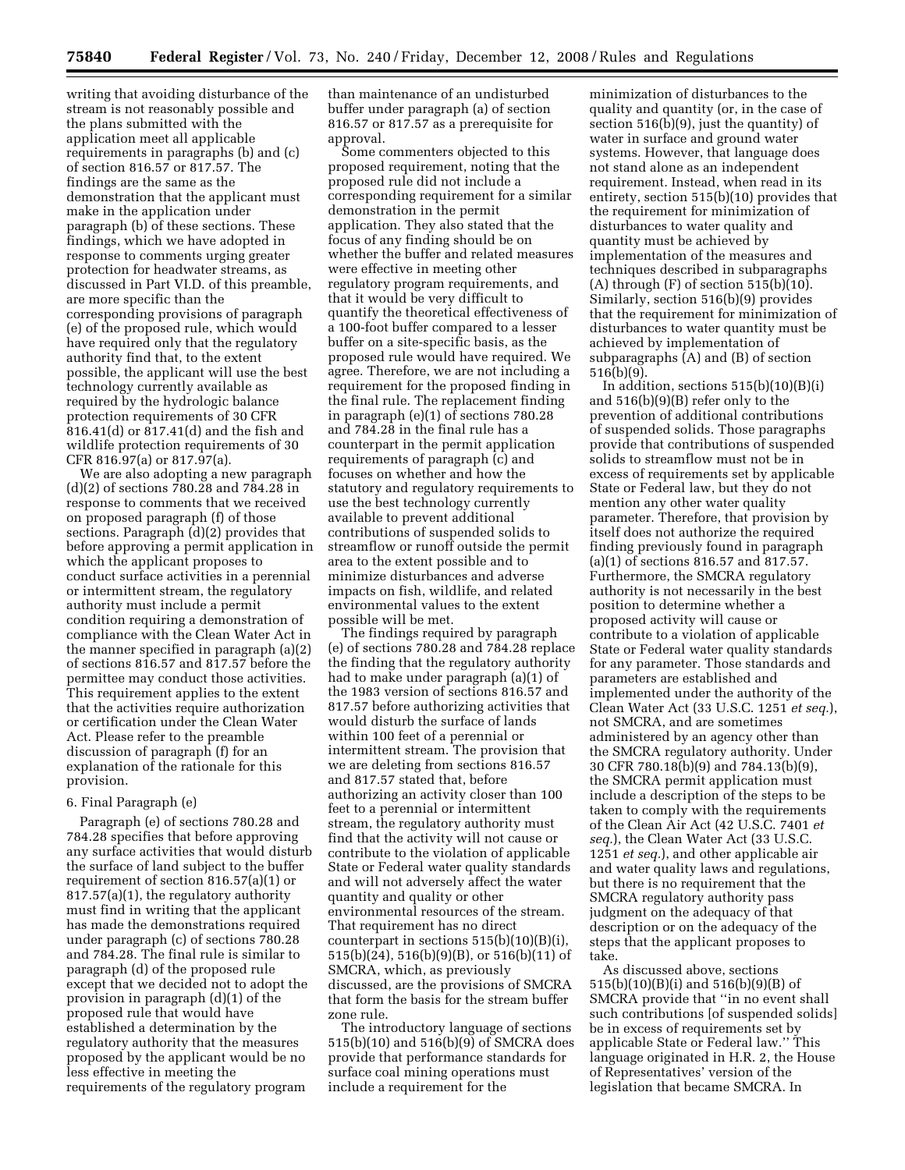writing that avoiding disturbance of the stream is not reasonably possible and the plans submitted with the application meet all applicable requirements in paragraphs (b) and (c) of section 816.57 or 817.57. The findings are the same as the demonstration that the applicant must make in the application under paragraph (b) of these sections. These findings, which we have adopted in response to comments urging greater protection for headwater streams, as discussed in Part VI.D. of this preamble, are more specific than the corresponding provisions of paragraph (e) of the proposed rule, which would have required only that the regulatory authority find that, to the extent possible, the applicant will use the best technology currently available as required by the hydrologic balance protection requirements of 30 CFR 816.41(d) or 817.41(d) and the fish and wildlife protection requirements of 30 CFR 816.97(a) or 817.97(a).

We are also adopting a new paragraph (d)(2) of sections 780.28 and 784.28 in response to comments that we received on proposed paragraph (f) of those sections. Paragraph (d)(2) provides that before approving a permit application in which the applicant proposes to conduct surface activities in a perennial or intermittent stream, the regulatory authority must include a permit condition requiring a demonstration of compliance with the Clean Water Act in the manner specified in paragraph (a)(2) of sections 816.57 and 817.57 before the permittee may conduct those activities. This requirement applies to the extent that the activities require authorization or certification under the Clean Water Act. Please refer to the preamble discussion of paragraph (f) for an explanation of the rationale for this provision.

## 6. Final Paragraph (e)

Paragraph (e) of sections 780.28 and 784.28 specifies that before approving any surface activities that would disturb the surface of land subject to the buffer requirement of section 816.57(a)(1) or 817.57(a)(1), the regulatory authority must find in writing that the applicant has made the demonstrations required under paragraph (c) of sections 780.28 and 784.28. The final rule is similar to paragraph (d) of the proposed rule except that we decided not to adopt the provision in paragraph (d)(1) of the proposed rule that would have established a determination by the regulatory authority that the measures proposed by the applicant would be no less effective in meeting the requirements of the regulatory program

than maintenance of an undisturbed buffer under paragraph (a) of section 816.57 or 817.57 as a prerequisite for approval.

Some commenters objected to this proposed requirement, noting that the proposed rule did not include a corresponding requirement for a similar demonstration in the permit application. They also stated that the focus of any finding should be on whether the buffer and related measures were effective in meeting other regulatory program requirements, and that it would be very difficult to quantify the theoretical effectiveness of a 100-foot buffer compared to a lesser buffer on a site-specific basis, as the proposed rule would have required. We agree. Therefore, we are not including a requirement for the proposed finding in the final rule. The replacement finding in paragraph (e)(1) of sections 780.28 and 784.28 in the final rule has a counterpart in the permit application requirements of paragraph (c) and focuses on whether and how the statutory and regulatory requirements to use the best technology currently available to prevent additional contributions of suspended solids to streamflow or runoff outside the permit area to the extent possible and to minimize disturbances and adverse impacts on fish, wildlife, and related environmental values to the extent possible will be met.

The findings required by paragraph (e) of sections 780.28 and 784.28 replace the finding that the regulatory authority had to make under paragraph (a)(1) of the 1983 version of sections 816.57 and 817.57 before authorizing activities that would disturb the surface of lands within 100 feet of a perennial or intermittent stream. The provision that we are deleting from sections 816.57 and 817.57 stated that, before authorizing an activity closer than 100 feet to a perennial or intermittent stream, the regulatory authority must find that the activity will not cause or contribute to the violation of applicable State or Federal water quality standards and will not adversely affect the water quantity and quality or other environmental resources of the stream. That requirement has no direct counterpart in sections 515(b)(10)(B)(i), 515(b)(24), 516(b)(9)(B), or 516(b)(11) of SMCRA, which, as previously discussed, are the provisions of SMCRA that form the basis for the stream buffer zone rule.

The introductory language of sections 515(b)(10) and 516(b)(9) of SMCRA does provide that performance standards for surface coal mining operations must include a requirement for the

minimization of disturbances to the quality and quantity (or, in the case of section 516(b)(9), just the quantity) of water in surface and ground water systems. However, that language does not stand alone as an independent requirement. Instead, when read in its entirety, section 515(b)(10) provides that the requirement for minimization of disturbances to water quality and quantity must be achieved by implementation of the measures and techniques described in subparagraphs  $(A)$  through  $(F)$  of section 515 $(b)(10)$ . Similarly, section 516(b)(9) provides that the requirement for minimization of disturbances to water quantity must be achieved by implementation of subparagraphs (A) and (B) of section 516(b)(9).

In addition, sections  $515(b)(10)(B)(i)$ and 516(b)(9)(B) refer only to the prevention of additional contributions of suspended solids. Those paragraphs provide that contributions of suspended solids to streamflow must not be in excess of requirements set by applicable State or Federal law, but they do not mention any other water quality parameter. Therefore, that provision by itself does not authorize the required finding previously found in paragraph (a)(1) of sections 816.57 and 817.57. Furthermore, the SMCRA regulatory authority is not necessarily in the best position to determine whether a proposed activity will cause or contribute to a violation of applicable State or Federal water quality standards for any parameter. Those standards and parameters are established and implemented under the authority of the Clean Water Act (33 U.S.C. 1251 *et seq.*), not SMCRA, and are sometimes administered by an agency other than the SMCRA regulatory authority. Under 30 CFR 780.18(b)(9) and 784.13(b)(9), the SMCRA permit application must include a description of the steps to be taken to comply with the requirements of the Clean Air Act (42 U.S.C. 7401 *et seq.*), the Clean Water Act (33 U.S.C. 1251 *et seq.*), and other applicable air and water quality laws and regulations, but there is no requirement that the SMCRA regulatory authority pass judgment on the adequacy of that description or on the adequacy of the steps that the applicant proposes to take.

As discussed above, sections 515(b)(10)(B)(i) and 516(b)(9)(B) of SMCRA provide that ''in no event shall such contributions [of suspended solids] be in excess of requirements set by applicable State or Federal law.'' This language originated in H.R. 2, the House of Representatives' version of the legislation that became SMCRA. In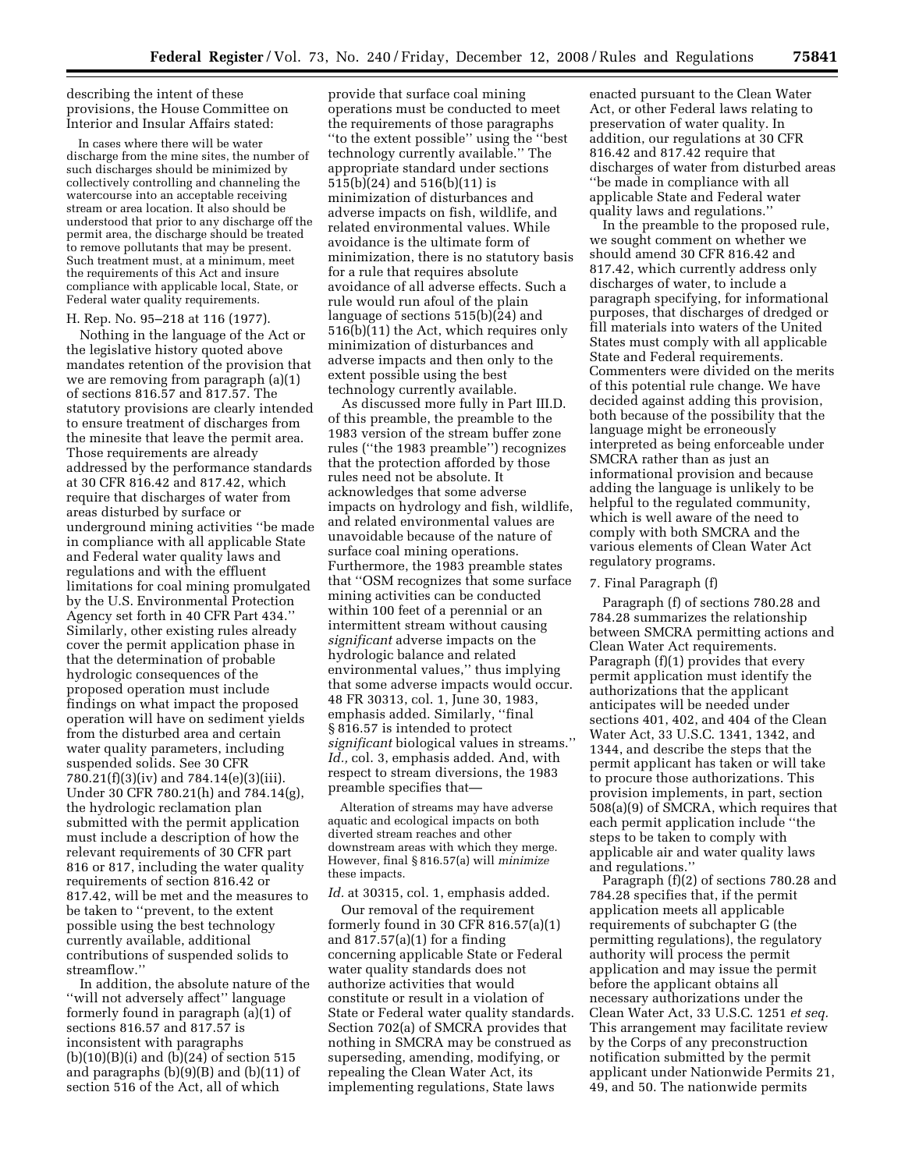describing the intent of these provisions, the House Committee on Interior and Insular Affairs stated:

In cases where there will be water discharge from the mine sites, the number of such discharges should be minimized by collectively controlling and channeling the watercourse into an acceptable receiving stream or area location. It also should be understood that prior to any discharge off the permit area, the discharge should be treated to remove pollutants that may be present. Such treatment must, at a minimum, meet the requirements of this Act and insure compliance with applicable local, State, or Federal water quality requirements.

#### H. Rep. No. 95–218 at 116 (1977).

Nothing in the language of the Act or the legislative history quoted above mandates retention of the provision that we are removing from paragraph (a)(1) of sections 816.57 and 817.57. The statutory provisions are clearly intended to ensure treatment of discharges from the minesite that leave the permit area. Those requirements are already addressed by the performance standards at 30 CFR 816.42 and 817.42, which require that discharges of water from areas disturbed by surface or underground mining activities ''be made in compliance with all applicable State and Federal water quality laws and regulations and with the effluent limitations for coal mining promulgated by the U.S. Environmental Protection Agency set forth in 40 CFR Part 434.'' Similarly, other existing rules already cover the permit application phase in that the determination of probable hydrologic consequences of the proposed operation must include findings on what impact the proposed operation will have on sediment yields from the disturbed area and certain water quality parameters, including suspended solids. See 30 CFR 780.21(f)(3)(iv) and 784.14(e)(3)(iii). Under 30 CFR 780.21(h) and 784.14(g), the hydrologic reclamation plan submitted with the permit application must include a description of how the relevant requirements of 30 CFR part 816 or 817, including the water quality requirements of section 816.42 or 817.42, will be met and the measures to be taken to ''prevent, to the extent possible using the best technology currently available, additional contributions of suspended solids to streamflow.''

In addition, the absolute nature of the ''will not adversely affect'' language formerly found in paragraph (a)(1) of sections 816.57 and 817.57 is inconsistent with paragraphs  $(b)(10)(B)(i)$  and  $(b)(24)$  of section 515 and paragraphs (b)(9)(B) and (b)(11) of section 516 of the Act, all of which

provide that surface coal mining operations must be conducted to meet the requirements of those paragraphs ''to the extent possible'' using the ''best technology currently available.'' The appropriate standard under sections 515(b)(24) and 516(b)(11) is minimization of disturbances and adverse impacts on fish, wildlife, and related environmental values. While avoidance is the ultimate form of minimization, there is no statutory basis for a rule that requires absolute avoidance of all adverse effects. Such a rule would run afoul of the plain language of sections 515(b)(24) and 516(b)(11) the Act, which requires only minimization of disturbances and adverse impacts and then only to the extent possible using the best technology currently available.

As discussed more fully in Part III.D. of this preamble, the preamble to the 1983 version of the stream buffer zone rules (''the 1983 preamble'') recognizes that the protection afforded by those rules need not be absolute. It acknowledges that some adverse impacts on hydrology and fish, wildlife, and related environmental values are unavoidable because of the nature of surface coal mining operations. Furthermore, the 1983 preamble states that ''OSM recognizes that some surface mining activities can be conducted within 100 feet of a perennial or an intermittent stream without causing *significant* adverse impacts on the hydrologic balance and related environmental values,'' thus implying that some adverse impacts would occur. 48 FR 30313, col. 1, June 30, 1983, emphasis added. Similarly, ''final § 816.57 is intended to protect *significant* biological values in streams.'' *Id.,* col. 3, emphasis added. And, with respect to stream diversions, the 1983 preamble specifies that—

Alteration of streams may have adverse aquatic and ecological impacts on both diverted stream reaches and other downstream areas with which they merge. However, final § 816.57(a) will *minimize*  these impacts.

### *Id.* at 30315, col. 1, emphasis added.

Our removal of the requirement formerly found in 30 CFR 816.57(a)(1) and  $817.57(a)(1)$  for a finding concerning applicable State or Federal water quality standards does not authorize activities that would constitute or result in a violation of State or Federal water quality standards. Section 702(a) of SMCRA provides that nothing in SMCRA may be construed as superseding, amending, modifying, or repealing the Clean Water Act, its implementing regulations, State laws

enacted pursuant to the Clean Water Act, or other Federal laws relating to preservation of water quality. In addition, our regulations at 30 CFR 816.42 and 817.42 require that discharges of water from disturbed areas ''be made in compliance with all applicable State and Federal water quality laws and regulations.''

In the preamble to the proposed rule, we sought comment on whether we should amend 30 CFR 816.42 and 817.42, which currently address only discharges of water, to include a paragraph specifying, for informational purposes, that discharges of dredged or fill materials into waters of the United States must comply with all applicable State and Federal requirements. Commenters were divided on the merits of this potential rule change. We have decided against adding this provision, both because of the possibility that the language might be erroneously interpreted as being enforceable under SMCRA rather than as just an informational provision and because adding the language is unlikely to be helpful to the regulated community, which is well aware of the need to comply with both SMCRA and the various elements of Clean Water Act regulatory programs.

#### 7. Final Paragraph (f)

Paragraph (f) of sections 780.28 and 784.28 summarizes the relationship between SMCRA permitting actions and Clean Water Act requirements. Paragraph (f)(1) provides that every permit application must identify the authorizations that the applicant anticipates will be needed under sections 401, 402, and 404 of the Clean Water Act, 33 U.S.C. 1341, 1342, and 1344, and describe the steps that the permit applicant has taken or will take to procure those authorizations. This provision implements, in part, section 508(a)(9) of SMCRA, which requires that each permit application include ''the steps to be taken to comply with applicable air and water quality laws and regulations.''

Paragraph (f)(2) of sections 780.28 and 784.28 specifies that, if the permit application meets all applicable requirements of subchapter G (the permitting regulations), the regulatory authority will process the permit application and may issue the permit before the applicant obtains all necessary authorizations under the Clean Water Act, 33 U.S.C. 1251 *et seq.*  This arrangement may facilitate review by the Corps of any preconstruction notification submitted by the permit applicant under Nationwide Permits 21, 49, and 50. The nationwide permits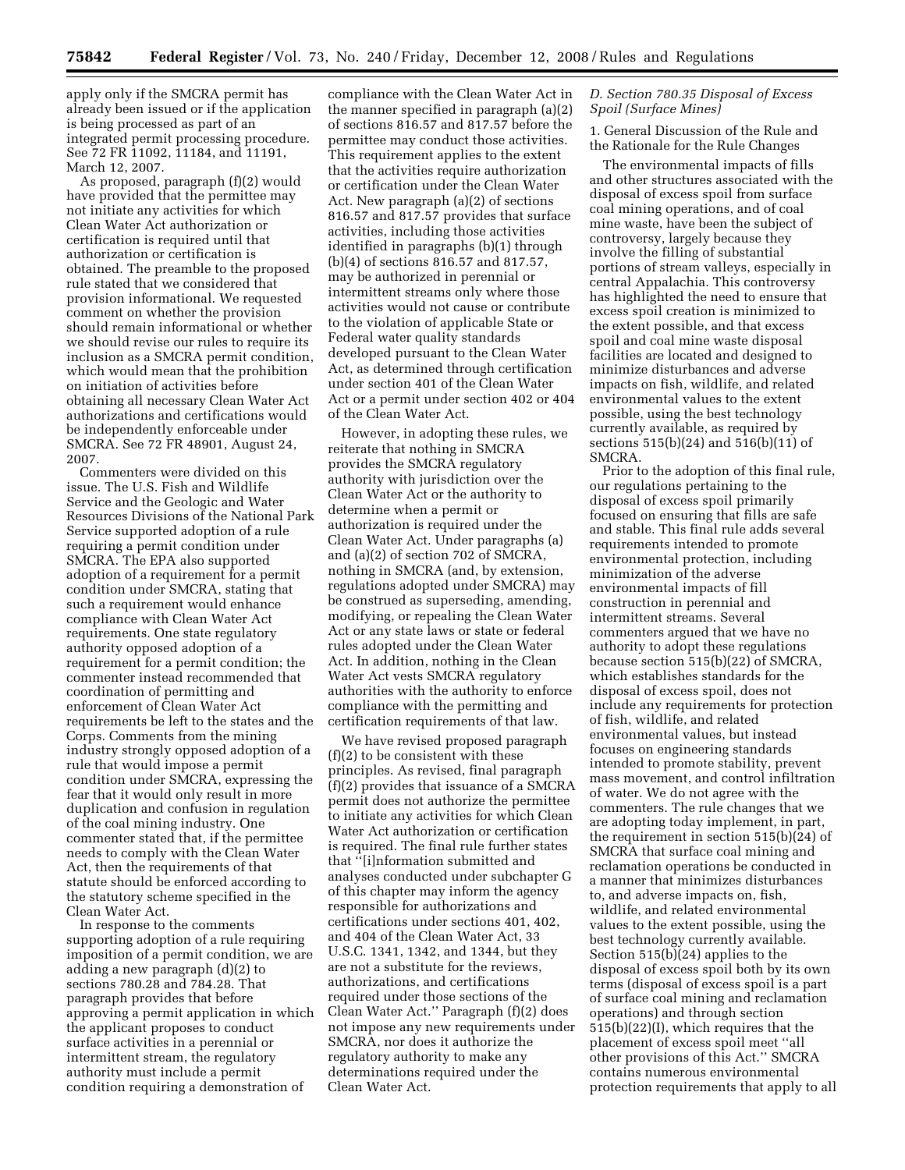apply only if the SMCRA permit has already been issued or if the application is being processed as part of an integrated permit processing procedure. See 72 FR 11092, 11184, and 11191, March 12, 2007.

As proposed, paragraph (f)(2) would have provided that the permittee may not initiate any activities for which Clean Water Act authorization or certification is required until that authorization or certification is obtained. The preamble to the proposed rule stated that we considered that provision informational. We requested comment on whether the provision should remain informational or whether we should revise our rules to require its inclusion as a SMCRA permit condition, which would mean that the prohibition on initiation of activities before obtaining all necessary Clean Water Act authorizations and certifications would be independently enforceable under SMCRA. See 72 FR 48901, August 24, 2007.

Commenters were divided on this issue. The U.S. Fish and Wildlife Service and the Geologic and Water Resources Divisions of the National Park Service supported adoption of a rule requiring a permit condition under SMCRA. The EPA also supported adoption of a requirement for a permit condition under SMCRA, stating that such a requirement would enhance compliance with Clean Water Act requirements. One state regulatory authority opposed adoption of a requirement for a permit condition; the commenter instead recommended that coordination of permitting and enforcement of Clean Water Act requirements be left to the states and the Corps. Comments from the mining industry strongly opposed adoption of a rule that would impose a permit condition under SMCRA, expressing the fear that it would only result in more duplication and confusion in regulation of the coal mining industry. One commenter stated that, if the permittee needs to comply with the Clean Water Act, then the requirements of that statute should be enforced according to the statutory scheme specified in the Clean Water Act.

In response to the comments supporting adoption of a rule requiring imposition of a permit condition, we are adding a new paragraph (d)(2) to sections 780.28 and 784.28. That paragraph provides that before approving a permit application in which the applicant proposes to conduct surface activities in a perennial or intermittent stream, the regulatory authority must include a permit condition requiring a demonstration of

compliance with the Clean Water Act in the manner specified in paragraph (a)(2) of sections 816.57 and 817.57 before the permittee may conduct those activities. This requirement applies to the extent that the activities require authorization or certification under the Clean Water Act. New paragraph (a)(2) of sections 816.57 and 817.57 provides that surface activities, including those activities identified in paragraphs (b)(1) through (b)(4) of sections 816.57 and 817.57, may be authorized in perennial or intermittent streams only where those activities would not cause or contribute to the violation of applicable State or Federal water quality standards developed pursuant to the Clean Water Act, as determined through certification under section 401 of the Clean Water Act or a permit under section 402 or 404 of the Clean Water Act.

However, in adopting these rules, we reiterate that nothing in SMCRA provides the SMCRA regulatory authority with jurisdiction over the Clean Water Act or the authority to determine when a permit or authorization is required under the Clean Water Act. Under paragraphs (a) and (a)(2) of section 702 of SMCRA, nothing in SMCRA (and, by extension, regulations adopted under SMCRA) may be construed as superseding, amending, modifying, or repealing the Clean Water Act or any state laws or state or federal rules adopted under the Clean Water Act. In addition, nothing in the Clean Water Act vests SMCRA regulatory authorities with the authority to enforce compliance with the permitting and certification requirements of that law.

We have revised proposed paragraph (f)(2) to be consistent with these principles. As revised, final paragraph (f)(2) provides that issuance of a SMCRA permit does not authorize the permittee to initiate any activities for which Clean Water Act authorization or certification is required. The final rule further states that ''[i]nformation submitted and analyses conducted under subchapter G of this chapter may inform the agency responsible for authorizations and certifications under sections 401, 402, and 404 of the Clean Water Act, 33 U.S.C. 1341, 1342, and 1344, but they are not a substitute for the reviews, authorizations, and certifications required under those sections of the Clean Water Act.'' Paragraph (f)(2) does not impose any new requirements under SMCRA, nor does it authorize the regulatory authority to make any determinations required under the Clean Water Act.

# *D. Section 780.35 Disposal of Excess Spoil (Surface Mines)*

1. General Discussion of the Rule and the Rationale for the Rule Changes

The environmental impacts of fills and other structures associated with the disposal of excess spoil from surface coal mining operations, and of coal mine waste, have been the subject of controversy, largely because they involve the filling of substantial portions of stream valleys, especially in central Appalachia. This controversy has highlighted the need to ensure that excess spoil creation is minimized to the extent possible, and that excess spoil and coal mine waste disposal facilities are located and designed to minimize disturbances and adverse impacts on fish, wildlife, and related environmental values to the extent possible, using the best technology currently available, as required by sections 515(b)(24) and 516(b)(11) of SMCRA.

Prior to the adoption of this final rule, our regulations pertaining to the disposal of excess spoil primarily focused on ensuring that fills are safe and stable. This final rule adds several requirements intended to promote environmental protection, including minimization of the adverse environmental impacts of fill construction in perennial and intermittent streams. Several commenters argued that we have no authority to adopt these regulations because section 515(b)(22) of SMCRA, which establishes standards for the disposal of excess spoil, does not include any requirements for protection of fish, wildlife, and related environmental values, but instead focuses on engineering standards intended to promote stability, prevent mass movement, and control infiltration of water. We do not agree with the commenters. The rule changes that we are adopting today implement, in part, the requirement in section 515(b)(24) of SMCRA that surface coal mining and reclamation operations be conducted in a manner that minimizes disturbances to, and adverse impacts on, fish, wildlife, and related environmental values to the extent possible, using the best technology currently available. Section 515(b)(24) applies to the disposal of excess spoil both by its own terms (disposal of excess spoil is a part of surface coal mining and reclamation operations) and through section 515(b)(22)(I), which requires that the placement of excess spoil meet ''all other provisions of this Act.'' SMCRA contains numerous environmental protection requirements that apply to all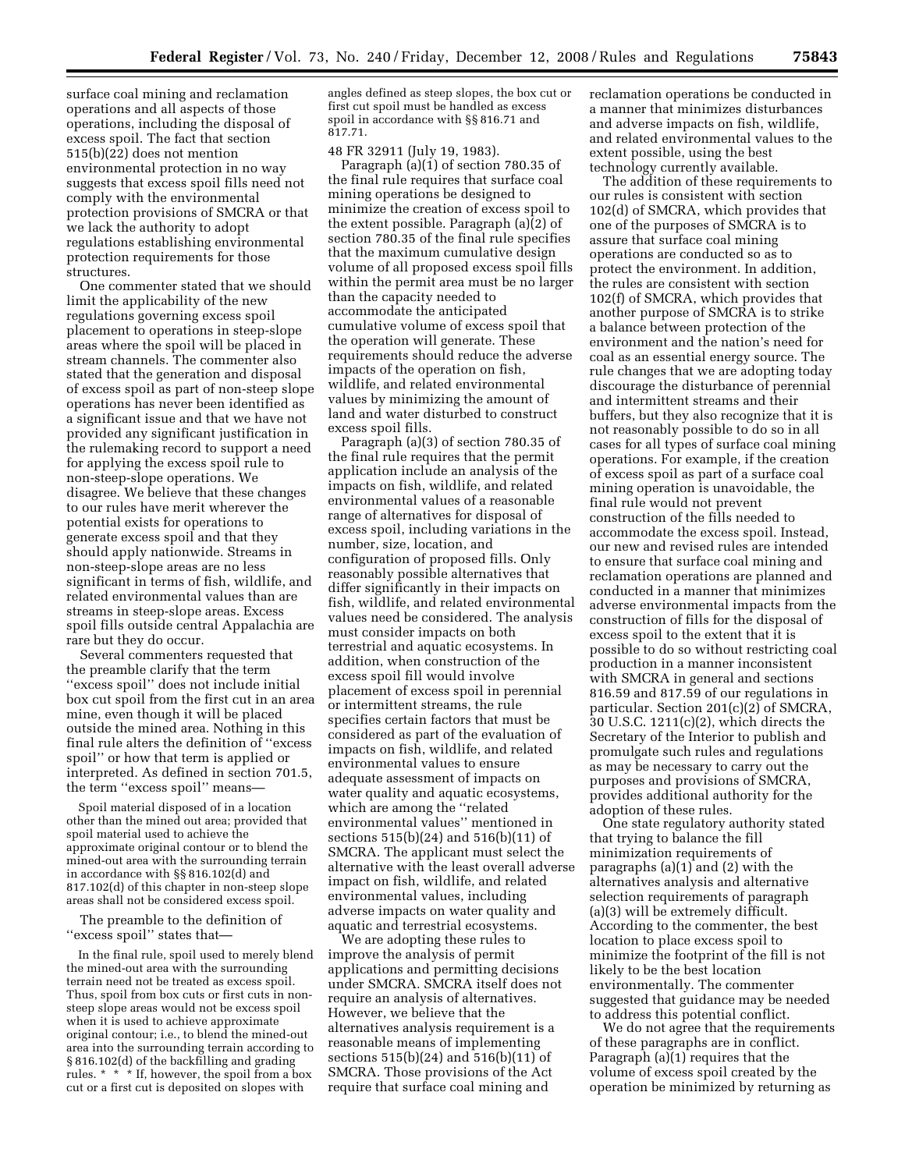surface coal mining and reclamation operations and all aspects of those operations, including the disposal of excess spoil. The fact that section 515(b)(22) does not mention environmental protection in no way suggests that excess spoil fills need not comply with the environmental protection provisions of SMCRA or that we lack the authority to adopt regulations establishing environmental protection requirements for those structures.

One commenter stated that we should limit the applicability of the new regulations governing excess spoil placement to operations in steep-slope areas where the spoil will be placed in stream channels. The commenter also stated that the generation and disposal of excess spoil as part of non-steep slope operations has never been identified as a significant issue and that we have not provided any significant justification in the rulemaking record to support a need for applying the excess spoil rule to non-steep-slope operations. We disagree. We believe that these changes to our rules have merit wherever the potential exists for operations to generate excess spoil and that they should apply nationwide. Streams in non-steep-slope areas are no less significant in terms of fish, wildlife, and related environmental values than are streams in steep-slope areas. Excess spoil fills outside central Appalachia are rare but they do occur.

Several commenters requested that the preamble clarify that the term ''excess spoil'' does not include initial box cut spoil from the first cut in an area mine, even though it will be placed outside the mined area. Nothing in this final rule alters the definition of ''excess spoil'' or how that term is applied or interpreted. As defined in section 701.5, the term ''excess spoil'' means—

Spoil material disposed of in a location other than the mined out area; provided that spoil material used to achieve the approximate original contour or to blend the mined-out area with the surrounding terrain in accordance with §§ 816.102(d) and 817.102(d) of this chapter in non-steep slope areas shall not be considered excess spoil.

The preamble to the definition of ''excess spoil'' states that—

In the final rule, spoil used to merely blend the mined-out area with the surrounding terrain need not be treated as excess spoil. Thus, spoil from box cuts or first cuts in nonsteep slope areas would not be excess spoil when it is used to achieve approximate original contour; i.e., to blend the mined-out area into the surrounding terrain according to § 816.102(d) of the backfilling and grading rules. \* \* \* If, however, the spoil from a box cut or a first cut is deposited on slopes with

angles defined as steep slopes, the box cut or first cut spoil must be handled as excess spoil in accordance with §§ 816.71 and 817.71.

48 FR 32911 (July 19, 1983).

Paragraph (a)(1) of section 780.35 of the final rule requires that surface coal mining operations be designed to minimize the creation of excess spoil to the extent possible. Paragraph (a)(2) of section 780.35 of the final rule specifies that the maximum cumulative design volume of all proposed excess spoil fills within the permit area must be no larger than the capacity needed to accommodate the anticipated cumulative volume of excess spoil that the operation will generate. These requirements should reduce the adverse impacts of the operation on fish, wildlife, and related environmental values by minimizing the amount of land and water disturbed to construct excess spoil fills.

Paragraph (a)(3) of section 780.35 of the final rule requires that the permit application include an analysis of the impacts on fish, wildlife, and related environmental values of a reasonable range of alternatives for disposal of excess spoil, including variations in the number, size, location, and configuration of proposed fills. Only reasonably possible alternatives that differ significantly in their impacts on fish, wildlife, and related environmental values need be considered. The analysis must consider impacts on both terrestrial and aquatic ecosystems. In addition, when construction of the excess spoil fill would involve placement of excess spoil in perennial or intermittent streams, the rule specifies certain factors that must be considered as part of the evaluation of impacts on fish, wildlife, and related environmental values to ensure adequate assessment of impacts on water quality and aquatic ecosystems, which are among the ''related environmental values'' mentioned in sections 515(b)(24) and 516(b)(11) of SMCRA. The applicant must select the alternative with the least overall adverse impact on fish, wildlife, and related environmental values, including adverse impacts on water quality and aquatic and terrestrial ecosystems.

We are adopting these rules to improve the analysis of permit applications and permitting decisions under SMCRA. SMCRA itself does not require an analysis of alternatives. However, we believe that the alternatives analysis requirement is a reasonable means of implementing sections 515(b)(24) and 516(b)(11) of SMCRA. Those provisions of the Act require that surface coal mining and

reclamation operations be conducted in a manner that minimizes disturbances and adverse impacts on fish, wildlife, and related environmental values to the extent possible, using the best technology currently available.

The addition of these requirements to our rules is consistent with section 102(d) of SMCRA, which provides that one of the purposes of SMCRA is to assure that surface coal mining operations are conducted so as to protect the environment. In addition, the rules are consistent with section 102(f) of SMCRA, which provides that another purpose of SMCRA is to strike a balance between protection of the environment and the nation's need for coal as an essential energy source. The rule changes that we are adopting today discourage the disturbance of perennial and intermittent streams and their buffers, but they also recognize that it is not reasonably possible to do so in all cases for all types of surface coal mining operations. For example, if the creation of excess spoil as part of a surface coal mining operation is unavoidable, the final rule would not prevent construction of the fills needed to accommodate the excess spoil. Instead, our new and revised rules are intended to ensure that surface coal mining and reclamation operations are planned and conducted in a manner that minimizes adverse environmental impacts from the construction of fills for the disposal of excess spoil to the extent that it is possible to do so without restricting coal production in a manner inconsistent with SMCRA in general and sections 816.59 and 817.59 of our regulations in particular. Section 201(c)(2) of SMCRA, 30 U.S.C. 1211(c)(2), which directs the Secretary of the Interior to publish and promulgate such rules and regulations as may be necessary to carry out the purposes and provisions of SMCRA, provides additional authority for the adoption of these rules.

One state regulatory authority stated that trying to balance the fill minimization requirements of paragraphs (a)(1) and (2) with the alternatives analysis and alternative selection requirements of paragraph (a)(3) will be extremely difficult. According to the commenter, the best location to place excess spoil to minimize the footprint of the fill is not likely to be the best location environmentally. The commenter suggested that guidance may be needed to address this potential conflict.

We do not agree that the requirements of these paragraphs are in conflict. Paragraph (a)(1) requires that the volume of excess spoil created by the operation be minimized by returning as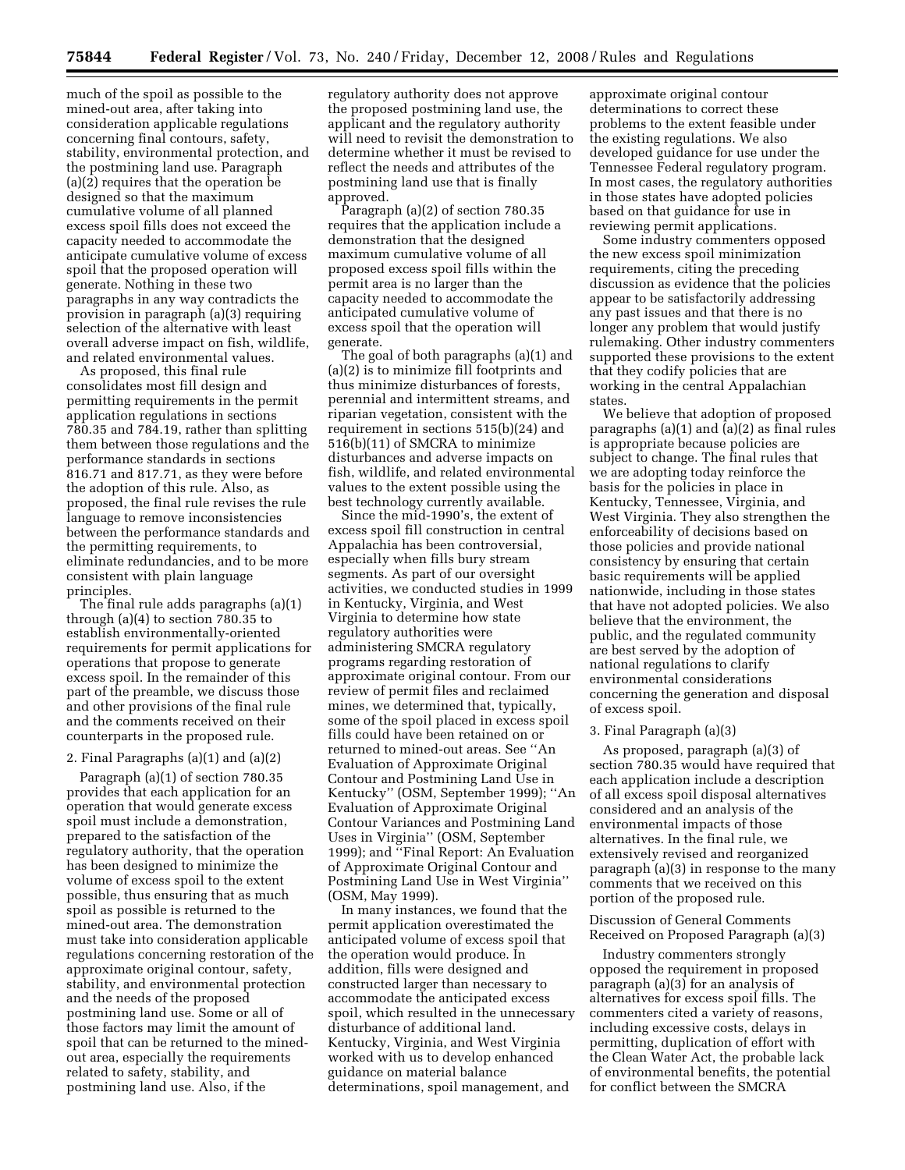much of the spoil as possible to the mined-out area, after taking into consideration applicable regulations concerning final contours, safety, stability, environmental protection, and the postmining land use. Paragraph (a)(2) requires that the operation be designed so that the maximum cumulative volume of all planned excess spoil fills does not exceed the capacity needed to accommodate the anticipate cumulative volume of excess spoil that the proposed operation will generate. Nothing in these two paragraphs in any way contradicts the provision in paragraph (a)(3) requiring selection of the alternative with least overall adverse impact on fish, wildlife, and related environmental values.

As proposed, this final rule consolidates most fill design and permitting requirements in the permit application regulations in sections 780.35 and 784.19, rather than splitting them between those regulations and the performance standards in sections 816.71 and 817.71, as they were before the adoption of this rule. Also, as proposed, the final rule revises the rule language to remove inconsistencies between the performance standards and the permitting requirements, to eliminate redundancies, and to be more consistent with plain language principles.

The final rule adds paragraphs (a)(1) through (a)(4) to section 780.35 to establish environmentally-oriented requirements for permit applications for operations that propose to generate excess spoil. In the remainder of this part of the preamble, we discuss those and other provisions of the final rule and the comments received on their counterparts in the proposed rule.

#### 2. Final Paragraphs (a)(1) and (a)(2)

Paragraph (a)(1) of section 780.35 provides that each application for an operation that would generate excess spoil must include a demonstration, prepared to the satisfaction of the regulatory authority, that the operation has been designed to minimize the volume of excess spoil to the extent possible, thus ensuring that as much spoil as possible is returned to the mined-out area. The demonstration must take into consideration applicable regulations concerning restoration of the approximate original contour, safety, stability, and environmental protection and the needs of the proposed postmining land use. Some or all of those factors may limit the amount of spoil that can be returned to the minedout area, especially the requirements related to safety, stability, and postmining land use. Also, if the

regulatory authority does not approve the proposed postmining land use, the applicant and the regulatory authority will need to revisit the demonstration to determine whether it must be revised to reflect the needs and attributes of the postmining land use that is finally approved.

Paragraph (a)(2) of section 780.35 requires that the application include a demonstration that the designed maximum cumulative volume of all proposed excess spoil fills within the permit area is no larger than the capacity needed to accommodate the anticipated cumulative volume of excess spoil that the operation will generate.

The goal of both paragraphs (a)(1) and (a)(2) is to minimize fill footprints and thus minimize disturbances of forests, perennial and intermittent streams, and riparian vegetation, consistent with the requirement in sections 515(b)(24) and 516(b)(11) of SMCRA to minimize disturbances and adverse impacts on fish, wildlife, and related environmental values to the extent possible using the best technology currently available.

Since the mid-1990's, the extent of excess spoil fill construction in central Appalachia has been controversial, especially when fills bury stream segments. As part of our oversight activities, we conducted studies in 1999 in Kentucky, Virginia, and West Virginia to determine how state regulatory authorities were administering SMCRA regulatory programs regarding restoration of approximate original contour. From our review of permit files and reclaimed mines, we determined that, typically, some of the spoil placed in excess spoil fills could have been retained on or returned to mined-out areas. See ''An Evaluation of Approximate Original Contour and Postmining Land Use in Kentucky'' (OSM, September 1999); ''An Evaluation of Approximate Original Contour Variances and Postmining Land Uses in Virginia'' (OSM, September 1999); and ''Final Report: An Evaluation of Approximate Original Contour and Postmining Land Use in West Virginia'' (OSM, May 1999).

In many instances, we found that the permit application overestimated the anticipated volume of excess spoil that the operation would produce. In addition, fills were designed and constructed larger than necessary to accommodate the anticipated excess spoil, which resulted in the unnecessary disturbance of additional land. Kentucky, Virginia, and West Virginia worked with us to develop enhanced guidance on material balance determinations, spoil management, and

approximate original contour determinations to correct these problems to the extent feasible under the existing regulations. We also developed guidance for use under the Tennessee Federal regulatory program. In most cases, the regulatory authorities in those states have adopted policies based on that guidance for use in reviewing permit applications.

Some industry commenters opposed the new excess spoil minimization requirements, citing the preceding discussion as evidence that the policies appear to be satisfactorily addressing any past issues and that there is no longer any problem that would justify rulemaking. Other industry commenters supported these provisions to the extent that they codify policies that are working in the central Appalachian states.

We believe that adoption of proposed paragraphs (a)(1) and (a)(2) as final rules is appropriate because policies are subject to change. The final rules that we are adopting today reinforce the basis for the policies in place in Kentucky, Tennessee, Virginia, and West Virginia. They also strengthen the enforceability of decisions based on those policies and provide national consistency by ensuring that certain basic requirements will be applied nationwide, including in those states that have not adopted policies. We also believe that the environment, the public, and the regulated community are best served by the adoption of national regulations to clarify environmental considerations concerning the generation and disposal of excess spoil.

#### 3. Final Paragraph (a)(3)

As proposed, paragraph (a)(3) of section 780.35 would have required that each application include a description of all excess spoil disposal alternatives considered and an analysis of the environmental impacts of those alternatives. In the final rule, we extensively revised and reorganized paragraph (a)(3) in response to the many comments that we received on this portion of the proposed rule.

Discussion of General Comments Received on Proposed Paragraph (a)(3)

Industry commenters strongly opposed the requirement in proposed paragraph (a)(3) for an analysis of alternatives for excess spoil fills. The commenters cited a variety of reasons, including excessive costs, delays in permitting, duplication of effort with the Clean Water Act, the probable lack of environmental benefits, the potential for conflict between the SMCRA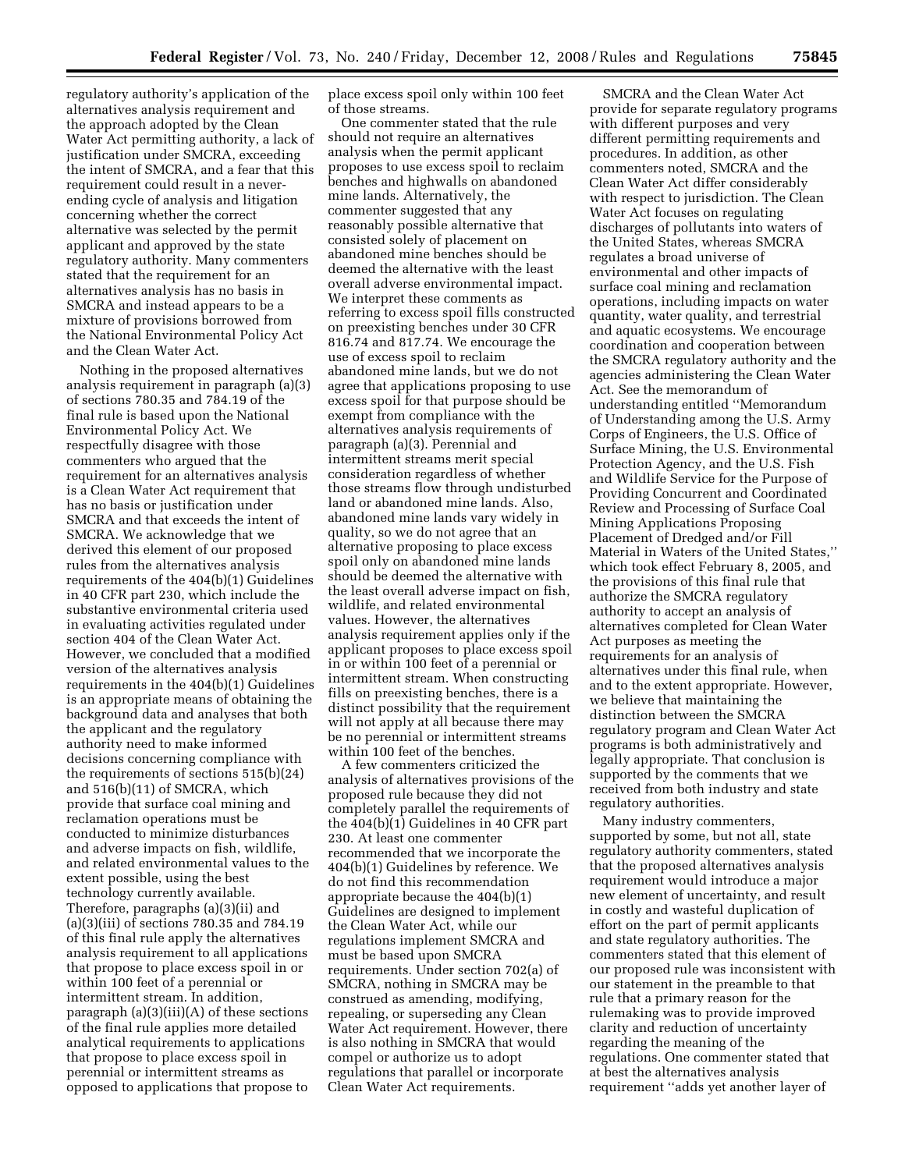regulatory authority's application of the alternatives analysis requirement and the approach adopted by the Clean Water Act permitting authority, a lack of justification under SMCRA, exceeding the intent of SMCRA, and a fear that this requirement could result in a neverending cycle of analysis and litigation concerning whether the correct alternative was selected by the permit applicant and approved by the state regulatory authority. Many commenters stated that the requirement for an alternatives analysis has no basis in SMCRA and instead appears to be a mixture of provisions borrowed from the National Environmental Policy Act and the Clean Water Act.

Nothing in the proposed alternatives analysis requirement in paragraph (a)(3) of sections 780.35 and 784.19 of the final rule is based upon the National Environmental Policy Act. We respectfully disagree with those commenters who argued that the requirement for an alternatives analysis is a Clean Water Act requirement that has no basis or justification under SMCRA and that exceeds the intent of SMCRA. We acknowledge that we derived this element of our proposed rules from the alternatives analysis requirements of the 404(b)(1) Guidelines in 40 CFR part 230, which include the substantive environmental criteria used in evaluating activities regulated under section 404 of the Clean Water Act. However, we concluded that a modified version of the alternatives analysis requirements in the 404(b)(1) Guidelines is an appropriate means of obtaining the background data and analyses that both the applicant and the regulatory authority need to make informed decisions concerning compliance with the requirements of sections 515(b)(24) and 516(b)(11) of SMCRA, which provide that surface coal mining and reclamation operations must be conducted to minimize disturbances and adverse impacts on fish, wildlife, and related environmental values to the extent possible, using the best technology currently available. Therefore, paragraphs (a)(3)(ii) and (a)(3)(iii) of sections 780.35 and 784.19 of this final rule apply the alternatives analysis requirement to all applications that propose to place excess spoil in or within 100 feet of a perennial or intermittent stream. In addition, paragraph (a)(3)(iii)(A) of these sections of the final rule applies more detailed analytical requirements to applications that propose to place excess spoil in perennial or intermittent streams as opposed to applications that propose to

place excess spoil only within 100 feet of those streams.

One commenter stated that the rule should not require an alternatives analysis when the permit applicant proposes to use excess spoil to reclaim benches and highwalls on abandoned mine lands. Alternatively, the commenter suggested that any reasonably possible alternative that consisted solely of placement on abandoned mine benches should be deemed the alternative with the least overall adverse environmental impact. We interpret these comments as referring to excess spoil fills constructed on preexisting benches under 30 CFR 816.74 and 817.74. We encourage the use of excess spoil to reclaim abandoned mine lands, but we do not agree that applications proposing to use excess spoil for that purpose should be exempt from compliance with the alternatives analysis requirements of paragraph (a)(3). Perennial and intermittent streams merit special consideration regardless of whether those streams flow through undisturbed land or abandoned mine lands. Also, abandoned mine lands vary widely in quality, so we do not agree that an alternative proposing to place excess spoil only on abandoned mine lands should be deemed the alternative with the least overall adverse impact on fish, wildlife, and related environmental values. However, the alternatives analysis requirement applies only if the applicant proposes to place excess spoil in or within 100 feet of a perennial or intermittent stream. When constructing fills on preexisting benches, there is a distinct possibility that the requirement will not apply at all because there may be no perennial or intermittent streams within 100 feet of the benches.

A few commenters criticized the analysis of alternatives provisions of the proposed rule because they did not completely parallel the requirements of the 404(b)(1) Guidelines in 40 CFR part 230. At least one commenter recommended that we incorporate the 404(b)(1) Guidelines by reference. We do not find this recommendation appropriate because the 404(b)(1) Guidelines are designed to implement the Clean Water Act, while our regulations implement SMCRA and must be based upon SMCRA requirements. Under section 702(a) of SMCRA, nothing in SMCRA may be construed as amending, modifying, repealing, or superseding any Clean Water Act requirement. However, there is also nothing in SMCRA that would compel or authorize us to adopt regulations that parallel or incorporate Clean Water Act requirements.

SMCRA and the Clean Water Act provide for separate regulatory programs with different purposes and very different permitting requirements and procedures. In addition, as other commenters noted, SMCRA and the Clean Water Act differ considerably with respect to jurisdiction. The Clean Water Act focuses on regulating discharges of pollutants into waters of the United States, whereas SMCRA regulates a broad universe of environmental and other impacts of surface coal mining and reclamation operations, including impacts on water quantity, water quality, and terrestrial and aquatic ecosystems. We encourage coordination and cooperation between the SMCRA regulatory authority and the agencies administering the Clean Water Act. See the memorandum of understanding entitled ''Memorandum of Understanding among the U.S. Army Corps of Engineers, the U.S. Office of Surface Mining, the U.S. Environmental Protection Agency, and the U.S. Fish and Wildlife Service for the Purpose of Providing Concurrent and Coordinated Review and Processing of Surface Coal Mining Applications Proposing Placement of Dredged and/or Fill Material in Waters of the United States,'' which took effect February 8, 2005, and the provisions of this final rule that authorize the SMCRA regulatory authority to accept an analysis of alternatives completed for Clean Water Act purposes as meeting the requirements for an analysis of alternatives under this final rule, when and to the extent appropriate. However, we believe that maintaining the distinction between the SMCRA regulatory program and Clean Water Act programs is both administratively and legally appropriate. That conclusion is supported by the comments that we received from both industry and state regulatory authorities.

Many industry commenters, supported by some, but not all, state regulatory authority commenters, stated that the proposed alternatives analysis requirement would introduce a major new element of uncertainty, and result in costly and wasteful duplication of effort on the part of permit applicants and state regulatory authorities. The commenters stated that this element of our proposed rule was inconsistent with our statement in the preamble to that rule that a primary reason for the rulemaking was to provide improved clarity and reduction of uncertainty regarding the meaning of the regulations. One commenter stated that at best the alternatives analysis requirement ''adds yet another layer of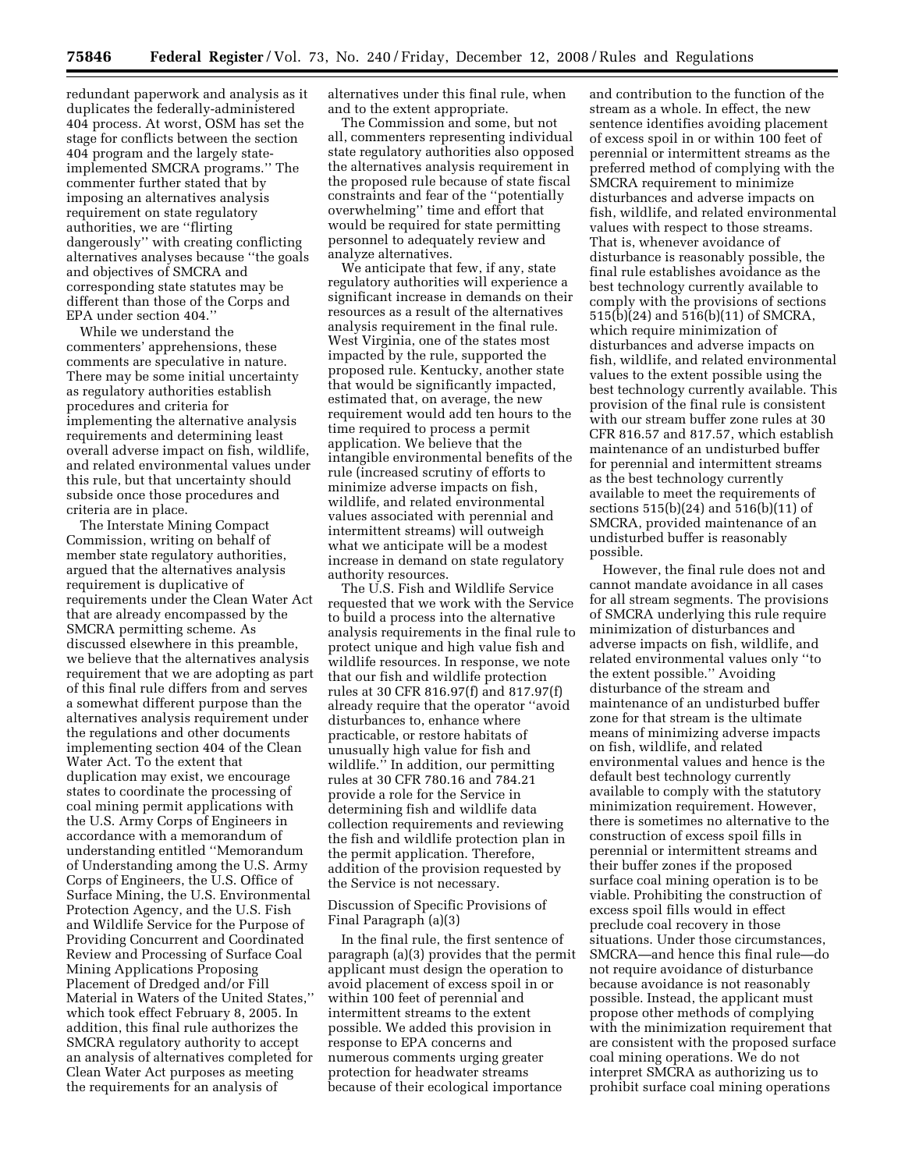redundant paperwork and analysis as it duplicates the federally-administered 404 process. At worst, OSM has set the stage for conflicts between the section 404 program and the largely stateimplemented SMCRA programs.'' The commenter further stated that by imposing an alternatives analysis requirement on state regulatory authorities, we are ''flirting dangerously'' with creating conflicting alternatives analyses because ''the goals and objectives of SMCRA and corresponding state statutes may be different than those of the Corps and EPA under section 404.''

While we understand the commenters' apprehensions, these comments are speculative in nature. There may be some initial uncertainty as regulatory authorities establish procedures and criteria for implementing the alternative analysis requirements and determining least overall adverse impact on fish, wildlife, and related environmental values under this rule, but that uncertainty should subside once those procedures and criteria are in place.

The Interstate Mining Compact Commission, writing on behalf of member state regulatory authorities, argued that the alternatives analysis requirement is duplicative of requirements under the Clean Water Act that are already encompassed by the SMCRA permitting scheme. As discussed elsewhere in this preamble, we believe that the alternatives analysis requirement that we are adopting as part of this final rule differs from and serves a somewhat different purpose than the alternatives analysis requirement under the regulations and other documents implementing section 404 of the Clean Water Act. To the extent that duplication may exist, we encourage states to coordinate the processing of coal mining permit applications with the U.S. Army Corps of Engineers in accordance with a memorandum of understanding entitled ''Memorandum of Understanding among the U.S. Army Corps of Engineers, the U.S. Office of Surface Mining, the U.S. Environmental Protection Agency, and the U.S. Fish and Wildlife Service for the Purpose of Providing Concurrent and Coordinated Review and Processing of Surface Coal Mining Applications Proposing Placement of Dredged and/or Fill Material in Waters of the United States,'' which took effect February 8, 2005. In addition, this final rule authorizes the SMCRA regulatory authority to accept an analysis of alternatives completed for Clean Water Act purposes as meeting the requirements for an analysis of

alternatives under this final rule, when and to the extent appropriate.

The Commission and some, but not all, commenters representing individual state regulatory authorities also opposed the alternatives analysis requirement in the proposed rule because of state fiscal constraints and fear of the ''potentially overwhelming'' time and effort that would be required for state permitting personnel to adequately review and analyze alternatives.

We anticipate that few, if any, state regulatory authorities will experience a significant increase in demands on their resources as a result of the alternatives analysis requirement in the final rule. West Virginia, one of the states most impacted by the rule, supported the proposed rule. Kentucky, another state that would be significantly impacted, estimated that, on average, the new requirement would add ten hours to the time required to process a permit application. We believe that the intangible environmental benefits of the rule (increased scrutiny of efforts to minimize adverse impacts on fish, wildlife, and related environmental values associated with perennial and intermittent streams) will outweigh what we anticipate will be a modest increase in demand on state regulatory authority resources.

The U.S. Fish and Wildlife Service requested that we work with the Service to build a process into the alternative analysis requirements in the final rule to protect unique and high value fish and wildlife resources. In response, we note that our fish and wildlife protection rules at 30 CFR 816.97(f) and 817.97(f) already require that the operator ''avoid disturbances to, enhance where practicable, or restore habitats of unusually high value for fish and wildlife.'' In addition, our permitting rules at 30 CFR 780.16 and 784.21 provide a role for the Service in determining fish and wildlife data collection requirements and reviewing the fish and wildlife protection plan in the permit application. Therefore, addition of the provision requested by the Service is not necessary.

Discussion of Specific Provisions of Final Paragraph (a)(3)

In the final rule, the first sentence of paragraph (a)(3) provides that the permit applicant must design the operation to avoid placement of excess spoil in or within 100 feet of perennial and intermittent streams to the extent possible. We added this provision in response to EPA concerns and numerous comments urging greater protection for headwater streams because of their ecological importance

and contribution to the function of the stream as a whole. In effect, the new sentence identifies avoiding placement of excess spoil in or within 100 feet of perennial or intermittent streams as the preferred method of complying with the SMCRA requirement to minimize disturbances and adverse impacts on fish, wildlife, and related environmental values with respect to those streams. That is, whenever avoidance of disturbance is reasonably possible, the final rule establishes avoidance as the best technology currently available to comply with the provisions of sections 515(b)(24) and 516(b)(11) of SMCRA, which require minimization of disturbances and adverse impacts on fish, wildlife, and related environmental values to the extent possible using the best technology currently available. This provision of the final rule is consistent with our stream buffer zone rules at 30 CFR 816.57 and 817.57, which establish maintenance of an undisturbed buffer for perennial and intermittent streams as the best technology currently available to meet the requirements of sections 515(b)(24) and 516(b)(11) of SMCRA, provided maintenance of an undisturbed buffer is reasonably possible.

However, the final rule does not and cannot mandate avoidance in all cases for all stream segments. The provisions of SMCRA underlying this rule require minimization of disturbances and adverse impacts on fish, wildlife, and related environmental values only ''to the extent possible.'' Avoiding disturbance of the stream and maintenance of an undisturbed buffer zone for that stream is the ultimate means of minimizing adverse impacts on fish, wildlife, and related environmental values and hence is the default best technology currently available to comply with the statutory minimization requirement. However, there is sometimes no alternative to the construction of excess spoil fills in perennial or intermittent streams and their buffer zones if the proposed surface coal mining operation is to be viable. Prohibiting the construction of excess spoil fills would in effect preclude coal recovery in those situations. Under those circumstances, SMCRA—and hence this final rule—do not require avoidance of disturbance because avoidance is not reasonably possible. Instead, the applicant must propose other methods of complying with the minimization requirement that are consistent with the proposed surface coal mining operations. We do not interpret SMCRA as authorizing us to prohibit surface coal mining operations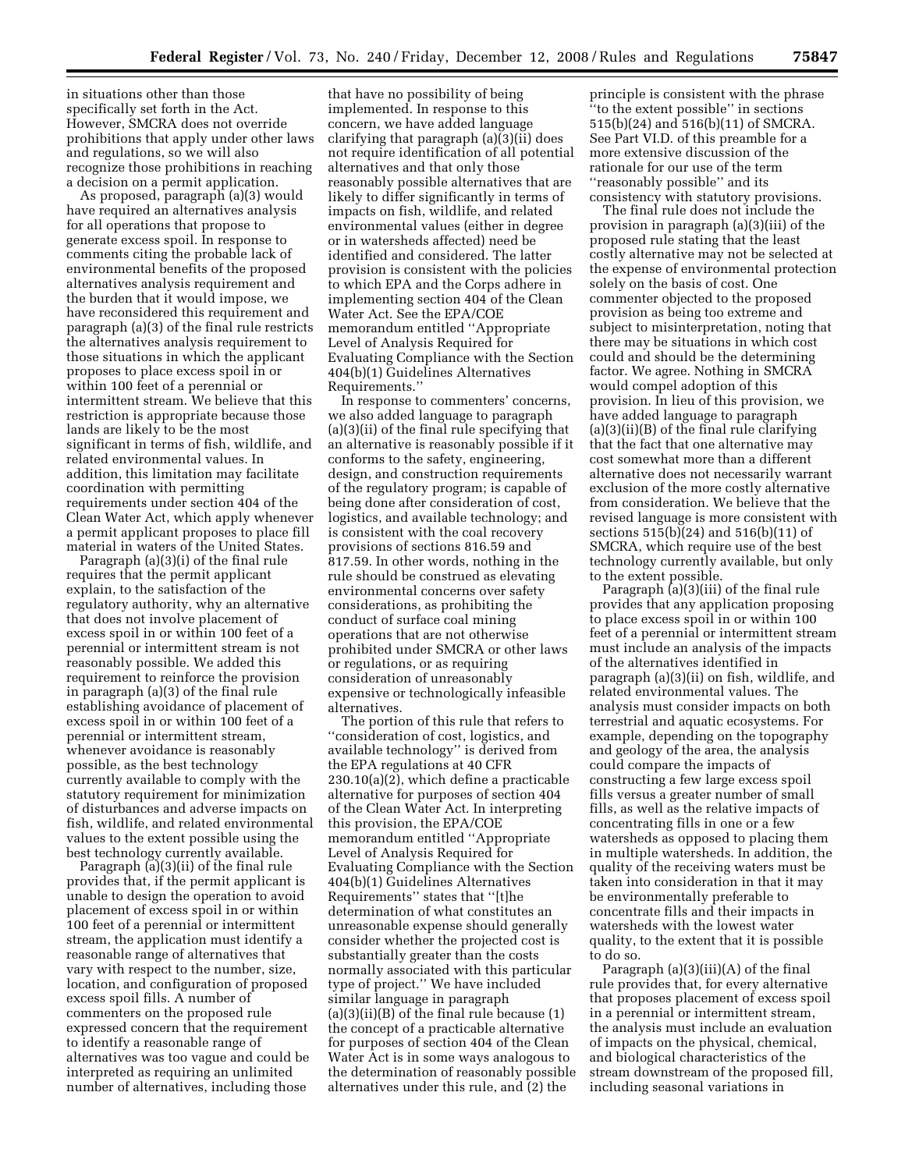in situations other than those specifically set forth in the Act. However, SMCRA does not override prohibitions that apply under other laws and regulations, so we will also recognize those prohibitions in reaching a decision on a permit application.

As proposed, paragraph (a)(3) would have required an alternatives analysis for all operations that propose to generate excess spoil. In response to comments citing the probable lack of environmental benefits of the proposed alternatives analysis requirement and the burden that it would impose, we have reconsidered this requirement and paragraph (a)(3) of the final rule restricts the alternatives analysis requirement to those situations in which the applicant proposes to place excess spoil in or within 100 feet of a perennial or intermittent stream. We believe that this restriction is appropriate because those lands are likely to be the most significant in terms of fish, wildlife, and related environmental values. In addition, this limitation may facilitate coordination with permitting requirements under section 404 of the Clean Water Act, which apply whenever a permit applicant proposes to place fill material in waters of the United States.

Paragraph (a)(3)(i) of the final rule requires that the permit applicant explain, to the satisfaction of the regulatory authority, why an alternative that does not involve placement of excess spoil in or within 100 feet of a perennial or intermittent stream is not reasonably possible. We added this requirement to reinforce the provision in paragraph (a)(3) of the final rule establishing avoidance of placement of excess spoil in or within 100 feet of a perennial or intermittent stream, whenever avoidance is reasonably possible, as the best technology currently available to comply with the statutory requirement for minimization of disturbances and adverse impacts on fish, wildlife, and related environmental values to the extent possible using the best technology currently available.

Paragraph (a)(3)(ii) of the final rule provides that, if the permit applicant is unable to design the operation to avoid placement of excess spoil in or within 100 feet of a perennial or intermittent stream, the application must identify a reasonable range of alternatives that vary with respect to the number, size, location, and configuration of proposed excess spoil fills. A number of commenters on the proposed rule expressed concern that the requirement to identify a reasonable range of alternatives was too vague and could be interpreted as requiring an unlimited number of alternatives, including those

that have no possibility of being implemented. In response to this concern, we have added language clarifying that paragraph (a)(3)(ii) does not require identification of all potential alternatives and that only those reasonably possible alternatives that are likely to differ significantly in terms of impacts on fish, wildlife, and related environmental values (either in degree or in watersheds affected) need be identified and considered. The latter provision is consistent with the policies to which EPA and the Corps adhere in implementing section 404 of the Clean Water Act. See the EPA/COE memorandum entitled ''Appropriate Level of Analysis Required for Evaluating Compliance with the Section 404(b)(1) Guidelines Alternatives Requirements.''

In response to commenters' concerns, we also added language to paragraph (a)(3)(ii) of the final rule specifying that an alternative is reasonably possible if it conforms to the safety, engineering, design, and construction requirements of the regulatory program; is capable of being done after consideration of cost, logistics, and available technology; and is consistent with the coal recovery provisions of sections 816.59 and 817.59. In other words, nothing in the rule should be construed as elevating environmental concerns over safety considerations, as prohibiting the conduct of surface coal mining operations that are not otherwise prohibited under SMCRA or other laws or regulations, or as requiring consideration of unreasonably expensive or technologically infeasible alternatives.

The portion of this rule that refers to ''consideration of cost, logistics, and available technology'' is derived from the EPA regulations at 40 CFR 230.10(a)(2), which define a practicable alternative for purposes of section 404 of the Clean Water Act. In interpreting this provision, the EPA/COE memorandum entitled ''Appropriate Level of Analysis Required for Evaluating Compliance with the Section 404(b)(1) Guidelines Alternatives Requirements'' states that ''[t]he determination of what constitutes an unreasonable expense should generally consider whether the projected cost is substantially greater than the costs normally associated with this particular type of project.'' We have included similar language in paragraph  $(a)(3)(ii)(B)$  of the final rule because  $(1)$ the concept of a practicable alternative for purposes of section 404 of the Clean Water Act is in some ways analogous to the determination of reasonably possible alternatives under this rule, and (2) the

principle is consistent with the phrase ''to the extent possible'' in sections 515(b)(24) and 516(b)(11) of SMCRA. See Part VI.D. of this preamble for a more extensive discussion of the rationale for our use of the term ''reasonably possible'' and its consistency with statutory provisions.

The final rule does not include the provision in paragraph (a)(3)(iii) of the proposed rule stating that the least costly alternative may not be selected at the expense of environmental protection solely on the basis of cost. One commenter objected to the proposed provision as being too extreme and subject to misinterpretation, noting that there may be situations in which cost could and should be the determining factor. We agree. Nothing in SMCRA would compel adoption of this provision. In lieu of this provision, we have added language to paragraph (a)(3)(ii)(B) of the final rule clarifying that the fact that one alternative may cost somewhat more than a different alternative does not necessarily warrant exclusion of the more costly alternative from consideration. We believe that the revised language is more consistent with sections 515(b)(24) and 516(b)(11) of SMCRA, which require use of the best technology currently available, but only to the extent possible.

Paragraph (a)(3)(iii) of the final rule provides that any application proposing to place excess spoil in or within 100 feet of a perennial or intermittent stream must include an analysis of the impacts of the alternatives identified in paragraph (a)(3)(ii) on fish, wildlife, and related environmental values. The analysis must consider impacts on both terrestrial and aquatic ecosystems. For example, depending on the topography and geology of the area, the analysis could compare the impacts of constructing a few large excess spoil fills versus a greater number of small fills, as well as the relative impacts of concentrating fills in one or a few watersheds as opposed to placing them in multiple watersheds. In addition, the quality of the receiving waters must be taken into consideration in that it may be environmentally preferable to concentrate fills and their impacts in watersheds with the lowest water quality, to the extent that it is possible to do so.

Paragraph  $(a)(3)(iii)(A)$  of the final rule provides that, for every alternative that proposes placement of excess spoil in a perennial or intermittent stream, the analysis must include an evaluation of impacts on the physical, chemical, and biological characteristics of the stream downstream of the proposed fill, including seasonal variations in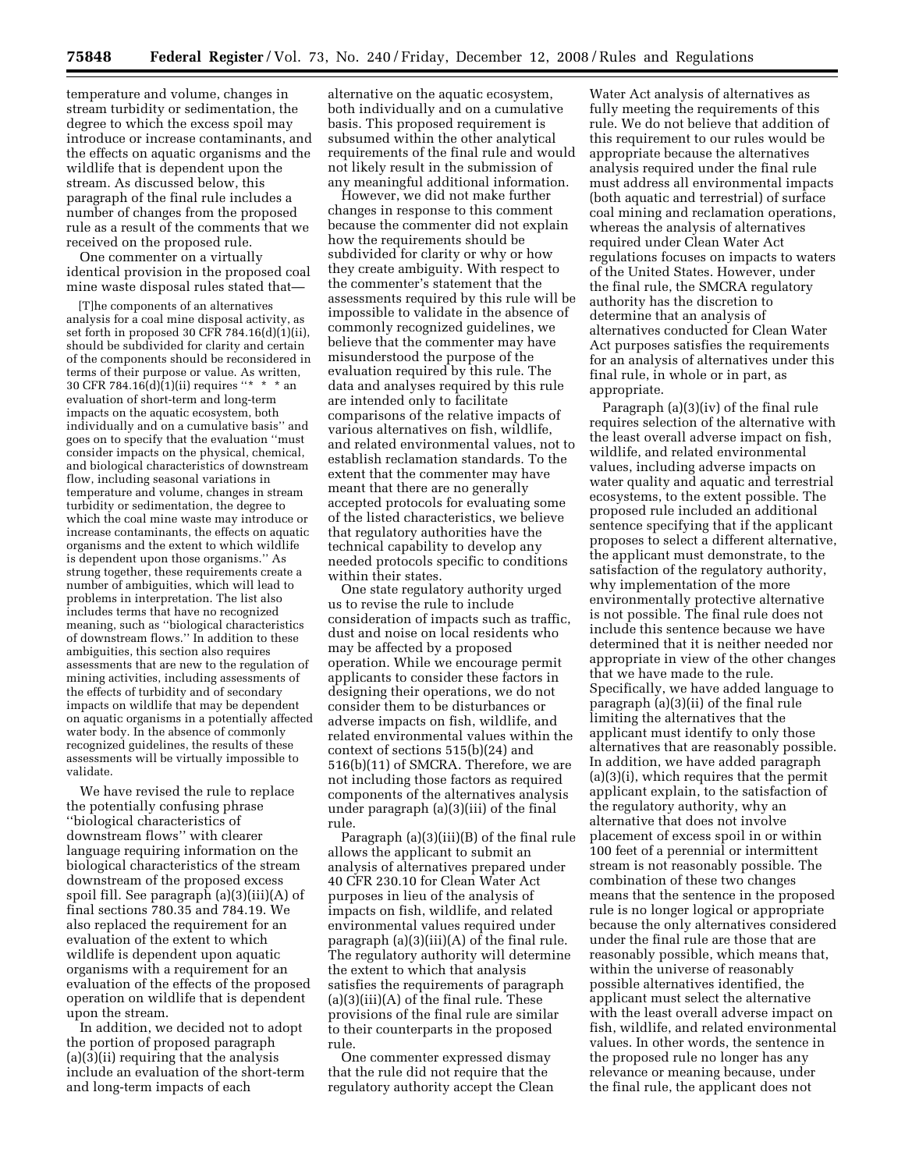temperature and volume, changes in stream turbidity or sedimentation, the degree to which the excess spoil may introduce or increase contaminants, and the effects on aquatic organisms and the wildlife that is dependent upon the stream. As discussed below, this paragraph of the final rule includes a number of changes from the proposed rule as a result of the comments that we received on the proposed rule.

One commenter on a virtually identical provision in the proposed coal mine waste disposal rules stated that—

[T]he components of an alternatives analysis for a coal mine disposal activity, as set forth in proposed 30 CFR 784.16(d)(1)(ii), should be subdivided for clarity and certain of the components should be reconsidered in terms of their purpose or value. As written, 30 CFR 784.16(d) $(1)(ii)$  requires "\* \* \* an evaluation of short-term and long-term impacts on the aquatic ecosystem, both individually and on a cumulative basis'' and goes on to specify that the evaluation ''must consider impacts on the physical, chemical, and biological characteristics of downstream flow, including seasonal variations in temperature and volume, changes in stream turbidity or sedimentation, the degree to which the coal mine waste may introduce or increase contaminants, the effects on aquatic organisms and the extent to which wildlife is dependent upon those organisms.'' As strung together, these requirements create a number of ambiguities, which will lead to problems in interpretation. The list also includes terms that have no recognized meaning, such as ''biological characteristics of downstream flows.'' In addition to these ambiguities, this section also requires assessments that are new to the regulation of mining activities, including assessments of the effects of turbidity and of secondary impacts on wildlife that may be dependent on aquatic organisms in a potentially affected water body. In the absence of commonly recognized guidelines, the results of these assessments will be virtually impossible to validate.

We have revised the rule to replace the potentially confusing phrase ''biological characteristics of downstream flows'' with clearer language requiring information on the biological characteristics of the stream downstream of the proposed excess spoil fill. See paragraph (a)(3)(iii)(A) of final sections 780.35 and 784.19. We also replaced the requirement for an evaluation of the extent to which wildlife is dependent upon aquatic organisms with a requirement for an evaluation of the effects of the proposed operation on wildlife that is dependent upon the stream.

In addition, we decided not to adopt the portion of proposed paragraph (a)(3)(ii) requiring that the analysis include an evaluation of the short-term and long-term impacts of each

alternative on the aquatic ecosystem, both individually and on a cumulative basis. This proposed requirement is subsumed within the other analytical requirements of the final rule and would not likely result in the submission of any meaningful additional information.

However, we did not make further changes in response to this comment because the commenter did not explain how the requirements should be subdivided for clarity or why or how they create ambiguity. With respect to the commenter's statement that the assessments required by this rule will be impossible to validate in the absence of commonly recognized guidelines, we believe that the commenter may have misunderstood the purpose of the evaluation required by this rule. The data and analyses required by this rule are intended only to facilitate comparisons of the relative impacts of various alternatives on fish, wildlife, and related environmental values, not to establish reclamation standards. To the extent that the commenter may have meant that there are no generally accepted protocols for evaluating some of the listed characteristics, we believe that regulatory authorities have the technical capability to develop any needed protocols specific to conditions within their states.

One state regulatory authority urged us to revise the rule to include consideration of impacts such as traffic, dust and noise on local residents who may be affected by a proposed operation. While we encourage permit applicants to consider these factors in designing their operations, we do not consider them to be disturbances or adverse impacts on fish, wildlife, and related environmental values within the context of sections 515(b)(24) and 516(b)(11) of SMCRA. Therefore, we are not including those factors as required components of the alternatives analysis under paragraph (a)(3)(iii) of the final rule.

Paragraph (a)(3)(iii)(B) of the final rule allows the applicant to submit an analysis of alternatives prepared under 40 CFR 230.10 for Clean Water Act purposes in lieu of the analysis of impacts on fish, wildlife, and related environmental values required under paragraph (a)(3)(iii)(A) of the final rule. The regulatory authority will determine the extent to which that analysis satisfies the requirements of paragraph  $(a)(3)(iii)(A)$  of the final rule. These provisions of the final rule are similar to their counterparts in the proposed rule.

One commenter expressed dismay that the rule did not require that the regulatory authority accept the Clean

Water Act analysis of alternatives as fully meeting the requirements of this rule. We do not believe that addition of this requirement to our rules would be appropriate because the alternatives analysis required under the final rule must address all environmental impacts (both aquatic and terrestrial) of surface coal mining and reclamation operations, whereas the analysis of alternatives required under Clean Water Act regulations focuses on impacts to waters of the United States. However, under the final rule, the SMCRA regulatory authority has the discretion to determine that an analysis of alternatives conducted for Clean Water Act purposes satisfies the requirements for an analysis of alternatives under this final rule, in whole or in part, as appropriate.

Paragraph (a)(3)(iv) of the final rule requires selection of the alternative with the least overall adverse impact on fish, wildlife, and related environmental values, including adverse impacts on water quality and aquatic and terrestrial ecosystems, to the extent possible. The proposed rule included an additional sentence specifying that if the applicant proposes to select a different alternative, the applicant must demonstrate, to the satisfaction of the regulatory authority, why implementation of the more environmentally protective alternative is not possible. The final rule does not include this sentence because we have determined that it is neither needed nor appropriate in view of the other changes that we have made to the rule. Specifically, we have added language to paragraph (a)(3)(ii) of the final rule limiting the alternatives that the applicant must identify to only those alternatives that are reasonably possible. In addition, we have added paragraph (a)(3)(i), which requires that the permit applicant explain, to the satisfaction of the regulatory authority, why an alternative that does not involve placement of excess spoil in or within 100 feet of a perennial or intermittent stream is not reasonably possible. The combination of these two changes means that the sentence in the proposed rule is no longer logical or appropriate because the only alternatives considered under the final rule are those that are reasonably possible, which means that, within the universe of reasonably possible alternatives identified, the applicant must select the alternative with the least overall adverse impact on fish, wildlife, and related environmental values. In other words, the sentence in the proposed rule no longer has any relevance or meaning because, under the final rule, the applicant does not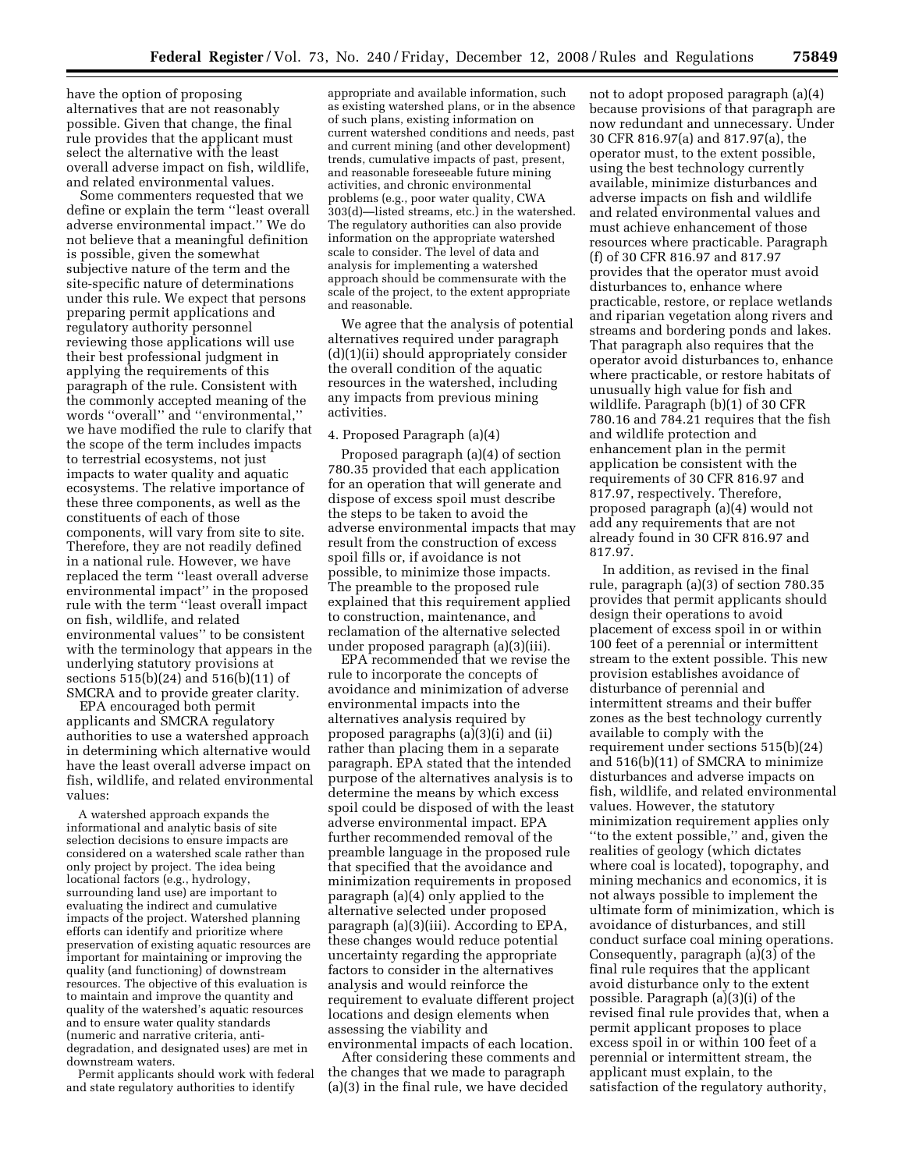have the option of proposing alternatives that are not reasonably possible. Given that change, the final rule provides that the applicant must select the alternative with the least overall adverse impact on fish, wildlife, and related environmental values.

Some commenters requested that we define or explain the term ''least overall adverse environmental impact.'' We do not believe that a meaningful definition is possible, given the somewhat subjective nature of the term and the site-specific nature of determinations under this rule. We expect that persons preparing permit applications and regulatory authority personnel reviewing those applications will use their best professional judgment in applying the requirements of this paragraph of the rule. Consistent with the commonly accepted meaning of the words ''overall'' and ''environmental,'' we have modified the rule to clarify that the scope of the term includes impacts to terrestrial ecosystems, not just impacts to water quality and aquatic ecosystems. The relative importance of these three components, as well as the constituents of each of those components, will vary from site to site. Therefore, they are not readily defined in a national rule. However, we have replaced the term ''least overall adverse environmental impact'' in the proposed rule with the term ''least overall impact on fish, wildlife, and related environmental values'' to be consistent with the terminology that appears in the underlying statutory provisions at sections 515(b)(24) and 516(b)(11) of SMCRA and to provide greater clarity.

EPA encouraged both permit applicants and SMCRA regulatory authorities to use a watershed approach in determining which alternative would have the least overall adverse impact on fish, wildlife, and related environmental values:

A watershed approach expands the informational and analytic basis of site selection decisions to ensure impacts are considered on a watershed scale rather than only project by project. The idea being locational factors (e.g., hydrology, surrounding land use) are important to evaluating the indirect and cumulative impacts of the project. Watershed planning efforts can identify and prioritize where preservation of existing aquatic resources are important for maintaining or improving the quality (and functioning) of downstream resources. The objective of this evaluation is to maintain and improve the quantity and quality of the watershed's aquatic resources and to ensure water quality standards (numeric and narrative criteria, antidegradation, and designated uses) are met in downstream waters.

Permit applicants should work with federal and state regulatory authorities to identify

appropriate and available information, such as existing watershed plans, or in the absence of such plans, existing information on current watershed conditions and needs, past and current mining (and other development) trends, cumulative impacts of past, present, and reasonable foreseeable future mining activities, and chronic environmental problems (e.g., poor water quality, CWA 303(d)—listed streams, etc.) in the watershed. The regulatory authorities can also provide information on the appropriate watershed scale to consider. The level of data and analysis for implementing a watershed approach should be commensurate with the scale of the project, to the extent appropriate and reasonable.

We agree that the analysis of potential alternatives required under paragraph (d)(1)(ii) should appropriately consider the overall condition of the aquatic resources in the watershed, including any impacts from previous mining activities.

### 4. Proposed Paragraph (a)(4)

Proposed paragraph (a)(4) of section 780.35 provided that each application for an operation that will generate and dispose of excess spoil must describe the steps to be taken to avoid the adverse environmental impacts that may result from the construction of excess spoil fills or, if avoidance is not possible, to minimize those impacts. The preamble to the proposed rule explained that this requirement applied to construction, maintenance, and reclamation of the alternative selected under proposed paragraph (a)(3)(iii).

EPA recommended that we revise the rule to incorporate the concepts of avoidance and minimization of adverse environmental impacts into the alternatives analysis required by proposed paragraphs (a)(3)(i) and (ii) rather than placing them in a separate paragraph. EPA stated that the intended purpose of the alternatives analysis is to determine the means by which excess spoil could be disposed of with the least adverse environmental impact. EPA further recommended removal of the preamble language in the proposed rule that specified that the avoidance and minimization requirements in proposed paragraph (a)(4) only applied to the alternative selected under proposed paragraph (a)(3)(iii). According to EPA, these changes would reduce potential uncertainty regarding the appropriate factors to consider in the alternatives analysis and would reinforce the requirement to evaluate different project locations and design elements when assessing the viability and environmental impacts of each location.

After considering these comments and the changes that we made to paragraph (a)(3) in the final rule, we have decided

not to adopt proposed paragraph (a)(4) because provisions of that paragraph are now redundant and unnecessary. Under 30 CFR 816.97(a) and 817.97(a), the operator must, to the extent possible, using the best technology currently available, minimize disturbances and adverse impacts on fish and wildlife and related environmental values and must achieve enhancement of those resources where practicable. Paragraph (f) of 30 CFR 816.97 and 817.97 provides that the operator must avoid disturbances to, enhance where practicable, restore, or replace wetlands and riparian vegetation along rivers and streams and bordering ponds and lakes. That paragraph also requires that the operator avoid disturbances to, enhance where practicable, or restore habitats of unusually high value for fish and wildlife. Paragraph (b)(1) of 30 CFR 780.16 and 784.21 requires that the fish and wildlife protection and enhancement plan in the permit application be consistent with the requirements of 30 CFR 816.97 and 817.97, respectively. Therefore, proposed paragraph (a)(4) would not add any requirements that are not already found in 30 CFR 816.97 and 817.97.

In addition, as revised in the final rule, paragraph (a)(3) of section 780.35 provides that permit applicants should design their operations to avoid placement of excess spoil in or within 100 feet of a perennial or intermittent stream to the extent possible. This new provision establishes avoidance of disturbance of perennial and intermittent streams and their buffer zones as the best technology currently available to comply with the requirement under sections 515(b)(24) and 516(b)(11) of SMCRA to minimize disturbances and adverse impacts on fish, wildlife, and related environmental values. However, the statutory minimization requirement applies only ''to the extent possible,'' and, given the realities of geology (which dictates where coal is located), topography, and mining mechanics and economics, it is not always possible to implement the ultimate form of minimization, which is avoidance of disturbances, and still conduct surface coal mining operations. Consequently, paragraph (a)(3) of the final rule requires that the applicant avoid disturbance only to the extent possible. Paragraph (a)(3)(i) of the revised final rule provides that, when a permit applicant proposes to place excess spoil in or within 100 feet of a perennial or intermittent stream, the applicant must explain, to the satisfaction of the regulatory authority,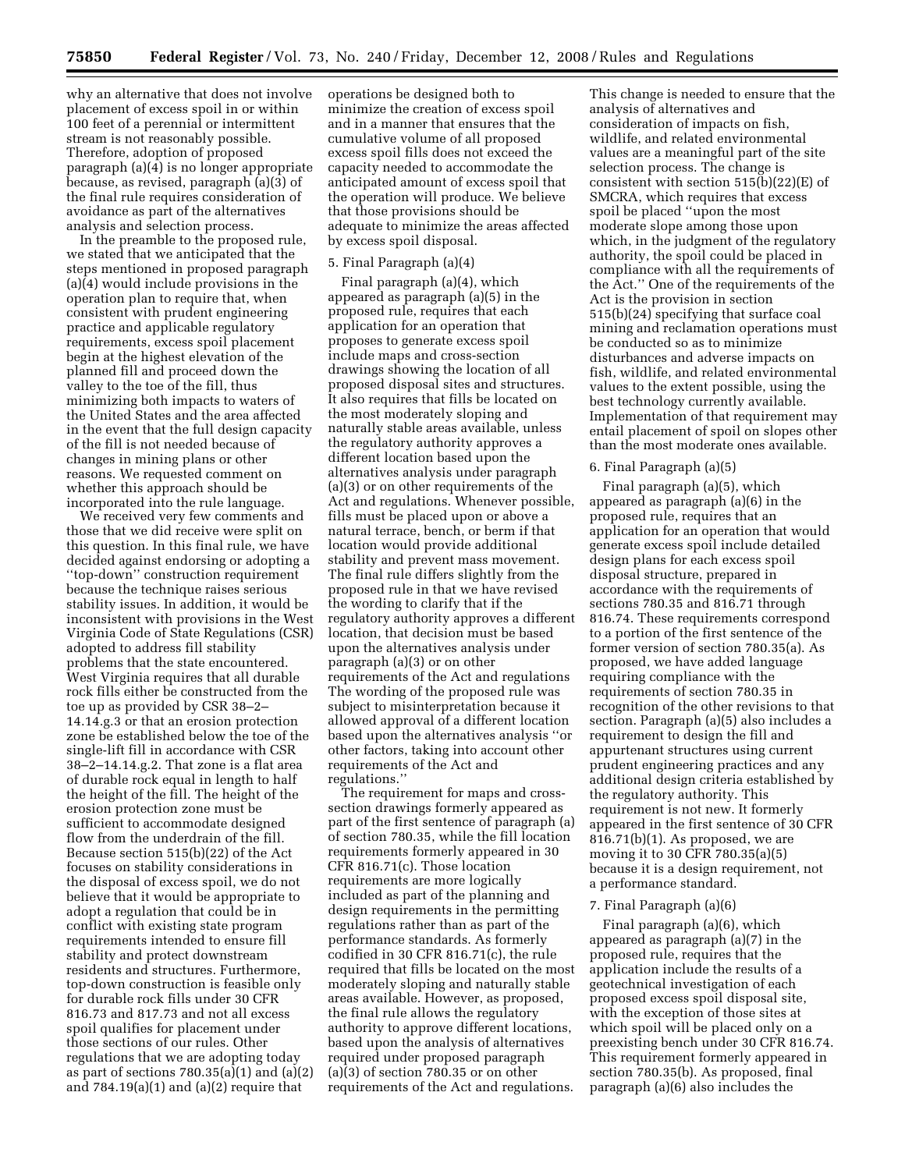why an alternative that does not involve placement of excess spoil in or within 100 feet of a perennial or intermittent stream is not reasonably possible. Therefore, adoption of proposed paragraph (a)(4) is no longer appropriate because, as revised, paragraph (a)(3) of the final rule requires consideration of avoidance as part of the alternatives analysis and selection process.

In the preamble to the proposed rule, we stated that we anticipated that the steps mentioned in proposed paragraph (a)(4) would include provisions in the operation plan to require that, when consistent with prudent engineering practice and applicable regulatory requirements, excess spoil placement begin at the highest elevation of the planned fill and proceed down the valley to the toe of the fill, thus minimizing both impacts to waters of the United States and the area affected in the event that the full design capacity of the fill is not needed because of changes in mining plans or other reasons. We requested comment on whether this approach should be incorporated into the rule language.

We received very few comments and those that we did receive were split on this question. In this final rule, we have decided against endorsing or adopting a ''top-down'' construction requirement because the technique raises serious stability issues. In addition, it would be inconsistent with provisions in the West Virginia Code of State Regulations (CSR) adopted to address fill stability problems that the state encountered. West Virginia requires that all durable rock fills either be constructed from the toe up as provided by CSR 38–2– 14.14.g.3 or that an erosion protection zone be established below the toe of the single-lift fill in accordance with CSR 38–2–14.14.g.2. That zone is a flat area of durable rock equal in length to half the height of the fill. The height of the erosion protection zone must be sufficient to accommodate designed flow from the underdrain of the fill. Because section 515(b)(22) of the Act focuses on stability considerations in the disposal of excess spoil, we do not believe that it would be appropriate to adopt a regulation that could be in conflict with existing state program requirements intended to ensure fill stability and protect downstream residents and structures. Furthermore, top-down construction is feasible only for durable rock fills under 30 CFR 816.73 and 817.73 and not all excess spoil qualifies for placement under those sections of our rules. Other regulations that we are adopting today as part of sections  $780.35(a)(1)$  and  $(a)(2)$ and  $784.19(a)(1)$  and  $(a)(2)$  require that

operations be designed both to minimize the creation of excess spoil and in a manner that ensures that the cumulative volume of all proposed excess spoil fills does not exceed the capacity needed to accommodate the anticipated amount of excess spoil that the operation will produce. We believe that those provisions should be adequate to minimize the areas affected by excess spoil disposal.

#### 5. Final Paragraph (a)(4)

Final paragraph (a)(4), which appeared as paragraph (a)(5) in the proposed rule, requires that each application for an operation that proposes to generate excess spoil include maps and cross-section drawings showing the location of all proposed disposal sites and structures. It also requires that fills be located on the most moderately sloping and naturally stable areas available, unless the regulatory authority approves a different location based upon the alternatives analysis under paragraph (a)(3) or on other requirements of the Act and regulations. Whenever possible, fills must be placed upon or above a natural terrace, bench, or berm if that location would provide additional stability and prevent mass movement. The final rule differs slightly from the proposed rule in that we have revised the wording to clarify that if the regulatory authority approves a different location, that decision must be based upon the alternatives analysis under paragraph (a)(3) or on other requirements of the Act and regulations The wording of the proposed rule was subject to misinterpretation because it allowed approval of a different location based upon the alternatives analysis ''or other factors, taking into account other requirements of the Act and regulations.''

The requirement for maps and crosssection drawings formerly appeared as part of the first sentence of paragraph (a) of section 780.35, while the fill location requirements formerly appeared in 30 CFR 816.71(c). Those location requirements are more logically included as part of the planning and design requirements in the permitting regulations rather than as part of the performance standards. As formerly codified in 30 CFR 816.71(c), the rule required that fills be located on the most moderately sloping and naturally stable areas available. However, as proposed, the final rule allows the regulatory authority to approve different locations, based upon the analysis of alternatives required under proposed paragraph  $(a)(3)$  of section 780.35 or on other requirements of the Act and regulations.

This change is needed to ensure that the analysis of alternatives and consideration of impacts on fish, wildlife, and related environmental values are a meaningful part of the site selection process. The change is consistent with section 515(b)(22)(E) of SMCRA, which requires that excess spoil be placed ''upon the most moderate slope among those upon which, in the judgment of the regulatory authority, the spoil could be placed in compliance with all the requirements of the Act.'' One of the requirements of the Act is the provision in section 515(b)(24) specifying that surface coal mining and reclamation operations must be conducted so as to minimize disturbances and adverse impacts on fish, wildlife, and related environmental values to the extent possible, using the best technology currently available. Implementation of that requirement may entail placement of spoil on slopes other than the most moderate ones available.

#### 6. Final Paragraph (a)(5)

Final paragraph (a)(5), which appeared as paragraph (a)(6) in the proposed rule, requires that an application for an operation that would generate excess spoil include detailed design plans for each excess spoil disposal structure, prepared in accordance with the requirements of sections 780.35 and 816.71 through 816.74. These requirements correspond to a portion of the first sentence of the former version of section 780.35(a). As proposed, we have added language requiring compliance with the requirements of section 780.35 in recognition of the other revisions to that section. Paragraph (a)(5) also includes a requirement to design the fill and appurtenant structures using current prudent engineering practices and any additional design criteria established by the regulatory authority. This requirement is not new. It formerly appeared in the first sentence of 30 CFR  $816.71(b)(1)$ . As proposed, we are moving it to 30 CFR 780.35(a)(5) because it is a design requirement, not a performance standard.

#### 7. Final Paragraph (a)(6)

Final paragraph (a)(6), which appeared as paragraph (a)(7) in the proposed rule, requires that the application include the results of a geotechnical investigation of each proposed excess spoil disposal site, with the exception of those sites at which spoil will be placed only on a preexisting bench under 30 CFR 816.74. This requirement formerly appeared in section 780.35(b). As proposed, final paragraph (a)(6) also includes the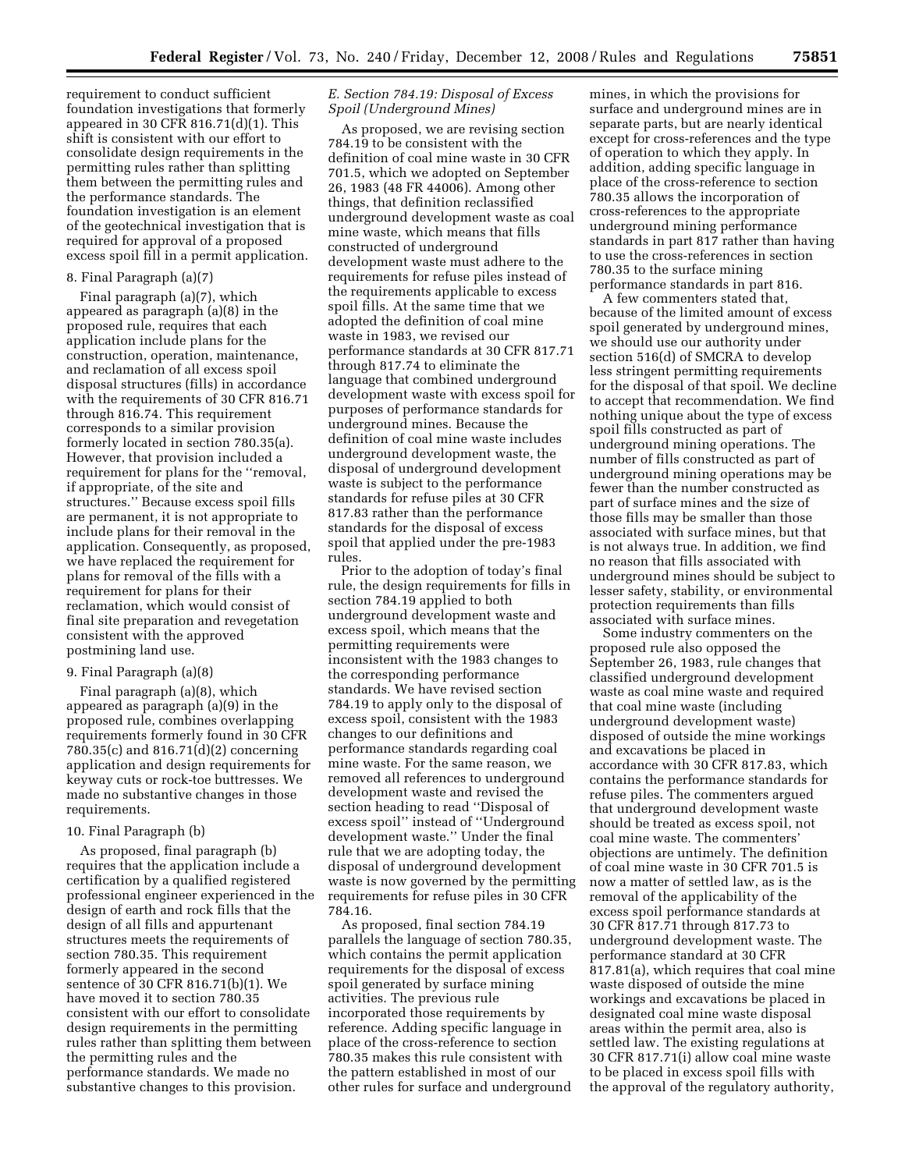requirement to conduct sufficient foundation investigations that formerly appeared in 30 CFR 816.71(d)(1). This shift is consistent with our effort to consolidate design requirements in the permitting rules rather than splitting them between the permitting rules and the performance standards. The foundation investigation is an element of the geotechnical investigation that is required for approval of a proposed excess spoil fill in a permit application.

# 8. Final Paragraph (a)(7)

Final paragraph (a)(7), which appeared as paragraph (a)(8) in the proposed rule, requires that each application include plans for the construction, operation, maintenance, and reclamation of all excess spoil disposal structures (fills) in accordance with the requirements of 30 CFR 816.71 through 816.74. This requirement corresponds to a similar provision formerly located in section 780.35(a). However, that provision included a requirement for plans for the ''removal, if appropriate, of the site and structures.'' Because excess spoil fills are permanent, it is not appropriate to include plans for their removal in the application. Consequently, as proposed, we have replaced the requirement for plans for removal of the fills with a requirement for plans for their reclamation, which would consist of final site preparation and revegetation consistent with the approved postmining land use.

### 9. Final Paragraph (a)(8)

Final paragraph (a)(8), which appeared as paragraph (a)(9) in the proposed rule, combines overlapping requirements formerly found in 30 CFR 780.35(c) and 816.71(d)(2) concerning application and design requirements for keyway cuts or rock-toe buttresses. We made no substantive changes in those requirements.

### 10. Final Paragraph (b)

As proposed, final paragraph (b) requires that the application include a certification by a qualified registered professional engineer experienced in the design of earth and rock fills that the design of all fills and appurtenant structures meets the requirements of section 780.35. This requirement formerly appeared in the second sentence of 30 CFR 816.71(b)(1). We have moved it to section 780.35 consistent with our effort to consolidate design requirements in the permitting rules rather than splitting them between the permitting rules and the performance standards. We made no substantive changes to this provision.

# *E. Section 784.19: Disposal of Excess Spoil (Underground Mines)*

As proposed, we are revising section 784.19 to be consistent with the definition of coal mine waste in 30 CFR 701.5, which we adopted on September 26, 1983 (48 FR 44006). Among other things, that definition reclassified underground development waste as coal mine waste, which means that fills constructed of underground development waste must adhere to the requirements for refuse piles instead of the requirements applicable to excess spoil fills. At the same time that we adopted the definition of coal mine waste in 1983, we revised our performance standards at 30 CFR 817.71 through 817.74 to eliminate the language that combined underground development waste with excess spoil for purposes of performance standards for underground mines. Because the definition of coal mine waste includes underground development waste, the disposal of underground development waste is subject to the performance standards for refuse piles at 30 CFR 817.83 rather than the performance standards for the disposal of excess spoil that applied under the pre-1983 rules.

Prior to the adoption of today's final rule, the design requirements for fills in section 784.19 applied to both underground development waste and excess spoil, which means that the permitting requirements were inconsistent with the 1983 changes to the corresponding performance standards. We have revised section 784.19 to apply only to the disposal of excess spoil, consistent with the 1983 changes to our definitions and performance standards regarding coal mine waste. For the same reason, we removed all references to underground development waste and revised the section heading to read ''Disposal of excess spoil'' instead of ''Underground development waste.'' Under the final rule that we are adopting today, the disposal of underground development waste is now governed by the permitting requirements for refuse piles in 30 CFR 784.16.

As proposed, final section 784.19 parallels the language of section 780.35, which contains the permit application requirements for the disposal of excess spoil generated by surface mining activities. The previous rule incorporated those requirements by reference. Adding specific language in place of the cross-reference to section 780.35 makes this rule consistent with the pattern established in most of our other rules for surface and underground mines, in which the provisions for surface and underground mines are in separate parts, but are nearly identical except for cross-references and the type of operation to which they apply. In addition, adding specific language in place of the cross-reference to section 780.35 allows the incorporation of cross-references to the appropriate underground mining performance standards in part 817 rather than having to use the cross-references in section 780.35 to the surface mining performance standards in part 816.

A few commenters stated that, because of the limited amount of excess spoil generated by underground mines, we should use our authority under section 516(d) of SMCRA to develop less stringent permitting requirements for the disposal of that spoil. We decline to accept that recommendation. We find nothing unique about the type of excess spoil fills constructed as part of underground mining operations. The number of fills constructed as part of underground mining operations may be fewer than the number constructed as part of surface mines and the size of those fills may be smaller than those associated with surface mines, but that is not always true. In addition, we find no reason that fills associated with underground mines should be subject to lesser safety, stability, or environmental protection requirements than fills associated with surface mines.

Some industry commenters on the proposed rule also opposed the September 26, 1983, rule changes that classified underground development waste as coal mine waste and required that coal mine waste (including underground development waste) disposed of outside the mine workings and excavations be placed in accordance with 30 CFR 817.83, which contains the performance standards for refuse piles. The commenters argued that underground development waste should be treated as excess spoil, not coal mine waste. The commenters' objections are untimely. The definition of coal mine waste in 30 CFR 701.5 is now a matter of settled law, as is the removal of the applicability of the excess spoil performance standards at 30 CFR 817.71 through 817.73 to underground development waste. The performance standard at 30 CFR 817.81(a), which requires that coal mine waste disposed of outside the mine workings and excavations be placed in designated coal mine waste disposal areas within the permit area, also is settled law. The existing regulations at 30 CFR 817.71(i) allow coal mine waste to be placed in excess spoil fills with the approval of the regulatory authority,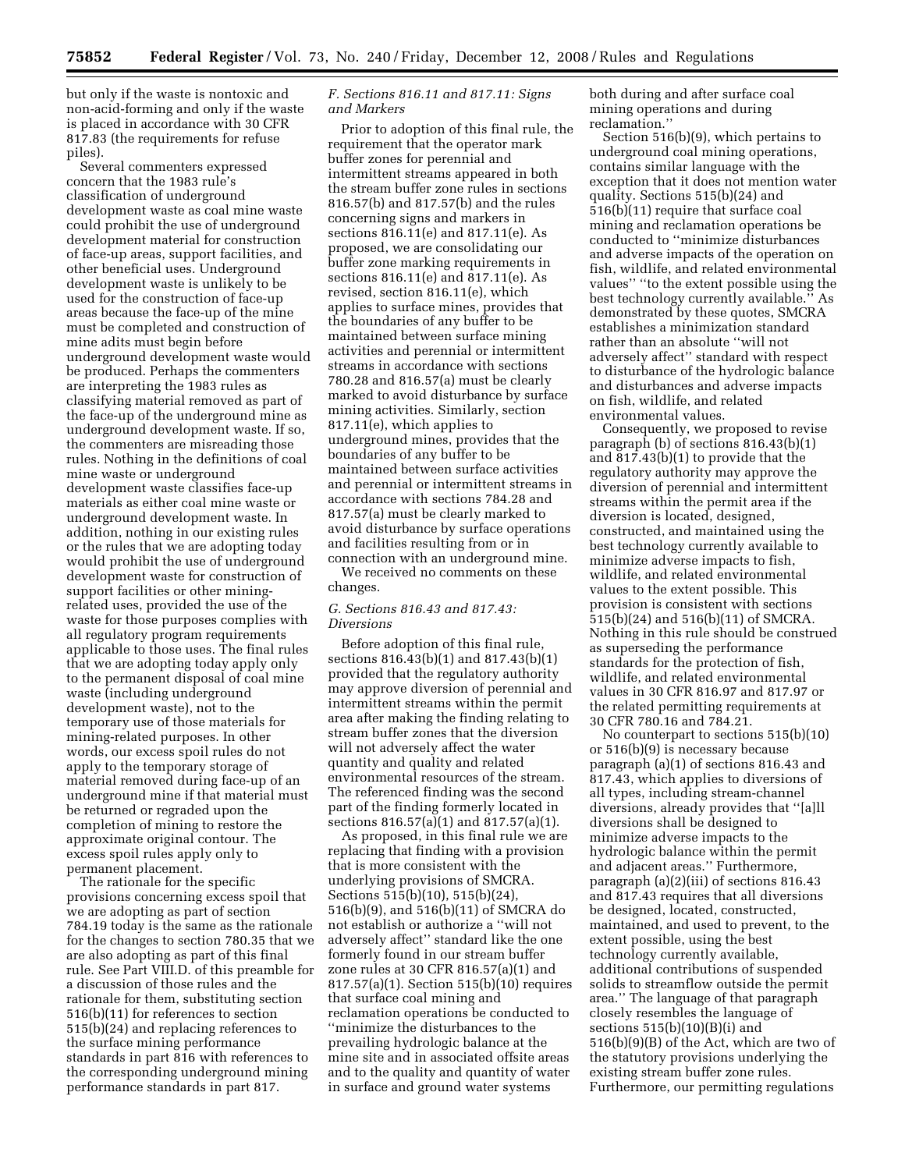but only if the waste is nontoxic and non-acid-forming and only if the waste is placed in accordance with 30 CFR 817.83 (the requirements for refuse piles).

Several commenters expressed concern that the 1983 rule's classification of underground development waste as coal mine waste could prohibit the use of underground development material for construction of face-up areas, support facilities, and other beneficial uses. Underground development waste is unlikely to be used for the construction of face-up areas because the face-up of the mine must be completed and construction of mine adits must begin before underground development waste would be produced. Perhaps the commenters are interpreting the 1983 rules as classifying material removed as part of the face-up of the underground mine as underground development waste. If so, the commenters are misreading those rules. Nothing in the definitions of coal mine waste or underground development waste classifies face-up materials as either coal mine waste or underground development waste. In addition, nothing in our existing rules or the rules that we are adopting today would prohibit the use of underground development waste for construction of support facilities or other miningrelated uses, provided the use of the waste for those purposes complies with all regulatory program requirements applicable to those uses. The final rules that we are adopting today apply only to the permanent disposal of coal mine waste (including underground development waste), not to the temporary use of those materials for mining-related purposes. In other words, our excess spoil rules do not apply to the temporary storage of material removed during face-up of an underground mine if that material must be returned or regraded upon the completion of mining to restore the approximate original contour. The excess spoil rules apply only to permanent placement.

The rationale for the specific provisions concerning excess spoil that we are adopting as part of section 784.19 today is the same as the rationale for the changes to section 780.35 that we are also adopting as part of this final rule. See Part VIII.D. of this preamble for a discussion of those rules and the rationale for them, substituting section 516(b)(11) for references to section 515(b)(24) and replacing references to the surface mining performance standards in part 816 with references to the corresponding underground mining performance standards in part 817.

# *F. Sections 816.11 and 817.11: Signs and Markers*

Prior to adoption of this final rule, the requirement that the operator mark buffer zones for perennial and intermittent streams appeared in both the stream buffer zone rules in sections 816.57(b) and 817.57(b) and the rules concerning signs and markers in sections 816.11(e) and 817.11(e). As proposed, we are consolidating our buffer zone marking requirements in sections 816.11(e) and 817.11(e). As revised, section 816.11(e), which applies to surface mines, provides that the boundaries of any buffer to be maintained between surface mining activities and perennial or intermittent streams in accordance with sections 780.28 and 816.57(a) must be clearly marked to avoid disturbance by surface mining activities. Similarly, section 817.11(e), which applies to underground mines, provides that the boundaries of any buffer to be maintained between surface activities and perennial or intermittent streams in accordance with sections 784.28 and 817.57(a) must be clearly marked to avoid disturbance by surface operations and facilities resulting from or in connection with an underground mine.

We received no comments on these changes.

# *G. Sections 816.43 and 817.43: Diversions*

Before adoption of this final rule, sections 816.43(b)(1) and 817.43(b)(1) provided that the regulatory authority may approve diversion of perennial and intermittent streams within the permit area after making the finding relating to stream buffer zones that the diversion will not adversely affect the water quantity and quality and related environmental resources of the stream. The referenced finding was the second part of the finding formerly located in sections 816.57(a)(1) and 817.57(a)(1).

As proposed, in this final rule we are replacing that finding with a provision that is more consistent with the underlying provisions of SMCRA. Sections 515(b)(10), 515(b)(24), 516(b)(9), and 516(b)(11) of SMCRA do not establish or authorize a ''will not adversely affect'' standard like the one formerly found in our stream buffer zone rules at 30 CFR 816.57(a)(1) and 817.57(a)(1). Section 515(b)(10) requires that surface coal mining and reclamation operations be conducted to ''minimize the disturbances to the prevailing hydrologic balance at the mine site and in associated offsite areas and to the quality and quantity of water in surface and ground water systems

both during and after surface coal mining operations and during reclamation.''

Section 516(b)(9), which pertains to underground coal mining operations, contains similar language with the exception that it does not mention water quality. Sections 515(b)(24) and 516(b)(11) require that surface coal mining and reclamation operations be conducted to ''minimize disturbances and adverse impacts of the operation on fish, wildlife, and related environmental values'' ''to the extent possible using the best technology currently available.'' As demonstrated by these quotes, SMCRA establishes a minimization standard rather than an absolute ''will not adversely affect'' standard with respect to disturbance of the hydrologic balance and disturbances and adverse impacts on fish, wildlife, and related environmental values.

Consequently, we proposed to revise paragraph (b) of sections 816.43(b)(1) and 817.43(b)(1) to provide that the regulatory authority may approve the diversion of perennial and intermittent streams within the permit area if the diversion is located, designed, constructed, and maintained using the best technology currently available to minimize adverse impacts to fish, wildlife, and related environmental values to the extent possible. This provision is consistent with sections 515(b)(24) and 516(b)(11) of SMCRA. Nothing in this rule should be construed as superseding the performance standards for the protection of fish, wildlife, and related environmental values in 30 CFR 816.97 and 817.97 or the related permitting requirements at 30 CFR 780.16 and 784.21.

No counterpart to sections 515(b)(10) or 516(b)(9) is necessary because paragraph (a)(1) of sections 816.43 and 817.43, which applies to diversions of all types, including stream-channel diversions, already provides that ''[a]ll diversions shall be designed to minimize adverse impacts to the hydrologic balance within the permit and adjacent areas.'' Furthermore, paragraph (a)(2)(iii) of sections 816.43 and 817.43 requires that all diversions be designed, located, constructed, maintained, and used to prevent, to the extent possible, using the best technology currently available, additional contributions of suspended solids to streamflow outside the permit area.'' The language of that paragraph closely resembles the language of sections  $515(b)(10)(B)(i)$  and 516(b)(9)(B) of the Act, which are two of the statutory provisions underlying the existing stream buffer zone rules. Furthermore, our permitting regulations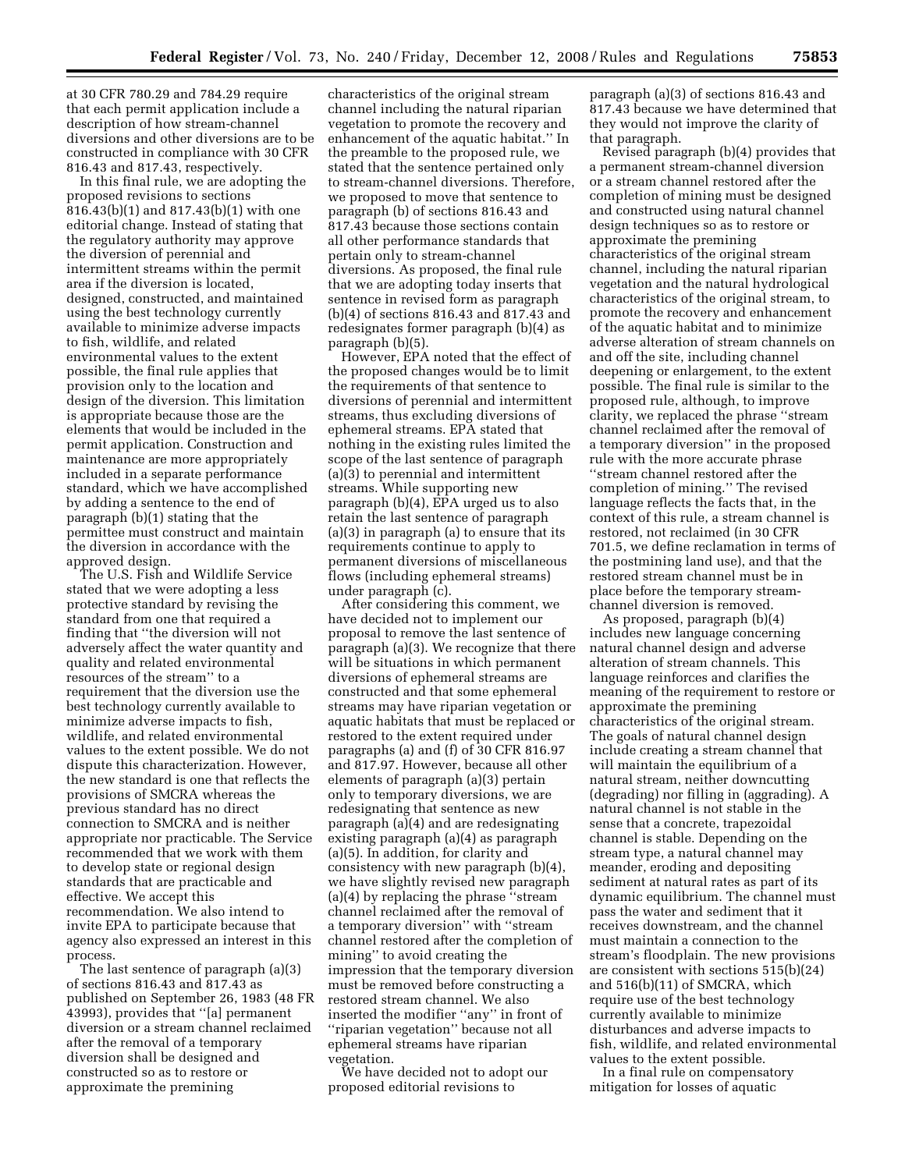at 30 CFR 780.29 and 784.29 require that each permit application include a description of how stream-channel diversions and other diversions are to be constructed in compliance with 30 CFR 816.43 and 817.43, respectively.

In this final rule, we are adopting the proposed revisions to sections 816.43(b)(1) and 817.43(b)(1) with one editorial change. Instead of stating that the regulatory authority may approve the diversion of perennial and intermittent streams within the permit area if the diversion is located, designed, constructed, and maintained using the best technology currently available to minimize adverse impacts to fish, wildlife, and related environmental values to the extent possible, the final rule applies that provision only to the location and design of the diversion. This limitation is appropriate because those are the elements that would be included in the permit application. Construction and maintenance are more appropriately included in a separate performance standard, which we have accomplished by adding a sentence to the end of paragraph (b)(1) stating that the permittee must construct and maintain the diversion in accordance with the approved design.

The U.S. Fish and Wildlife Service stated that we were adopting a less protective standard by revising the standard from one that required a finding that ''the diversion will not adversely affect the water quantity and quality and related environmental resources of the stream'' to a requirement that the diversion use the best technology currently available to minimize adverse impacts to fish, wildlife, and related environmental values to the extent possible. We do not dispute this characterization. However, the new standard is one that reflects the provisions of SMCRA whereas the previous standard has no direct connection to SMCRA and is neither appropriate nor practicable. The Service recommended that we work with them to develop state or regional design standards that are practicable and effective. We accept this recommendation. We also intend to invite EPA to participate because that agency also expressed an interest in this process.

The last sentence of paragraph (a)(3) of sections 816.43 and 817.43 as published on September 26, 1983 (48 FR 43993), provides that ''[a] permanent diversion or a stream channel reclaimed after the removal of a temporary diversion shall be designed and constructed so as to restore or approximate the premining

characteristics of the original stream channel including the natural riparian vegetation to promote the recovery and enhancement of the aquatic habitat.'' In the preamble to the proposed rule, we stated that the sentence pertained only to stream-channel diversions. Therefore, we proposed to move that sentence to paragraph (b) of sections 816.43 and 817.43 because those sections contain all other performance standards that pertain only to stream-channel diversions. As proposed, the final rule that we are adopting today inserts that sentence in revised form as paragraph (b)(4) of sections 816.43 and 817.43 and redesignates former paragraph (b)(4) as paragraph (b)(5).

However, EPA noted that the effect of the proposed changes would be to limit the requirements of that sentence to diversions of perennial and intermittent streams, thus excluding diversions of ephemeral streams. EPA stated that nothing in the existing rules limited the scope of the last sentence of paragraph (a)(3) to perennial and intermittent streams. While supporting new paragraph (b)(4), EPA urged us to also retain the last sentence of paragraph (a)(3) in paragraph (a) to ensure that its requirements continue to apply to permanent diversions of miscellaneous flows (including ephemeral streams) under paragraph (c).

After considering this comment, we have decided not to implement our proposal to remove the last sentence of paragraph (a)(3). We recognize that there will be situations in which permanent diversions of ephemeral streams are constructed and that some ephemeral streams may have riparian vegetation or aquatic habitats that must be replaced or restored to the extent required under paragraphs (a) and (f) of 30 CFR 816.97 and 817.97. However, because all other elements of paragraph (a)(3) pertain only to temporary diversions, we are redesignating that sentence as new paragraph  $(a)(4)$  and are redesignating existing paragraph (a)(4) as paragraph (a)(5). In addition, for clarity and consistency with new paragraph (b)(4), we have slightly revised new paragraph (a)(4) by replacing the phrase ''stream channel reclaimed after the removal of a temporary diversion'' with ''stream channel restored after the completion of mining'' to avoid creating the impression that the temporary diversion must be removed before constructing a restored stream channel. We also inserted the modifier ''any'' in front of ''riparian vegetation'' because not all ephemeral streams have riparian vegetation.

We have decided not to adopt our proposed editorial revisions to

paragraph (a)(3) of sections 816.43 and 817.43 because we have determined that they would not improve the clarity of that paragraph.

Revised paragraph (b)(4) provides that a permanent stream-channel diversion or a stream channel restored after the completion of mining must be designed and constructed using natural channel design techniques so as to restore or approximate the premining characteristics of the original stream channel, including the natural riparian vegetation and the natural hydrological characteristics of the original stream, to promote the recovery and enhancement of the aquatic habitat and to minimize adverse alteration of stream channels on and off the site, including channel deepening or enlargement, to the extent possible. The final rule is similar to the proposed rule, although, to improve clarity, we replaced the phrase ''stream channel reclaimed after the removal of a temporary diversion'' in the proposed rule with the more accurate phrase ''stream channel restored after the completion of mining.'' The revised language reflects the facts that, in the context of this rule, a stream channel is restored, not reclaimed (in 30 CFR 701.5, we define reclamation in terms of the postmining land use), and that the restored stream channel must be in place before the temporary streamchannel diversion is removed.

As proposed, paragraph (b)(4) includes new language concerning natural channel design and adverse alteration of stream channels. This language reinforces and clarifies the meaning of the requirement to restore or approximate the premining characteristics of the original stream. The goals of natural channel design include creating a stream channel that will maintain the equilibrium of a natural stream, neither downcutting (degrading) nor filling in (aggrading). A natural channel is not stable in the sense that a concrete, trapezoidal channel is stable. Depending on the stream type, a natural channel may meander, eroding and depositing sediment at natural rates as part of its dynamic equilibrium. The channel must pass the water and sediment that it receives downstream, and the channel must maintain a connection to the stream's floodplain. The new provisions are consistent with sections 515(b)(24) and 516(b)(11) of SMCRA, which require use of the best technology currently available to minimize disturbances and adverse impacts to fish, wildlife, and related environmental values to the extent possible.

In a final rule on compensatory mitigation for losses of aquatic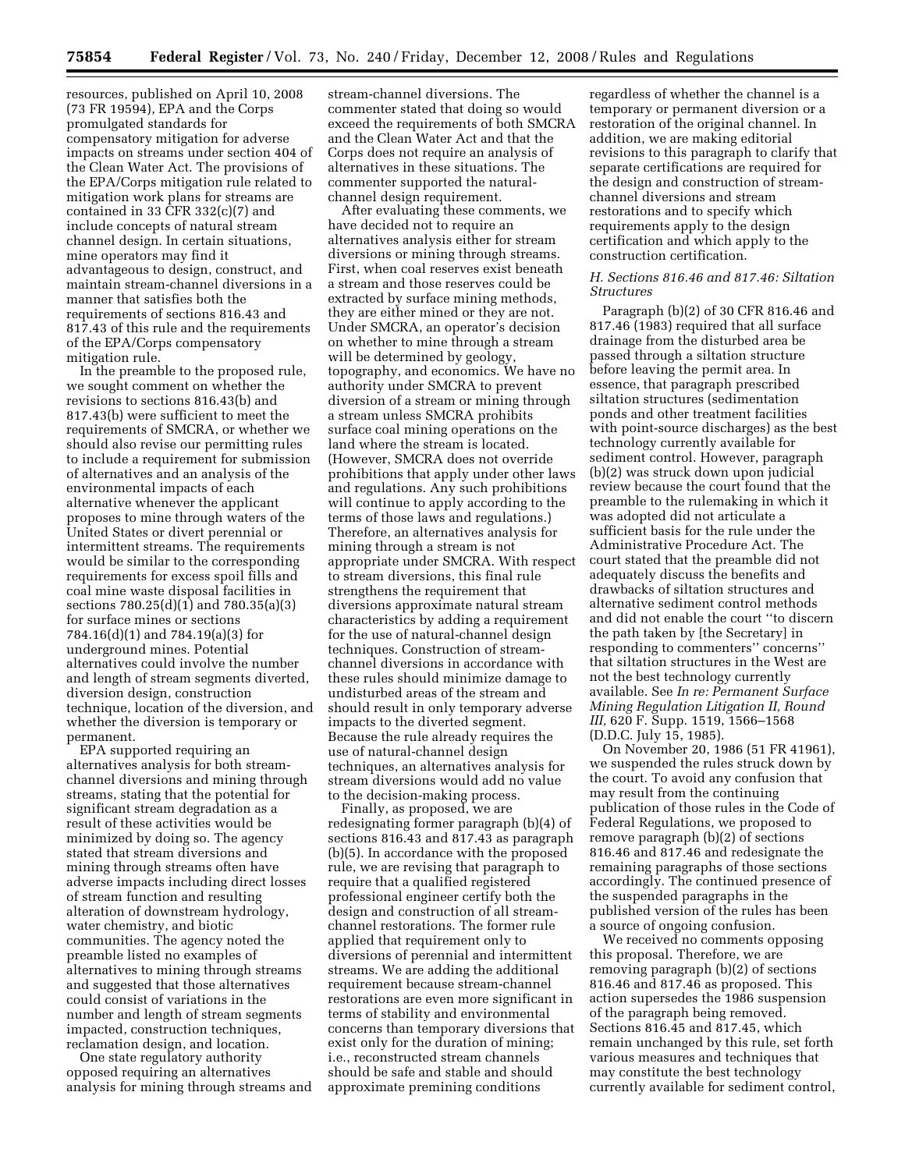resources, published on April 10, 2008 (73 FR 19594), EPA and the Corps promulgated standards for compensatory mitigation for adverse impacts on streams under section 404 of the Clean Water Act. The provisions of the EPA/Corps mitigation rule related to mitigation work plans for streams are contained in 33 CFR 332(c)(7) and include concepts of natural stream channel design. In certain situations, mine operators may find it advantageous to design, construct, and maintain stream-channel diversions in a manner that satisfies both the requirements of sections 816.43 and 817.43 of this rule and the requirements of the EPA/Corps compensatory mitigation rule.

In the preamble to the proposed rule, we sought comment on whether the revisions to sections 816.43(b) and 817.43(b) were sufficient to meet the requirements of SMCRA, or whether we should also revise our permitting rules to include a requirement for submission of alternatives and an analysis of the environmental impacts of each alternative whenever the applicant proposes to mine through waters of the United States or divert perennial or intermittent streams. The requirements would be similar to the corresponding requirements for excess spoil fills and coal mine waste disposal facilities in sections 780.25(d)(1) and 780.35(a)(3) for surface mines or sections 784.16(d)(1) and 784.19(a)(3) for underground mines. Potential alternatives could involve the number and length of stream segments diverted, diversion design, construction technique, location of the diversion, and whether the diversion is temporary or permanent.

EPA supported requiring an alternatives analysis for both streamchannel diversions and mining through streams, stating that the potential for significant stream degradation as a result of these activities would be minimized by doing so. The agency stated that stream diversions and mining through streams often have adverse impacts including direct losses of stream function and resulting alteration of downstream hydrology, water chemistry, and biotic communities. The agency noted the preamble listed no examples of alternatives to mining through streams and suggested that those alternatives could consist of variations in the number and length of stream segments impacted, construction techniques, reclamation design, and location.

One state regulatory authority opposed requiring an alternatives analysis for mining through streams and

stream-channel diversions. The commenter stated that doing so would exceed the requirements of both SMCRA and the Clean Water Act and that the Corps does not require an analysis of alternatives in these situations. The commenter supported the naturalchannel design requirement.

After evaluating these comments, we have decided not to require an alternatives analysis either for stream diversions or mining through streams. First, when coal reserves exist beneath a stream and those reserves could be extracted by surface mining methods, they are either mined or they are not. Under SMCRA, an operator's decision on whether to mine through a stream will be determined by geology, topography, and economics. We have no authority under SMCRA to prevent diversion of a stream or mining through a stream unless SMCRA prohibits surface coal mining operations on the land where the stream is located. (However, SMCRA does not override prohibitions that apply under other laws and regulations. Any such prohibitions will continue to apply according to the terms of those laws and regulations.) Therefore, an alternatives analysis for mining through a stream is not appropriate under SMCRA. With respect to stream diversions, this final rule strengthens the requirement that diversions approximate natural stream characteristics by adding a requirement for the use of natural-channel design techniques. Construction of streamchannel diversions in accordance with these rules should minimize damage to undisturbed areas of the stream and should result in only temporary adverse impacts to the diverted segment. Because the rule already requires the use of natural-channel design techniques, an alternatives analysis for stream diversions would add no value to the decision-making process.

Finally, as proposed, we are redesignating former paragraph (b)(4) of sections 816.43 and 817.43 as paragraph (b)(5). In accordance with the proposed rule, we are revising that paragraph to require that a qualified registered professional engineer certify both the design and construction of all streamchannel restorations. The former rule applied that requirement only to diversions of perennial and intermittent streams. We are adding the additional requirement because stream-channel restorations are even more significant in terms of stability and environmental concerns than temporary diversions that exist only for the duration of mining; i.e., reconstructed stream channels should be safe and stable and should approximate premining conditions

regardless of whether the channel is a temporary or permanent diversion or a restoration of the original channel. In addition, we are making editorial revisions to this paragraph to clarify that separate certifications are required for the design and construction of streamchannel diversions and stream restorations and to specify which requirements apply to the design certification and which apply to the construction certification.

### *H. Sections 816.46 and 817.46: Siltation Structures*

Paragraph (b)(2) of 30 CFR 816.46 and 817.46 (1983) required that all surface drainage from the disturbed area be passed through a siltation structure before leaving the permit area. In essence, that paragraph prescribed siltation structures (sedimentation ponds and other treatment facilities with point-source discharges) as the best technology currently available for sediment control. However, paragraph (b)(2) was struck down upon judicial review because the court found that the preamble to the rulemaking in which it was adopted did not articulate a sufficient basis for the rule under the Administrative Procedure Act. The court stated that the preamble did not adequately discuss the benefits and drawbacks of siltation structures and alternative sediment control methods and did not enable the court ''to discern the path taken by [the Secretary] in responding to commenters'' concerns'' that siltation structures in the West are not the best technology currently available. See *In re: Permanent Surface Mining Regulation Litigation II, Round III,* 620 F. Supp. 1519, 1566–1568 (D.D.C. July 15, 1985).

On November 20, 1986 (51 FR 41961), we suspended the rules struck down by the court. To avoid any confusion that may result from the continuing publication of those rules in the Code of Federal Regulations, we proposed to remove paragraph (b)(2) of sections 816.46 and 817.46 and redesignate the remaining paragraphs of those sections accordingly. The continued presence of the suspended paragraphs in the published version of the rules has been a source of ongoing confusion.

We received no comments opposing this proposal. Therefore, we are removing paragraph (b)(2) of sections 816.46 and 817.46 as proposed. This action supersedes the 1986 suspension of the paragraph being removed. Sections 816.45 and 817.45, which remain unchanged by this rule, set forth various measures and techniques that may constitute the best technology currently available for sediment control,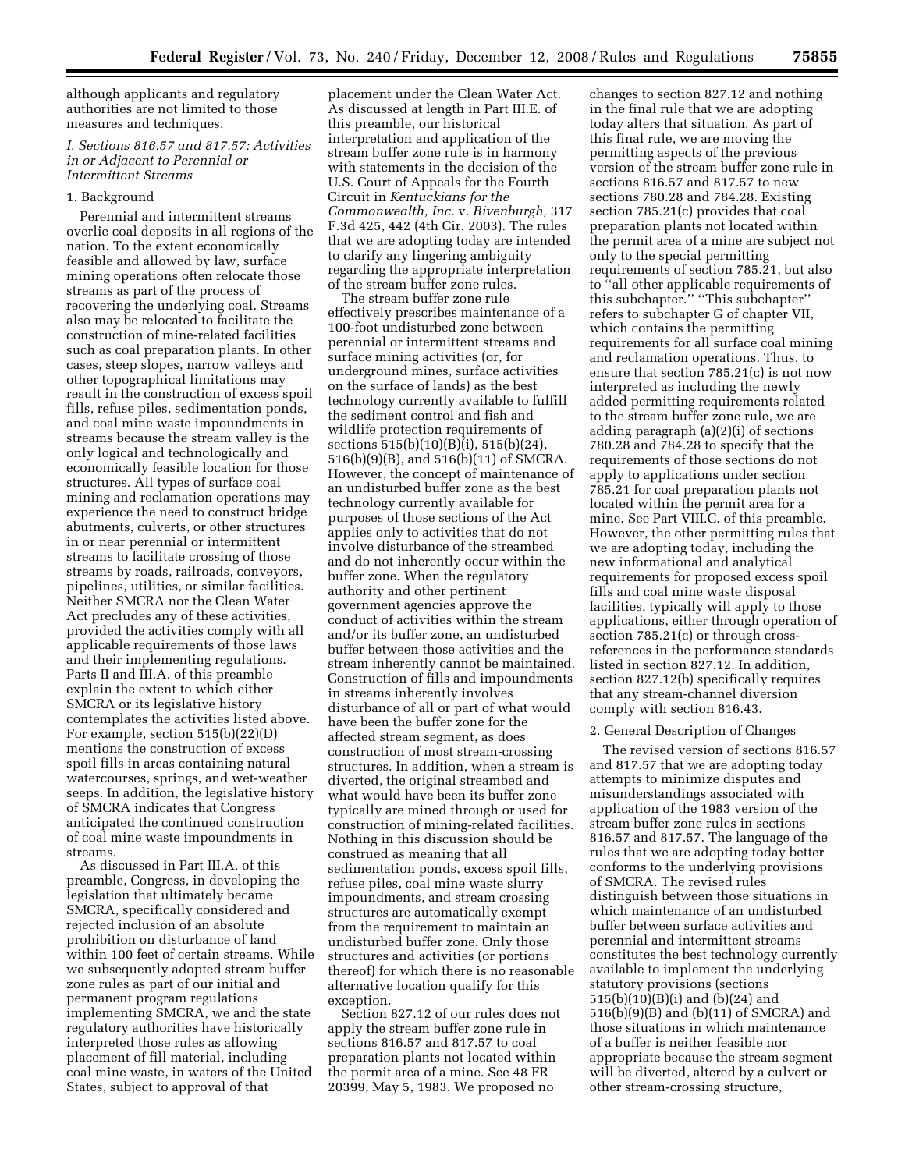although applicants and regulatory authorities are not limited to those measures and techniques.

### *I. Sections 816.57 and 817.57: Activities in or Adjacent to Perennial or Intermittent Streams*

#### 1. Background

Perennial and intermittent streams overlie coal deposits in all regions of the nation. To the extent economically feasible and allowed by law, surface mining operations often relocate those streams as part of the process of recovering the underlying coal. Streams also may be relocated to facilitate the construction of mine-related facilities such as coal preparation plants. In other cases, steep slopes, narrow valleys and other topographical limitations may result in the construction of excess spoil fills, refuse piles, sedimentation ponds, and coal mine waste impoundments in streams because the stream valley is the only logical and technologically and economically feasible location for those structures. All types of surface coal mining and reclamation operations may experience the need to construct bridge abutments, culverts, or other structures in or near perennial or intermittent streams to facilitate crossing of those streams by roads, railroads, conveyors, pipelines, utilities, or similar facilities. Neither SMCRA nor the Clean Water Act precludes any of these activities, provided the activities comply with all applicable requirements of those laws and their implementing regulations. Parts II and III.A. of this preamble explain the extent to which either SMCRA or its legislative history contemplates the activities listed above. For example, section 515(b)(22)(D) mentions the construction of excess spoil fills in areas containing natural watercourses, springs, and wet-weather seeps. In addition, the legislative history of SMCRA indicates that Congress anticipated the continued construction of coal mine waste impoundments in streams.

As discussed in Part III.A. of this preamble, Congress, in developing the legislation that ultimately became SMCRA, specifically considered and rejected inclusion of an absolute prohibition on disturbance of land within 100 feet of certain streams. While we subsequently adopted stream buffer zone rules as part of our initial and permanent program regulations implementing SMCRA, we and the state regulatory authorities have historically interpreted those rules as allowing placement of fill material, including coal mine waste, in waters of the United States, subject to approval of that

placement under the Clean Water Act. As discussed at length in Part III.E. of this preamble, our historical interpretation and application of the stream buffer zone rule is in harmony with statements in the decision of the U.S. Court of Appeals for the Fourth Circuit in *Kentuckians for the Commonwealth, Inc.* v. *Rivenburgh,* 317 F.3d 425, 442 (4th Cir. 2003). The rules that we are adopting today are intended to clarify any lingering ambiguity regarding the appropriate interpretation of the stream buffer zone rules.

The stream buffer zone rule effectively prescribes maintenance of a 100-foot undisturbed zone between perennial or intermittent streams and surface mining activities (or, for underground mines, surface activities on the surface of lands) as the best technology currently available to fulfill the sediment control and fish and wildlife protection requirements of sections 515(b)(10)(B)(i), 515(b)(24), 516(b)(9)(B), and 516(b)(11) of SMCRA. However, the concept of maintenance of an undisturbed buffer zone as the best technology currently available for purposes of those sections of the Act applies only to activities that do not involve disturbance of the streambed and do not inherently occur within the buffer zone. When the regulatory authority and other pertinent government agencies approve the conduct of activities within the stream and/or its buffer zone, an undisturbed buffer between those activities and the stream inherently cannot be maintained. Construction of fills and impoundments in streams inherently involves disturbance of all or part of what would have been the buffer zone for the affected stream segment, as does construction of most stream-crossing structures. In addition, when a stream is diverted, the original streambed and what would have been its buffer zone typically are mined through or used for construction of mining-related facilities. Nothing in this discussion should be construed as meaning that all sedimentation ponds, excess spoil fills, refuse piles, coal mine waste slurry impoundments, and stream crossing structures are automatically exempt from the requirement to maintain an undisturbed buffer zone. Only those structures and activities (or portions thereof) for which there is no reasonable alternative location qualify for this exception.

Section 827.12 of our rules does not apply the stream buffer zone rule in sections 816.57 and 817.57 to coal preparation plants not located within the permit area of a mine. See 48 FR 20399, May 5, 1983. We proposed no

changes to section 827.12 and nothing in the final rule that we are adopting today alters that situation. As part of this final rule, we are moving the permitting aspects of the previous version of the stream buffer zone rule in sections 816.57 and 817.57 to new sections 780.28 and 784.28. Existing section 785.21(c) provides that coal preparation plants not located within the permit area of a mine are subject not only to the special permitting requirements of section 785.21, but also to ''all other applicable requirements of this subchapter.'' ''This subchapter'' refers to subchapter G of chapter VII, which contains the permitting requirements for all surface coal mining and reclamation operations. Thus, to ensure that section 785.21(c) is not now interpreted as including the newly added permitting requirements related to the stream buffer zone rule, we are adding paragraph (a)(2)(i) of sections 780.28 and 784.28 to specify that the requirements of those sections do not apply to applications under section 785.21 for coal preparation plants not located within the permit area for a mine. See Part VIII.C. of this preamble. However, the other permitting rules that we are adopting today, including the new informational and analytical requirements for proposed excess spoil fills and coal mine waste disposal facilities, typically will apply to those applications, either through operation of section 785.21(c) or through crossreferences in the performance standards listed in section 827.12. In addition, section 827.12(b) specifically requires that any stream-channel diversion comply with section 816.43.

#### 2. General Description of Changes

The revised version of sections 816.57 and 817.57 that we are adopting today attempts to minimize disputes and misunderstandings associated with application of the 1983 version of the stream buffer zone rules in sections 816.57 and 817.57. The language of the rules that we are adopting today better conforms to the underlying provisions of SMCRA. The revised rules distinguish between those situations in which maintenance of an undisturbed buffer between surface activities and perennial and intermittent streams constitutes the best technology currently available to implement the underlying statutory provisions (sections  $515(b)(10)(B)(i)$  and  $(b)(24)$  and 516(b)(9)(B) and (b)(11) of SMCRA) and those situations in which maintenance of a buffer is neither feasible nor appropriate because the stream segment will be diverted, altered by a culvert or other stream-crossing structure,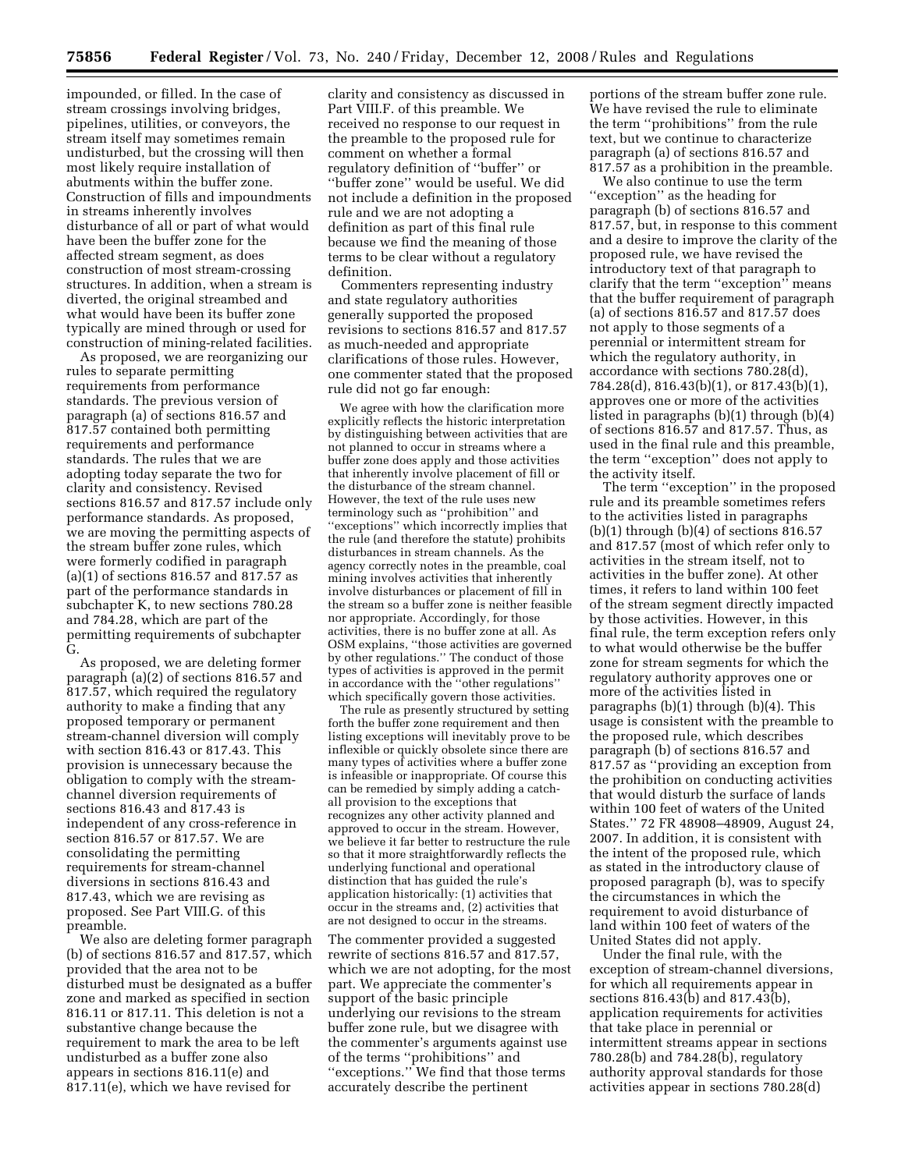impounded, or filled. In the case of stream crossings involving bridges, pipelines, utilities, or conveyors, the stream itself may sometimes remain undisturbed, but the crossing will then most likely require installation of abutments within the buffer zone. Construction of fills and impoundments in streams inherently involves disturbance of all or part of what would have been the buffer zone for the affected stream segment, as does construction of most stream-crossing structures. In addition, when a stream is diverted, the original streambed and what would have been its buffer zone typically are mined through or used for construction of mining-related facilities.

As proposed, we are reorganizing our rules to separate permitting requirements from performance standards. The previous version of paragraph (a) of sections 816.57 and 817.57 contained both permitting requirements and performance standards. The rules that we are adopting today separate the two for clarity and consistency. Revised sections 816.57 and 817.57 include only performance standards. As proposed, we are moving the permitting aspects of the stream buffer zone rules, which were formerly codified in paragraph (a)(1) of sections 816.57 and 817.57 as part of the performance standards in subchapter K, to new sections 780.28 and 784.28, which are part of the permitting requirements of subchapter G.

As proposed, we are deleting former paragraph (a)(2) of sections 816.57 and 817.57, which required the regulatory authority to make a finding that any proposed temporary or permanent stream-channel diversion will comply with section 816.43 or 817.43. This provision is unnecessary because the obligation to comply with the streamchannel diversion requirements of sections 816.43 and 817.43 is independent of any cross-reference in section 816.57 or 817.57. We are consolidating the permitting requirements for stream-channel diversions in sections 816.43 and 817.43, which we are revising as proposed. See Part VIII.G. of this preamble.

We also are deleting former paragraph (b) of sections 816.57 and 817.57, which provided that the area not to be disturbed must be designated as a buffer zone and marked as specified in section 816.11 or 817.11. This deletion is not a substantive change because the requirement to mark the area to be left undisturbed as a buffer zone also appears in sections 816.11(e) and 817.11(e), which we have revised for

clarity and consistency as discussed in Part VIII.F. of this preamble. We received no response to our request in the preamble to the proposed rule for comment on whether a formal regulatory definition of ''buffer'' or ''buffer zone'' would be useful. We did not include a definition in the proposed rule and we are not adopting a definition as part of this final rule because we find the meaning of those terms to be clear without a regulatory definition.

Commenters representing industry and state regulatory authorities generally supported the proposed revisions to sections 816.57 and 817.57 as much-needed and appropriate clarifications of those rules. However, one commenter stated that the proposed rule did not go far enough:

We agree with how the clarification more explicitly reflects the historic interpretation by distinguishing between activities that are not planned to occur in streams where a buffer zone does apply and those activities that inherently involve placement of fill or the disturbance of the stream channel. However, the text of the rule uses new terminology such as ''prohibition'' and ''exceptions'' which incorrectly implies that the rule (and therefore the statute) prohibits disturbances in stream channels. As the agency correctly notes in the preamble, coal mining involves activities that inherently involve disturbances or placement of fill in the stream so a buffer zone is neither feasible nor appropriate. Accordingly, for those activities, there is no buffer zone at all. As OSM explains, ''those activities are governed by other regulations.'' The conduct of those types of activities is approved in the permit in accordance with the ''other regulations'' which specifically govern those activities.

The rule as presently structured by setting forth the buffer zone requirement and then listing exceptions will inevitably prove to be inflexible or quickly obsolete since there are many types of activities where a buffer zone is infeasible or inappropriate. Of course this can be remedied by simply adding a catchall provision to the exceptions that recognizes any other activity planned and approved to occur in the stream. However, we believe it far better to restructure the rule so that it more straightforwardly reflects the underlying functional and operational distinction that has guided the rule's application historically: (1) activities that occur in the streams and, (2) activities that are not designed to occur in the streams.

The commenter provided a suggested rewrite of sections 816.57 and 817.57, which we are not adopting, for the most part. We appreciate the commenter's support of the basic principle underlying our revisions to the stream buffer zone rule, but we disagree with the commenter's arguments against use of the terms ''prohibitions'' and ''exceptions.'' We find that those terms accurately describe the pertinent

portions of the stream buffer zone rule. We have revised the rule to eliminate the term ''prohibitions'' from the rule text, but we continue to characterize paragraph (a) of sections 816.57 and 817.57 as a prohibition in the preamble.

We also continue to use the term ''exception'' as the heading for paragraph (b) of sections 816.57 and 817.57, but, in response to this comment and a desire to improve the clarity of the proposed rule, we have revised the introductory text of that paragraph to clarify that the term ''exception'' means that the buffer requirement of paragraph (a) of sections 816.57 and 817.57 does not apply to those segments of a perennial or intermittent stream for which the regulatory authority, in accordance with sections 780.28(d), 784.28(d), 816.43(b)(1), or 817.43(b)(1), approves one or more of the activities listed in paragraphs (b)(1) through (b)(4) of sections 816.57 and 817.57. Thus, as used in the final rule and this preamble, the term ''exception'' does not apply to the activity itself.

The term ''exception'' in the proposed rule and its preamble sometimes refers to the activities listed in paragraphs  $(b)(1)$  through  $(b)(4)$  of sections 816.57 and 817.57 (most of which refer only to activities in the stream itself, not to activities in the buffer zone). At other times, it refers to land within 100 feet of the stream segment directly impacted by those activities. However, in this final rule, the term exception refers only to what would otherwise be the buffer zone for stream segments for which the regulatory authority approves one or more of the activities listed in paragraphs (b)(1) through (b)(4). This usage is consistent with the preamble to the proposed rule, which describes paragraph (b) of sections 816.57 and 817.57 as ''providing an exception from the prohibition on conducting activities that would disturb the surface of lands within 100 feet of waters of the United States.'' 72 FR 48908–48909, August 24, 2007. In addition, it is consistent with the intent of the proposed rule, which as stated in the introductory clause of proposed paragraph (b), was to specify the circumstances in which the requirement to avoid disturbance of land within 100 feet of waters of the United States did not apply.

Under the final rule, with the exception of stream-channel diversions, for which all requirements appear in sections 816.43(b) and 817.43(b), application requirements for activities that take place in perennial or intermittent streams appear in sections 780.28(b) and 784.28(b), regulatory authority approval standards for those activities appear in sections 780.28(d)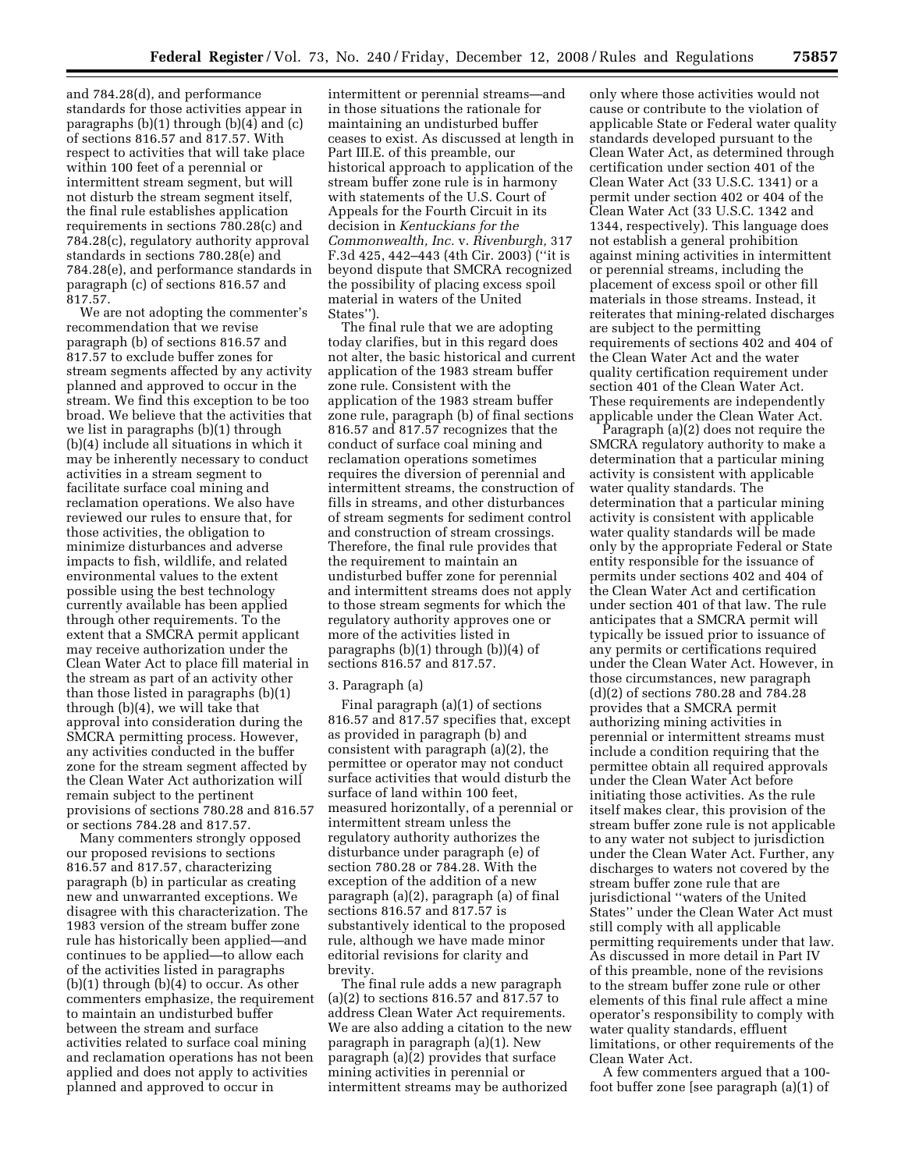and 784.28(d), and performance standards for those activities appear in paragraphs (b)(1) through (b)(4) and (c) of sections 816.57 and 817.57. With respect to activities that will take place within 100 feet of a perennial or intermittent stream segment, but will not disturb the stream segment itself, the final rule establishes application requirements in sections 780.28(c) and 784.28(c), regulatory authority approval standards in sections 780.28(e) and 784.28(e), and performance standards in paragraph (c) of sections 816.57 and 817.57.

We are not adopting the commenter's recommendation that we revise paragraph (b) of sections 816.57 and 817.57 to exclude buffer zones for stream segments affected by any activity planned and approved to occur in the stream. We find this exception to be too broad. We believe that the activities that we list in paragraphs (b)(1) through (b)(4) include all situations in which it may be inherently necessary to conduct activities in a stream segment to facilitate surface coal mining and reclamation operations. We also have reviewed our rules to ensure that, for those activities, the obligation to minimize disturbances and adverse impacts to fish, wildlife, and related environmental values to the extent possible using the best technology currently available has been applied through other requirements. To the extent that a SMCRA permit applicant may receive authorization under the Clean Water Act to place fill material in the stream as part of an activity other than those listed in paragraphs (b)(1) through (b)(4), we will take that approval into consideration during the SMCRA permitting process. However, any activities conducted in the buffer zone for the stream segment affected by the Clean Water Act authorization will remain subject to the pertinent provisions of sections 780.28 and 816.57 or sections 784.28 and 817.57.

Many commenters strongly opposed our proposed revisions to sections 816.57 and 817.57, characterizing paragraph (b) in particular as creating new and unwarranted exceptions. We disagree with this characterization. The 1983 version of the stream buffer zone rule has historically been applied—and continues to be applied—to allow each of the activities listed in paragraphs (b)(1) through (b)(4) to occur. As other commenters emphasize, the requirement to maintain an undisturbed buffer between the stream and surface activities related to surface coal mining and reclamation operations has not been applied and does not apply to activities planned and approved to occur in

intermittent or perennial streams—and in those situations the rationale for maintaining an undisturbed buffer ceases to exist. As discussed at length in Part III.E. of this preamble, our historical approach to application of the stream buffer zone rule is in harmony with statements of the U.S. Court of Appeals for the Fourth Circuit in its decision in *Kentuckians for the Commonwealth, Inc.* v. *Rivenburgh,* 317 F.3d 425, 442–443 (4th Cir. 2003) (''it is beyond dispute that SMCRA recognized the possibility of placing excess spoil material in waters of the United States'').

The final rule that we are adopting today clarifies, but in this regard does not alter, the basic historical and current application of the 1983 stream buffer zone rule. Consistent with the application of the 1983 stream buffer zone rule, paragraph (b) of final sections 816.57 and 817.57 recognizes that the conduct of surface coal mining and reclamation operations sometimes requires the diversion of perennial and intermittent streams, the construction of fills in streams, and other disturbances of stream segments for sediment control and construction of stream crossings. Therefore, the final rule provides that the requirement to maintain an undisturbed buffer zone for perennial and intermittent streams does not apply to those stream segments for which the regulatory authority approves one or more of the activities listed in paragraphs (b)(1) through (b))(4) of sections 816.57 and 817.57.

#### 3. Paragraph (a)

Final paragraph (a)(1) of sections 816.57 and 817.57 specifies that, except as provided in paragraph (b) and consistent with paragraph (a)(2), the permittee or operator may not conduct surface activities that would disturb the surface of land within 100 feet, measured horizontally, of a perennial or intermittent stream unless the regulatory authority authorizes the disturbance under paragraph (e) of section 780.28 or 784.28. With the exception of the addition of a new paragraph (a)(2), paragraph (a) of final sections 816.57 and 817.57 is substantively identical to the proposed rule, although we have made minor editorial revisions for clarity and brevity.

The final rule adds a new paragraph (a)(2) to sections 816.57 and 817.57 to address Clean Water Act requirements. We are also adding a citation to the new paragraph in paragraph (a)(1). New paragraph (a)(2) provides that surface mining activities in perennial or intermittent streams may be authorized

only where those activities would not cause or contribute to the violation of applicable State or Federal water quality standards developed pursuant to the Clean Water Act, as determined through certification under section 401 of the Clean Water Act (33 U.S.C. 1341) or a permit under section 402 or 404 of the Clean Water Act (33 U.S.C. 1342 and 1344, respectively). This language does not establish a general prohibition against mining activities in intermittent or perennial streams, including the placement of excess spoil or other fill materials in those streams. Instead, it reiterates that mining-related discharges are subject to the permitting requirements of sections 402 and 404 of the Clean Water Act and the water quality certification requirement under section 401 of the Clean Water Act. These requirements are independently applicable under the Clean Water Act.

Paragraph (a)(2) does not require the SMCRA regulatory authority to make a determination that a particular mining activity is consistent with applicable water quality standards. The determination that a particular mining activity is consistent with applicable water quality standards will be made only by the appropriate Federal or State entity responsible for the issuance of permits under sections 402 and 404 of the Clean Water Act and certification under section 401 of that law. The rule anticipates that a SMCRA permit will typically be issued prior to issuance of any permits or certifications required under the Clean Water Act. However, in those circumstances, new paragraph (d)(2) of sections 780.28 and 784.28 provides that a SMCRA permit authorizing mining activities in perennial or intermittent streams must include a condition requiring that the permittee obtain all required approvals under the Clean Water Act before initiating those activities. As the rule itself makes clear, this provision of the stream buffer zone rule is not applicable to any water not subject to jurisdiction under the Clean Water Act. Further, any discharges to waters not covered by the stream buffer zone rule that are jurisdictional ''waters of the United States'' under the Clean Water Act must still comply with all applicable permitting requirements under that law. As discussed in more detail in Part IV of this preamble, none of the revisions to the stream buffer zone rule or other elements of this final rule affect a mine operator's responsibility to comply with water quality standards, effluent limitations, or other requirements of the Clean Water Act.

A few commenters argued that a 100 foot buffer zone [see paragraph (a)(1) of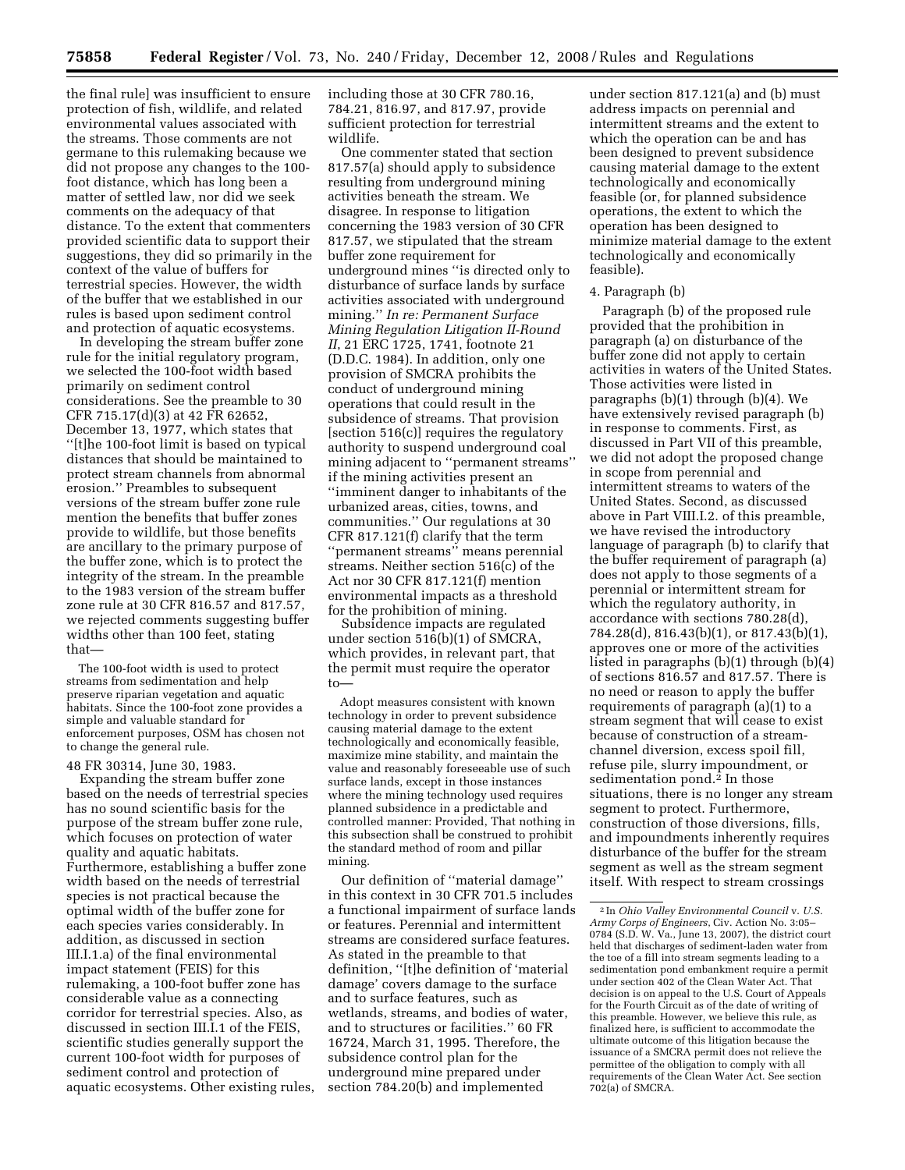the final rule] was insufficient to ensure protection of fish, wildlife, and related environmental values associated with the streams. Those comments are not germane to this rulemaking because we did not propose any changes to the 100 foot distance, which has long been a matter of settled law, nor did we seek comments on the adequacy of that distance. To the extent that commenters provided scientific data to support their suggestions, they did so primarily in the context of the value of buffers for terrestrial species. However, the width of the buffer that we established in our rules is based upon sediment control and protection of aquatic ecosystems.

In developing the stream buffer zone rule for the initial regulatory program, we selected the 100-foot width based primarily on sediment control considerations. See the preamble to 30 CFR 715.17(d)(3) at 42 FR 62652, December 13, 1977, which states that ''[t]he 100-foot limit is based on typical distances that should be maintained to protect stream channels from abnormal erosion.'' Preambles to subsequent versions of the stream buffer zone rule mention the benefits that buffer zones provide to wildlife, but those benefits are ancillary to the primary purpose of the buffer zone, which is to protect the integrity of the stream. In the preamble to the 1983 version of the stream buffer zone rule at 30 CFR 816.57 and 817.57, we rejected comments suggesting buffer widths other than 100 feet, stating that—

The 100-foot width is used to protect streams from sedimentation and help preserve riparian vegetation and aquatic habitats. Since the 100-foot zone provides a simple and valuable standard for enforcement purposes, OSM has chosen not to change the general rule.

### 48 FR 30314, June 30, 1983.

Expanding the stream buffer zone based on the needs of terrestrial species has no sound scientific basis for the purpose of the stream buffer zone rule, which focuses on protection of water quality and aquatic habitats. Furthermore, establishing a buffer zone width based on the needs of terrestrial species is not practical because the optimal width of the buffer zone for each species varies considerably. In addition, as discussed in section III.I.1.a) of the final environmental impact statement (FEIS) for this rulemaking, a 100-foot buffer zone has considerable value as a connecting corridor for terrestrial species. Also, as discussed in section III.I.1 of the FEIS, scientific studies generally support the current 100-foot width for purposes of sediment control and protection of aquatic ecosystems. Other existing rules, including those at 30 CFR 780.16, 784.21, 816.97, and 817.97, provide sufficient protection for terrestrial wildlife.

One commenter stated that section 817.57(a) should apply to subsidence resulting from underground mining activities beneath the stream. We disagree. In response to litigation concerning the 1983 version of 30 CFR 817.57, we stipulated that the stream buffer zone requirement for underground mines ''is directed only to disturbance of surface lands by surface activities associated with underground mining.'' *In re: Permanent Surface Mining Regulation Litigation II-Round II*, 21 ERC 1725, 1741, footnote 21 (D.D.C. 1984). In addition, only one provision of SMCRA prohibits the conduct of underground mining operations that could result in the subsidence of streams. That provision [section 516(c)] requires the regulatory authority to suspend underground coal mining adjacent to ''permanent streams'' if the mining activities present an ''imminent danger to inhabitants of the urbanized areas, cities, towns, and communities.'' Our regulations at 30 CFR 817.121(f) clarify that the term ''permanent streams'' means perennial streams. Neither section 516(c) of the Act nor 30 CFR 817.121(f) mention environmental impacts as a threshold for the prohibition of mining.

Subsidence impacts are regulated under section 516(b)(1) of SMCRA, which provides, in relevant part, that the permit must require the operator to—

Adopt measures consistent with known technology in order to prevent subsidence causing material damage to the extent technologically and economically feasible, maximize mine stability, and maintain the value and reasonably foreseeable use of such surface lands, except in those instances where the mining technology used requires planned subsidence in a predictable and controlled manner: Provided, That nothing in this subsection shall be construed to prohibit the standard method of room and pillar mining.

Our definition of ''material damage'' in this context in 30 CFR 701.5 includes a functional impairment of surface lands or features. Perennial and intermittent streams are considered surface features. As stated in the preamble to that definition, ''[t]he definition of 'material damage' covers damage to the surface and to surface features, such as wetlands, streams, and bodies of water, and to structures or facilities.'' 60 FR 16724, March 31, 1995. Therefore, the subsidence control plan for the underground mine prepared under section 784.20(b) and implemented

under section 817.121(a) and (b) must address impacts on perennial and intermittent streams and the extent to which the operation can be and has been designed to prevent subsidence causing material damage to the extent technologically and economically feasible (or, for planned subsidence operations, the extent to which the operation has been designed to minimize material damage to the extent technologically and economically feasible).

#### 4. Paragraph (b)

Paragraph (b) of the proposed rule provided that the prohibition in paragraph (a) on disturbance of the buffer zone did not apply to certain activities in waters of the United States. Those activities were listed in paragraphs (b)(1) through (b)(4). We have extensively revised paragraph (b) in response to comments. First, as discussed in Part VII of this preamble, we did not adopt the proposed change in scope from perennial and intermittent streams to waters of the United States. Second, as discussed above in Part VIII.I.2. of this preamble, we have revised the introductory language of paragraph (b) to clarify that the buffer requirement of paragraph (a) does not apply to those segments of a perennial or intermittent stream for which the regulatory authority, in accordance with sections 780.28(d), 784.28(d), 816.43(b)(1), or 817.43(b)(1), approves one or more of the activities listed in paragraphs (b)(1) through (b)(4) of sections 816.57 and 817.57. There is no need or reason to apply the buffer requirements of paragraph (a)(1) to a stream segment that will cease to exist because of construction of a streamchannel diversion, excess spoil fill, refuse pile, slurry impoundment, or sedimentation pond. $\overline{2}$  In those situations, there is no longer any stream segment to protect. Furthermore, construction of those diversions, fills, and impoundments inherently requires disturbance of the buffer for the stream segment as well as the stream segment itself. With respect to stream crossings

<sup>2</sup> In *Ohio Valley Environmental Council* v. *U.S. Army Corps of Engineers*, Civ. Action No. 3:05– 0784 (S.D. W. Va., June 13, 2007), the district court held that discharges of sediment-laden water from the toe of a fill into stream segments leading to a sedimentation pond embankment require a permit under section 402 of the Clean Water Act. That decision is on appeal to the U.S. Court of Appeals for the Fourth Circuit as of the date of writing of this preamble. However, we believe this rule, as finalized here, is sufficient to accommodate the ultimate outcome of this litigation because the issuance of a SMCRA permit does not relieve the permittee of the obligation to comply with all requirements of the Clean Water Act. See section 702(a) of SMCRA.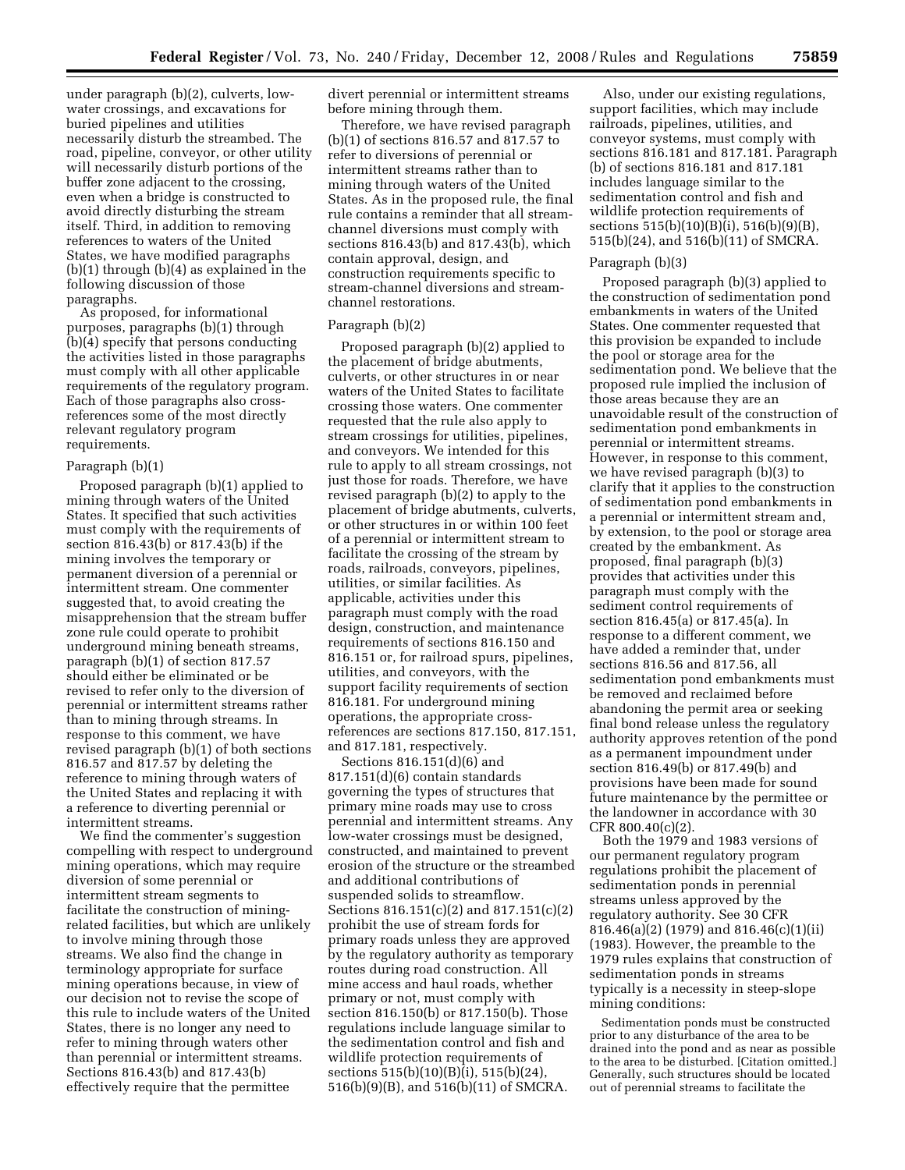under paragraph (b)(2), culverts, lowwater crossings, and excavations for buried pipelines and utilities necessarily disturb the streambed. The road, pipeline, conveyor, or other utility will necessarily disturb portions of the buffer zone adjacent to the crossing, even when a bridge is constructed to avoid directly disturbing the stream itself. Third, in addition to removing references to waters of the United States, we have modified paragraphs (b)(1) through (b)(4) as explained in the following discussion of those paragraphs.

As proposed, for informational purposes, paragraphs (b)(1) through (b)(4) specify that persons conducting the activities listed in those paragraphs must comply with all other applicable requirements of the regulatory program. Each of those paragraphs also crossreferences some of the most directly relevant regulatory program requirements.

#### Paragraph (b)(1)

Proposed paragraph (b)(1) applied to mining through waters of the United States. It specified that such activities must comply with the requirements of section 816.43(b) or 817.43(b) if the mining involves the temporary or permanent diversion of a perennial or intermittent stream. One commenter suggested that, to avoid creating the misapprehension that the stream buffer zone rule could operate to prohibit underground mining beneath streams, paragraph (b)(1) of section 817.57 should either be eliminated or be revised to refer only to the diversion of perennial or intermittent streams rather than to mining through streams. In response to this comment, we have revised paragraph (b)(1) of both sections 816.57 and 817.57 by deleting the reference to mining through waters of the United States and replacing it with a reference to diverting perennial or intermittent streams.

We find the commenter's suggestion compelling with respect to underground mining operations, which may require diversion of some perennial or intermittent stream segments to facilitate the construction of miningrelated facilities, but which are unlikely to involve mining through those streams. We also find the change in terminology appropriate for surface mining operations because, in view of our decision not to revise the scope of this rule to include waters of the United States, there is no longer any need to refer to mining through waters other than perennial or intermittent streams. Sections 816.43(b) and 817.43(b) effectively require that the permittee

divert perennial or intermittent streams before mining through them.

Therefore, we have revised paragraph (b)(1) of sections 816.57 and 817.57 to refer to diversions of perennial or intermittent streams rather than to mining through waters of the United States. As in the proposed rule, the final rule contains a reminder that all streamchannel diversions must comply with sections 816.43(b) and 817.43(b), which contain approval, design, and construction requirements specific to stream-channel diversions and streamchannel restorations.

### Paragraph (b)(2)

Proposed paragraph (b)(2) applied to the placement of bridge abutments, culverts, or other structures in or near waters of the United States to facilitate crossing those waters. One commenter requested that the rule also apply to stream crossings for utilities, pipelines, and conveyors. We intended for this rule to apply to all stream crossings, not just those for roads. Therefore, we have revised paragraph (b)(2) to apply to the placement of bridge abutments, culverts, or other structures in or within 100 feet of a perennial or intermittent stream to facilitate the crossing of the stream by roads, railroads, conveyors, pipelines, utilities, or similar facilities. As applicable, activities under this paragraph must comply with the road design, construction, and maintenance requirements of sections 816.150 and 816.151 or, for railroad spurs, pipelines, utilities, and conveyors, with the support facility requirements of section 816.181. For underground mining operations, the appropriate crossreferences are sections 817.150, 817.151, and 817.181, respectively.

Sections 816.151(d)(6) and 817.151(d)(6) contain standards governing the types of structures that primary mine roads may use to cross perennial and intermittent streams. Any low-water crossings must be designed, constructed, and maintained to prevent erosion of the structure or the streambed and additional contributions of suspended solids to streamflow. Sections 816.151(c)(2) and 817.151(c)(2) prohibit the use of stream fords for primary roads unless they are approved by the regulatory authority as temporary routes during road construction. All mine access and haul roads, whether primary or not, must comply with section 816.150(b) or 817.150(b). Those regulations include language similar to the sedimentation control and fish and wildlife protection requirements of sections 515(b)(10)(B)(i), 515(b)(24), 516(b)(9)(B), and 516(b)(11) of SMCRA.

Also, under our existing regulations, support facilities, which may include railroads, pipelines, utilities, and conveyor systems, must comply with sections 816.181 and 817.181. Paragraph (b) of sections 816.181 and 817.181 includes language similar to the sedimentation control and fish and wildlife protection requirements of sections  $515(b)(10)(B)(i)$ ,  $516(b)(9)(B)$ , 515(b)(24), and 516(b)(11) of SMCRA.

#### Paragraph (b)(3)

Proposed paragraph (b)(3) applied to the construction of sedimentation pond embankments in waters of the United States. One commenter requested that this provision be expanded to include the pool or storage area for the sedimentation pond. We believe that the proposed rule implied the inclusion of those areas because they are an unavoidable result of the construction of sedimentation pond embankments in perennial or intermittent streams. However, in response to this comment, we have revised paragraph (b)(3) to clarify that it applies to the construction of sedimentation pond embankments in a perennial or intermittent stream and, by extension, to the pool or storage area created by the embankment. As proposed, final paragraph (b)(3) provides that activities under this paragraph must comply with the sediment control requirements of section 816.45(a) or 817.45(a). In response to a different comment, we have added a reminder that, under sections 816.56 and 817.56, all sedimentation pond embankments must be removed and reclaimed before abandoning the permit area or seeking final bond release unless the regulatory authority approves retention of the pond as a permanent impoundment under section 816.49(b) or 817.49(b) and provisions have been made for sound future maintenance by the permittee or the landowner in accordance with 30 CFR 800.40(c)(2).

Both the 1979 and 1983 versions of our permanent regulatory program regulations prohibit the placement of sedimentation ponds in perennial streams unless approved by the regulatory authority. See 30 CFR 816.46(a)(2) (1979) and 816.46(c)(1)(ii) (1983). However, the preamble to the 1979 rules explains that construction of sedimentation ponds in streams typically is a necessity in steep-slope mining conditions:

Sedimentation ponds must be constructed prior to any disturbance of the area to be drained into the pond and as near as possible to the area to be disturbed. [Citation omitted.] Generally, such structures should be located out of perennial streams to facilitate the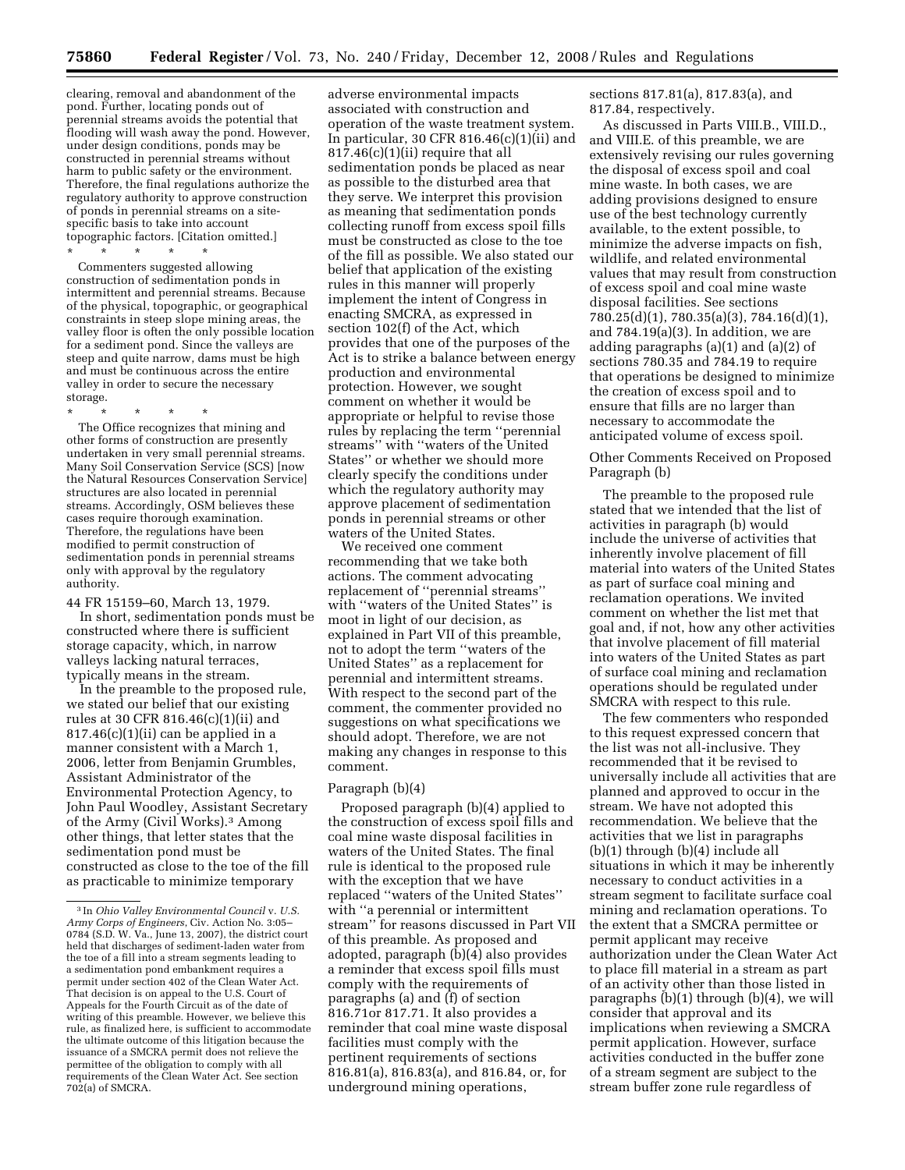clearing, removal and abandonment of the pond. Further, locating ponds out of perennial streams avoids the potential that flooding will wash away the pond. However, under design conditions, ponds may be constructed in perennial streams without harm to public safety or the environment. Therefore, the final regulations authorize the regulatory authority to approve construction of ponds in perennial streams on a sitespecific basis to take into account topographic factors. [Citation omitted.]

\* \* \* \* \* Commenters suggested allowing construction of sedimentation ponds in intermittent and perennial streams. Because of the physical, topographic, or geographical constraints in steep slope mining areas, the valley floor is often the only possible location for a sediment pond. Since the valleys are steep and quite narrow, dams must be high and must be continuous across the entire valley in order to secure the necessary storage.

\* \* \* \* \* The Office recognizes that mining and other forms of construction are presently undertaken in very small perennial streams. Many Soil Conservation Service (SCS) [now the Natural Resources Conservation Service] structures are also located in perennial streams. Accordingly, OSM believes these cases require thorough examination. Therefore, the regulations have been modified to permit construction of sedimentation ponds in perennial streams only with approval by the regulatory authority.

44 FR 15159–60, March 13, 1979.

In short, sedimentation ponds must be constructed where there is sufficient storage capacity, which, in narrow valleys lacking natural terraces, typically means in the stream.

In the preamble to the proposed rule, we stated our belief that our existing rules at 30 CFR 816.46(c)(1)(ii) and  $817.46(c)(1)(ii)$  can be applied in a manner consistent with a March 1, 2006, letter from Benjamin Grumbles, Assistant Administrator of the Environmental Protection Agency, to John Paul Woodley, Assistant Secretary of the Army (Civil Works).3 Among other things, that letter states that the sedimentation pond must be constructed as close to the toe of the fill as practicable to minimize temporary

adverse environmental impacts associated with construction and operation of the waste treatment system. In particular, 30 CFR  $816.46(c)(1)(ii)$  and 817.46(c)(1)(ii) require that all sedimentation ponds be placed as near as possible to the disturbed area that they serve. We interpret this provision as meaning that sedimentation ponds collecting runoff from excess spoil fills must be constructed as close to the toe of the fill as possible. We also stated our belief that application of the existing rules in this manner will properly implement the intent of Congress in enacting SMCRA, as expressed in section 102(f) of the Act, which provides that one of the purposes of the Act is to strike a balance between energy production and environmental protection. However, we sought comment on whether it would be appropriate or helpful to revise those rules by replacing the term ''perennial streams'' with ''waters of the United States'' or whether we should more clearly specify the conditions under which the regulatory authority may approve placement of sedimentation ponds in perennial streams or other waters of the United States.

We received one comment recommending that we take both actions. The comment advocating replacement of ''perennial streams'' with ''waters of the United States'' is moot in light of our decision, as explained in Part VII of this preamble, not to adopt the term ''waters of the United States'' as a replacement for perennial and intermittent streams. With respect to the second part of the comment, the commenter provided no suggestions on what specifications we should adopt. Therefore, we are not making any changes in response to this comment.

#### Paragraph (b)(4)

Proposed paragraph (b)(4) applied to the construction of excess spoil fills and coal mine waste disposal facilities in waters of the United States. The final rule is identical to the proposed rule with the exception that we have replaced ''waters of the United States'' with ''a perennial or intermittent stream'' for reasons discussed in Part VII of this preamble. As proposed and adopted, paragraph (b)(4) also provides a reminder that excess spoil fills must comply with the requirements of paragraphs (a) and (f) of section 816.71or 817.71. It also provides a reminder that coal mine waste disposal facilities must comply with the pertinent requirements of sections 816.81(a), 816.83(a), and 816.84, or, for underground mining operations,

sections 817.81(a), 817.83(a), and 817.84, respectively.

As discussed in Parts VIII.B., VIII.D., and VIII.E. of this preamble, we are extensively revising our rules governing the disposal of excess spoil and coal mine waste. In both cases, we are adding provisions designed to ensure use of the best technology currently available, to the extent possible, to minimize the adverse impacts on fish, wildlife, and related environmental values that may result from construction of excess spoil and coal mine waste disposal facilities. See sections 780.25(d)(1), 780.35(a)(3), 784.16(d)(1), and 784.19(a)(3). In addition, we are adding paragraphs (a)(1) and (a)(2) of sections 780.35 and 784.19 to require that operations be designed to minimize the creation of excess spoil and to ensure that fills are no larger than necessary to accommodate the anticipated volume of excess spoil.

Other Comments Received on Proposed Paragraph (b)

The preamble to the proposed rule stated that we intended that the list of activities in paragraph (b) would include the universe of activities that inherently involve placement of fill material into waters of the United States as part of surface coal mining and reclamation operations. We invited comment on whether the list met that goal and, if not, how any other activities that involve placement of fill material into waters of the United States as part of surface coal mining and reclamation operations should be regulated under SMCRA with respect to this rule.

The few commenters who responded to this request expressed concern that the list was not all-inclusive. They recommended that it be revised to universally include all activities that are planned and approved to occur in the stream. We have not adopted this recommendation. We believe that the activities that we list in paragraphs (b)(1) through (b)(4) include all situations in which it may be inherently necessary to conduct activities in a stream segment to facilitate surface coal mining and reclamation operations. To the extent that a SMCRA permittee or permit applicant may receive authorization under the Clean Water Act to place fill material in a stream as part of an activity other than those listed in paragraphs (b)(1) through (b)(4), we will consider that approval and its implications when reviewing a SMCRA permit application. However, surface activities conducted in the buffer zone of a stream segment are subject to the stream buffer zone rule regardless of

<sup>3</sup> In *Ohio Valley Environmental Council* v. *U.S. Army Corps of Engineers*, Civ. Action No. 3:05– 0784 (S.D. W. Va., June 13, 2007), the district court held that discharges of sediment-laden water from the toe of a fill into a stream segments leading to a sedimentation pond embankment requires a permit under section 402 of the Clean Water Act. That decision is on appeal to the U.S. Court of Appeals for the Fourth Circuit as of the date of writing of this preamble. However, we believe this rule, as finalized here, is sufficient to accommodate the ultimate outcome of this litigation because the issuance of a SMCRA permit does not relieve the permittee of the obligation to comply with all requirements of the Clean Water Act. See section 702(a) of SMCRA.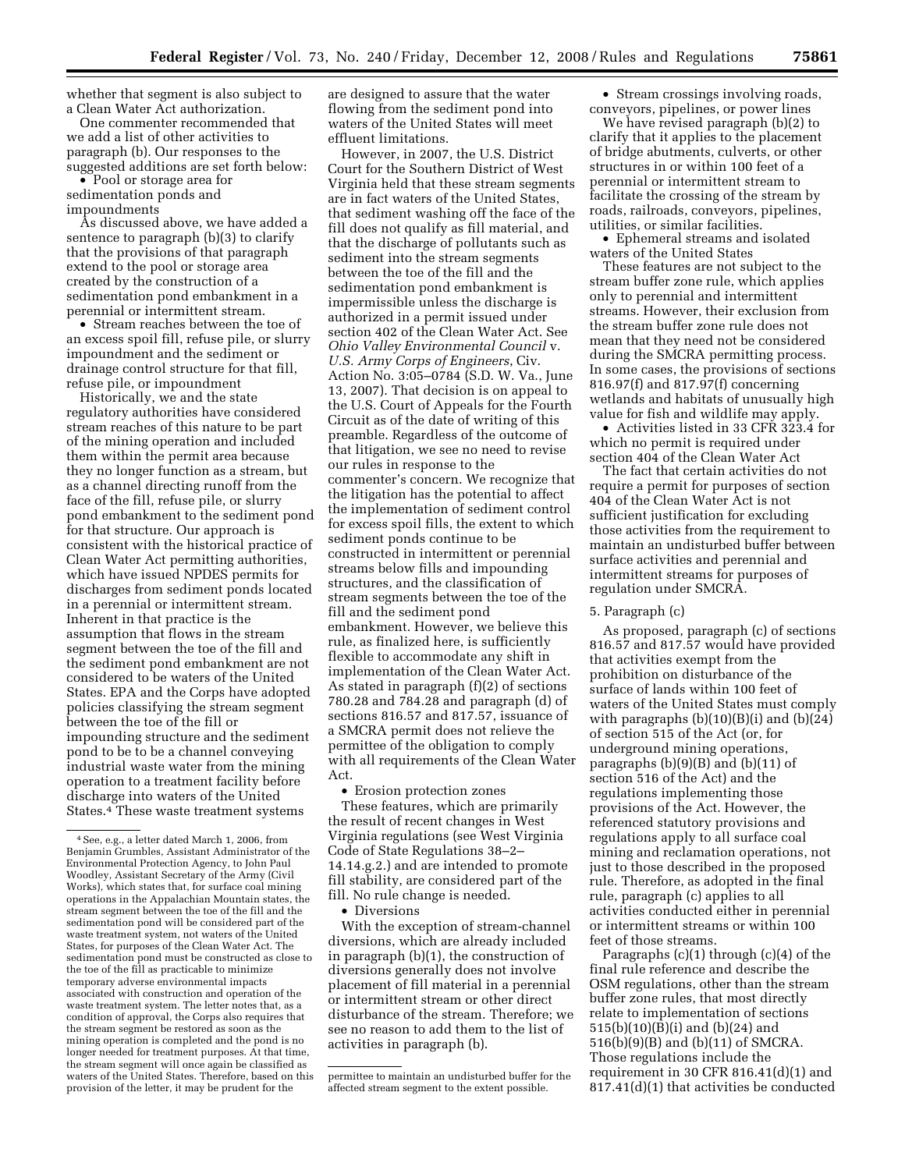whether that segment is also subject to a Clean Water Act authorization.

One commenter recommended that we add a list of other activities to paragraph (b). Our responses to the suggested additions are set forth below:

• Pool or storage area for sedimentation ponds and impoundments

As discussed above, we have added a sentence to paragraph (b)(3) to clarify that the provisions of that paragraph extend to the pool or storage area created by the construction of a sedimentation pond embankment in a perennial or intermittent stream.

• Stream reaches between the toe of an excess spoil fill, refuse pile, or slurry impoundment and the sediment or drainage control structure for that fill, refuse pile, or impoundment

Historically, we and the state regulatory authorities have considered stream reaches of this nature to be part of the mining operation and included them within the permit area because they no longer function as a stream, but as a channel directing runoff from the face of the fill, refuse pile, or slurry pond embankment to the sediment pond for that structure. Our approach is consistent with the historical practice of Clean Water Act permitting authorities, which have issued NPDES permits for discharges from sediment ponds located in a perennial or intermittent stream. Inherent in that practice is the assumption that flows in the stream segment between the toe of the fill and the sediment pond embankment are not considered to be waters of the United States. EPA and the Corps have adopted policies classifying the stream segment between the toe of the fill or impounding structure and the sediment pond to be to be a channel conveying industrial waste water from the mining operation to a treatment facility before discharge into waters of the United States.4 These waste treatment systems

are designed to assure that the water flowing from the sediment pond into waters of the United States will meet effluent limitations.

However, in 2007, the U.S. District Court for the Southern District of West Virginia held that these stream segments are in fact waters of the United States, that sediment washing off the face of the fill does not qualify as fill material, and that the discharge of pollutants such as sediment into the stream segments between the toe of the fill and the sedimentation pond embankment is impermissible unless the discharge is authorized in a permit issued under section 402 of the Clean Water Act. See *Ohio Valley Environmental Council* v. *U.S. Army Corps of Engineers*, Civ. Action No. 3:05–0784 (S.D. W. Va., June 13, 2007). That decision is on appeal to the U.S. Court of Appeals for the Fourth Circuit as of the date of writing of this preamble. Regardless of the outcome of that litigation, we see no need to revise our rules in response to the commenter's concern. We recognize that the litigation has the potential to affect the implementation of sediment control for excess spoil fills, the extent to which sediment ponds continue to be constructed in intermittent or perennial streams below fills and impounding structures, and the classification of stream segments between the toe of the fill and the sediment pond embankment. However, we believe this rule, as finalized here, is sufficiently flexible to accommodate any shift in implementation of the Clean Water Act. As stated in paragraph (f)(2) of sections 780.28 and 784.28 and paragraph (d) of sections 816.57 and 817.57, issuance of a SMCRA permit does not relieve the permittee of the obligation to comply with all requirements of the Clean Water Act.

• Erosion protection zones

These features, which are primarily the result of recent changes in West Virginia regulations (see West Virginia Code of State Regulations 38–2– 14.14.g.2.) and are intended to promote fill stability, are considered part of the fill. No rule change is needed.

• Diversions

With the exception of stream-channel diversions, which are already included in paragraph (b)(1), the construction of diversions generally does not involve placement of fill material in a perennial or intermittent stream or other direct disturbance of the stream. Therefore; we see no reason to add them to the list of activities in paragraph (b).

• Stream crossings involving roads, conveyors, pipelines, or power lines

We have revised paragraph (b)(2) to clarify that it applies to the placement of bridge abutments, culverts, or other structures in or within 100 feet of a perennial or intermittent stream to facilitate the crossing of the stream by roads, railroads, conveyors, pipelines, utilities, or similar facilities.

• Ephemeral streams and isolated waters of the United States

These features are not subject to the stream buffer zone rule, which applies only to perennial and intermittent streams. However, their exclusion from the stream buffer zone rule does not mean that they need not be considered during the SMCRA permitting process. In some cases, the provisions of sections 816.97(f) and 817.97(f) concerning wetlands and habitats of unusually high value for fish and wildlife may apply.

• Activities listed in 33 CFR 323.4 for which no permit is required under section 404 of the Clean Water Act

The fact that certain activities do not require a permit for purposes of section 404 of the Clean Water Act is not sufficient justification for excluding those activities from the requirement to maintain an undisturbed buffer between surface activities and perennial and intermittent streams for purposes of regulation under SMCRA.

#### 5. Paragraph (c)

As proposed, paragraph (c) of sections 816.57 and 817.57 would have provided that activities exempt from the prohibition on disturbance of the surface of lands within 100 feet of waters of the United States must comply with paragraphs  $(b)(10)(B)(i)$  and  $(b)(24)$ of section 515 of the Act (or, for underground mining operations, paragraphs  $(b)(9)(B)$  and  $(b)(11)$  of section 516 of the Act) and the regulations implementing those provisions of the Act. However, the referenced statutory provisions and regulations apply to all surface coal mining and reclamation operations, not just to those described in the proposed rule. Therefore, as adopted in the final rule, paragraph (c) applies to all activities conducted either in perennial or intermittent streams or within 100 feet of those streams.

Paragraphs (c)(1) through (c)(4) of the final rule reference and describe the OSM regulations, other than the stream buffer zone rules, that most directly relate to implementation of sections 515(b)(10)(B)(i) and (b)(24) and 516(b)(9)(B) and (b)(11) of SMCRA. Those regulations include the requirement in 30 CFR 816.41(d)(1) and 817.41(d)(1) that activities be conducted

<sup>4</sup>See, e.g., a letter dated March 1, 2006, from Benjamin Grumbles, Assistant Administrator of the Environmental Protection Agency, to John Paul Woodley, Assistant Secretary of the Army (Civil Works), which states that, for surface coal mining operations in the Appalachian Mountain states, the stream segment between the toe of the fill and the sedimentation pond will be considered part of the waste treatment system, not waters of the United States, for purposes of the Clean Water Act. The sedimentation pond must be constructed as close to the toe of the fill as practicable to minimize temporary adverse environmental impacts associated with construction and operation of the waste treatment system. The letter notes that, as a condition of approval, the Corps also requires that the stream segment be restored as soon as the mining operation is completed and the pond is no longer needed for treatment purposes. At that time, the stream segment will once again be classified as waters of the United States. Therefore, based on this provision of the letter, it may be prudent for the

permittee to maintain an undisturbed buffer for the affected stream segment to the extent possible.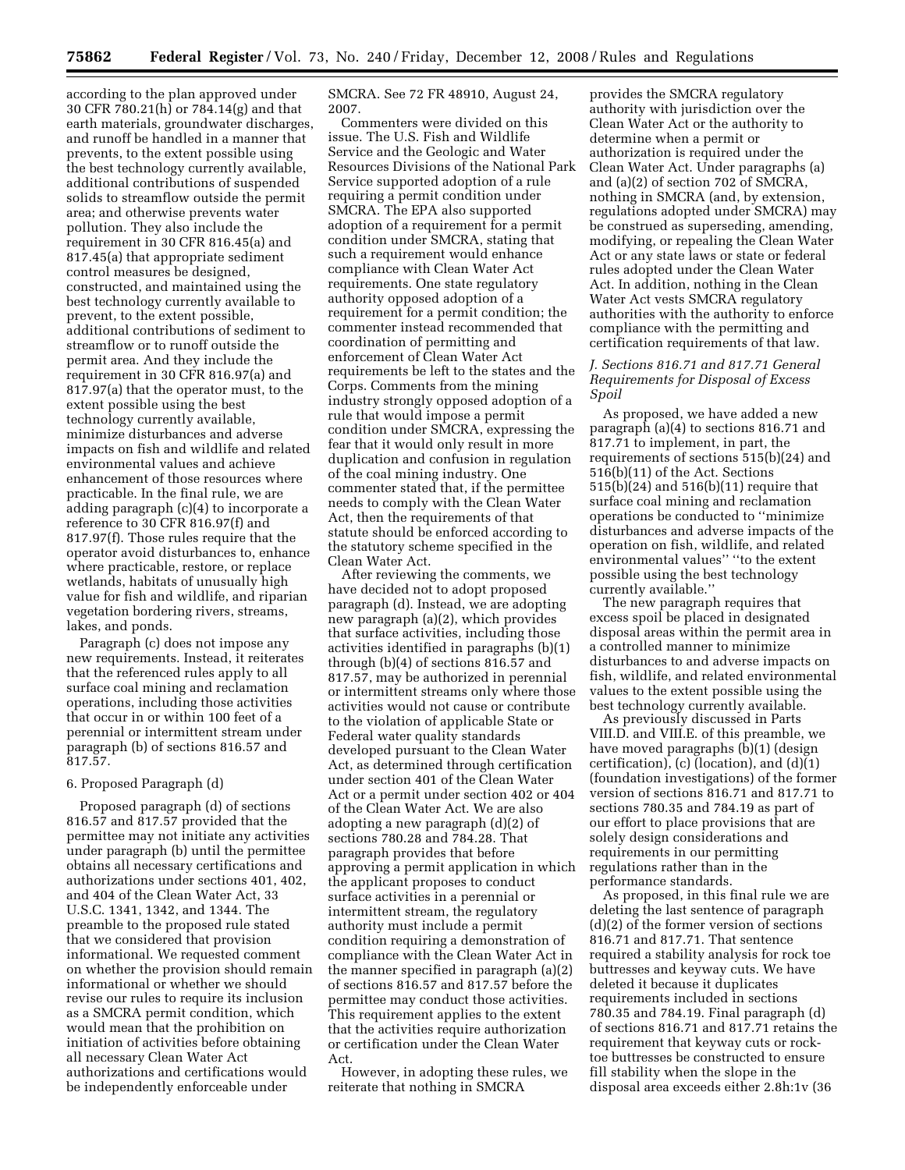according to the plan approved under 30 CFR 780.21(h) or 784.14(g) and that earth materials, groundwater discharges, and runoff be handled in a manner that prevents, to the extent possible using the best technology currently available, additional contributions of suspended solids to streamflow outside the permit area; and otherwise prevents water pollution. They also include the requirement in 30 CFR 816.45(a) and 817.45(a) that appropriate sediment control measures be designed, constructed, and maintained using the best technology currently available to prevent, to the extent possible, additional contributions of sediment to streamflow or to runoff outside the permit area. And they include the requirement in 30 CFR 816.97(a) and 817.97(a) that the operator must, to the extent possible using the best technology currently available, minimize disturbances and adverse impacts on fish and wildlife and related environmental values and achieve enhancement of those resources where practicable. In the final rule, we are adding paragraph (c)(4) to incorporate a reference to 30 CFR 816.97(f) and 817.97(f). Those rules require that the operator avoid disturbances to, enhance where practicable, restore, or replace wetlands, habitats of unusually high value for fish and wildlife, and riparian vegetation bordering rivers, streams, lakes, and ponds.

Paragraph (c) does not impose any new requirements. Instead, it reiterates that the referenced rules apply to all surface coal mining and reclamation operations, including those activities that occur in or within 100 feet of a perennial or intermittent stream under paragraph (b) of sections 816.57 and 817.57.

### 6. Proposed Paragraph (d)

Proposed paragraph (d) of sections 816.57 and 817.57 provided that the permittee may not initiate any activities under paragraph (b) until the permittee obtains all necessary certifications and authorizations under sections 401, 402, and 404 of the Clean Water Act, 33 U.S.C. 1341, 1342, and 1344. The preamble to the proposed rule stated that we considered that provision informational. We requested comment on whether the provision should remain informational or whether we should revise our rules to require its inclusion as a SMCRA permit condition, which would mean that the prohibition on initiation of activities before obtaining all necessary Clean Water Act authorizations and certifications would be independently enforceable under

SMCRA. See 72 FR 48910, August 24, 2007.

Commenters were divided on this issue. The U.S. Fish and Wildlife Service and the Geologic and Water Resources Divisions of the National Park Service supported adoption of a rule requiring a permit condition under SMCRA. The EPA also supported adoption of a requirement for a permit condition under SMCRA, stating that such a requirement would enhance compliance with Clean Water Act requirements. One state regulatory authority opposed adoption of a requirement for a permit condition; the commenter instead recommended that coordination of permitting and enforcement of Clean Water Act requirements be left to the states and the Corps. Comments from the mining industry strongly opposed adoption of a rule that would impose a permit condition under SMCRA, expressing the fear that it would only result in more duplication and confusion in regulation of the coal mining industry. One commenter stated that, if the permittee needs to comply with the Clean Water Act, then the requirements of that statute should be enforced according to the statutory scheme specified in the Clean Water Act.

After reviewing the comments, we have decided not to adopt proposed paragraph (d). Instead, we are adopting new paragraph (a)(2), which provides that surface activities, including those activities identified in paragraphs (b)(1) through (b)(4) of sections 816.57 and 817.57, may be authorized in perennial or intermittent streams only where those activities would not cause or contribute to the violation of applicable State or Federal water quality standards developed pursuant to the Clean Water Act, as determined through certification under section 401 of the Clean Water Act or a permit under section 402 or 404 of the Clean Water Act. We are also adopting a new paragraph (d)(2) of sections 780.28 and 784.28. That paragraph provides that before approving a permit application in which the applicant proposes to conduct surface activities in a perennial or intermittent stream, the regulatory authority must include a permit condition requiring a demonstration of compliance with the Clean Water Act in the manner specified in paragraph (a)(2) of sections 816.57 and 817.57 before the permittee may conduct those activities. This requirement applies to the extent that the activities require authorization or certification under the Clean Water Act.

However, in adopting these rules, we reiterate that nothing in SMCRA

provides the SMCRA regulatory authority with jurisdiction over the Clean Water Act or the authority to determine when a permit or authorization is required under the Clean Water Act. Under paragraphs (a) and (a)(2) of section 702 of SMCRA, nothing in SMCRA (and, by extension, regulations adopted under SMCRA) may be construed as superseding, amending, modifying, or repealing the Clean Water Act or any state laws or state or federal rules adopted under the Clean Water Act. In addition, nothing in the Clean Water Act vests SMCRA regulatory authorities with the authority to enforce compliance with the permitting and certification requirements of that law.

# *J. Sections 816.71 and 817.71 General Requirements for Disposal of Excess Spoil*

As proposed, we have added a new paragraph (a)(4) to sections 816.71 and 817.71 to implement, in part, the requirements of sections 515(b)(24) and 516(b)(11) of the Act. Sections 515(b)(24) and 516(b)(11) require that surface coal mining and reclamation operations be conducted to ''minimize disturbances and adverse impacts of the operation on fish, wildlife, and related environmental values'' ''to the extent possible using the best technology currently available.''

The new paragraph requires that excess spoil be placed in designated disposal areas within the permit area in a controlled manner to minimize disturbances to and adverse impacts on fish, wildlife, and related environmental values to the extent possible using the best technology currently available.

As previously discussed in Parts VIII.D. and VIII.E. of this preamble, we have moved paragraphs (b)(1) (design certification), (c) (location), and (d)(1) (foundation investigations) of the former version of sections 816.71 and 817.71 to sections 780.35 and 784.19 as part of our effort to place provisions that are solely design considerations and requirements in our permitting regulations rather than in the performance standards.

As proposed, in this final rule we are deleting the last sentence of paragraph (d)(2) of the former version of sections 816.71 and 817.71. That sentence required a stability analysis for rock toe buttresses and keyway cuts. We have deleted it because it duplicates requirements included in sections 780.35 and 784.19. Final paragraph (d) of sections 816.71 and 817.71 retains the requirement that keyway cuts or rocktoe buttresses be constructed to ensure fill stability when the slope in the disposal area exceeds either 2.8h:1v (36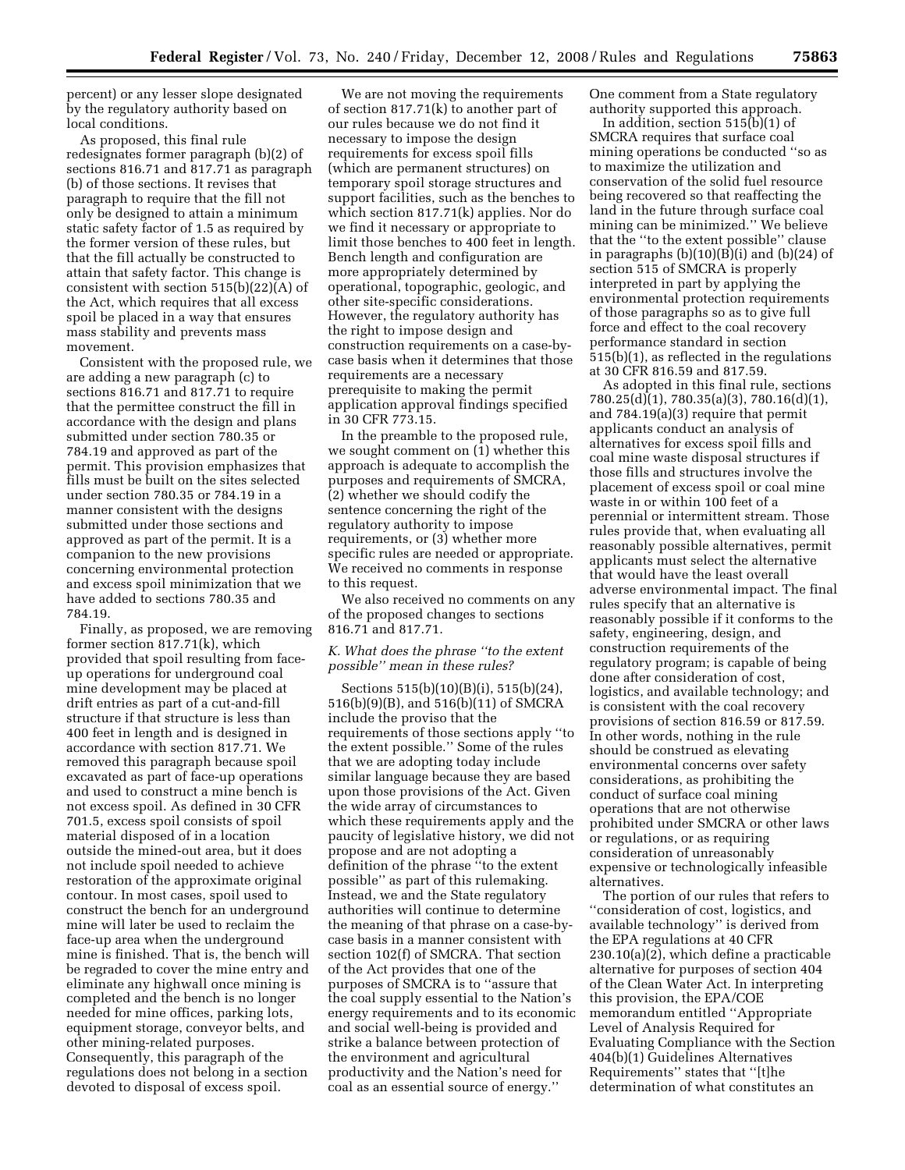percent) or any lesser slope designated by the regulatory authority based on local conditions.

As proposed, this final rule redesignates former paragraph (b)(2) of sections 816.71 and 817.71 as paragraph (b) of those sections. It revises that paragraph to require that the fill not only be designed to attain a minimum static safety factor of 1.5 as required by the former version of these rules, but that the fill actually be constructed to attain that safety factor. This change is consistent with section 515(b)(22)(A) of the Act, which requires that all excess spoil be placed in a way that ensures mass stability and prevents mass movement.

Consistent with the proposed rule, we are adding a new paragraph (c) to sections 816.71 and 817.71 to require that the permittee construct the fill in accordance with the design and plans submitted under section 780.35 or 784.19 and approved as part of the permit. This provision emphasizes that fills must be built on the sites selected under section 780.35 or 784.19 in a manner consistent with the designs submitted under those sections and approved as part of the permit. It is a companion to the new provisions concerning environmental protection and excess spoil minimization that we have added to sections 780.35 and 784.19.

Finally, as proposed, we are removing former section 817.71(k), which provided that spoil resulting from faceup operations for underground coal mine development may be placed at drift entries as part of a cut-and-fill structure if that structure is less than 400 feet in length and is designed in accordance with section 817.71. We removed this paragraph because spoil excavated as part of face-up operations and used to construct a mine bench is not excess spoil. As defined in 30 CFR 701.5, excess spoil consists of spoil material disposed of in a location outside the mined-out area, but it does not include spoil needed to achieve restoration of the approximate original contour. In most cases, spoil used to construct the bench for an underground mine will later be used to reclaim the face-up area when the underground mine is finished. That is, the bench will be regraded to cover the mine entry and eliminate any highwall once mining is completed and the bench is no longer needed for mine offices, parking lots, equipment storage, conveyor belts, and other mining-related purposes. Consequently, this paragraph of the regulations does not belong in a section devoted to disposal of excess spoil.

We are not moving the requirements of section 817.71(k) to another part of our rules because we do not find it necessary to impose the design requirements for excess spoil fills (which are permanent structures) on temporary spoil storage structures and support facilities, such as the benches to which section 817.71(k) applies. Nor do we find it necessary or appropriate to limit those benches to 400 feet in length. Bench length and configuration are more appropriately determined by operational, topographic, geologic, and other site-specific considerations. However, the regulatory authority has the right to impose design and construction requirements on a case-bycase basis when it determines that those requirements are a necessary prerequisite to making the permit application approval findings specified in 30 CFR 773.15.

In the preamble to the proposed rule, we sought comment on (1) whether this approach is adequate to accomplish the purposes and requirements of SMCRA, (2) whether we should codify the sentence concerning the right of the regulatory authority to impose requirements, or (3) whether more specific rules are needed or appropriate. We received no comments in response to this request.

We also received no comments on any of the proposed changes to sections 816.71 and 817.71.

# *K. What does the phrase ''to the extent possible'' mean in these rules?*

Sections 515(b)(10)(B)(i), 515(b)(24), 516(b)(9)(B), and 516(b)(11) of SMCRA include the proviso that the requirements of those sections apply ''to the extent possible.'' Some of the rules that we are adopting today include similar language because they are based upon those provisions of the Act. Given the wide array of circumstances to which these requirements apply and the paucity of legislative history, we did not propose and are not adopting a definition of the phrase ''to the extent possible'' as part of this rulemaking. Instead, we and the State regulatory authorities will continue to determine the meaning of that phrase on a case-bycase basis in a manner consistent with section 102(f) of SMCRA. That section of the Act provides that one of the purposes of SMCRA is to ''assure that the coal supply essential to the Nation's energy requirements and to its economic and social well-being is provided and strike a balance between protection of the environment and agricultural productivity and the Nation's need for coal as an essential source of energy.''

One comment from a State regulatory authority supported this approach.

In addition, section 515(b)(1) of SMCRA requires that surface coal mining operations be conducted ''so as to maximize the utilization and conservation of the solid fuel resource being recovered so that reaffecting the land in the future through surface coal mining can be minimized.'' We believe that the ''to the extent possible'' clause in paragraphs  $(b)(10)(B)(i)$  and  $(b)(24)$  of section 515 of SMCRA is properly interpreted in part by applying the environmental protection requirements of those paragraphs so as to give full force and effect to the coal recovery performance standard in section 515(b)(1), as reflected in the regulations at 30 CFR 816.59 and 817.59.

As adopted in this final rule, sections 780.25(d)(1), 780.35(a)(3), 780.16(d)(1), and 784.19(a)(3) require that permit applicants conduct an analysis of alternatives for excess spoil fills and coal mine waste disposal structures if those fills and structures involve the placement of excess spoil or coal mine waste in or within 100 feet of a perennial or intermittent stream. Those rules provide that, when evaluating all reasonably possible alternatives, permit applicants must select the alternative that would have the least overall adverse environmental impact. The final rules specify that an alternative is reasonably possible if it conforms to the safety, engineering, design, and construction requirements of the regulatory program; is capable of being done after consideration of cost, logistics, and available technology; and is consistent with the coal recovery provisions of section 816.59 or 817.59. In other words, nothing in the rule should be construed as elevating environmental concerns over safety considerations, as prohibiting the conduct of surface coal mining operations that are not otherwise prohibited under SMCRA or other laws or regulations, or as requiring consideration of unreasonably expensive or technologically infeasible alternatives.

The portion of our rules that refers to ''consideration of cost, logistics, and available technology'' is derived from the EPA regulations at 40 CFR 230.10(a)(2), which define a practicable alternative for purposes of section 404 of the Clean Water Act. In interpreting this provision, the EPA/COE memorandum entitled ''Appropriate Level of Analysis Required for Evaluating Compliance with the Section 404(b)(1) Guidelines Alternatives Requirements'' states that ''[t]he determination of what constitutes an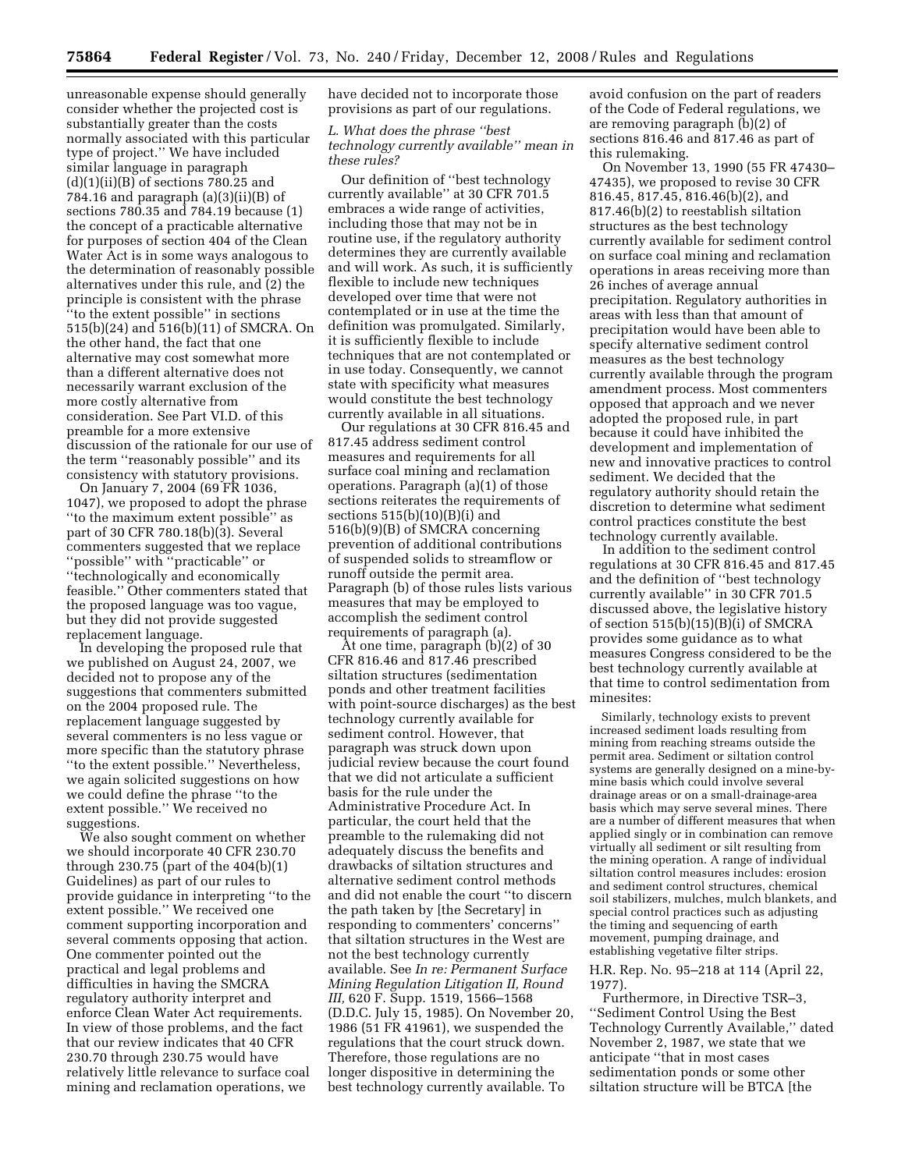unreasonable expense should generally consider whether the projected cost is substantially greater than the costs normally associated with this particular type of project.'' We have included similar language in paragraph  $(d)(1)(ii)(B)$  of sections 780.25 and 784.16 and paragraph (a)(3)(ii)(B) of sections 780.35 and 784.19 because (1) the concept of a practicable alternative for purposes of section 404 of the Clean Water Act is in some ways analogous to the determination of reasonably possible alternatives under this rule, and (2) the principle is consistent with the phrase ''to the extent possible'' in sections 515(b)(24) and 516(b)(11) of SMCRA. On the other hand, the fact that one alternative may cost somewhat more than a different alternative does not necessarily warrant exclusion of the more costly alternative from consideration. See Part VI.D. of this preamble for a more extensive discussion of the rationale for our use of the term ''reasonably possible'' and its consistency with statutory provisions.

On January 7, 2004 (69 FR 1036, 1047), we proposed to adopt the phrase ''to the maximum extent possible'' as part of 30 CFR 780.18(b)(3). Several commenters suggested that we replace ''possible'' with ''practicable'' or ''technologically and economically feasible.'' Other commenters stated that the proposed language was too vague, but they did not provide suggested replacement language.

In developing the proposed rule that we published on August 24, 2007, we decided not to propose any of the suggestions that commenters submitted on the 2004 proposed rule. The replacement language suggested by several commenters is no less vague or more specific than the statutory phrase ''to the extent possible.'' Nevertheless, we again solicited suggestions on how we could define the phrase ''to the extent possible.'' We received no suggestions.

We also sought comment on whether we should incorporate 40 CFR 230.70 through 230.75 (part of the 404(b)(1) Guidelines) as part of our rules to provide guidance in interpreting ''to the extent possible.'' We received one comment supporting incorporation and several comments opposing that action. One commenter pointed out the practical and legal problems and difficulties in having the SMCRA regulatory authority interpret and enforce Clean Water Act requirements. In view of those problems, and the fact that our review indicates that 40 CFR 230.70 through 230.75 would have relatively little relevance to surface coal mining and reclamation operations, we

have decided not to incorporate those provisions as part of our regulations.

### *L. What does the phrase ''best technology currently available'' mean in these rules?*

Our definition of ''best technology currently available'' at 30 CFR 701.5 embraces a wide range of activities, including those that may not be in routine use, if the regulatory authority determines they are currently available and will work. As such, it is sufficiently flexible to include new techniques developed over time that were not contemplated or in use at the time the definition was promulgated. Similarly, it is sufficiently flexible to include techniques that are not contemplated or in use today. Consequently, we cannot state with specificity what measures would constitute the best technology currently available in all situations.

Our regulations at 30 CFR 816.45 and 817.45 address sediment control measures and requirements for all surface coal mining and reclamation operations. Paragraph (a)(1) of those sections reiterates the requirements of sections  $515(b)(10)(B)(i)$  and 516(b)(9)(B) of SMCRA concerning prevention of additional contributions of suspended solids to streamflow or runoff outside the permit area. Paragraph (b) of those rules lists various measures that may be employed to accomplish the sediment control requirements of paragraph (a).

At one time, paragraph (b)(2) of 30 CFR 816.46 and 817.46 prescribed siltation structures (sedimentation ponds and other treatment facilities with point-source discharges) as the best technology currently available for sediment control. However, that paragraph was struck down upon judicial review because the court found that we did not articulate a sufficient basis for the rule under the Administrative Procedure Act. In particular, the court held that the preamble to the rulemaking did not adequately discuss the benefits and drawbacks of siltation structures and alternative sediment control methods and did not enable the court ''to discern the path taken by [the Secretary] in responding to commenters' concerns'' that siltation structures in the West are not the best technology currently available. See *In re: Permanent Surface Mining Regulation Litigation II, Round III,* 620 F. Supp. 1519, 1566–1568 (D.D.C. July 15, 1985). On November 20, 1986 (51 FR 41961), we suspended the regulations that the court struck down. Therefore, those regulations are no longer dispositive in determining the best technology currently available. To

avoid confusion on the part of readers of the Code of Federal regulations, we are removing paragraph (b)(2) of sections 816.46 and 817.46 as part of this rulemaking.

On November 13, 1990 (55 FR 47430– 47435), we proposed to revise 30 CFR 816.45, 817.45, 816.46(b)(2), and 817.46(b)(2) to reestablish siltation structures as the best technology currently available for sediment control on surface coal mining and reclamation operations in areas receiving more than 26 inches of average annual precipitation. Regulatory authorities in areas with less than that amount of precipitation would have been able to specify alternative sediment control measures as the best technology currently available through the program amendment process. Most commenters opposed that approach and we never adopted the proposed rule, in part because it could have inhibited the development and implementation of new and innovative practices to control sediment. We decided that the regulatory authority should retain the discretion to determine what sediment control practices constitute the best technology currently available.

In addition to the sediment control regulations at 30 CFR 816.45 and 817.45 and the definition of ''best technology currently available'' in 30 CFR 701.5 discussed above, the legislative history of section 515(b)(15)(B)(i) of SMCRA provides some guidance as to what measures Congress considered to be the best technology currently available at that time to control sedimentation from minesites:

Similarly, technology exists to prevent increased sediment loads resulting from mining from reaching streams outside the permit area. Sediment or siltation control systems are generally designed on a mine-bymine basis which could involve several drainage areas or on a small-drainage-area basis which may serve several mines. There are a number of different measures that when applied singly or in combination can remove virtually all sediment or silt resulting from the mining operation. A range of individual siltation control measures includes: erosion and sediment control structures, chemical soil stabilizers, mulches, mulch blankets, and special control practices such as adjusting the timing and sequencing of earth movement, pumping drainage, and establishing vegetative filter strips.

### H.R. Rep. No. 95–218 at 114 (April 22, 1977).

Furthermore, in Directive TSR–3, ''Sediment Control Using the Best Technology Currently Available,'' dated November 2, 1987, we state that we anticipate ''that in most cases sedimentation ponds or some other siltation structure will be BTCA [the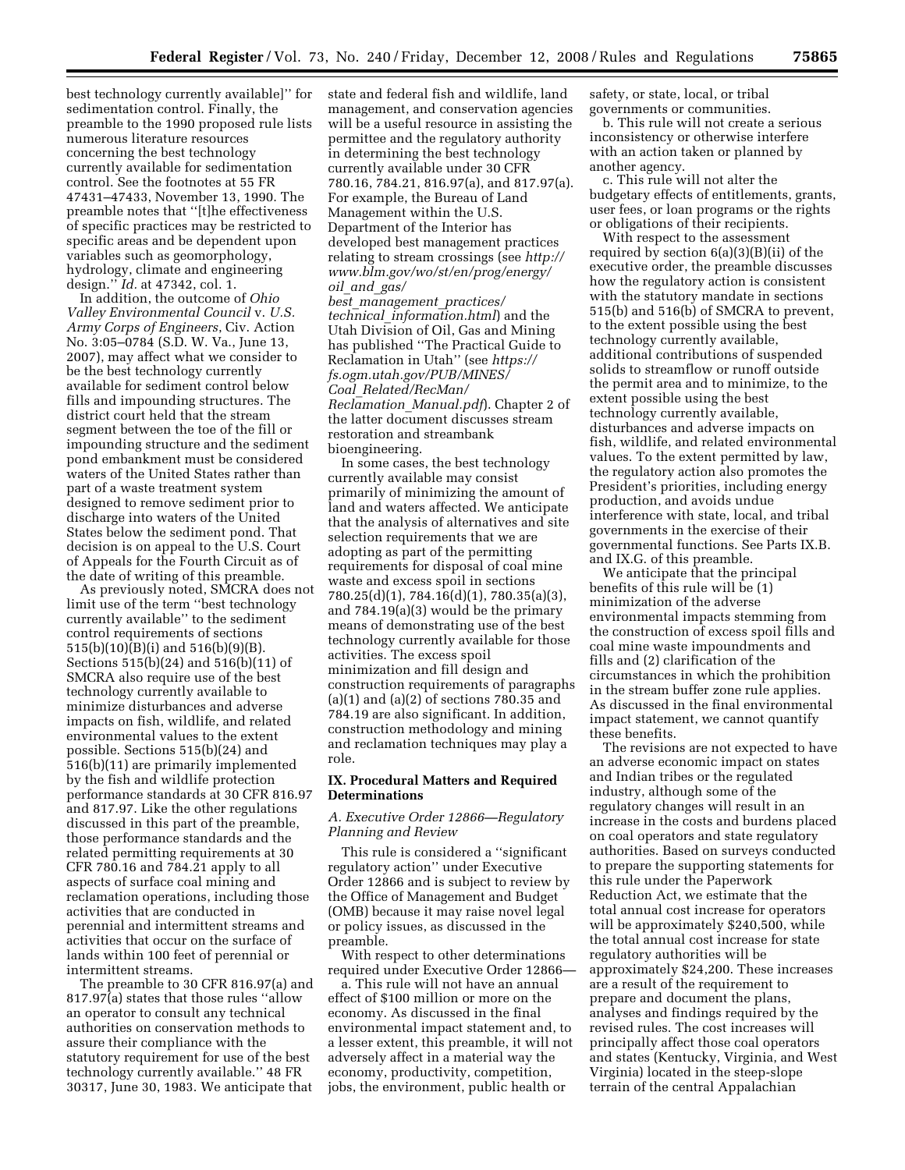best technology currently available]'' for sedimentation control. Finally, the preamble to the 1990 proposed rule lists numerous literature resources concerning the best technology currently available for sedimentation control. See the footnotes at 55 FR 47431–47433, November 13, 1990. The preamble notes that ''[t]he effectiveness of specific practices may be restricted to specific areas and be dependent upon variables such as geomorphology, hydrology, climate and engineering design.'' *Id.* at 47342, col. 1.

In addition, the outcome of *Ohio Valley Environmental Council* v. *U.S. Army Corps of Engineers*, Civ. Action No. 3:05–0784 (S.D. W. Va., June 13, 2007), may affect what we consider to be the best technology currently available for sediment control below fills and impounding structures. The district court held that the stream segment between the toe of the fill or impounding structure and the sediment pond embankment must be considered waters of the United States rather than part of a waste treatment system designed to remove sediment prior to discharge into waters of the United States below the sediment pond. That decision is on appeal to the U.S. Court of Appeals for the Fourth Circuit as of the date of writing of this preamble.

As previously noted, SMCRA does not limit use of the term ''best technology currently available'' to the sediment control requirements of sections 515(b)(10)(B)(i) and 516(b)(9)(B). Sections 515(b)(24) and 516(b)(11) of SMCRA also require use of the best technology currently available to minimize disturbances and adverse impacts on fish, wildlife, and related environmental values to the extent possible. Sections 515(b)(24) and 516(b)(11) are primarily implemented by the fish and wildlife protection performance standards at 30 CFR 816.97 and 817.97. Like the other regulations discussed in this part of the preamble, those performance standards and the related permitting requirements at 30 CFR 780.16 and 784.21 apply to all aspects of surface coal mining and reclamation operations, including those activities that are conducted in perennial and intermittent streams and activities that occur on the surface of lands within 100 feet of perennial or intermittent streams.

The preamble to 30 CFR 816.97(a) and 817.97(a) states that those rules ''allow an operator to consult any technical authorities on conservation methods to assure their compliance with the statutory requirement for use of the best technology currently available.'' 48 FR 30317, June 30, 1983. We anticipate that

state and federal fish and wildlife, land management, and conservation agencies will be a useful resource in assisting the permittee and the regulatory authority in determining the best technology currently available under 30 CFR 780.16, 784.21, 816.97(a), and 817.97(a). For example, the Bureau of Land Management within the U.S. Department of the Interior has developed best management practices relating to stream crossings (see *http:// www.blm.gov/wo/st/en/prog/energy/ oil*\_*and*\_*gas/* 

*best*\_*management*\_*practices/ technical*\_*information.html*) and the Utah Division of Oil, Gas and Mining has published ''The Practical Guide to Reclamation in Utah'' (see *https:// fs.ogm.utah.gov/PUB/MINES/ Coal*\_*Related/RecMan/ Reclamation*\_*Manual.pdf*). Chapter 2 of the latter document discusses stream restoration and streambank bioengineering.

In some cases, the best technology currently available may consist primarily of minimizing the amount of land and waters affected. We anticipate that the analysis of alternatives and site selection requirements that we are adopting as part of the permitting requirements for disposal of coal mine waste and excess spoil in sections 780.25(d)(1), 784.16(d)(1), 780.35(a)(3), and 784.19(a)(3) would be the primary means of demonstrating use of the best technology currently available for those activities. The excess spoil minimization and fill design and construction requirements of paragraphs (a)(1) and (a)(2) of sections 780.35 and 784.19 are also significant. In addition, construction methodology and mining and reclamation techniques may play a role.

### **IX. Procedural Matters and Required Determinations**

# *A. Executive Order 12866—Regulatory Planning and Review*

This rule is considered a ''significant regulatory action'' under Executive Order 12866 and is subject to review by the Office of Management and Budget (OMB) because it may raise novel legal or policy issues, as discussed in the preamble.

With respect to other determinations required under Executive Order 12866—

a. This rule will not have an annual effect of \$100 million or more on the economy. As discussed in the final environmental impact statement and, to a lesser extent, this preamble, it will not adversely affect in a material way the economy, productivity, competition, jobs, the environment, public health or

safety, or state, local, or tribal governments or communities.

b. This rule will not create a serious inconsistency or otherwise interfere with an action taken or planned by another agency.

c. This rule will not alter the budgetary effects of entitlements, grants, user fees, or loan programs or the rights or obligations of their recipients.

With respect to the assessment required by section 6(a)(3)(B)(ii) of the executive order, the preamble discusses how the regulatory action is consistent with the statutory mandate in sections 515(b) and 516(b) of SMCRA to prevent, to the extent possible using the best technology currently available, additional contributions of suspended solids to streamflow or runoff outside the permit area and to minimize, to the extent possible using the best technology currently available, disturbances and adverse impacts on fish, wildlife, and related environmental values. To the extent permitted by law, the regulatory action also promotes the President's priorities, including energy production, and avoids undue interference with state, local, and tribal governments in the exercise of their governmental functions. See Parts IX.B. and IX.G. of this preamble.

We anticipate that the principal benefits of this rule will be (1) minimization of the adverse environmental impacts stemming from the construction of excess spoil fills and coal mine waste impoundments and fills and (2) clarification of the circumstances in which the prohibition in the stream buffer zone rule applies. As discussed in the final environmental impact statement, we cannot quantify these benefits.

The revisions are not expected to have an adverse economic impact on states and Indian tribes or the regulated industry, although some of the regulatory changes will result in an increase in the costs and burdens placed on coal operators and state regulatory authorities. Based on surveys conducted to prepare the supporting statements for this rule under the Paperwork Reduction Act, we estimate that the total annual cost increase for operators will be approximately \$240,500, while the total annual cost increase for state regulatory authorities will be approximately \$24,200. These increases are a result of the requirement to prepare and document the plans, analyses and findings required by the revised rules. The cost increases will principally affect those coal operators and states (Kentucky, Virginia, and West Virginia) located in the steep-slope terrain of the central Appalachian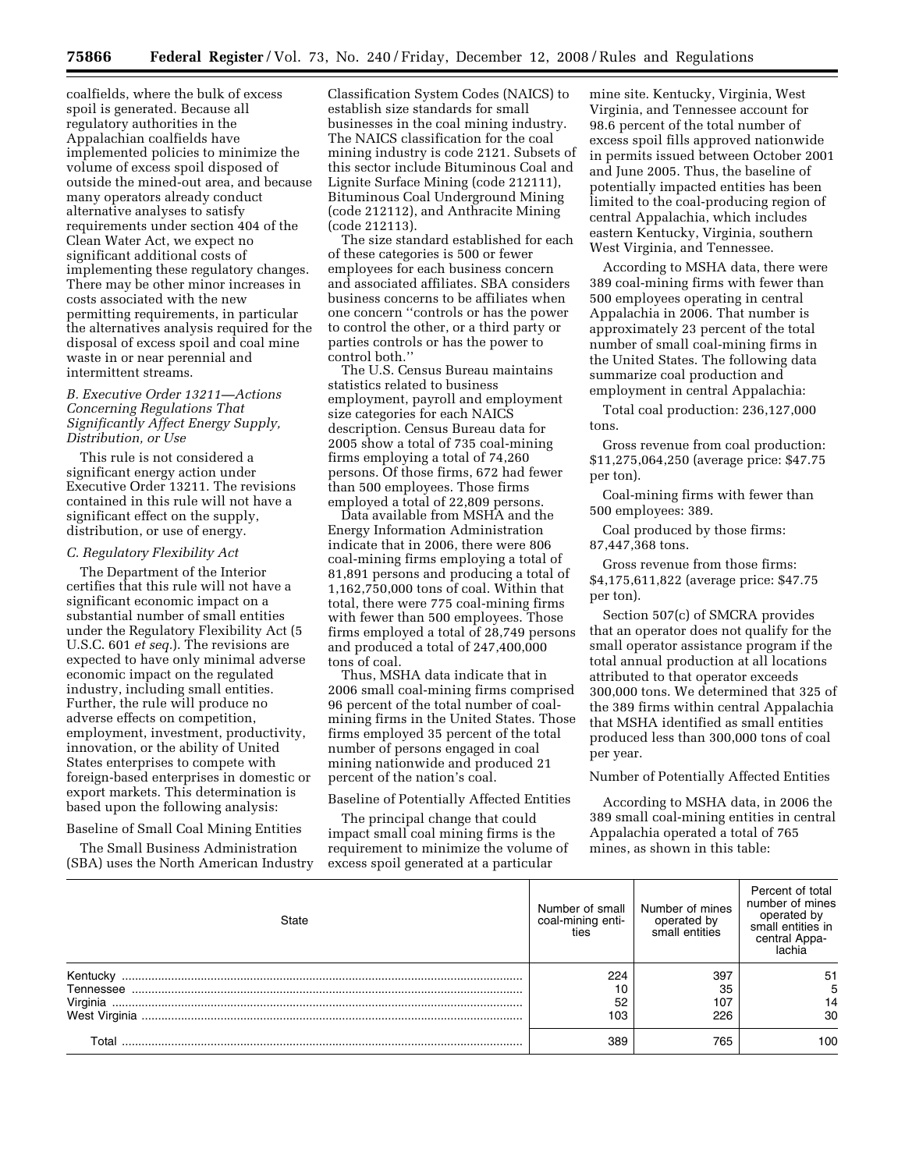coalfields, where the bulk of excess spoil is generated. Because all regulatory authorities in the Appalachian coalfields have implemented policies to minimize the volume of excess spoil disposed of outside the mined-out area, and because many operators already conduct alternative analyses to satisfy requirements under section 404 of the Clean Water Act, we expect no significant additional costs of implementing these regulatory changes. There may be other minor increases in costs associated with the new permitting requirements, in particular the alternatives analysis required for the disposal of excess spoil and coal mine waste in or near perennial and intermittent streams.

# *B. Executive Order 13211—Actions Concerning Regulations That Significantly Affect Energy Supply, Distribution, or Use*

This rule is not considered a significant energy action under Executive Order 13211. The revisions contained in this rule will not have a significant effect on the supply, distribution, or use of energy.

#### *C. Regulatory Flexibility Act*

The Department of the Interior certifies that this rule will not have a significant economic impact on a substantial number of small entities under the Regulatory Flexibility Act (5 U.S.C. 601 *et seq.*). The revisions are expected to have only minimal adverse economic impact on the regulated industry, including small entities. Further, the rule will produce no adverse effects on competition, employment, investment, productivity, innovation, or the ability of United States enterprises to compete with foreign-based enterprises in domestic or export markets. This determination is based upon the following analysis:

# Baseline of Small Coal Mining Entities

The Small Business Administration (SBA) uses the North American Industry

Classification System Codes (NAICS) to establish size standards for small businesses in the coal mining industry. The NAICS classification for the coal mining industry is code 2121. Subsets of this sector include Bituminous Coal and Lignite Surface Mining (code 212111), Bituminous Coal Underground Mining (code 212112), and Anthracite Mining (code 212113).

The size standard established for each of these categories is 500 or fewer employees for each business concern and associated affiliates. SBA considers business concerns to be affiliates when one concern ''controls or has the power to control the other, or a third party or parties controls or has the power to control both.''

The U.S. Census Bureau maintains statistics related to business employment, payroll and employment size categories for each NAICS description. Census Bureau data for 2005 show a total of 735 coal-mining firms employing a total of 74,260 persons. Of those firms, 672 had fewer than 500 employees. Those firms employed a total of 22,809 persons.

Data available from MSHA and the Energy Information Administration indicate that in 2006, there were 806 coal-mining firms employing a total of 81,891 persons and producing a total of 1,162,750,000 tons of coal. Within that total, there were 775 coal-mining firms with fewer than 500 employees. Those firms employed a total of 28,749 persons and produced a total of 247,400,000 tons of coal.

Thus, MSHA data indicate that in 2006 small coal-mining firms comprised 96 percent of the total number of coalmining firms in the United States. Those firms employed 35 percent of the total number of persons engaged in coal mining nationwide and produced 21 percent of the nation's coal.

### Baseline of Potentially Affected Entities

The principal change that could impact small coal mining firms is the requirement to minimize the volume of excess spoil generated at a particular

mine site. Kentucky, Virginia, West Virginia, and Tennessee account for 98.6 percent of the total number of excess spoil fills approved nationwide in permits issued between October 2001 and June 2005. Thus, the baseline of potentially impacted entities has been limited to the coal-producing region of central Appalachia, which includes eastern Kentucky, Virginia, southern West Virginia, and Tennessee.

According to MSHA data, there were 389 coal-mining firms with fewer than 500 employees operating in central Appalachia in 2006. That number is approximately 23 percent of the total number of small coal-mining firms in the United States. The following data summarize coal production and employment in central Appalachia:

Total coal production: 236,127,000 tons.

Gross revenue from coal production: \$11,275,064,250 (average price: \$47.75 per ton).

Coal-mining firms with fewer than 500 employees: 389.

Coal produced by those firms: 87,447,368 tons.

Gross revenue from those firms: \$4,175,611,822 (average price: \$47.75 per ton).

Section 507(c) of SMCRA provides that an operator does not qualify for the small operator assistance program if the total annual production at all locations attributed to that operator exceeds 300,000 tons. We determined that 325 of the 389 firms within central Appalachia that MSHA identified as small entities produced less than 300,000 tons of coal per year.

# Number of Potentially Affected Entities

According to MSHA data, in 2006 the 389 small coal-mining entities in central Appalachia operated a total of 765 mines, as shown in this table:

| State         | Number of small<br>coal-mining enti-<br>ties | Number of mines<br>operated by<br>small entities | Percent of total<br>number of mines<br>operated by<br>small entities in<br>central Appa-<br>lachia |
|---------------|----------------------------------------------|--------------------------------------------------|----------------------------------------------------------------------------------------------------|
| Kentucky      | 224                                          | 397                                              | 51                                                                                                 |
| Tennessee     |                                              | 35                                               | 5                                                                                                  |
| Virginia      | 52                                           | 107                                              | 14                                                                                                 |
| West Virginia | 103                                          | 226                                              | 30                                                                                                 |
| Гоtal         | 389                                          | 765                                              | 100                                                                                                |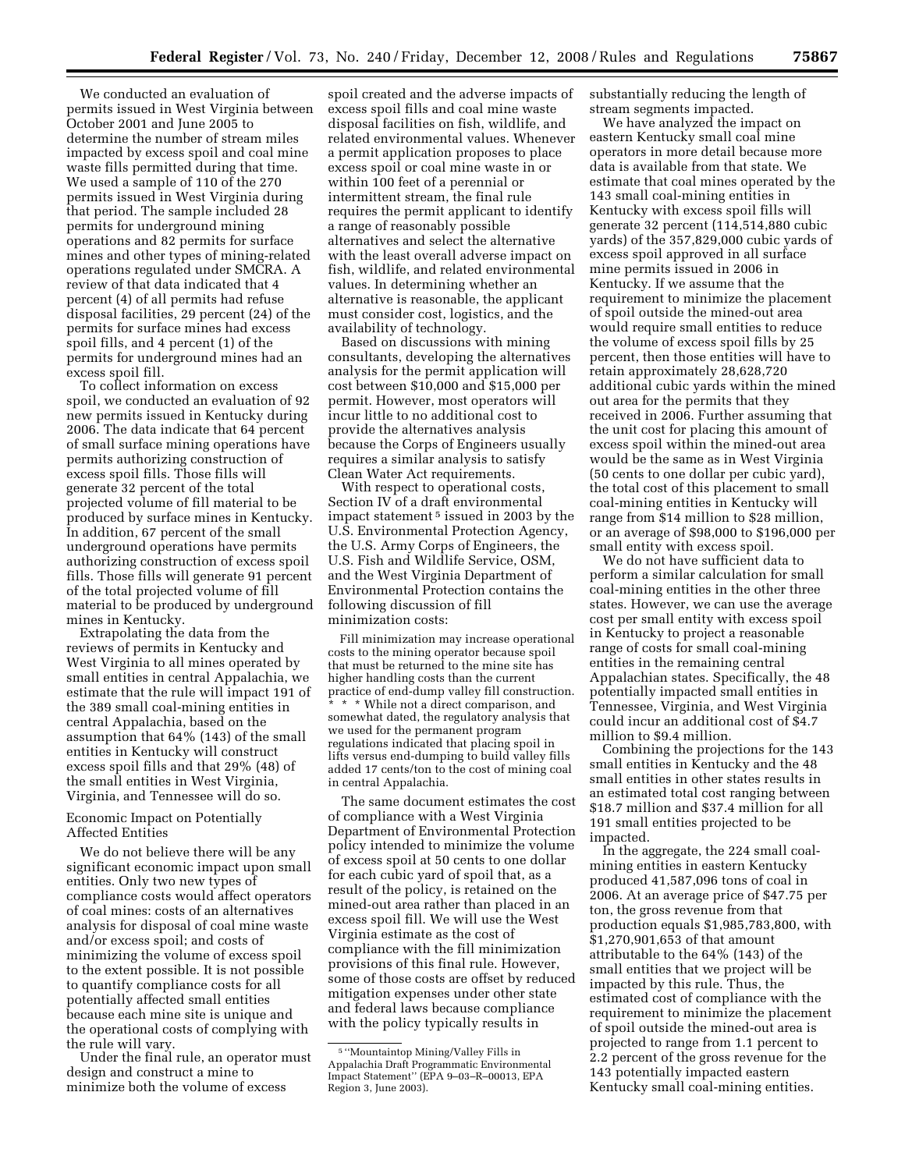We conducted an evaluation of permits issued in West Virginia between October 2001 and June 2005 to determine the number of stream miles impacted by excess spoil and coal mine waste fills permitted during that time. We used a sample of 110 of the 270 permits issued in West Virginia during that period. The sample included 28 permits for underground mining operations and 82 permits for surface mines and other types of mining-related operations regulated under SMCRA. A review of that data indicated that 4 percent (4) of all permits had refuse disposal facilities, 29 percent (24) of the permits for surface mines had excess spoil fills, and 4 percent (1) of the permits for underground mines had an excess spoil fill.

To collect information on excess spoil, we conducted an evaluation of 92 new permits issued in Kentucky during 2006. The data indicate that 64 percent of small surface mining operations have permits authorizing construction of excess spoil fills. Those fills will generate 32 percent of the total projected volume of fill material to be produced by surface mines in Kentucky. In addition, 67 percent of the small underground operations have permits authorizing construction of excess spoil fills. Those fills will generate 91 percent of the total projected volume of fill material to be produced by underground mines in Kentucky.

Extrapolating the data from the reviews of permits in Kentucky and West Virginia to all mines operated by small entities in central Appalachia, we estimate that the rule will impact 191 of the 389 small coal-mining entities in central Appalachia, based on the assumption that 64% (143) of the small entities in Kentucky will construct excess spoil fills and that 29% (48) of the small entities in West Virginia, Virginia, and Tennessee will do so.

# Economic Impact on Potentially Affected Entities

We do not believe there will be any significant economic impact upon small entities. Only two new types of compliance costs would affect operators of coal mines: costs of an alternatives analysis for disposal of coal mine waste and/or excess spoil; and costs of minimizing the volume of excess spoil to the extent possible. It is not possible to quantify compliance costs for all potentially affected small entities because each mine site is unique and the operational costs of complying with the rule will vary.

Under the final rule, an operator must design and construct a mine to minimize both the volume of excess

spoil created and the adverse impacts of excess spoil fills and coal mine waste disposal facilities on fish, wildlife, and related environmental values. Whenever a permit application proposes to place excess spoil or coal mine waste in or within 100 feet of a perennial or intermittent stream, the final rule requires the permit applicant to identify a range of reasonably possible alternatives and select the alternative with the least overall adverse impact on fish, wildlife, and related environmental values. In determining whether an alternative is reasonable, the applicant must consider cost, logistics, and the availability of technology.

Based on discussions with mining consultants, developing the alternatives analysis for the permit application will cost between \$10,000 and \$15,000 per permit. However, most operators will incur little to no additional cost to provide the alternatives analysis because the Corps of Engineers usually requires a similar analysis to satisfy Clean Water Act requirements.

With respect to operational costs, Section IV of a draft environmental impact statement 5 issued in 2003 by the U.S. Environmental Protection Agency, the U.S. Army Corps of Engineers, the U.S. Fish and Wildlife Service, OSM, and the West Virginia Department of Environmental Protection contains the following discussion of fill minimization costs:

Fill minimization may increase operational costs to the mining operator because spoil that must be returned to the mine site has higher handling costs than the current practice of end-dump valley fill construction. \* While not a direct comparison, and somewhat dated, the regulatory analysis that we used for the permanent program regulations indicated that placing spoil in lifts versus end-dumping to build valley fills added 17 cents/ton to the cost of mining coal in central Appalachia.

The same document estimates the cost of compliance with a West Virginia Department of Environmental Protection policy intended to minimize the volume of excess spoil at 50 cents to one dollar for each cubic yard of spoil that, as a result of the policy, is retained on the mined-out area rather than placed in an excess spoil fill. We will use the West Virginia estimate as the cost of compliance with the fill minimization provisions of this final rule. However, some of those costs are offset by reduced mitigation expenses under other state and federal laws because compliance with the policy typically results in

substantially reducing the length of stream segments impacted.

We have analyzed the impact on eastern Kentucky small coal mine operators in more detail because more data is available from that state. We estimate that coal mines operated by the 143 small coal-mining entities in Kentucky with excess spoil fills will generate 32 percent (114,514,880 cubic yards) of the 357,829,000 cubic yards of excess spoil approved in all surface mine permits issued in 2006 in Kentucky. If we assume that the requirement to minimize the placement of spoil outside the mined-out area would require small entities to reduce the volume of excess spoil fills by 25 percent, then those entities will have to retain approximately 28,628,720 additional cubic yards within the mined out area for the permits that they received in 2006. Further assuming that the unit cost for placing this amount of excess spoil within the mined-out area would be the same as in West Virginia (50 cents to one dollar per cubic yard), the total cost of this placement to small coal-mining entities in Kentucky will range from \$14 million to \$28 million, or an average of \$98,000 to \$196,000 per small entity with excess spoil.

We do not have sufficient data to perform a similar calculation for small coal-mining entities in the other three states. However, we can use the average cost per small entity with excess spoil in Kentucky to project a reasonable range of costs for small coal-mining entities in the remaining central Appalachian states. Specifically, the 48 potentially impacted small entities in Tennessee, Virginia, and West Virginia could incur an additional cost of \$4.7 million to \$9.4 million.

Combining the projections for the 143 small entities in Kentucky and the 48 small entities in other states results in an estimated total cost ranging between \$18.7 million and \$37.4 million for all 191 small entities projected to be impacted.

In the aggregate, the 224 small coalmining entities in eastern Kentucky produced 41,587,096 tons of coal in 2006. At an average price of \$47.75 per ton, the gross revenue from that production equals \$1,985,783,800, with \$1,270,901,653 of that amount attributable to the 64% (143) of the small entities that we project will be impacted by this rule. Thus, the estimated cost of compliance with the requirement to minimize the placement of spoil outside the mined-out area is projected to range from 1.1 percent to 2.2 percent of the gross revenue for the 143 potentially impacted eastern Kentucky small coal-mining entities.

<sup>5</sup> ''Mountaintop Mining/Valley Fills in Appalachia Draft Programmatic Environmental Impact Statement'' (EPA 9–03–R–00013, EPA Region 3, June 2003).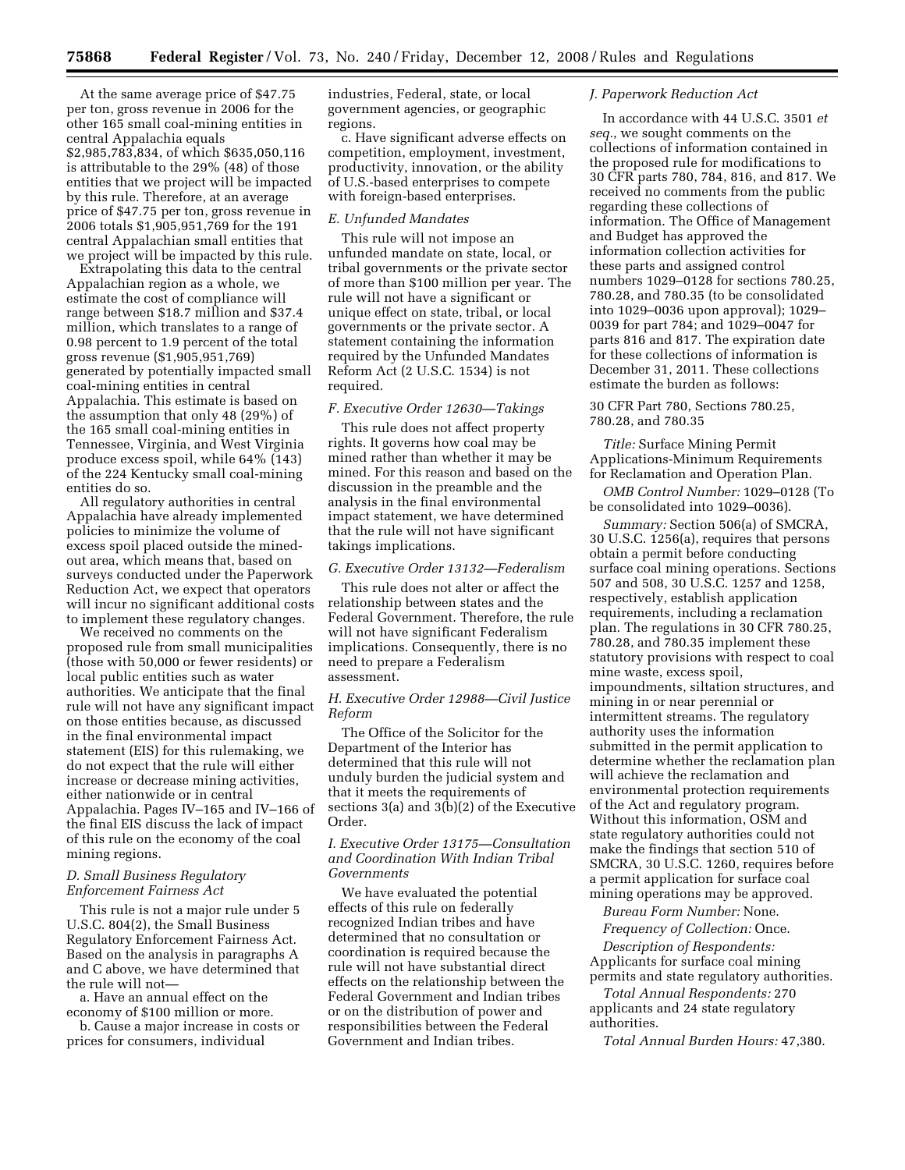At the same average price of \$47.75 per ton, gross revenue in 2006 for the other 165 small coal-mining entities in central Appalachia equals \$2,985,783,834, of which \$635,050,116 is attributable to the 29% (48) of those entities that we project will be impacted by this rule. Therefore, at an average price of \$47.75 per ton, gross revenue in 2006 totals \$1,905,951,769 for the 191 central Appalachian small entities that we project will be impacted by this rule.

Extrapolating this data to the central Appalachian region as a whole, we estimate the cost of compliance will range between \$18.7 million and \$37.4 million, which translates to a range of 0.98 percent to 1.9 percent of the total gross revenue (\$1,905,951,769) generated by potentially impacted small coal-mining entities in central Appalachia. This estimate is based on the assumption that only 48 (29%) of the 165 small coal-mining entities in Tennessee, Virginia, and West Virginia produce excess spoil, while 64% (143) of the 224 Kentucky small coal-mining entities do so.

All regulatory authorities in central Appalachia have already implemented policies to minimize the volume of excess spoil placed outside the minedout area, which means that, based on surveys conducted under the Paperwork Reduction Act, we expect that operators will incur no significant additional costs to implement these regulatory changes.

We received no comments on the proposed rule from small municipalities (those with 50,000 or fewer residents) or local public entities such as water authorities. We anticipate that the final rule will not have any significant impact on those entities because, as discussed in the final environmental impact statement (EIS) for this rulemaking, we do not expect that the rule will either increase or decrease mining activities, either nationwide or in central Appalachia. Pages IV–165 and IV–166 of the final EIS discuss the lack of impact of this rule on the economy of the coal mining regions.

### *D. Small Business Regulatory Enforcement Fairness Act*

This rule is not a major rule under 5 U.S.C. 804(2), the Small Business Regulatory Enforcement Fairness Act. Based on the analysis in paragraphs A and C above, we have determined that the rule will not—

a. Have an annual effect on the economy of \$100 million or more.

b. Cause a major increase in costs or prices for consumers, individual

industries, Federal, state, or local government agencies, or geographic regions.

c. Have significant adverse effects on competition, employment, investment, productivity, innovation, or the ability of U.S.-based enterprises to compete with foreign-based enterprises.

#### *E. Unfunded Mandates*

This rule will not impose an unfunded mandate on state, local, or tribal governments or the private sector of more than \$100 million per year. The rule will not have a significant or unique effect on state, tribal, or local governments or the private sector. A statement containing the information required by the Unfunded Mandates Reform Act (2 U.S.C. 1534) is not required.

# *F. Executive Order 12630—Takings*

This rule does not affect property rights. It governs how coal may be mined rather than whether it may be mined. For this reason and based on the discussion in the preamble and the analysis in the final environmental impact statement, we have determined that the rule will not have significant takings implications.

### *G. Executive Order 13132—Federalism*

This rule does not alter or affect the relationship between states and the Federal Government. Therefore, the rule will not have significant Federalism implications. Consequently, there is no need to prepare a Federalism assessment.

### *H. Executive Order 12988—Civil Justice Reform*

The Office of the Solicitor for the Department of the Interior has determined that this rule will not unduly burden the judicial system and that it meets the requirements of sections 3(a) and 3(b)(2) of the Executive Order.

## *I. Executive Order 13175—Consultation and Coordination With Indian Tribal Governments*

We have evaluated the potential effects of this rule on federally recognized Indian tribes and have determined that no consultation or coordination is required because the rule will not have substantial direct effects on the relationship between the Federal Government and Indian tribes or on the distribution of power and responsibilities between the Federal Government and Indian tribes.

### *J. Paperwork Reduction Act*

In accordance with 44 U.S.C. 3501 *et seq.*, we sought comments on the collections of information contained in the proposed rule for modifications to 30 CFR parts 780, 784, 816, and 817. We received no comments from the public regarding these collections of information. The Office of Management and Budget has approved the information collection activities for these parts and assigned control numbers 1029–0128 for sections 780.25, 780.28, and 780.35 (to be consolidated into 1029–0036 upon approval); 1029– 0039 for part 784; and 1029–0047 for parts 816 and 817. The expiration date for these collections of information is December 31, 2011. These collections estimate the burden as follows:

30 CFR Part 780, Sections 780.25, 780.28, and 780.35

*Title:* Surface Mining Permit Applications-Minimum Requirements for Reclamation and Operation Plan.

*OMB Control Number:* 1029–0128 (To be consolidated into 1029–0036).

*Summary:* Section 506(a) of SMCRA, 30 U.S.C. 1256(a), requires that persons obtain a permit before conducting surface coal mining operations. Sections 507 and 508, 30 U.S.C. 1257 and 1258, respectively, establish application requirements, including a reclamation plan. The regulations in 30 CFR 780.25, 780.28, and 780.35 implement these statutory provisions with respect to coal mine waste, excess spoil, impoundments, siltation structures, and mining in or near perennial or intermittent streams. The regulatory authority uses the information submitted in the permit application to determine whether the reclamation plan will achieve the reclamation and environmental protection requirements of the Act and regulatory program. Without this information, OSM and state regulatory authorities could not make the findings that section 510 of SMCRA, 30 U.S.C. 1260, requires before a permit application for surface coal mining operations may be approved.

*Bureau Form Number:* None. *Frequency of Collection:* Once.

*Description of Respondents:* 

Applicants for surface coal mining permits and state regulatory authorities.

*Total Annual Respondents:* 270 applicants and 24 state regulatory authorities.

*Total Annual Burden Hours:* 47,380.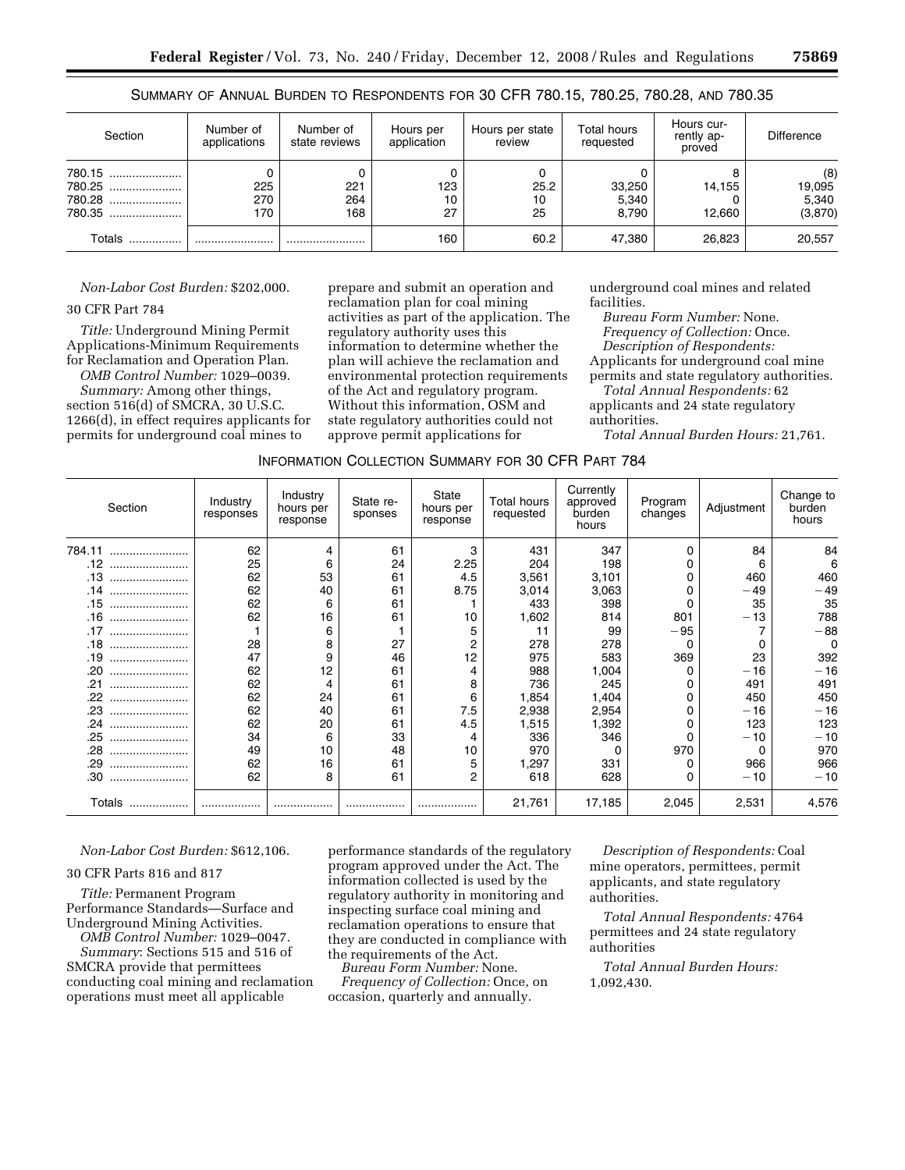SUMMARY OF ANNUAL BURDEN TO RESPONDENTS FOR 30 CFR 780.15, 780.25, 780.28, AND 780.35

| Section                              | Number of<br>applications | Number of<br>state reviews | Hours per<br>application | Hours per state<br>review | <b>Total hours</b><br>requested | Hours cur-<br>rently ap-<br>proved | <b>Difference</b>                 |
|--------------------------------------|---------------------------|----------------------------|--------------------------|---------------------------|---------------------------------|------------------------------------|-----------------------------------|
| 780.15<br>780.25<br>780.28<br>780.35 | 225<br>270<br>170         | 221<br>264<br>168          | 123<br>10<br>27          | 0<br>25.2<br>10<br>25     | 33,250<br>5,340<br>8.790        | 14,155<br>12.660                   | (8)<br>19,095<br>5,340<br>(3,870) |
| Totals                               |                           |                            | 160                      | 60.2                      | 47,380                          | 26,823                             | 20,557                            |

*Non-Labor Cost Burden:* \$202,000.

# 30 CFR Part 784

*Title:* Underground Mining Permit Applications-Minimum Requirements for Reclamation and Operation Plan.

*OMB Control Number:* 1029–0039. *Summary:* Among other things, section 516(d) of SMCRA, 30 U.S.C. 1266(d), in effect requires applicants for permits for underground coal mines to

prepare and submit an operation and reclamation plan for coal mining activities as part of the application. The regulatory authority uses this information to determine whether the plan will achieve the reclamation and environmental protection requirements of the Act and regulatory program. Without this information, OSM and state regulatory authorities could not approve permit applications for

underground coal mines and related facilities.

*Bureau Form Number:* None. *Frequency of Collection:* Once.

*Description of Respondents:* 

Applicants for underground coal mine permits and state regulatory authorities.

*Total Annual Respondents:* 62 applicants and 24 state regulatory authorities.

*Total Annual Burden Hours:* 21,761.

| Section     | Industry<br>responses | Industry<br>hours per<br>response | State re-<br>sponses | State<br>hours per<br>response | Total hours<br>requested | Currently<br>approved<br>burden<br>hours | Program<br>changes | Adjustment | Change to<br>burden<br>hours |
|-------------|-----------------------|-----------------------------------|----------------------|--------------------------------|--------------------------|------------------------------------------|--------------------|------------|------------------------------|
| 784.11<br>  | 62                    | 4                                 | 61                   | 3                              | 431                      | 347                                      | 0                  | 84         | 84                           |
|             | 25                    | 6                                 | 24                   | 2.25                           | 204                      | 198                                      | 0                  | 6          | 6                            |
| .13<br>     | 62                    | 53                                | 61                   | 4.5                            | 3,561                    | 3,101                                    | 0                  | 460        | 460                          |
|             | 62                    | 40                                | 61                   | 8.75                           | 3,014                    | 3,063                                    | 0                  | $-49$      | $-49$                        |
| .15<br>     | 62                    | 6                                 | 61                   |                                | 433                      | 398                                      | $\Omega$           | 35         | 35                           |
| .16<br>     | 62                    | 16                                | 61                   | 10                             | 1,602                    | 814                                      | 801                | $-13$      | 788                          |
| .17         |                       | 6                                 |                      | 5                              | 11                       | 99                                       | $-95$              |            | $-88$                        |
| .18<br>     | 28                    | 8                                 | 27                   | 2                              | 278                      | 278                                      | $\Omega$           | 0          | $\Omega$                     |
| .19<br>     | 47                    | 9                                 | 46                   | 12                             | 975                      | 583                                      | 369                | 23         | 392                          |
| .20<br>     | 62                    | 12                                | 61                   |                                | 988                      | 1,004                                    | 0                  | $-16$      | $-16$                        |
| .21         | 62                    | 4                                 | 61                   | 8                              | 736                      | 245                                      | 0                  | 491        | 491                          |
| .22<br>     | 62                    | 24                                | 61                   | 6                              | 1,854                    | 1,404                                    | 0                  | 450        | 450                          |
| .23         | 62                    | 40                                | 61                   | 7.5                            | 2,938                    | 2,954                                    | 0                  | $-16$      | $-16$                        |
| .24<br>     | 62                    | 20                                | 61                   | 4.5                            | 1,515                    | 1,392                                    | 0                  | 123        | 123                          |
| .25<br>     | 34                    | 6                                 | 33                   | 4                              | 336                      | 346                                      | 0                  | $-10$      | $-10$                        |
| .28<br>     | 49                    | 10                                | 48                   | 10                             | 970                      | <sup>0</sup>                             | 970                | 0          | 970                          |
| .29<br>     | 62                    | 16                                | 61                   | 5                              | 1,297                    | 331                                      | 0                  | 966        | 966                          |
| .30<br>     | 62                    | 8                                 | 61                   | 2                              | 618                      | 628                                      | 0                  | $-10$      | $-10$                        |
| Totals<br>. |                       |                                   |                      |                                | 21,761                   | 17,185                                   | 2,045              | 2,531      | 4,576                        |

*Non-Labor Cost Burden:* \$612,106.

### 30 CFR Parts 816 and 817

*Title:* Permanent Program Performance Standards—Surface and Underground Mining Activities.

*OMB Control Number:* 1029–0047. *Summary*: Sections 515 and 516 of SMCRA provide that permittees

conducting coal mining and reclamation operations must meet all applicable

performance standards of the regulatory program approved under the Act. The information collected is used by the regulatory authority in monitoring and inspecting surface coal mining and reclamation operations to ensure that they are conducted in compliance with the requirements of the Act.

*Bureau Form Number:* None. *Frequency of Collection:* Once, on occasion, quarterly and annually.

*Description of Respondents:* Coal mine operators, permittees, permit applicants, and state regulatory authorities.

*Total Annual Respondents:* 4764 permittees and 24 state regulatory authorities

*Total Annual Burden Hours:*  1,092,430.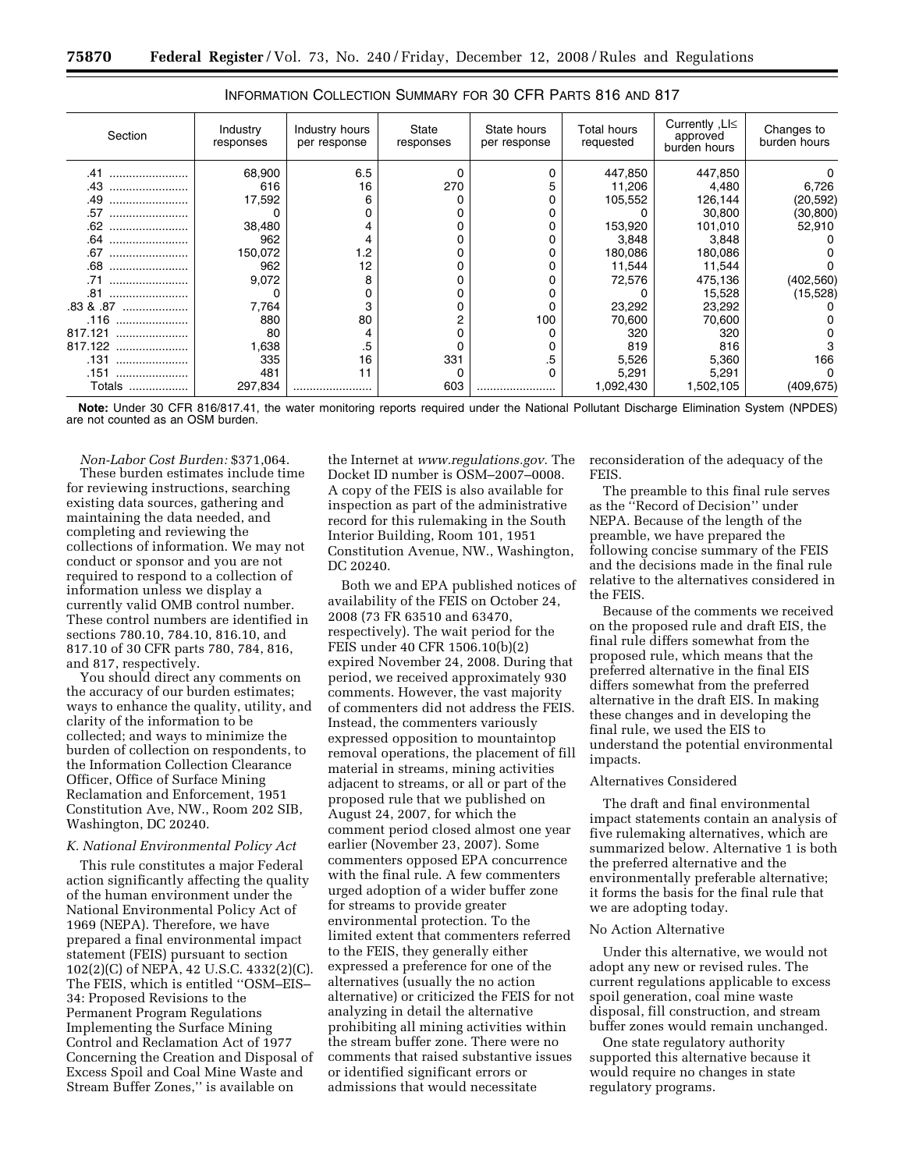| Section     | Industry<br>responses | Industry hours<br>per response | State<br>responses | State hours<br>per response | Total hours<br>requested | Currently, $LI \leq$<br>approved<br>burden hours | Changes to<br>burden hours |
|-------------|-----------------------|--------------------------------|--------------------|-----------------------------|--------------------------|--------------------------------------------------|----------------------------|
| .41<br>     | 68,900                | 6.5                            | 0                  |                             | 447,850                  | 447,850                                          |                            |
| .43<br>     | 616                   | 16                             | 270                | 5                           | 11,206                   | 4,480                                            | 6,726                      |
| .49         | 17,592                | 6                              |                    |                             | 105,552                  | 126,144                                          | (20, 592)                  |
| .57<br>     |                       |                                |                    |                             |                          | 30,800                                           | (30, 800)                  |
| .62<br>     | 38,480                |                                |                    |                             | 153,920                  | 101,010                                          | 52,910                     |
| .64<br>     | 962                   |                                | 0                  |                             | 3,848                    | 3,848                                            |                            |
| .67<br>     | 150,072               | 1.2                            | 0                  |                             | 180,086                  | 180,086                                          |                            |
| .68<br>     | 962                   | 12                             | 0                  |                             | 11,544                   | 11,544                                           |                            |
|             | 9,072                 | 8                              | 0                  |                             | 72,576                   | 475,136                                          | (402,560)                  |
| .81<br>     |                       |                                | 0                  |                             |                          | 15,528                                           | (15, 528)                  |
| .83 & .87   | 7,764                 |                                | 0                  |                             | 23,292                   | 23,292                                           |                            |
| .116<br>    | 880                   | 80                             | 2                  | 100                         | 70,600                   | 70,600                                           |                            |
| 817.121     | 80                    |                                | 0                  |                             | 320                      | 320                                              |                            |
| 817.122     | 1,638                 |                                |                    |                             | 819                      | 816                                              |                            |
| .131<br>    | 335                   | 16                             | 331                | .5                          | 5,526                    | 5,360                                            | 166                        |
| .151<br>    | 481                   |                                | 0                  |                             | 5,291                    | 5,291                                            |                            |
| Totals<br>. | 297,834               |                                | 603                |                             | 1,092,430                | 1,502,105                                        | (409,675)                  |

| INFORMATION COLLECTION SUMMARY FOR 30 CFR PARTS 816 AND 817 |
|-------------------------------------------------------------|
|                                                             |

**Note:** Under 30 CFR 816/817.41, the water monitoring reports required under the National Pollutant Discharge Elimination System (NPDES) are not counted as an OSM burden.

*Non-Labor Cost Burden:* \$371,064. These burden estimates include time for reviewing instructions, searching existing data sources, gathering and maintaining the data needed, and completing and reviewing the collections of information. We may not conduct or sponsor and you are not required to respond to a collection of information unless we display a currently valid OMB control number. These control numbers are identified in sections 780.10, 784.10, 816.10, and 817.10 of 30 CFR parts 780, 784, 816, and 817, respectively.

You should direct any comments on the accuracy of our burden estimates; ways to enhance the quality, utility, and clarity of the information to be collected; and ways to minimize the burden of collection on respondents, to the Information Collection Clearance Officer, Office of Surface Mining Reclamation and Enforcement, 1951 Constitution Ave, NW., Room 202 SIB, Washington, DC 20240.

### *K. National Environmental Policy Act*

This rule constitutes a major Federal action significantly affecting the quality of the human environment under the National Environmental Policy Act of 1969 (NEPA). Therefore, we have prepared a final environmental impact statement (FEIS) pursuant to section 102(2)(C) of NEPA, 42 U.S.C. 4332(2)(C). The FEIS, which is entitled ''OSM–EIS– 34: Proposed Revisions to the Permanent Program Regulations Implementing the Surface Mining Control and Reclamation Act of 1977 Concerning the Creation and Disposal of Excess Spoil and Coal Mine Waste and Stream Buffer Zones,'' is available on

the Internet at *www.regulations.gov.* The Docket ID number is OSM–2007–0008. A copy of the FEIS is also available for inspection as part of the administrative record for this rulemaking in the South Interior Building, Room 101, 1951 Constitution Avenue, NW., Washington, DC 20240.

Both we and EPA published notices of availability of the FEIS on October 24, 2008 (73 FR 63510 and 63470, respectively). The wait period for the FEIS under 40 CFR 1506.10(b)(2) expired November 24, 2008. During that period, we received approximately 930 comments. However, the vast majority of commenters did not address the FEIS. Instead, the commenters variously expressed opposition to mountaintop removal operations, the placement of fill material in streams, mining activities adjacent to streams, or all or part of the proposed rule that we published on August 24, 2007, for which the comment period closed almost one year earlier (November 23, 2007). Some commenters opposed EPA concurrence with the final rule. A few commenters urged adoption of a wider buffer zone for streams to provide greater environmental protection. To the limited extent that commenters referred to the FEIS, they generally either expressed a preference for one of the alternatives (usually the no action alternative) or criticized the FEIS for not analyzing in detail the alternative prohibiting all mining activities within the stream buffer zone. There were no comments that raised substantive issues or identified significant errors or admissions that would necessitate

reconsideration of the adequacy of the FEIS.

The preamble to this final rule serves as the ''Record of Decision'' under NEPA. Because of the length of the preamble, we have prepared the following concise summary of the FEIS and the decisions made in the final rule relative to the alternatives considered in the FEIS.

Because of the comments we received on the proposed rule and draft EIS, the final rule differs somewhat from the proposed rule, which means that the preferred alternative in the final EIS differs somewhat from the preferred alternative in the draft EIS. In making these changes and in developing the final rule, we used the EIS to understand the potential environmental impacts.

#### Alternatives Considered

The draft and final environmental impact statements contain an analysis of five rulemaking alternatives, which are summarized below. Alternative 1 is both the preferred alternative and the environmentally preferable alternative; it forms the basis for the final rule that we are adopting today.

#### No Action Alternative

Under this alternative, we would not adopt any new or revised rules. The current regulations applicable to excess spoil generation, coal mine waste disposal, fill construction, and stream buffer zones would remain unchanged.

One state regulatory authority supported this alternative because it would require no changes in state regulatory programs.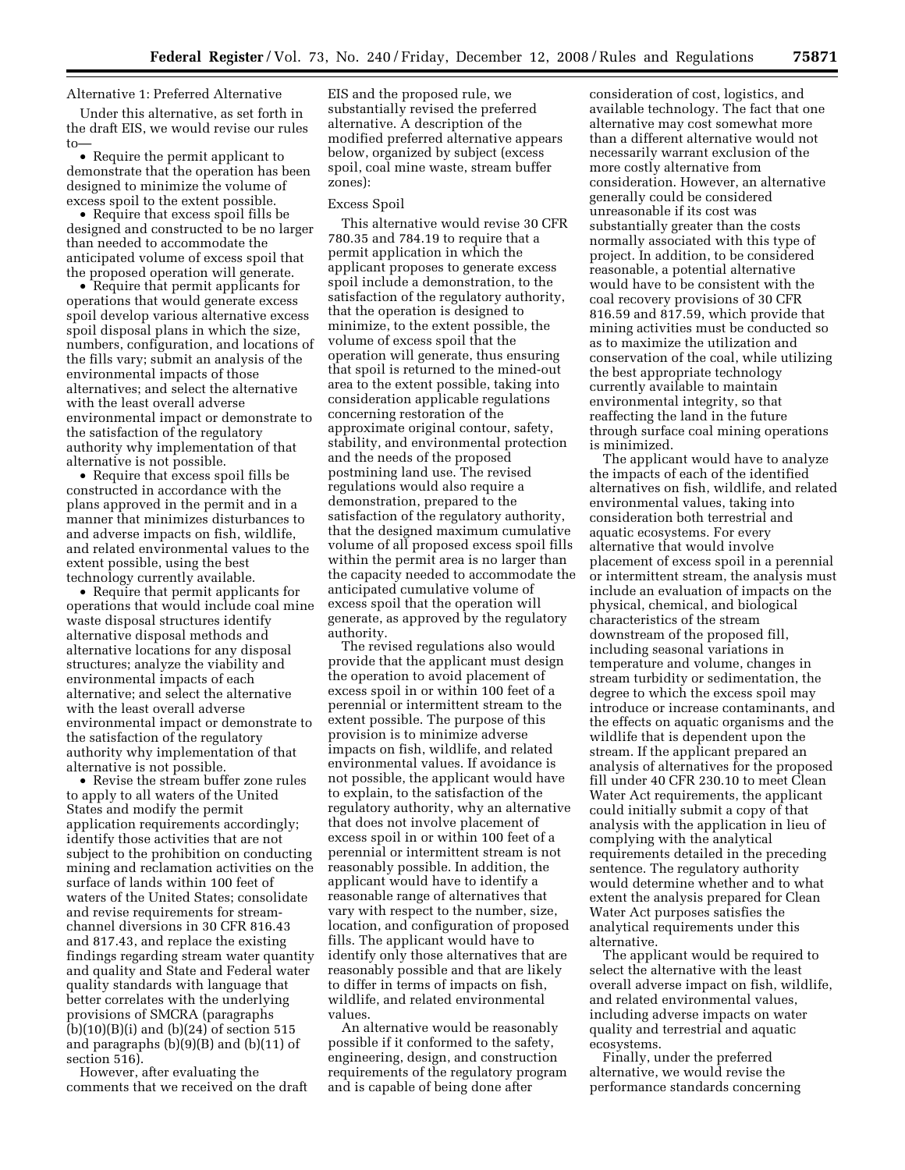# Alternative 1: Preferred Alternative

Under this alternative, as set forth in the draft EIS, we would revise our rules  $t_0$ 

• Require the permit applicant to demonstrate that the operation has been designed to minimize the volume of excess spoil to the extent possible.

• Require that excess spoil fills be designed and constructed to be no larger than needed to accommodate the anticipated volume of excess spoil that the proposed operation will generate.

• Require that permit applicants for operations that would generate excess spoil develop various alternative excess spoil disposal plans in which the size, numbers, configuration, and locations of the fills vary; submit an analysis of the environmental impacts of those alternatives; and select the alternative with the least overall adverse environmental impact or demonstrate to the satisfaction of the regulatory authority why implementation of that alternative is not possible.

• Require that excess spoil fills be constructed in accordance with the plans approved in the permit and in a manner that minimizes disturbances to and adverse impacts on fish, wildlife, and related environmental values to the extent possible, using the best technology currently available.

• Require that permit applicants for operations that would include coal mine waste disposal structures identify alternative disposal methods and alternative locations for any disposal structures; analyze the viability and environmental impacts of each alternative; and select the alternative with the least overall adverse environmental impact or demonstrate to the satisfaction of the regulatory authority why implementation of that alternative is not possible.

• Revise the stream buffer zone rules to apply to all waters of the United States and modify the permit application requirements accordingly; identify those activities that are not subject to the prohibition on conducting mining and reclamation activities on the surface of lands within 100 feet of waters of the United States; consolidate and revise requirements for streamchannel diversions in 30 CFR 816.43 and 817.43, and replace the existing findings regarding stream water quantity and quality and State and Federal water quality standards with language that better correlates with the underlying provisions of SMCRA (paragraphs  $(b)(10)(B)(i)$  and  $(b)(24)$  of section 515 and paragraphs (b)(9)(B) and (b)(11) of section 516).

However, after evaluating the comments that we received on the draft

EIS and the proposed rule, we substantially revised the preferred alternative. A description of the modified preferred alternative appears below, organized by subject (excess spoil, coal mine waste, stream buffer zones):

### Excess Spoil

This alternative would revise 30 CFR 780.35 and 784.19 to require that a permit application in which the applicant proposes to generate excess spoil include a demonstration, to the satisfaction of the regulatory authority, that the operation is designed to minimize, to the extent possible, the volume of excess spoil that the operation will generate, thus ensuring that spoil is returned to the mined-out area to the extent possible, taking into consideration applicable regulations concerning restoration of the approximate original contour, safety, stability, and environmental protection and the needs of the proposed postmining land use. The revised regulations would also require a demonstration, prepared to the satisfaction of the regulatory authority, that the designed maximum cumulative volume of all proposed excess spoil fills within the permit area is no larger than the capacity needed to accommodate the anticipated cumulative volume of excess spoil that the operation will generate, as approved by the regulatory authority.

The revised regulations also would provide that the applicant must design the operation to avoid placement of excess spoil in or within 100 feet of a perennial or intermittent stream to the extent possible. The purpose of this provision is to minimize adverse impacts on fish, wildlife, and related environmental values. If avoidance is not possible, the applicant would have to explain, to the satisfaction of the regulatory authority, why an alternative that does not involve placement of excess spoil in or within 100 feet of a perennial or intermittent stream is not reasonably possible. In addition, the applicant would have to identify a reasonable range of alternatives that vary with respect to the number, size, location, and configuration of proposed fills. The applicant would have to identify only those alternatives that are reasonably possible and that are likely to differ in terms of impacts on fish, wildlife, and related environmental values.

An alternative would be reasonably possible if it conformed to the safety, engineering, design, and construction requirements of the regulatory program and is capable of being done after

consideration of cost, logistics, and available technology. The fact that one alternative may cost somewhat more than a different alternative would not necessarily warrant exclusion of the more costly alternative from consideration. However, an alternative generally could be considered unreasonable if its cost was substantially greater than the costs normally associated with this type of project. In addition, to be considered reasonable, a potential alternative would have to be consistent with the coal recovery provisions of 30 CFR 816.59 and 817.59, which provide that mining activities must be conducted so as to maximize the utilization and conservation of the coal, while utilizing the best appropriate technology currently available to maintain environmental integrity, so that reaffecting the land in the future through surface coal mining operations is minimized.

The applicant would have to analyze the impacts of each of the identified alternatives on fish, wildlife, and related environmental values, taking into consideration both terrestrial and aquatic ecosystems. For every alternative that would involve placement of excess spoil in a perennial or intermittent stream, the analysis must include an evaluation of impacts on the physical, chemical, and biological characteristics of the stream downstream of the proposed fill, including seasonal variations in temperature and volume, changes in stream turbidity or sedimentation, the degree to which the excess spoil may introduce or increase contaminants, and the effects on aquatic organisms and the wildlife that is dependent upon the stream. If the applicant prepared an analysis of alternatives for the proposed fill under 40 CFR 230.10 to meet Clean Water Act requirements, the applicant could initially submit a copy of that analysis with the application in lieu of complying with the analytical requirements detailed in the preceding sentence. The regulatory authority would determine whether and to what extent the analysis prepared for Clean Water Act purposes satisfies the analytical requirements under this alternative.

The applicant would be required to select the alternative with the least overall adverse impact on fish, wildlife, and related environmental values, including adverse impacts on water quality and terrestrial and aquatic ecosystems.

Finally, under the preferred alternative, we would revise the performance standards concerning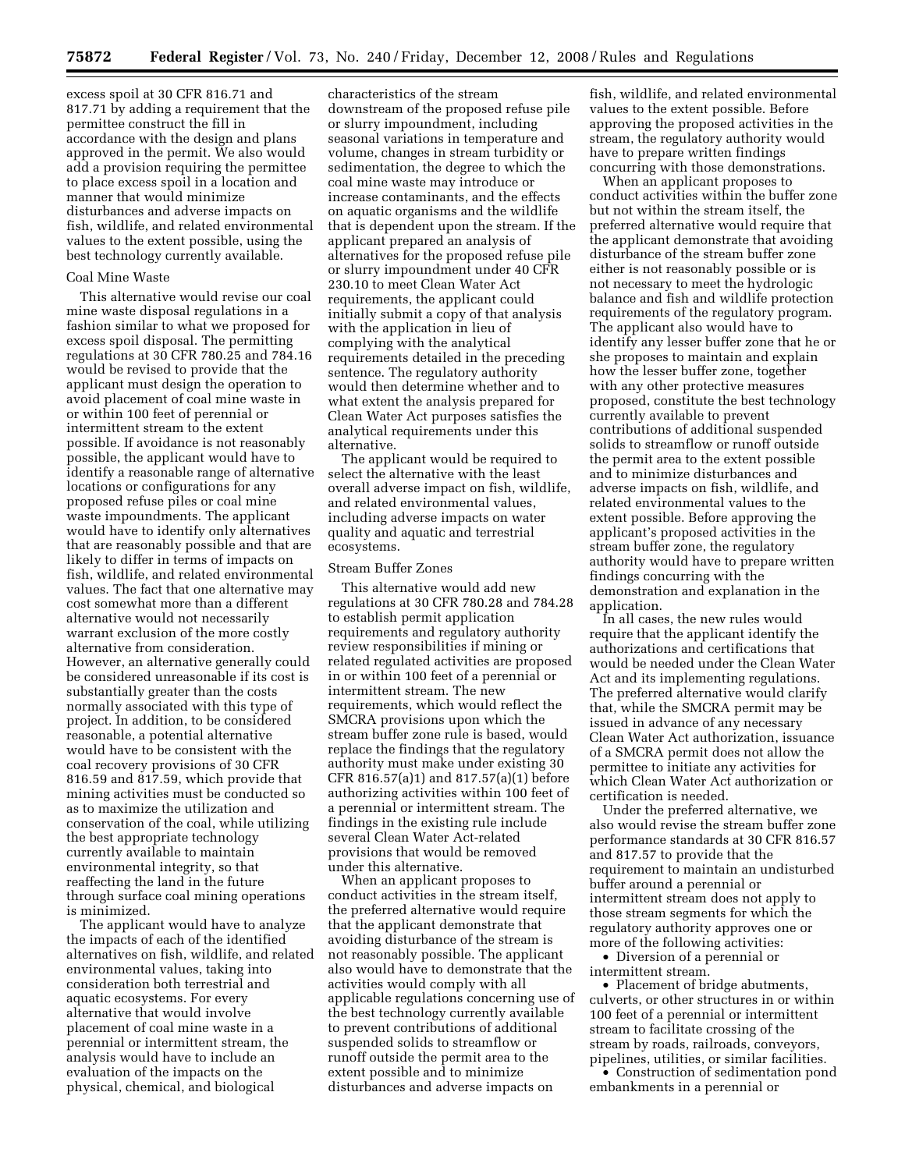excess spoil at 30 CFR 816.71 and 817.71 by adding a requirement that the permittee construct the fill in accordance with the design and plans approved in the permit. We also would add a provision requiring the permittee to place excess spoil in a location and manner that would minimize disturbances and adverse impacts on fish, wildlife, and related environmental values to the extent possible, using the best technology currently available.

#### Coal Mine Waste

This alternative would revise our coal mine waste disposal regulations in a fashion similar to what we proposed for excess spoil disposal. The permitting regulations at 30 CFR 780.25 and 784.16 would be revised to provide that the applicant must design the operation to avoid placement of coal mine waste in or within 100 feet of perennial or intermittent stream to the extent possible. If avoidance is not reasonably possible, the applicant would have to identify a reasonable range of alternative locations or configurations for any proposed refuse piles or coal mine waste impoundments. The applicant would have to identify only alternatives that are reasonably possible and that are likely to differ in terms of impacts on fish, wildlife, and related environmental values. The fact that one alternative may cost somewhat more than a different alternative would not necessarily warrant exclusion of the more costly alternative from consideration. However, an alternative generally could be considered unreasonable if its cost is substantially greater than the costs normally associated with this type of project. In addition, to be considered reasonable, a potential alternative would have to be consistent with the coal recovery provisions of 30 CFR 816.59 and 817.59, which provide that mining activities must be conducted so as to maximize the utilization and conservation of the coal, while utilizing the best appropriate technology currently available to maintain environmental integrity, so that reaffecting the land in the future through surface coal mining operations is minimized.

The applicant would have to analyze the impacts of each of the identified alternatives on fish, wildlife, and related environmental values, taking into consideration both terrestrial and aquatic ecosystems. For every alternative that would involve placement of coal mine waste in a perennial or intermittent stream, the analysis would have to include an evaluation of the impacts on the physical, chemical, and biological

characteristics of the stream downstream of the proposed refuse pile or slurry impoundment, including seasonal variations in temperature and volume, changes in stream turbidity or sedimentation, the degree to which the coal mine waste may introduce or increase contaminants, and the effects on aquatic organisms and the wildlife that is dependent upon the stream. If the applicant prepared an analysis of alternatives for the proposed refuse pile or slurry impoundment under 40 CFR 230.10 to meet Clean Water Act requirements, the applicant could initially submit a copy of that analysis with the application in lieu of complying with the analytical requirements detailed in the preceding sentence. The regulatory authority would then determine whether and to what extent the analysis prepared for Clean Water Act purposes satisfies the analytical requirements under this alternative.

The applicant would be required to select the alternative with the least overall adverse impact on fish, wildlife, and related environmental values, including adverse impacts on water quality and aquatic and terrestrial ecosystems.

#### Stream Buffer Zones

This alternative would add new regulations at 30 CFR 780.28 and 784.28 to establish permit application requirements and regulatory authority review responsibilities if mining or related regulated activities are proposed in or within 100 feet of a perennial or intermittent stream. The new requirements, which would reflect the SMCRA provisions upon which the stream buffer zone rule is based, would replace the findings that the regulatory authority must make under existing 30 CFR 816.57(a)1) and 817.57(a)(1) before authorizing activities within 100 feet of a perennial or intermittent stream. The findings in the existing rule include several Clean Water Act-related provisions that would be removed under this alternative.

When an applicant proposes to conduct activities in the stream itself, the preferred alternative would require that the applicant demonstrate that avoiding disturbance of the stream is not reasonably possible. The applicant also would have to demonstrate that the activities would comply with all applicable regulations concerning use of the best technology currently available to prevent contributions of additional suspended solids to streamflow or runoff outside the permit area to the extent possible and to minimize disturbances and adverse impacts on

fish, wildlife, and related environmental values to the extent possible. Before approving the proposed activities in the stream, the regulatory authority would have to prepare written findings concurring with those demonstrations.

When an applicant proposes to conduct activities within the buffer zone but not within the stream itself, the preferred alternative would require that the applicant demonstrate that avoiding disturbance of the stream buffer zone either is not reasonably possible or is not necessary to meet the hydrologic balance and fish and wildlife protection requirements of the regulatory program. The applicant also would have to identify any lesser buffer zone that he or she proposes to maintain and explain how the lesser buffer zone, together with any other protective measures proposed, constitute the best technology currently available to prevent contributions of additional suspended solids to streamflow or runoff outside the permit area to the extent possible and to minimize disturbances and adverse impacts on fish, wildlife, and related environmental values to the extent possible. Before approving the applicant's proposed activities in the stream buffer zone, the regulatory authority would have to prepare written findings concurring with the demonstration and explanation in the application.

In all cases, the new rules would require that the applicant identify the authorizations and certifications that would be needed under the Clean Water Act and its implementing regulations. The preferred alternative would clarify that, while the SMCRA permit may be issued in advance of any necessary Clean Water Act authorization, issuance of a SMCRA permit does not allow the permittee to initiate any activities for which Clean Water Act authorization or certification is needed.

Under the preferred alternative, we also would revise the stream buffer zone performance standards at 30 CFR 816.57 and 817.57 to provide that the requirement to maintain an undisturbed buffer around a perennial or intermittent stream does not apply to those stream segments for which the regulatory authority approves one or more of the following activities:

• Diversion of a perennial or intermittent stream.

• Placement of bridge abutments, culverts, or other structures in or within 100 feet of a perennial or intermittent stream to facilitate crossing of the stream by roads, railroads, conveyors, pipelines, utilities, or similar facilities.

• Construction of sedimentation pond embankments in a perennial or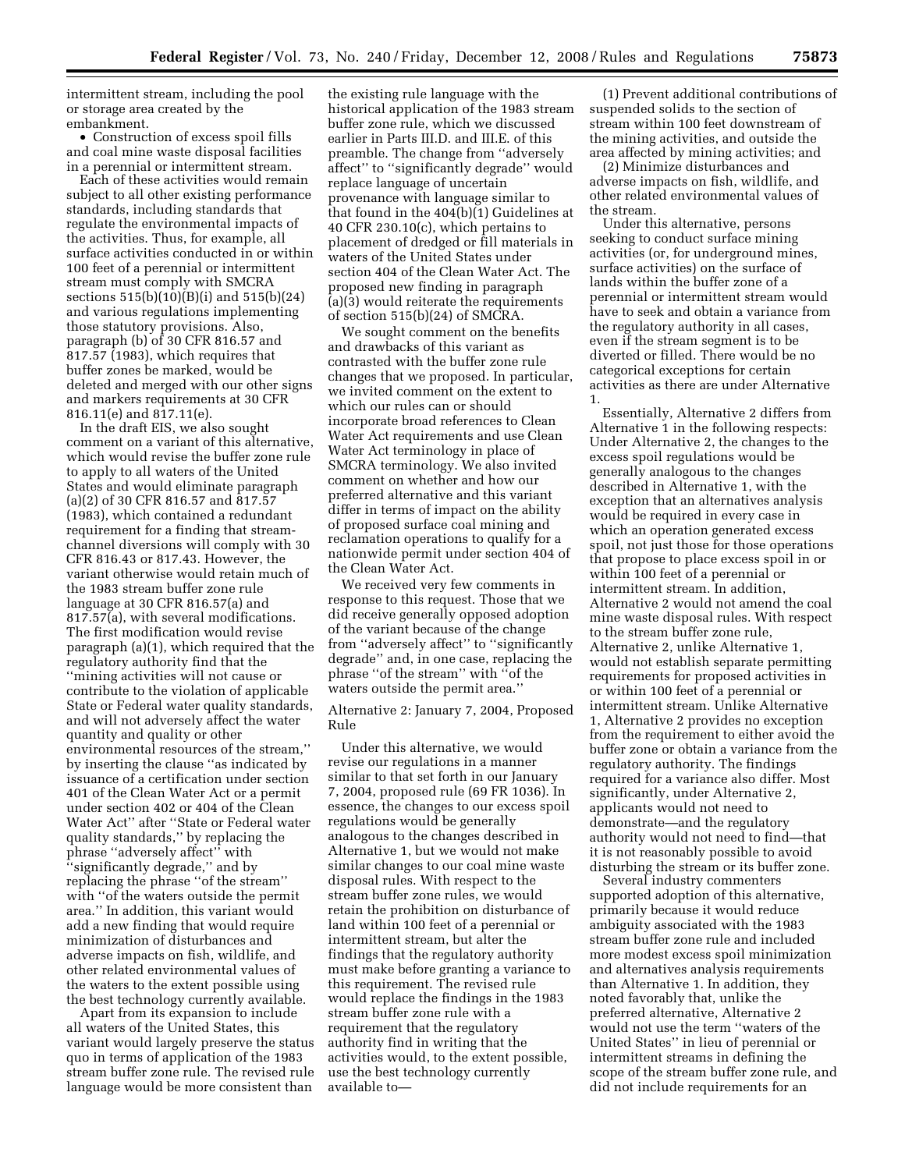intermittent stream, including the pool or storage area created by the embankment.

• Construction of excess spoil fills and coal mine waste disposal facilities in a perennial or intermittent stream.

Each of these activities would remain subject to all other existing performance standards, including standards that regulate the environmental impacts of the activities. Thus, for example, all surface activities conducted in or within 100 feet of a perennial or intermittent stream must comply with SMCRA sections 515(b)(10)(B)(i) and 515(b)(24) and various regulations implementing those statutory provisions. Also, paragraph (b) of 30 CFR 816.57 and  $817.\overline{57}$  (1983), which requires that buffer zones be marked, would be deleted and merged with our other signs and markers requirements at 30 CFR 816.11(e) and 817.11(e).

In the draft EIS, we also sought comment on a variant of this alternative, which would revise the buffer zone rule to apply to all waters of the United States and would eliminate paragraph (a)(2) of 30 CFR 816.57 and 817.57 (1983), which contained a redundant requirement for a finding that streamchannel diversions will comply with 30 CFR 816.43 or 817.43. However, the variant otherwise would retain much of the 1983 stream buffer zone rule language at 30 CFR 816.57(a) and 817.57(a), with several modifications. The first modification would revise paragraph (a)(1), which required that the regulatory authority find that the ''mining activities will not cause or contribute to the violation of applicable State or Federal water quality standards, and will not adversely affect the water quantity and quality or other environmental resources of the stream,'' by inserting the clause ''as indicated by issuance of a certification under section 401 of the Clean Water Act or a permit under section 402 or 404 of the Clean Water Act'' after ''State or Federal water quality standards,'' by replacing the phrase ''adversely affect'' with ''significantly degrade,'' and by replacing the phrase ''of the stream'' with ''of the waters outside the permit area.'' In addition, this variant would add a new finding that would require minimization of disturbances and adverse impacts on fish, wildlife, and other related environmental values of the waters to the extent possible using the best technology currently available.

Apart from its expansion to include all waters of the United States, this variant would largely preserve the status quo in terms of application of the 1983 stream buffer zone rule. The revised rule language would be more consistent than

the existing rule language with the historical application of the 1983 stream buffer zone rule, which we discussed earlier in Parts III.D. and III.E. of this preamble. The change from ''adversely affect'' to ''significantly degrade'' would replace language of uncertain provenance with language similar to that found in the 404(b)(1) Guidelines at 40 CFR 230.10(c), which pertains to placement of dredged or fill materials in waters of the United States under section 404 of the Clean Water Act. The proposed new finding in paragraph (a)(3) would reiterate the requirements of section 515(b)(24) of SMCRA.

We sought comment on the benefits and drawbacks of this variant as contrasted with the buffer zone rule changes that we proposed. In particular, we invited comment on the extent to which our rules can or should incorporate broad references to Clean Water Act requirements and use Clean Water Act terminology in place of SMCRA terminology. We also invited comment on whether and how our preferred alternative and this variant differ in terms of impact on the ability of proposed surface coal mining and reclamation operations to qualify for a nationwide permit under section 404 of the Clean Water Act.

We received very few comments in response to this request. Those that we did receive generally opposed adoption of the variant because of the change from ''adversely affect'' to ''significantly degrade'' and, in one case, replacing the phrase ''of the stream'' with ''of the waters outside the permit area.''

Alternative 2: January 7, 2004, Proposed Rule

Under this alternative, we would revise our regulations in a manner similar to that set forth in our January 7, 2004, proposed rule (69 FR 1036). In essence, the changes to our excess spoil regulations would be generally analogous to the changes described in Alternative 1, but we would not make similar changes to our coal mine waste disposal rules. With respect to the stream buffer zone rules, we would retain the prohibition on disturbance of land within 100 feet of a perennial or intermittent stream, but alter the findings that the regulatory authority must make before granting a variance to this requirement. The revised rule would replace the findings in the 1983 stream buffer zone rule with a requirement that the regulatory authority find in writing that the activities would, to the extent possible, use the best technology currently available to—

(1) Prevent additional contributions of suspended solids to the section of stream within 100 feet downstream of the mining activities, and outside the area affected by mining activities; and

(2) Minimize disturbances and adverse impacts on fish, wildlife, and other related environmental values of the stream.

Under this alternative, persons seeking to conduct surface mining activities (or, for underground mines, surface activities) on the surface of lands within the buffer zone of a perennial or intermittent stream would have to seek and obtain a variance from the regulatory authority in all cases, even if the stream segment is to be diverted or filled. There would be no categorical exceptions for certain activities as there are under Alternative 1.

Essentially, Alternative 2 differs from Alternative 1 in the following respects: Under Alternative 2, the changes to the excess spoil regulations would be generally analogous to the changes described in Alternative 1, with the exception that an alternatives analysis would be required in every case in which an operation generated excess spoil, not just those for those operations that propose to place excess spoil in or within 100 feet of a perennial or intermittent stream. In addition, Alternative 2 would not amend the coal mine waste disposal rules. With respect to the stream buffer zone rule, Alternative 2, unlike Alternative 1, would not establish separate permitting requirements for proposed activities in or within 100 feet of a perennial or intermittent stream. Unlike Alternative 1, Alternative 2 provides no exception from the requirement to either avoid the buffer zone or obtain a variance from the regulatory authority. The findings required for a variance also differ. Most significantly, under Alternative 2, applicants would not need to demonstrate—and the regulatory authority would not need to find—that it is not reasonably possible to avoid disturbing the stream or its buffer zone.

Several industry commenters supported adoption of this alternative, primarily because it would reduce ambiguity associated with the 1983 stream buffer zone rule and included more modest excess spoil minimization and alternatives analysis requirements than Alternative 1. In addition, they noted favorably that, unlike the preferred alternative, Alternative 2 would not use the term ''waters of the United States'' in lieu of perennial or intermittent streams in defining the scope of the stream buffer zone rule, and did not include requirements for an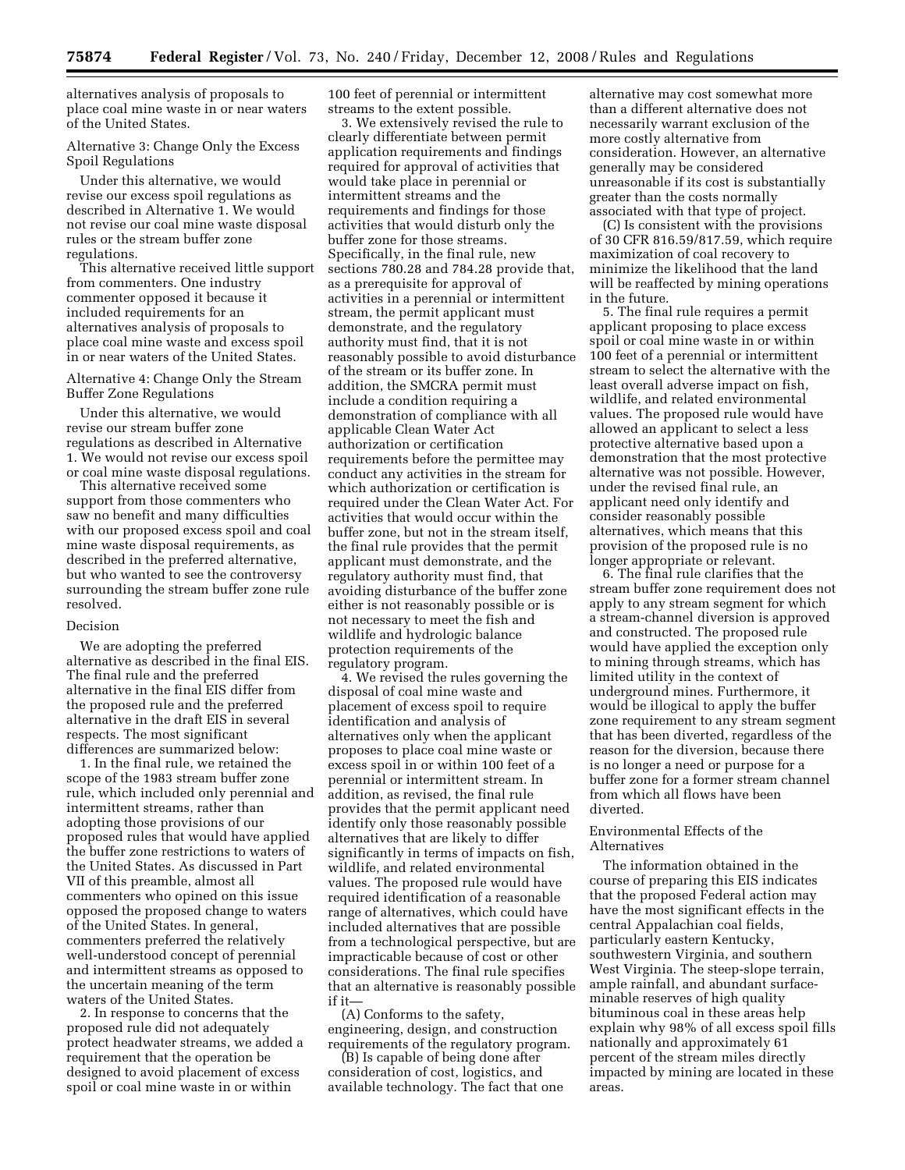alternatives analysis of proposals to place coal mine waste in or near waters of the United States.

# Alternative 3: Change Only the Excess Spoil Regulations

Under this alternative, we would revise our excess spoil regulations as described in Alternative 1. We would not revise our coal mine waste disposal rules or the stream buffer zone regulations.

This alternative received little support from commenters. One industry commenter opposed it because it included requirements for an alternatives analysis of proposals to place coal mine waste and excess spoil in or near waters of the United States.

Alternative 4: Change Only the Stream Buffer Zone Regulations

Under this alternative, we would revise our stream buffer zone regulations as described in Alternative 1. We would not revise our excess spoil or coal mine waste disposal regulations.

This alternative received some support from those commenters who saw no benefit and many difficulties with our proposed excess spoil and coal mine waste disposal requirements, as described in the preferred alternative, but who wanted to see the controversy surrounding the stream buffer zone rule resolved.

#### Decision

We are adopting the preferred alternative as described in the final EIS. The final rule and the preferred alternative in the final EIS differ from the proposed rule and the preferred alternative in the draft EIS in several respects. The most significant differences are summarized below:

1. In the final rule, we retained the scope of the 1983 stream buffer zone rule, which included only perennial and intermittent streams, rather than adopting those provisions of our proposed rules that would have applied the buffer zone restrictions to waters of the United States. As discussed in Part VII of this preamble, almost all commenters who opined on this issue opposed the proposed change to waters of the United States. In general, commenters preferred the relatively well-understood concept of perennial and intermittent streams as opposed to the uncertain meaning of the term waters of the United States.

2. In response to concerns that the proposed rule did not adequately protect headwater streams, we added a requirement that the operation be designed to avoid placement of excess spoil or coal mine waste in or within

100 feet of perennial or intermittent streams to the extent possible.

3. We extensively revised the rule to clearly differentiate between permit application requirements and findings required for approval of activities that would take place in perennial or intermittent streams and the requirements and findings for those activities that would disturb only the buffer zone for those streams. Specifically, in the final rule, new sections 780.28 and 784.28 provide that, as a prerequisite for approval of activities in a perennial or intermittent stream, the permit applicant must demonstrate, and the regulatory authority must find, that it is not reasonably possible to avoid disturbance of the stream or its buffer zone. In addition, the SMCRA permit must include a condition requiring a demonstration of compliance with all applicable Clean Water Act authorization or certification requirements before the permittee may conduct any activities in the stream for which authorization or certification is required under the Clean Water Act. For activities that would occur within the buffer zone, but not in the stream itself, the final rule provides that the permit applicant must demonstrate, and the regulatory authority must find, that avoiding disturbance of the buffer zone either is not reasonably possible or is not necessary to meet the fish and wildlife and hydrologic balance protection requirements of the regulatory program.

4. We revised the rules governing the disposal of coal mine waste and placement of excess spoil to require identification and analysis of alternatives only when the applicant proposes to place coal mine waste or excess spoil in or within 100 feet of a perennial or intermittent stream. In addition, as revised, the final rule provides that the permit applicant need identify only those reasonably possible alternatives that are likely to differ significantly in terms of impacts on fish, wildlife, and related environmental values. The proposed rule would have required identification of a reasonable range of alternatives, which could have included alternatives that are possible from a technological perspective, but are impracticable because of cost or other considerations. The final rule specifies that an alternative is reasonably possible if it—

(A) Conforms to the safety, engineering, design, and construction requirements of the regulatory program.

(B) Is capable of being done after consideration of cost, logistics, and available technology. The fact that one

alternative may cost somewhat more than a different alternative does not necessarily warrant exclusion of the more costly alternative from consideration. However, an alternative generally may be considered unreasonable if its cost is substantially greater than the costs normally associated with that type of project.

(C) Is consistent with the provisions of 30 CFR 816.59/817.59, which require maximization of coal recovery to minimize the likelihood that the land will be reaffected by mining operations in the future.

5. The final rule requires a permit applicant proposing to place excess spoil or coal mine waste in or within 100 feet of a perennial or intermittent stream to select the alternative with the least overall adverse impact on fish, wildlife, and related environmental values. The proposed rule would have allowed an applicant to select a less protective alternative based upon a demonstration that the most protective alternative was not possible. However, under the revised final rule, an applicant need only identify and consider reasonably possible alternatives, which means that this provision of the proposed rule is no longer appropriate or relevant.

6. The final rule clarifies that the stream buffer zone requirement does not apply to any stream segment for which a stream-channel diversion is approved and constructed. The proposed rule would have applied the exception only to mining through streams, which has limited utility in the context of underground mines. Furthermore, it would be illogical to apply the buffer zone requirement to any stream segment that has been diverted, regardless of the reason for the diversion, because there is no longer a need or purpose for a buffer zone for a former stream channel from which all flows have been diverted.

# Environmental Effects of the Alternatives

The information obtained in the course of preparing this EIS indicates that the proposed Federal action may have the most significant effects in the central Appalachian coal fields, particularly eastern Kentucky, southwestern Virginia, and southern West Virginia. The steep-slope terrain, ample rainfall, and abundant surfaceminable reserves of high quality bituminous coal in these areas help explain why 98% of all excess spoil fills nationally and approximately 61 percent of the stream miles directly impacted by mining are located in these areas.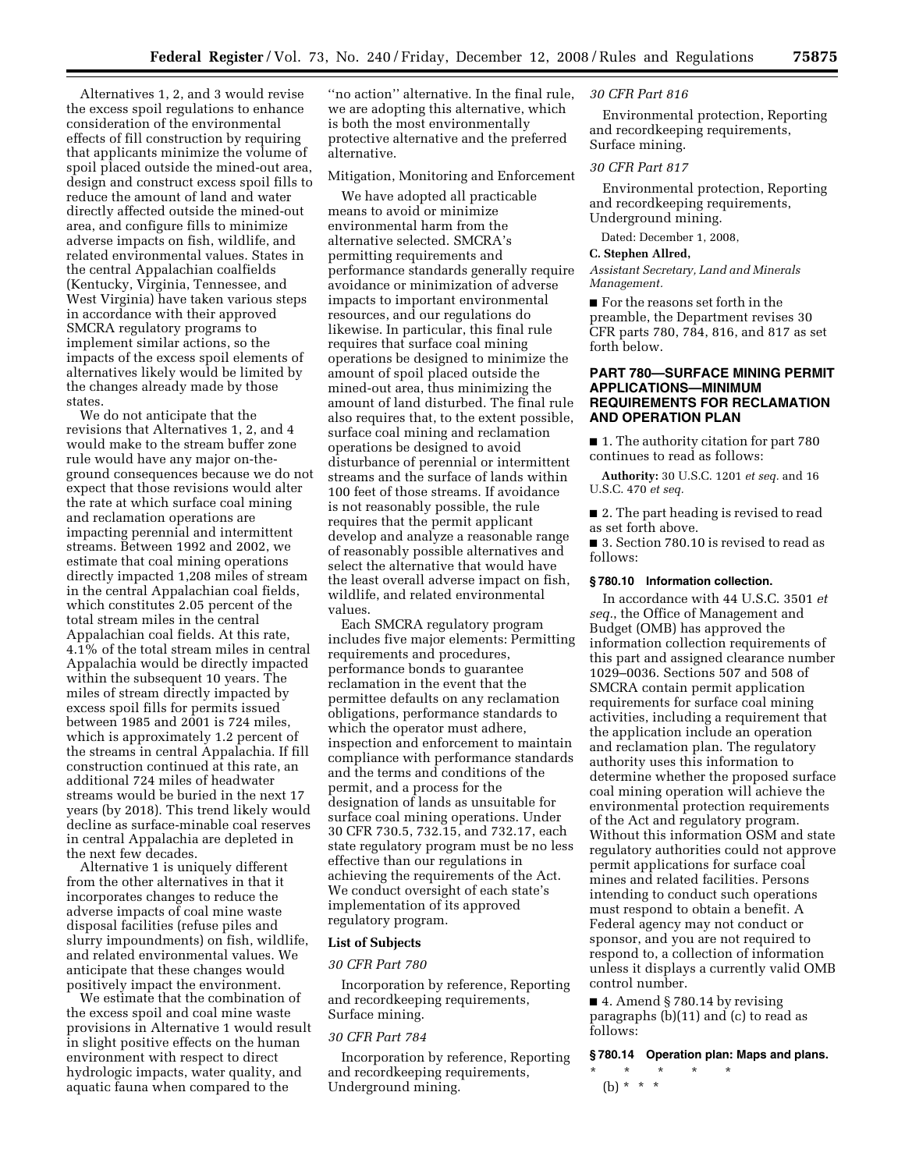Alternatives 1, 2, and 3 would revise the excess spoil regulations to enhance consideration of the environmental effects of fill construction by requiring that applicants minimize the volume of spoil placed outside the mined-out area, design and construct excess spoil fills to reduce the amount of land and water directly affected outside the mined-out area, and configure fills to minimize adverse impacts on fish, wildlife, and related environmental values. States in the central Appalachian coalfields (Kentucky, Virginia, Tennessee, and West Virginia) have taken various steps in accordance with their approved SMCRA regulatory programs to implement similar actions, so the impacts of the excess spoil elements of alternatives likely would be limited by the changes already made by those states.

We do not anticipate that the revisions that Alternatives 1, 2, and 4 would make to the stream buffer zone rule would have any major on-theground consequences because we do not expect that those revisions would alter the rate at which surface coal mining and reclamation operations are impacting perennial and intermittent streams. Between 1992 and 2002, we estimate that coal mining operations directly impacted 1,208 miles of stream in the central Appalachian coal fields, which constitutes 2.05 percent of the total stream miles in the central Appalachian coal fields. At this rate, 4.1% of the total stream miles in central Appalachia would be directly impacted within the subsequent 10 years. The miles of stream directly impacted by excess spoil fills for permits issued between 1985 and 2001 is 724 miles, which is approximately 1.2 percent of the streams in central Appalachia. If fill construction continued at this rate, an additional 724 miles of headwater streams would be buried in the next 17 years (by 2018). This trend likely would decline as surface-minable coal reserves in central Appalachia are depleted in the next few decades.

Alternative 1 is uniquely different from the other alternatives in that it incorporates changes to reduce the adverse impacts of coal mine waste disposal facilities (refuse piles and slurry impoundments) on fish, wildlife, and related environmental values. We anticipate that these changes would positively impact the environment.

We estimate that the combination of the excess spoil and coal mine waste provisions in Alternative 1 would result in slight positive effects on the human environment with respect to direct hydrologic impacts, water quality, and aquatic fauna when compared to the

''no action'' alternative. In the final rule, we are adopting this alternative, which is both the most environmentally protective alternative and the preferred alternative.

# Mitigation, Monitoring and Enforcement

We have adopted all practicable means to avoid or minimize environmental harm from the alternative selected. SMCRA's permitting requirements and performance standards generally require avoidance or minimization of adverse impacts to important environmental resources, and our regulations do likewise. In particular, this final rule requires that surface coal mining operations be designed to minimize the amount of spoil placed outside the mined-out area, thus minimizing the amount of land disturbed. The final rule also requires that, to the extent possible, surface coal mining and reclamation operations be designed to avoid disturbance of perennial or intermittent streams and the surface of lands within 100 feet of those streams. If avoidance is not reasonably possible, the rule requires that the permit applicant develop and analyze a reasonable range of reasonably possible alternatives and select the alternative that would have the least overall adverse impact on fish, wildlife, and related environmental values.

Each SMCRA regulatory program includes five major elements: Permitting requirements and procedures, performance bonds to guarantee reclamation in the event that the permittee defaults on any reclamation obligations, performance standards to which the operator must adhere, inspection and enforcement to maintain compliance with performance standards and the terms and conditions of the permit, and a process for the designation of lands as unsuitable for surface coal mining operations. Under 30 CFR 730.5, 732.15, and 732.17, each state regulatory program must be no less effective than our regulations in achieving the requirements of the Act. We conduct oversight of each state's implementation of its approved regulatory program.

# **List of Subjects**

### *30 CFR Part 780*

Incorporation by reference, Reporting and recordkeeping requirements, Surface mining.

### *30 CFR Part 784*

Incorporation by reference, Reporting and recordkeeping requirements, Underground mining.

### *30 CFR Part 816*

Environmental protection, Reporting and recordkeeping requirements, Surface mining.

#### *30 CFR Part 817*

Environmental protection, Reporting and recordkeeping requirements, Underground mining.

Dated: December 1, 2008,

# **C. Stephen Allred,**

*Assistant Secretary, Land and Minerals Management.* 

■ For the reasons set forth in the preamble, the Department revises 30 CFR parts 780, 784, 816, and 817 as set forth below.

# **PART 780—SURFACE MINING PERMIT APPLICATIONS—MINIMUM REQUIREMENTS FOR RECLAMATION AND OPERATION PLAN**

■ 1. The authority citation for part 780 continues to read as follows:

**Authority:** 30 U.S.C. 1201 *et seq.* and 16 U.S.C. 470 *et seq.* 

■ 2. The part heading is revised to read as set forth above.

■ 3. Section 780.10 is revised to read as follows:

### **§ 780.10 Information collection.**

In accordance with 44 U.S.C. 3501 *et seq.*, the Office of Management and Budget (OMB) has approved the information collection requirements of this part and assigned clearance number 1029–0036. Sections 507 and 508 of SMCRA contain permit application requirements for surface coal mining activities, including a requirement that the application include an operation and reclamation plan. The regulatory authority uses this information to determine whether the proposed surface coal mining operation will achieve the environmental protection requirements of the Act and regulatory program. Without this information OSM and state regulatory authorities could not approve permit applications for surface coal mines and related facilities. Persons intending to conduct such operations must respond to obtain a benefit. A Federal agency may not conduct or sponsor, and you are not required to respond to, a collection of information unless it displays a currently valid OMB control number.

■ 4. Amend § 780.14 by revising paragraphs (b)(11) and (c) to read as follows:

# **§ 780.14 Operation plan: Maps and plans.**

\* \* \* \* \* (b) \* \* \*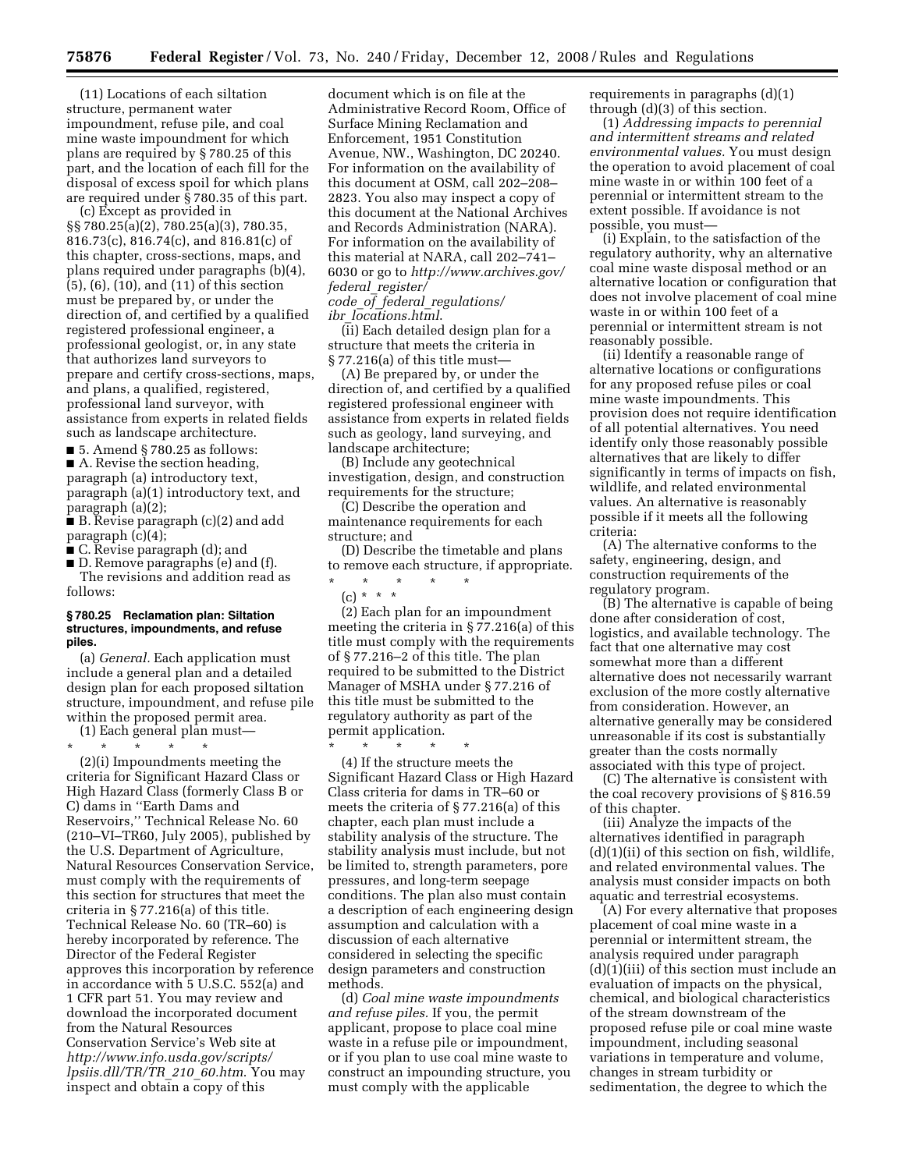(11) Locations of each siltation structure, permanent water impoundment, refuse pile, and coal mine waste impoundment for which plans are required by § 780.25 of this part, and the location of each fill for the disposal of excess spoil for which plans are required under § 780.35 of this part.

(c) Except as provided in §§ 780.25(a)(2), 780.25(a)(3), 780.35, 816.73(c), 816.74(c), and 816.81(c) of this chapter, cross-sections, maps, and plans required under paragraphs (b)(4), (5), (6), (10), and (11) of this section must be prepared by, or under the direction of, and certified by a qualified registered professional engineer, a professional geologist, or, in any state that authorizes land surveyors to prepare and certify cross-sections, maps, and plans, a qualified, registered, professional land surveyor, with assistance from experts in related fields such as landscape architecture.

 $\blacksquare$  5. Amend § 780.25 as follows: ■ A. Revise the section heading, paragraph (a) introductory text, paragraph (a)(1) introductory text, and paragraph (a)(2);

■ B. Revise paragraph (c)(2) and add paragraph (c)(4);

■ C. Revise paragraph (d); and

■ D. Remove paragraphs (e) and (f). The revisions and addition read as follows:

#### **§ 780.25 Reclamation plan: Siltation structures, impoundments, and refuse piles.**

(a) *General.* Each application must include a general plan and a detailed design plan for each proposed siltation structure, impoundment, and refuse pile within the proposed permit area.

(1) Each general plan must—

\* \* \* \* \* (2)(i) Impoundments meeting the criteria for Significant Hazard Class or High Hazard Class (formerly Class B or C) dams in ''Earth Dams and Reservoirs,'' Technical Release No. 60 (210–VI–TR60, July 2005), published by the U.S. Department of Agriculture, Natural Resources Conservation Service, must comply with the requirements of this section for structures that meet the criteria in § 77.216(a) of this title. Technical Release No. 60 (TR–60) is hereby incorporated by reference. The Director of the Federal Register approves this incorporation by reference in accordance with 5 U.S.C. 552(a) and 1 CFR part 51. You may review and download the incorporated document from the Natural Resources Conservation Service's Web site at *http://www.info.usda.gov/scripts/ lpsiis.dll/TR/TR*\_*210*\_*60.htm*. You may inspect and obtain a copy of this

document which is on file at the Administrative Record Room, Office of Surface Mining Reclamation and Enforcement, 1951 Constitution Avenue, NW., Washington, DC 20240. For information on the availability of this document at OSM, call 202–208– 2823. You also may inspect a copy of this document at the National Archives and Records Administration (NARA). For information on the availability of this material at NARA, call 202–741– 6030 or go to *http://www.archives.gov/ federal*\_*register/ code*\_*of*\_*federal*\_*regulations/* 

*ibr*\_*locations.html*. (ii) Each detailed design plan for a

structure that meets the criteria in § 77.216(a) of this title must—

(A) Be prepared by, or under the direction of, and certified by a qualified registered professional engineer with assistance from experts in related fields such as geology, land surveying, and landscape architecture;

(B) Include any geotechnical investigation, design, and construction requirements for the structure;

(C) Describe the operation and maintenance requirements for each structure; and

(D) Describe the timetable and plans to remove each structure, if appropriate. \* \* \* \* \*

# $(c) * * * *$

(2) Each plan for an impoundment meeting the criteria in § 77.216(a) of this title must comply with the requirements of § 77.216–2 of this title. The plan required to be submitted to the District Manager of MSHA under § 77.216 of this title must be submitted to the regulatory authority as part of the permit application.

\* \* \* \* \* (4) If the structure meets the Significant Hazard Class or High Hazard Class criteria for dams in TR–60 or meets the criteria of § 77.216(a) of this chapter, each plan must include a stability analysis of the structure. The stability analysis must include, but not be limited to, strength parameters, pore pressures, and long-term seepage conditions. The plan also must contain a description of each engineering design assumption and calculation with a discussion of each alternative considered in selecting the specific design parameters and construction methods.

(d) *Coal mine waste impoundments and refuse piles.* If you, the permit applicant, propose to place coal mine waste in a refuse pile or impoundment, or if you plan to use coal mine waste to construct an impounding structure, you must comply with the applicable

requirements in paragraphs (d)(1) through (d)(3) of this section.

(1) *Addressing impacts to perennial and intermittent streams and related environmental values.* You must design the operation to avoid placement of coal mine waste in or within 100 feet of a perennial or intermittent stream to the extent possible. If avoidance is not possible, you must—

(i) Explain, to the satisfaction of the regulatory authority, why an alternative coal mine waste disposal method or an alternative location or configuration that does not involve placement of coal mine waste in or within 100 feet of a perennial or intermittent stream is not reasonably possible.

(ii) Identify a reasonable range of alternative locations or configurations for any proposed refuse piles or coal mine waste impoundments. This provision does not require identification of all potential alternatives. You need identify only those reasonably possible alternatives that are likely to differ significantly in terms of impacts on fish, wildlife, and related environmental values. An alternative is reasonably possible if it meets all the following criteria:

(A) The alternative conforms to the safety, engineering, design, and construction requirements of the regulatory program.

(B) The alternative is capable of being done after consideration of cost, logistics, and available technology. The fact that one alternative may cost somewhat more than a different alternative does not necessarily warrant exclusion of the more costly alternative from consideration. However, an alternative generally may be considered unreasonable if its cost is substantially greater than the costs normally associated with this type of project.

(C) The alternative is consistent with the coal recovery provisions of § 816.59 of this chapter.

(iii) Analyze the impacts of the alternatives identified in paragraph  $(d)(1)(ii)$  of this section on fish, wildlife, and related environmental values. The analysis must consider impacts on both aquatic and terrestrial ecosystems.

(A) For every alternative that proposes placement of coal mine waste in a perennial or intermittent stream, the analysis required under paragraph (d)(1)(iii) of this section must include an evaluation of impacts on the physical, chemical, and biological characteristics of the stream downstream of the proposed refuse pile or coal mine waste impoundment, including seasonal variations in temperature and volume, changes in stream turbidity or sedimentation, the degree to which the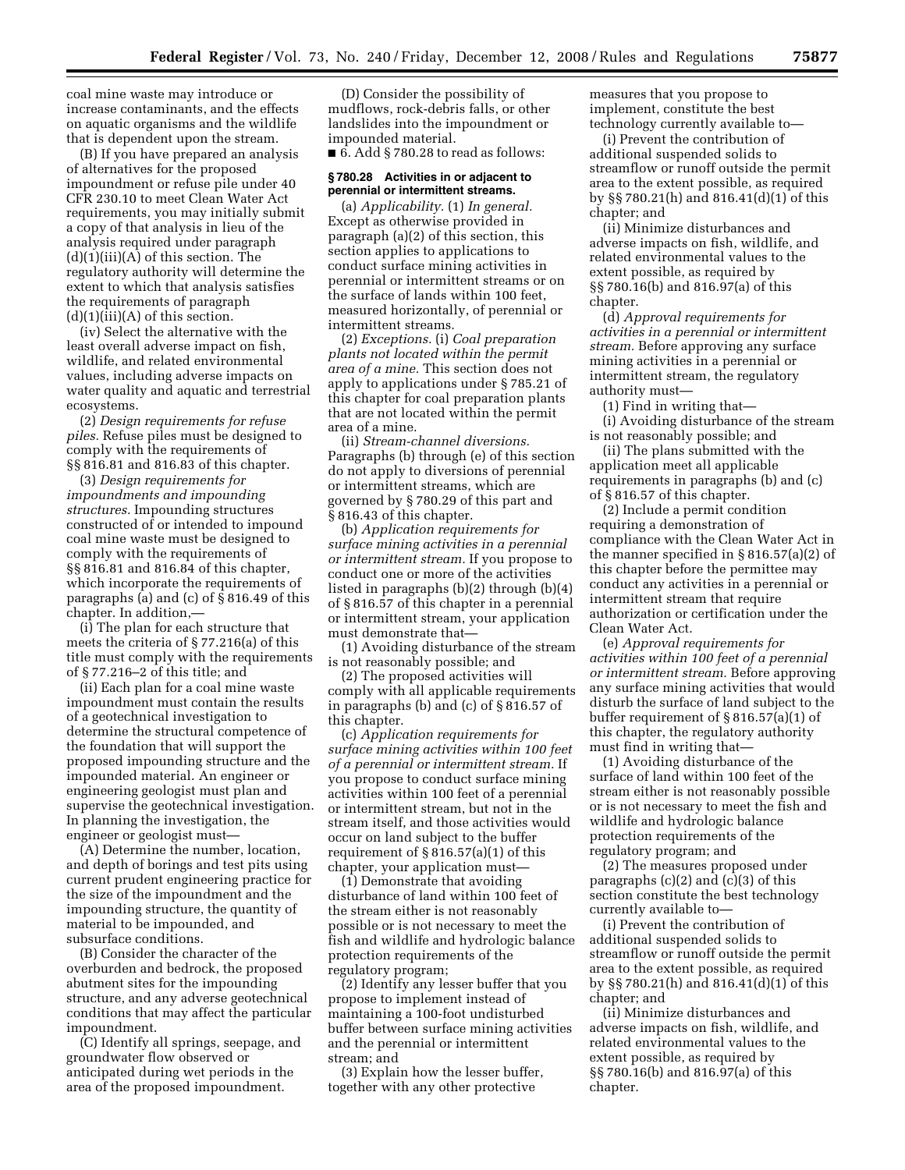coal mine waste may introduce or increase contaminants, and the effects on aquatic organisms and the wildlife that is dependent upon the stream.

(B) If you have prepared an analysis of alternatives for the proposed impoundment or refuse pile under 40 CFR 230.10 to meet Clean Water Act requirements, you may initially submit a copy of that analysis in lieu of the analysis required under paragraph  $(d)(1)(iii)(A)$  of this section. The regulatory authority will determine the extent to which that analysis satisfies the requirements of paragraph  $(d)(1)(iii)(A)$  of this section.

(iv) Select the alternative with the least overall adverse impact on fish, wildlife, and related environmental values, including adverse impacts on water quality and aquatic and terrestrial ecosystems.

(2) *Design requirements for refuse piles.* Refuse piles must be designed to comply with the requirements of §§ 816.81 and 816.83 of this chapter.

(3) *Design requirements for impoundments and impounding structures.* Impounding structures constructed of or intended to impound coal mine waste must be designed to comply with the requirements of §§ 816.81 and 816.84 of this chapter, which incorporate the requirements of paragraphs (a) and (c) of § 816.49 of this chapter. In addition,—

(i) The plan for each structure that meets the criteria of § 77.216(a) of this title must comply with the requirements of § 77.216–2 of this title; and

(ii) Each plan for a coal mine waste impoundment must contain the results of a geotechnical investigation to determine the structural competence of the foundation that will support the proposed impounding structure and the impounded material. An engineer or engineering geologist must plan and supervise the geotechnical investigation. In planning the investigation, the engineer or geologist must—

(A) Determine the number, location, and depth of borings and test pits using current prudent engineering practice for the size of the impoundment and the impounding structure, the quantity of material to be impounded, and subsurface conditions.

(B) Consider the character of the overburden and bedrock, the proposed abutment sites for the impounding structure, and any adverse geotechnical conditions that may affect the particular impoundment.

(C) Identify all springs, seepage, and groundwater flow observed or anticipated during wet periods in the area of the proposed impoundment.

(D) Consider the possibility of mudflows, rock-debris falls, or other landslides into the impoundment or impounded material.

 $\blacksquare$  6. Add § 780.28 to read as follows:

### **§ 780.28 Activities in or adjacent to perennial or intermittent streams.**

(a) *Applicability.* (1) *In general.*  Except as otherwise provided in paragraph (a)(2) of this section, this section applies to applications to conduct surface mining activities in perennial or intermittent streams or on the surface of lands within 100 feet, measured horizontally, of perennial or intermittent streams.

(2) *Exceptions.* (i) *Coal preparation plants not located within the permit area of a mine.* This section does not apply to applications under § 785.21 of this chapter for coal preparation plants that are not located within the permit area of a mine.

(ii) *Stream-channel diversions.*  Paragraphs (b) through (e) of this section do not apply to diversions of perennial or intermittent streams, which are governed by § 780.29 of this part and § 816.43 of this chapter.

(b) *Application requirements for surface mining activities in a perennial or intermittent stream.* If you propose to conduct one or more of the activities listed in paragraphs (b)(2) through (b)(4) of § 816.57 of this chapter in a perennial or intermittent stream, your application must demonstrate that—

(1) Avoiding disturbance of the stream is not reasonably possible; and

(2) The proposed activities will comply with all applicable requirements in paragraphs (b) and (c) of § 816.57 of this chapter.

(c) *Application requirements for surface mining activities within 100 feet of a perennial or intermittent stream.* If you propose to conduct surface mining activities within 100 feet of a perennial or intermittent stream, but not in the stream itself, and those activities would occur on land subject to the buffer requirement of § 816.57(a)(1) of this chapter, your application must—

(1) Demonstrate that avoiding disturbance of land within 100 feet of the stream either is not reasonably possible or is not necessary to meet the fish and wildlife and hydrologic balance protection requirements of the regulatory program;

(2) Identify any lesser buffer that you propose to implement instead of maintaining a 100-foot undisturbed buffer between surface mining activities and the perennial or intermittent stream; and

(3) Explain how the lesser buffer, together with any other protective

measures that you propose to implement, constitute the best technology currently available to—

(i) Prevent the contribution of additional suspended solids to streamflow or runoff outside the permit area to the extent possible, as required by §§ 780.21(h) and 816.41(d)(1) of this chapter; and

(ii) Minimize disturbances and adverse impacts on fish, wildlife, and related environmental values to the extent possible, as required by §§ 780.16(b) and 816.97(a) of this chapter.

(d) *Approval requirements for activities in a perennial or intermittent stream.* Before approving any surface mining activities in a perennial or intermittent stream, the regulatory authority must—

(1) Find in writing that—

(i) Avoiding disturbance of the stream is not reasonably possible; and

(ii) The plans submitted with the application meet all applicable requirements in paragraphs (b) and (c) of § 816.57 of this chapter.

(2) Include a permit condition requiring a demonstration of compliance with the Clean Water Act in the manner specified in § 816.57(a)(2) of this chapter before the permittee may conduct any activities in a perennial or intermittent stream that require authorization or certification under the Clean Water Act.

(e) *Approval requirements for activities within 100 feet of a perennial or intermittent stream.* Before approving any surface mining activities that would disturb the surface of land subject to the buffer requirement of § 816.57(a)(1) of this chapter, the regulatory authority must find in writing that—

(1) Avoiding disturbance of the surface of land within 100 feet of the stream either is not reasonably possible or is not necessary to meet the fish and wildlife and hydrologic balance protection requirements of the regulatory program; and

(2) The measures proposed under paragraphs  $(c)(2)$  and  $(c)(3)$  of this section constitute the best technology currently available to—

(i) Prevent the contribution of additional suspended solids to streamflow or runoff outside the permit area to the extent possible, as required by §§ 780.21(h) and 816.41(d)(1) of this chapter; and

(ii) Minimize disturbances and adverse impacts on fish, wildlife, and related environmental values to the extent possible, as required by §§ 780.16(b) and 816.97(a) of this chapter.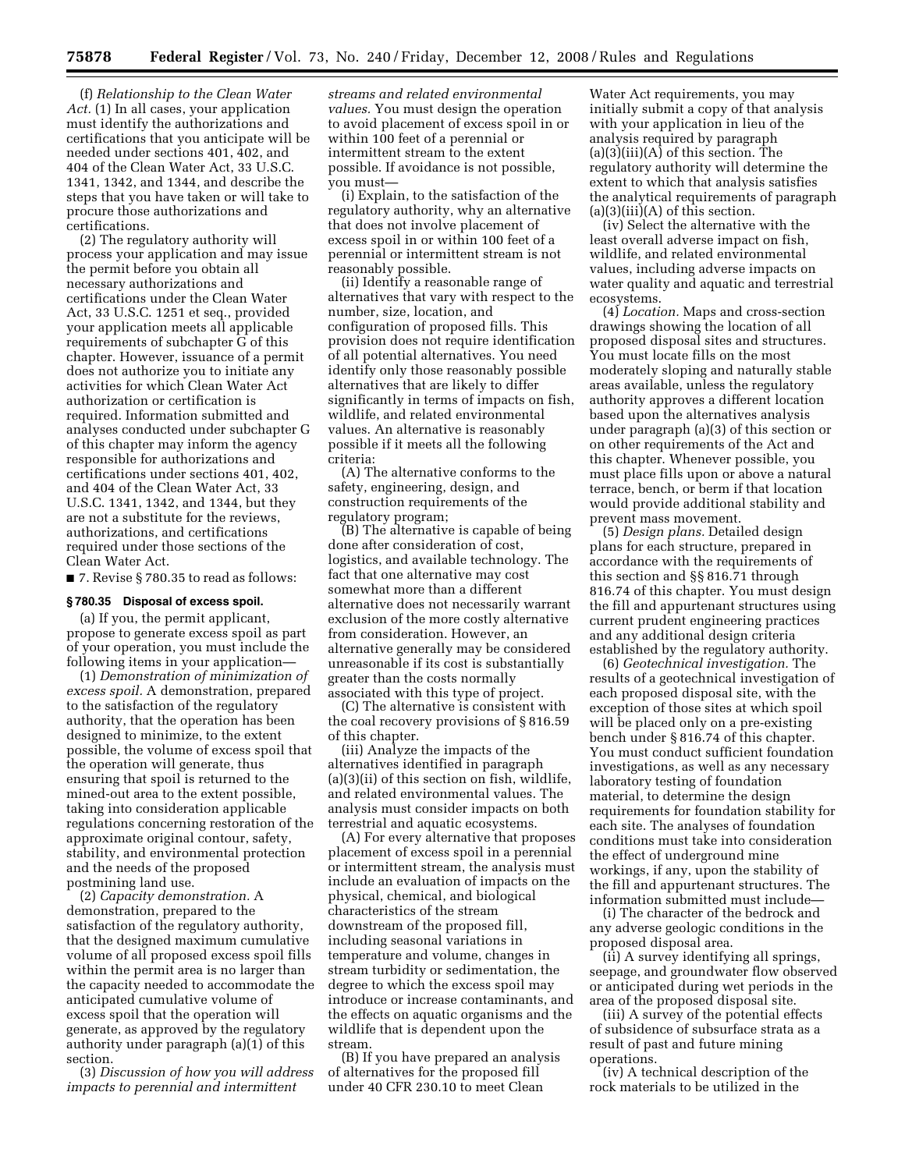(f) *Relationship to the Clean Water Act.* (1) In all cases, your application must identify the authorizations and certifications that you anticipate will be needed under sections 401, 402, and 404 of the Clean Water Act, 33 U.S.C. 1341, 1342, and 1344, and describe the steps that you have taken or will take to procure those authorizations and certifications.

(2) The regulatory authority will process your application and may issue the permit before you obtain all necessary authorizations and certifications under the Clean Water Act, 33 U.S.C. 1251 et seq., provided your application meets all applicable requirements of subchapter G of this chapter. However, issuance of a permit does not authorize you to initiate any activities for which Clean Water Act authorization or certification is required. Information submitted and analyses conducted under subchapter G of this chapter may inform the agency responsible for authorizations and certifications under sections 401, 402, and 404 of the Clean Water Act, 33 U.S.C. 1341, 1342, and 1344, but they are not a substitute for the reviews, authorizations, and certifications required under those sections of the Clean Water Act.

■ 7. Revise § 780.35 to read as follows:

#### **§ 780.35 Disposal of excess spoil.**

(a) If you, the permit applicant, propose to generate excess spoil as part of your operation, you must include the following items in your application—

(1) *Demonstration of minimization of excess spoil.* A demonstration, prepared to the satisfaction of the regulatory authority, that the operation has been designed to minimize, to the extent possible, the volume of excess spoil that the operation will generate, thus ensuring that spoil is returned to the mined-out area to the extent possible, taking into consideration applicable regulations concerning restoration of the approximate original contour, safety, stability, and environmental protection and the needs of the proposed postmining land use.

(2) *Capacity demonstration.* A demonstration, prepared to the satisfaction of the regulatory authority, that the designed maximum cumulative volume of all proposed excess spoil fills within the permit area is no larger than the capacity needed to accommodate the anticipated cumulative volume of excess spoil that the operation will generate, as approved by the regulatory authority under paragraph (a)(1) of this section.

(3) *Discussion of how you will address impacts to perennial and intermittent* 

*streams and related environmental values.* You must design the operation to avoid placement of excess spoil in or within 100 feet of a perennial or intermittent stream to the extent possible. If avoidance is not possible, you must—

(i) Explain, to the satisfaction of the regulatory authority, why an alternative that does not involve placement of excess spoil in or within 100 feet of a perennial or intermittent stream is not reasonably possible.

(ii) Identify a reasonable range of alternatives that vary with respect to the number, size, location, and configuration of proposed fills. This provision does not require identification of all potential alternatives. You need identify only those reasonably possible alternatives that are likely to differ significantly in terms of impacts on fish, wildlife, and related environmental values. An alternative is reasonably possible if it meets all the following criteria:

(A) The alternative conforms to the safety, engineering, design, and construction requirements of the regulatory program;

(B) The alternative is capable of being done after consideration of cost, logistics, and available technology. The fact that one alternative may cost somewhat more than a different alternative does not necessarily warrant exclusion of the more costly alternative from consideration. However, an alternative generally may be considered unreasonable if its cost is substantially greater than the costs normally associated with this type of project.

(C) The alternative is consistent with the coal recovery provisions of § 816.59 of this chapter.

(iii) Analyze the impacts of the alternatives identified in paragraph (a)(3)(ii) of this section on fish, wildlife, and related environmental values. The analysis must consider impacts on both terrestrial and aquatic ecosystems.

(A) For every alternative that proposes placement of excess spoil in a perennial or intermittent stream, the analysis must include an evaluation of impacts on the physical, chemical, and biological characteristics of the stream downstream of the proposed fill, including seasonal variations in temperature and volume, changes in stream turbidity or sedimentation, the degree to which the excess spoil may introduce or increase contaminants, and the effects on aquatic organisms and the wildlife that is dependent upon the stream.

(B) If you have prepared an analysis of alternatives for the proposed fill under 40 CFR 230.10 to meet Clean

Water Act requirements, you may initially submit a copy of that analysis with your application in lieu of the analysis required by paragraph  $(a)(3)(iii)(A)$  of this section. The regulatory authority will determine the extent to which that analysis satisfies the analytical requirements of paragraph  $(a)(3)(iii)(A)$  of this section.

(iv) Select the alternative with the least overall adverse impact on fish, wildlife, and related environmental values, including adverse impacts on water quality and aquatic and terrestrial ecosystems.

(4) *Location.* Maps and cross-section drawings showing the location of all proposed disposal sites and structures. You must locate fills on the most moderately sloping and naturally stable areas available, unless the regulatory authority approves a different location based upon the alternatives analysis under paragraph (a)(3) of this section or on other requirements of the Act and this chapter. Whenever possible, you must place fills upon or above a natural terrace, bench, or berm if that location would provide additional stability and prevent mass movement.

(5) *Design plans.* Detailed design plans for each structure, prepared in accordance with the requirements of this section and §§ 816.71 through 816.74 of this chapter. You must design the fill and appurtenant structures using current prudent engineering practices and any additional design criteria established by the regulatory authority.

(6) *Geotechnical investigation.* The results of a geotechnical investigation of each proposed disposal site, with the exception of those sites at which spoil will be placed only on a pre-existing bench under § 816.74 of this chapter. You must conduct sufficient foundation investigations, as well as any necessary laboratory testing of foundation material, to determine the design requirements for foundation stability for each site. The analyses of foundation conditions must take into consideration the effect of underground mine workings, if any, upon the stability of the fill and appurtenant structures. The information submitted must include—

(i) The character of the bedrock and any adverse geologic conditions in the proposed disposal area.

(ii) A survey identifying all springs, seepage, and groundwater flow observed or anticipated during wet periods in the area of the proposed disposal site.

(iii) A survey of the potential effects of subsidence of subsurface strata as a result of past and future mining operations.

(iv) A technical description of the rock materials to be utilized in the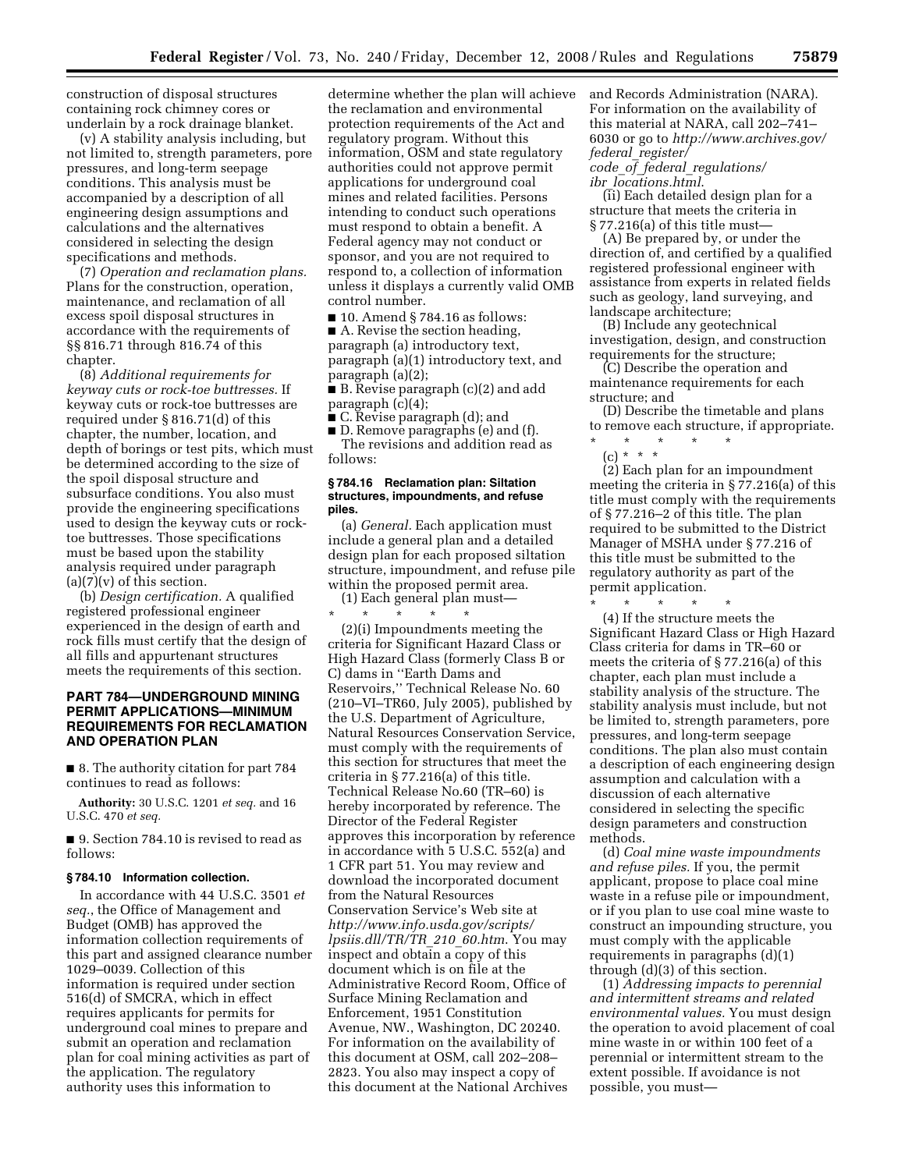construction of disposal structures containing rock chimney cores or underlain by a rock drainage blanket.

(v) A stability analysis including, but not limited to, strength parameters, pore pressures, and long-term seepage conditions. This analysis must be accompanied by a description of all engineering design assumptions and calculations and the alternatives considered in selecting the design specifications and methods.

(7) *Operation and reclamation plans.*  Plans for the construction, operation, maintenance, and reclamation of all excess spoil disposal structures in accordance with the requirements of §§ 816.71 through 816.74 of this chapter.

(8) *Additional requirements for keyway cuts or rock-toe buttresses.* If keyway cuts or rock-toe buttresses are required under § 816.71(d) of this chapter, the number, location, and depth of borings or test pits, which must be determined according to the size of the spoil disposal structure and subsurface conditions. You also must provide the engineering specifications used to design the keyway cuts or rocktoe buttresses. Those specifications must be based upon the stability analysis required under paragraph  $(a)(7)(v)$  of this section.

(b) *Design certification.* A qualified registered professional engineer experienced in the design of earth and rock fills must certify that the design of all fills and appurtenant structures meets the requirements of this section.

## **PART 784—UNDERGROUND MINING PERMIT APPLICATIONS—MINIMUM REQUIREMENTS FOR RECLAMATION AND OPERATION PLAN**

■ 8. The authority citation for part 784 continues to read as follows:

**Authority:** 30 U.S.C. 1201 *et seq.* and 16 U.S.C. 470 *et seq.* 

■ 9. Section 784.10 is revised to read as follows:

### **§ 784.10 Information collection.**

In accordance with 44 U.S.C. 3501 *et seq.*, the Office of Management and Budget (OMB) has approved the information collection requirements of this part and assigned clearance number 1029–0039. Collection of this information is required under section 516(d) of SMCRA, which in effect requires applicants for permits for underground coal mines to prepare and submit an operation and reclamation plan for coal mining activities as part of the application. The regulatory authority uses this information to

determine whether the plan will achieve the reclamation and environmental protection requirements of the Act and regulatory program. Without this information, OSM and state regulatory authorities could not approve permit applications for underground coal mines and related facilities. Persons intending to conduct such operations must respond to obtain a benefit. A Federal agency may not conduct or sponsor, and you are not required to respond to, a collection of information unless it displays a currently valid OMB control number.

■ 10. Amend § 784.16 as follows:

■ A. Revise the section heading, paragraph (a) introductory text, paragraph (a)(1) introductory text, and paragraph (a)(2);

■ B. Revise paragraph (c)(2) and add paragraph (c)(4);

■ C. Revise paragraph (d); and

■ D. Remove paragraphs (e) and (f). The revisions and addition read as follows:

#### **§ 784.16 Reclamation plan: Siltation structures, impoundments, and refuse piles.**

(a) *General.* Each application must include a general plan and a detailed design plan for each proposed siltation structure, impoundment, and refuse pile within the proposed permit area.

(1) Each general plan must— \* \* \* \* \*

(2)(i) Impoundments meeting the criteria for Significant Hazard Class or High Hazard Class (formerly Class B or C) dams in ''Earth Dams and Reservoirs,'' Technical Release No. 60 (210–VI–TR60, July 2005), published by the U.S. Department of Agriculture, Natural Resources Conservation Service, must comply with the requirements of this section for structures that meet the criteria in § 77.216(a) of this title. Technical Release No.60 (TR–60) is hereby incorporated by reference. The Director of the Federal Register approves this incorporation by reference in accordance with 5 U.S.C. 552(a) and 1 CFR part 51. You may review and download the incorporated document from the Natural Resources Conservation Service's Web site at *http://www.info.usda.gov/scripts/ lpsiis.dll/TR/TR*\_*210*\_*60.htm*. You may inspect and obtain a copy of this document which is on file at the Administrative Record Room, Office of Surface Mining Reclamation and Enforcement, 1951 Constitution Avenue, NW., Washington, DC 20240. For information on the availability of this document at OSM, call 202–208– 2823. You also may inspect a copy of this document at the National Archives

and Records Administration (NARA). For information on the availability of this material at NARA, call 202–741– 6030 or go to *http://www.archives.gov/ federal*\_*register/* 

*code*\_*of*\_*federal*\_*regulations/ ibr*\_*locations.html*.

(ii) Each detailed design plan for a structure that meets the criteria in § 77.216(a) of this title must—

(A) Be prepared by, or under the direction of, and certified by a qualified registered professional engineer with assistance from experts in related fields such as geology, land surveying, and landscape architecture;

(B) Include any geotechnical investigation, design, and construction requirements for the structure;

(C) Describe the operation and maintenance requirements for each structure; and

(D) Describe the timetable and plans to remove each structure, if appropriate.

\* \* \* \* \*  $(c) * * * *$ 

(2) Each plan for an impoundment meeting the criteria in § 77.216(a) of this title must comply with the requirements of § 77.216–2 of this title. The plan required to be submitted to the District Manager of MSHA under § 77.216 of this title must be submitted to the regulatory authority as part of the permit application.

\* \* \* \* \* (4) If the structure meets the Significant Hazard Class or High Hazard Class criteria for dams in TR–60 or meets the criteria of § 77.216(a) of this chapter, each plan must include a stability analysis of the structure. The stability analysis must include, but not be limited to, strength parameters, pore pressures, and long-term seepage conditions. The plan also must contain a description of each engineering design assumption and calculation with a discussion of each alternative considered in selecting the specific design parameters and construction methods.

(d) *Coal mine waste impoundments and refuse piles.* If you, the permit applicant, propose to place coal mine waste in a refuse pile or impoundment, or if you plan to use coal mine waste to construct an impounding structure, you must comply with the applicable requirements in paragraphs (d)(1) through (d)(3) of this section.

(1) *Addressing impacts to perennial and intermittent streams and related environmental values.* You must design the operation to avoid placement of coal mine waste in or within 100 feet of a perennial or intermittent stream to the extent possible. If avoidance is not possible, you must—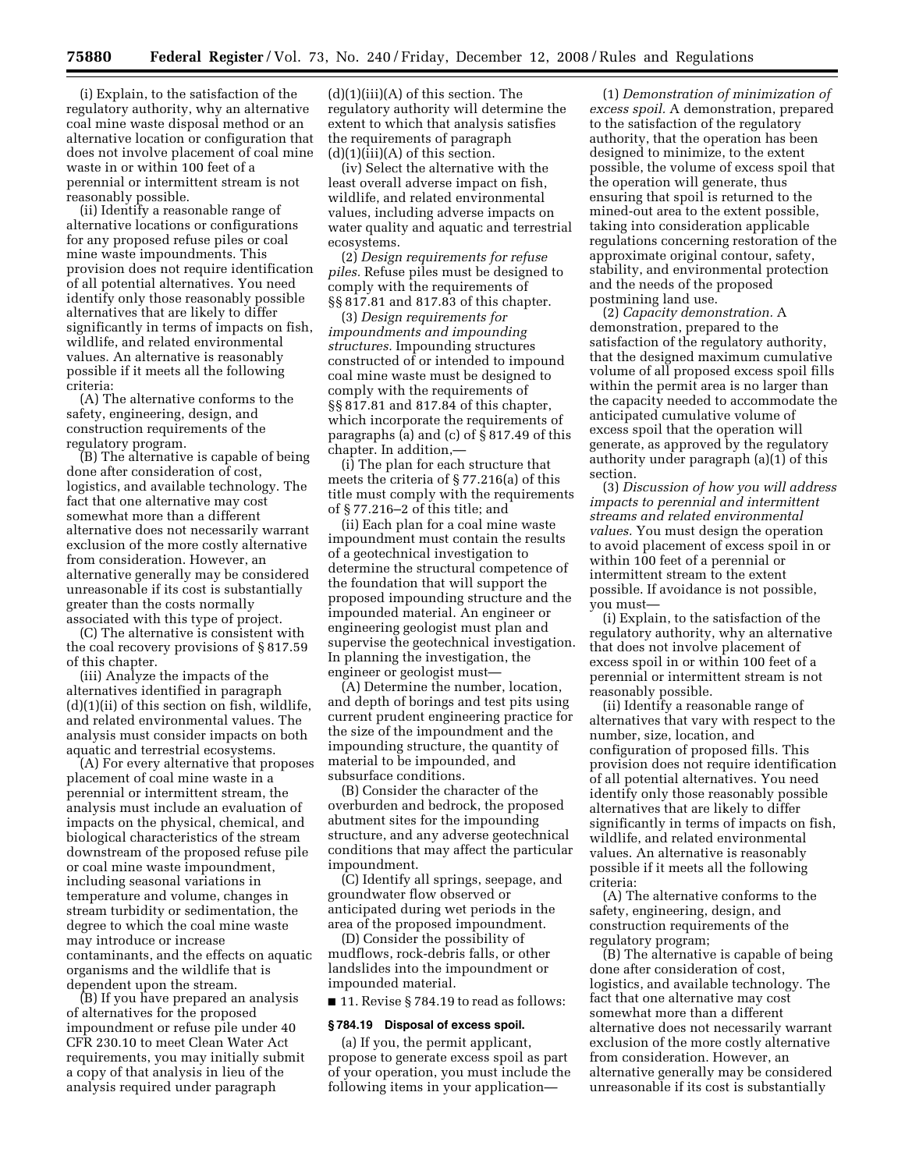(i) Explain, to the satisfaction of the regulatory authority, why an alternative coal mine waste disposal method or an alternative location or configuration that does not involve placement of coal mine waste in or within 100 feet of a perennial or intermittent stream is not reasonably possible.

(ii) Identify a reasonable range of alternative locations or configurations for any proposed refuse piles or coal mine waste impoundments. This provision does not require identification of all potential alternatives. You need identify only those reasonably possible alternatives that are likely to differ significantly in terms of impacts on fish, wildlife, and related environmental values. An alternative is reasonably possible if it meets all the following criteria:

(A) The alternative conforms to the safety, engineering, design, and construction requirements of the regulatory program.

(B) The alternative is capable of being done after consideration of cost, logistics, and available technology. The fact that one alternative may cost somewhat more than a different alternative does not necessarily warrant exclusion of the more costly alternative from consideration. However, an alternative generally may be considered unreasonable if its cost is substantially greater than the costs normally associated with this type of project.

(C) The alternative is consistent with the coal recovery provisions of § 817.59 of this chapter.

(iii) Analyze the impacts of the alternatives identified in paragraph  $(d)(1)(ii)$  of this section on fish, wildlife, and related environmental values. The analysis must consider impacts on both aquatic and terrestrial ecosystems.

(A) For every alternative that proposes placement of coal mine waste in a perennial or intermittent stream, the analysis must include an evaluation of impacts on the physical, chemical, and biological characteristics of the stream downstream of the proposed refuse pile or coal mine waste impoundment, including seasonal variations in temperature and volume, changes in stream turbidity or sedimentation, the degree to which the coal mine waste may introduce or increase contaminants, and the effects on aquatic organisms and the wildlife that is dependent upon the stream.

(B) If you have prepared an analysis of alternatives for the proposed impoundment or refuse pile under 40 CFR 230.10 to meet Clean Water Act requirements, you may initially submit a copy of that analysis in lieu of the analysis required under paragraph

 $(d)(1)(iii)(A)$  of this section. The regulatory authority will determine the extent to which that analysis satisfies the requirements of paragraph  $(d)(1)(iii)(A)$  of this section.

(iv) Select the alternative with the least overall adverse impact on fish, wildlife, and related environmental values, including adverse impacts on water quality and aquatic and terrestrial ecosystems.

(2) *Design requirements for refuse piles.* Refuse piles must be designed to comply with the requirements of §§ 817.81 and 817.83 of this chapter.

(3) *Design requirements for impoundments and impounding structures.* Impounding structures constructed of or intended to impound coal mine waste must be designed to comply with the requirements of §§ 817.81 and 817.84 of this chapter, which incorporate the requirements of paragraphs (a) and (c) of § 817.49 of this chapter. In addition,—

(i) The plan for each structure that meets the criteria of § 77.216(a) of this title must comply with the requirements of § 77.216–2 of this title; and

(ii) Each plan for a coal mine waste impoundment must contain the results of a geotechnical investigation to determine the structural competence of the foundation that will support the proposed impounding structure and the impounded material. An engineer or engineering geologist must plan and supervise the geotechnical investigation. In planning the investigation, the engineer or geologist must—

(A) Determine the number, location, and depth of borings and test pits using current prudent engineering practice for the size of the impoundment and the impounding structure, the quantity of material to be impounded, and subsurface conditions.

(B) Consider the character of the overburden and bedrock, the proposed abutment sites for the impounding structure, and any adverse geotechnical conditions that may affect the particular impoundment.

(C) Identify all springs, seepage, and groundwater flow observed or anticipated during wet periods in the area of the proposed impoundment.

(D) Consider the possibility of mudflows, rock-debris falls, or other landslides into the impoundment or impounded material.

■ 11. Revise § 784.19 to read as follows:

### **§ 784.19 Disposal of excess spoil.**

(a) If you, the permit applicant, propose to generate excess spoil as part of your operation, you must include the following items in your application—

(1) *Demonstration of minimization of excess spoil.* A demonstration, prepared to the satisfaction of the regulatory authority, that the operation has been designed to minimize, to the extent possible, the volume of excess spoil that the operation will generate, thus ensuring that spoil is returned to the mined-out area to the extent possible, taking into consideration applicable regulations concerning restoration of the approximate original contour, safety, stability, and environmental protection and the needs of the proposed postmining land use.

(2) *Capacity demonstration.* A demonstration, prepared to the satisfaction of the regulatory authority, that the designed maximum cumulative volume of all proposed excess spoil fills within the permit area is no larger than the capacity needed to accommodate the anticipated cumulative volume of excess spoil that the operation will generate, as approved by the regulatory authority under paragraph (a)(1) of this section.

(3) *Discussion of how you will address impacts to perennial and intermittent streams and related environmental values.* You must design the operation to avoid placement of excess spoil in or within 100 feet of a perennial or intermittent stream to the extent possible. If avoidance is not possible, you must—

(i) Explain, to the satisfaction of the regulatory authority, why an alternative that does not involve placement of excess spoil in or within 100 feet of a perennial or intermittent stream is not reasonably possible.

(ii) Identify a reasonable range of alternatives that vary with respect to the number, size, location, and configuration of proposed fills. This provision does not require identification of all potential alternatives. You need identify only those reasonably possible alternatives that are likely to differ significantly in terms of impacts on fish, wildlife, and related environmental values. An alternative is reasonably possible if it meets all the following criteria:

(A) The alternative conforms to the safety, engineering, design, and construction requirements of the regulatory program;

(B) The alternative is capable of being done after consideration of cost, logistics, and available technology. The fact that one alternative may cost somewhat more than a different alternative does not necessarily warrant exclusion of the more costly alternative from consideration. However, an alternative generally may be considered unreasonable if its cost is substantially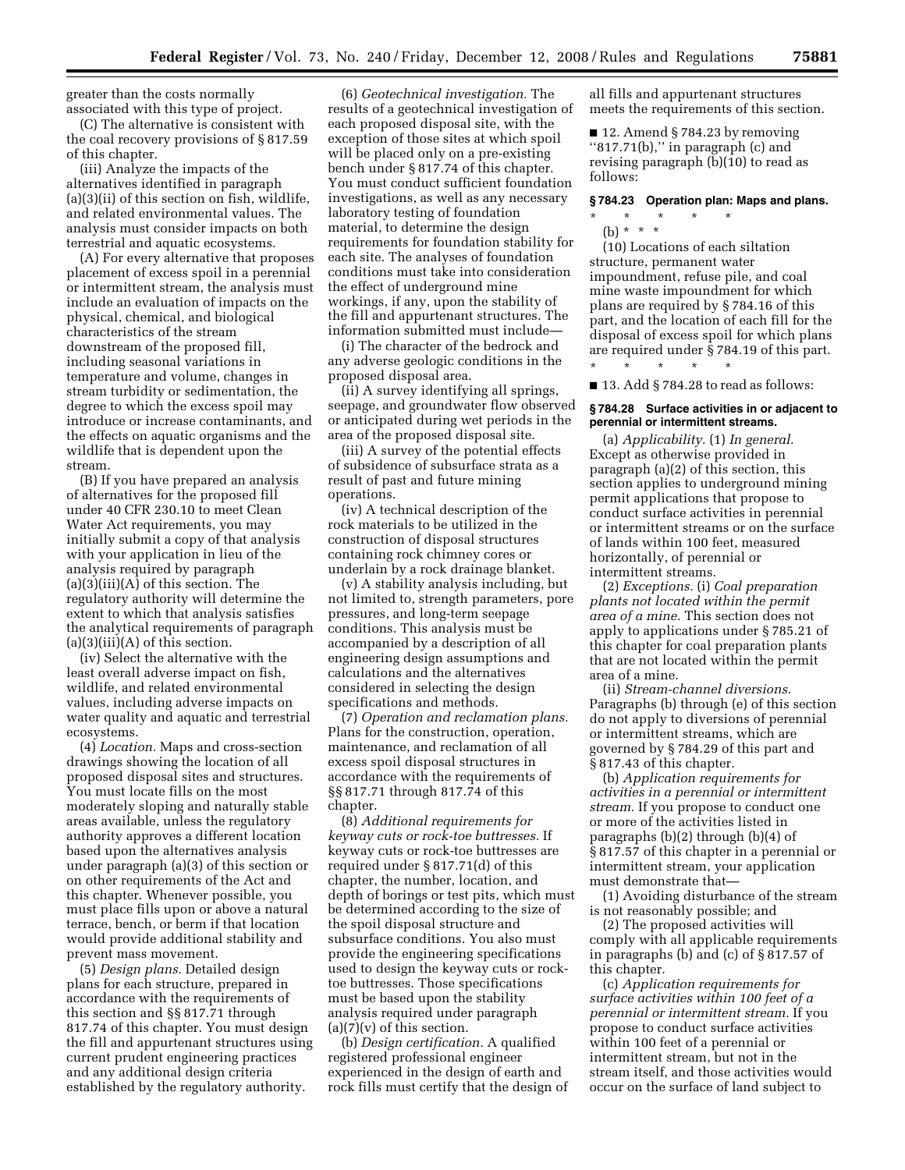greater than the costs normally associated with this type of project.

(C) The alternative is consistent with the coal recovery provisions of § 817.59 of this chapter.

(iii) Analyze the impacts of the alternatives identified in paragraph (a)(3)(ii) of this section on fish, wildlife, and related environmental values. The analysis must consider impacts on both terrestrial and aquatic ecosystems.

(A) For every alternative that proposes placement of excess spoil in a perennial or intermittent stream, the analysis must include an evaluation of impacts on the physical, chemical, and biological characteristics of the stream downstream of the proposed fill, including seasonal variations in temperature and volume, changes in stream turbidity or sedimentation, the degree to which the excess spoil may introduce or increase contaminants, and the effects on aquatic organisms and the wildlife that is dependent upon the stream.

(B) If you have prepared an analysis of alternatives for the proposed fill under 40 CFR 230.10 to meet Clean Water Act requirements, you may initially submit a copy of that analysis with your application in lieu of the analysis required by paragraph  $(a)(3)(iii)(A)$  of this section. The regulatory authority will determine the extent to which that analysis satisfies the analytical requirements of paragraph  $(a)(3)(iii)(A)$  of this section.

(iv) Select the alternative with the least overall adverse impact on fish, wildlife, and related environmental values, including adverse impacts on water quality and aquatic and terrestrial ecosystems.

(4) *Location.* Maps and cross-section drawings showing the location of all proposed disposal sites and structures. You must locate fills on the most moderately sloping and naturally stable areas available, unless the regulatory authority approves a different location based upon the alternatives analysis under paragraph (a)(3) of this section or on other requirements of the Act and this chapter. Whenever possible, you must place fills upon or above a natural terrace, bench, or berm if that location would provide additional stability and prevent mass movement.

(5) *Design plans.* Detailed design plans for each structure, prepared in accordance with the requirements of this section and §§ 817.71 through 817.74 of this chapter. You must design the fill and appurtenant structures using current prudent engineering practices and any additional design criteria established by the regulatory authority.

(6) *Geotechnical investigation.* The results of a geotechnical investigation of each proposed disposal site, with the exception of those sites at which spoil will be placed only on a pre-existing bench under § 817.74 of this chapter. You must conduct sufficient foundation investigations, as well as any necessary laboratory testing of foundation material, to determine the design requirements for foundation stability for each site. The analyses of foundation conditions must take into consideration the effect of underground mine workings, if any, upon the stability of the fill and appurtenant structures. The information submitted must include—

(i) The character of the bedrock and any adverse geologic conditions in the proposed disposal area.

(ii) A survey identifying all springs, seepage, and groundwater flow observed or anticipated during wet periods in the area of the proposed disposal site.

(iii) A survey of the potential effects of subsidence of subsurface strata as a result of past and future mining operations.

(iv) A technical description of the rock materials to be utilized in the construction of disposal structures containing rock chimney cores or underlain by a rock drainage blanket.

(v) A stability analysis including, but not limited to, strength parameters, pore pressures, and long-term seepage conditions. This analysis must be accompanied by a description of all engineering design assumptions and calculations and the alternatives considered in selecting the design specifications and methods.

(7) *Operation and reclamation plans.*  Plans for the construction, operation, maintenance, and reclamation of all excess spoil disposal structures in accordance with the requirements of §§ 817.71 through 817.74 of this chapter.

(8) *Additional requirements for keyway cuts or rock-toe buttresses.* If keyway cuts or rock-toe buttresses are required under § 817.71(d) of this chapter, the number, location, and depth of borings or test pits, which must be determined according to the size of the spoil disposal structure and subsurface conditions. You also must provide the engineering specifications used to design the keyway cuts or rocktoe buttresses. Those specifications must be based upon the stability analysis required under paragraph  $(a)(7)(v)$  of this section.

(b) *Design certification.* A qualified registered professional engineer experienced in the design of earth and rock fills must certify that the design of all fills and appurtenant structures meets the requirements of this section.

■ 12. Amend § 784.23 by removing "817.71(b)," in paragraph (c) and revising paragraph (b)(10) to read as follows:

#### **§ 784.23 Operation plan: Maps and plans.**

# \* \* \* \* \*

(b) \* \* \*

(10) Locations of each siltation structure, permanent water impoundment, refuse pile, and coal mine waste impoundment for which plans are required by § 784.16 of this part, and the location of each fill for the disposal of excess spoil for which plans are required under § 784.19 of this part. \* \* \* \* \*

 $\blacksquare$  13. Add § 784.28 to read as follows:

### **§ 784.28 Surface activities in or adjacent to perennial or intermittent streams.**

(a) *Applicability.* (1) *In general.*  Except as otherwise provided in paragraph (a)(2) of this section, this section applies to underground mining permit applications that propose to conduct surface activities in perennial or intermittent streams or on the surface of lands within 100 feet, measured horizontally, of perennial or intermittent streams.

(2) *Exceptions.* (i) *Coal preparation plants not located within the permit area of a mine.* This section does not apply to applications under § 785.21 of this chapter for coal preparation plants that are not located within the permit area of a mine.

(ii) *Stream-channel diversions.*  Paragraphs (b) through (e) of this section do not apply to diversions of perennial or intermittent streams, which are governed by § 784.29 of this part and § 817.43 of this chapter.

(b) *Application requirements for activities in a perennial or intermittent stream.* If you propose to conduct one or more of the activities listed in paragraphs (b)(2) through (b)(4) of § 817.57 of this chapter in a perennial or intermittent stream, your application must demonstrate that—

(1) Avoiding disturbance of the stream is not reasonably possible; and

(2) The proposed activities will comply with all applicable requirements in paragraphs (b) and (c) of § 817.57 of this chapter.

(c) *Application requirements for surface activities within 100 feet of a perennial or intermittent stream.* If you propose to conduct surface activities within 100 feet of a perennial or intermittent stream, but not in the stream itself, and those activities would occur on the surface of land subject to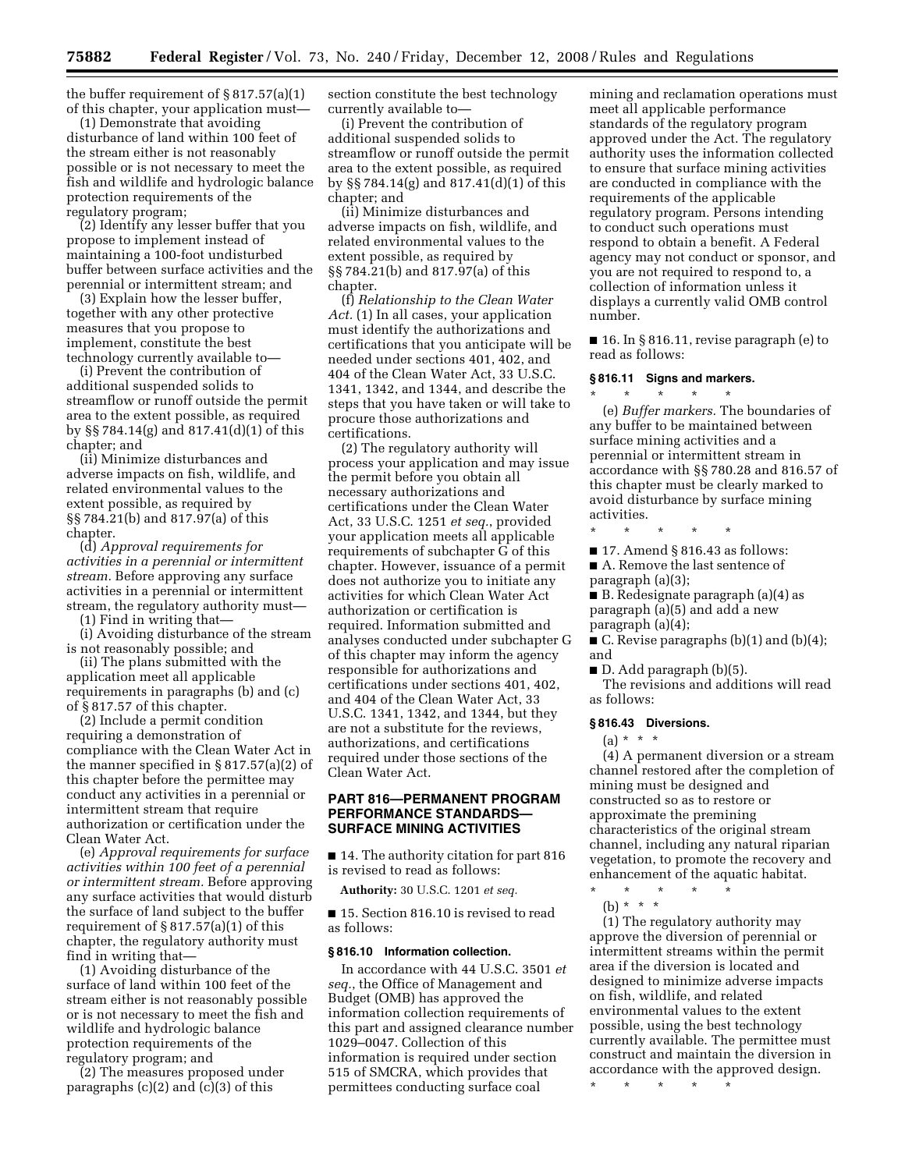the buffer requirement of  $\S 817.57(a)(1)$ of this chapter, your application must—

(1) Demonstrate that avoiding disturbance of land within 100 feet of the stream either is not reasonably possible or is not necessary to meet the fish and wildlife and hydrologic balance protection requirements of the regulatory program;

(2) Identify any lesser buffer that you propose to implement instead of maintaining a 100-foot undisturbed buffer between surface activities and the perennial or intermittent stream; and

(3) Explain how the lesser buffer, together with any other protective measures that you propose to implement, constitute the best technology currently available to—

(i) Prevent the contribution of additional suspended solids to streamflow or runoff outside the permit area to the extent possible, as required by §§ 784.14(g) and 817.41(d)(1) of this chapter; and

(ii) Minimize disturbances and adverse impacts on fish, wildlife, and related environmental values to the extent possible, as required by §§ 784.21(b) and 817.97(a) of this chapter.

(d) *Approval requirements for activities in a perennial or intermittent stream.* Before approving any surface activities in a perennial or intermittent stream, the regulatory authority must—

(1) Find in writing that—

(i) Avoiding disturbance of the stream is not reasonably possible; and

(ii) The plans submitted with the application meet all applicable requirements in paragraphs (b) and (c) of § 817.57 of this chapter.

(2) Include a permit condition requiring a demonstration of compliance with the Clean Water Act in the manner specified in § 817.57(a)(2) of this chapter before the permittee may conduct any activities in a perennial or intermittent stream that require authorization or certification under the Clean Water Act.

(e) *Approval requirements for surface activities within 100 feet of a perennial or intermittent stream.* Before approving any surface activities that would disturb the surface of land subject to the buffer requirement of  $\S 817.57(a)(1)$  of this chapter, the regulatory authority must find in writing that—

(1) Avoiding disturbance of the surface of land within 100 feet of the stream either is not reasonably possible or is not necessary to meet the fish and wildlife and hydrologic balance protection requirements of the regulatory program; and

(2) The measures proposed under paragraphs  $(c)(2)$  and  $(c)(3)$  of this

section constitute the best technology currently available to—

(i) Prevent the contribution of additional suspended solids to streamflow or runoff outside the permit area to the extent possible, as required by §§ 784.14(g) and 817.41(d)(1) of this chapter; and

(ii) Minimize disturbances and adverse impacts on fish, wildlife, and related environmental values to the extent possible, as required by §§ 784.21(b) and 817.97(a) of this chapter.

(f) *Relationship to the Clean Water Act.* (1) In all cases, your application must identify the authorizations and certifications that you anticipate will be needed under sections 401, 402, and 404 of the Clean Water Act, 33 U.S.C. 1341, 1342, and 1344, and describe the steps that you have taken or will take to procure those authorizations and certifications.

(2) The regulatory authority will process your application and may issue the permit before you obtain all necessary authorizations and certifications under the Clean Water Act, 33 U.S.C. 1251 *et seq.*, provided your application meets all applicable requirements of subchapter G of this chapter. However, issuance of a permit does not authorize you to initiate any activities for which Clean Water Act authorization or certification is required. Information submitted and analyses conducted under subchapter G of this chapter may inform the agency responsible for authorizations and certifications under sections 401, 402, and 404 of the Clean Water Act, 33 U.S.C. 1341, 1342, and 1344, but they are not a substitute for the reviews, authorizations, and certifications required under those sections of the Clean Water Act.

# **PART 816—PERMANENT PROGRAM PERFORMANCE STANDARDS— SURFACE MINING ACTIVITIES**

■ 14. The authority citation for part 816 is revised to read as follows:

**Authority:** 30 U.S.C. 1201 *et seq.* 

■ 15. Section 816.10 is revised to read as follows:

### **§ 816.10 Information collection.**

In accordance with 44 U.S.C. 3501 *et seq.*, the Office of Management and Budget (OMB) has approved the information collection requirements of this part and assigned clearance number 1029–0047. Collection of this information is required under section 515 of SMCRA, which provides that permittees conducting surface coal

mining and reclamation operations must meet all applicable performance standards of the regulatory program approved under the Act. The regulatory authority uses the information collected to ensure that surface mining activities are conducted in compliance with the requirements of the applicable regulatory program. Persons intending to conduct such operations must respond to obtain a benefit. A Federal agency may not conduct or sponsor, and you are not required to respond to, a collection of information unless it displays a currently valid OMB control number.

■ 16. In § 816.11, revise paragraph (e) to read as follows:

### **§ 816.11 Signs and markers.**

\* \* \* \* \* (e) *Buffer markers.* The boundaries of any buffer to be maintained between surface mining activities and a perennial or intermittent stream in accordance with §§ 780.28 and 816.57 of this chapter must be clearly marked to avoid disturbance by surface mining activities.

\* \* \* \* \*

 $\blacksquare$  17. Amend § 816.43 as follows:

■ A. Remove the last sentence of paragraph (a)(3);

■ B. Redesignate paragraph (a)(4) as paragraph (a)(5) and add a new paragraph (a)(4);

■ C. Revise paragraphs (b)(1) and (b)(4); and

■ D. Add paragraph (b)(5).

The revisions and additions will read as follows:

#### **§ 816.43 Diversions.**

 $(a) * * * *$ 

(4) A permanent diversion or a stream channel restored after the completion of mining must be designed and constructed so as to restore or approximate the premining characteristics of the original stream channel, including any natural riparian vegetation, to promote the recovery and enhancement of the aquatic habitat.

- \* \* \* \* \*
	- (b) \* \* \*

(1) The regulatory authority may approve the diversion of perennial or intermittent streams within the permit area if the diversion is located and designed to minimize adverse impacts on fish, wildlife, and related environmental values to the extent possible, using the best technology currently available. The permittee must construct and maintain the diversion in accordance with the approved design.

\* \* \* \* \*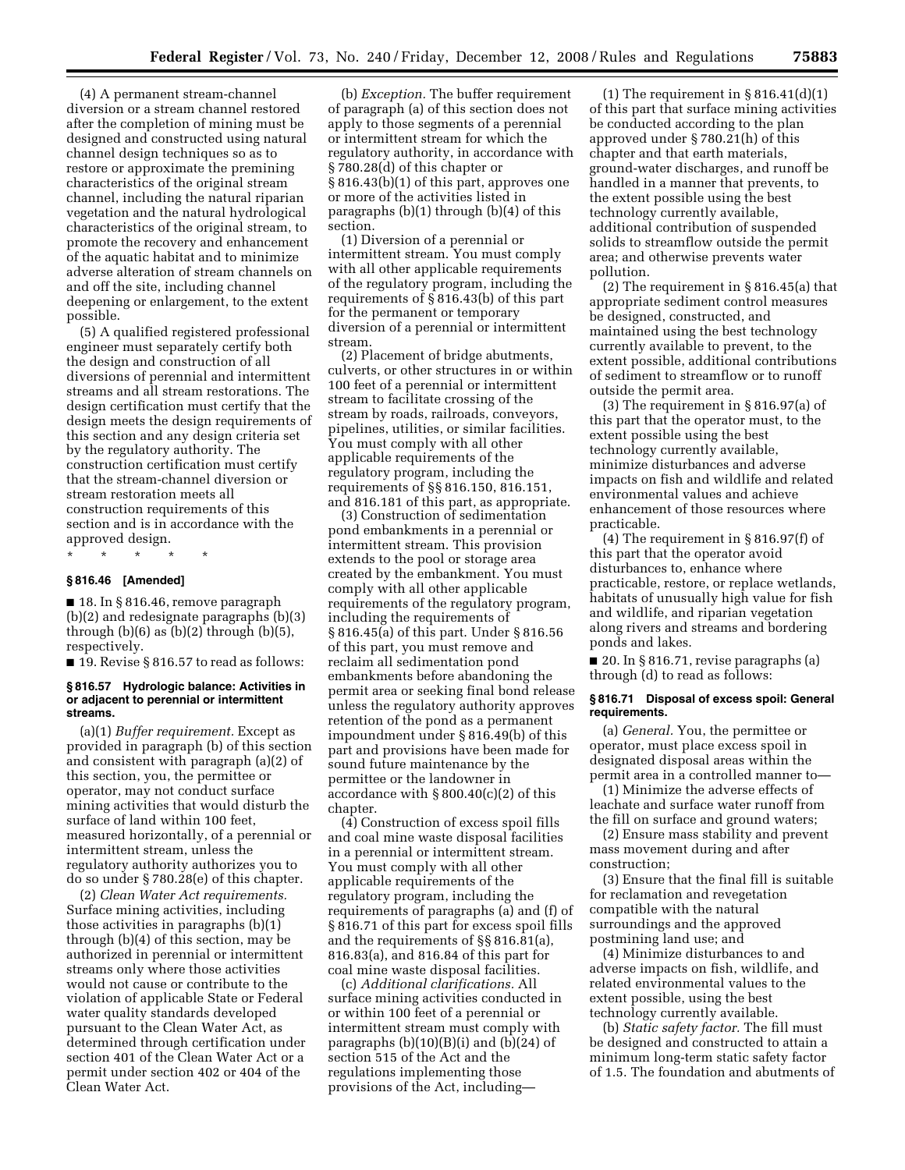(4) A permanent stream-channel diversion or a stream channel restored after the completion of mining must be designed and constructed using natural channel design techniques so as to restore or approximate the premining characteristics of the original stream channel, including the natural riparian vegetation and the natural hydrological characteristics of the original stream, to promote the recovery and enhancement of the aquatic habitat and to minimize adverse alteration of stream channels on and off the site, including channel deepening or enlargement, to the extent possible.

(5) A qualified registered professional engineer must separately certify both the design and construction of all diversions of perennial and intermittent streams and all stream restorations. The design certification must certify that the design meets the design requirements of this section and any design criteria set by the regulatory authority. The construction certification must certify that the stream-channel diversion or stream restoration meets all construction requirements of this section and is in accordance with the approved design.

\* \* \* \* \*

### **§ 816.46 [Amended]**

■ 18. In § 816.46, remove paragraph (b)(2) and redesignate paragraphs (b)(3) through  $(b)(6)$  as  $(b)(2)$  through  $(b)(5)$ , respectively.

■ 19. Revise § 816.57 to read as follows:

### **§ 816.57 Hydrologic balance: Activities in or adjacent to perennial or intermittent streams.**

(a)(1) *Buffer requirement.* Except as provided in paragraph (b) of this section and consistent with paragraph (a)(2) of this section, you, the permittee or operator, may not conduct surface mining activities that would disturb the surface of land within 100 feet, measured horizontally, of a perennial or intermittent stream, unless the regulatory authority authorizes you to do so under § 780.28(e) of this chapter.

(2) *Clean Water Act requirements.*  Surface mining activities, including those activities in paragraphs (b)(1) through (b)(4) of this section, may be authorized in perennial or intermittent streams only where those activities would not cause or contribute to the violation of applicable State or Federal water quality standards developed pursuant to the Clean Water Act, as determined through certification under section 401 of the Clean Water Act or a permit under section 402 or 404 of the Clean Water Act.

(b) *Exception.* The buffer requirement of paragraph (a) of this section does not apply to those segments of a perennial or intermittent stream for which the regulatory authority, in accordance with § 780.28(d) of this chapter or § 816.43(b)(1) of this part, approves one or more of the activities listed in paragraphs (b)(1) through (b)(4) of this section.

(1) Diversion of a perennial or intermittent stream. You must comply with all other applicable requirements of the regulatory program, including the requirements of § 816.43(b) of this part for the permanent or temporary diversion of a perennial or intermittent stream.

(2) Placement of bridge abutments, culverts, or other structures in or within 100 feet of a perennial or intermittent stream to facilitate crossing of the stream by roads, railroads, conveyors, pipelines, utilities, or similar facilities. You must comply with all other applicable requirements of the regulatory program, including the requirements of §§ 816.150, 816.151, and 816.181 of this part, as appropriate.

(3) Construction of sedimentation pond embankments in a perennial or intermittent stream. This provision extends to the pool or storage area created by the embankment. You must comply with all other applicable requirements of the regulatory program, including the requirements of § 816.45(a) of this part. Under § 816.56 of this part, you must remove and reclaim all sedimentation pond embankments before abandoning the permit area or seeking final bond release unless the regulatory authority approves retention of the pond as a permanent impoundment under § 816.49(b) of this part and provisions have been made for sound future maintenance by the permittee or the landowner in accordance with § 800.40(c)(2) of this chapter.

(4) Construction of excess spoil fills and coal mine waste disposal facilities in a perennial or intermittent stream. You must comply with all other applicable requirements of the regulatory program, including the requirements of paragraphs (a) and (f) of § 816.71 of this part for excess spoil fills and the requirements of §§ 816.81(a), 816.83(a), and 816.84 of this part for coal mine waste disposal facilities.

(c) *Additional clarifications.* All surface mining activities conducted in or within 100 feet of a perennial or intermittent stream must comply with paragraphs  $(b)(10)(B)(i)$  and  $(b)(24)$  of section 515 of the Act and the regulations implementing those provisions of the Act, including—

(1) The requirement in  $§ 816.41(d)(1)$ of this part that surface mining activities be conducted according to the plan approved under § 780.21(h) of this chapter and that earth materials, ground-water discharges, and runoff be handled in a manner that prevents, to the extent possible using the best technology currently available, additional contribution of suspended solids to streamflow outside the permit area; and otherwise prevents water pollution.

(2) The requirement in § 816.45(a) that appropriate sediment control measures be designed, constructed, and maintained using the best technology currently available to prevent, to the extent possible, additional contributions of sediment to streamflow or to runoff outside the permit area.

(3) The requirement in § 816.97(a) of this part that the operator must, to the extent possible using the best technology currently available, minimize disturbances and adverse impacts on fish and wildlife and related environmental values and achieve enhancement of those resources where practicable.

(4) The requirement in § 816.97(f) of this part that the operator avoid disturbances to, enhance where practicable, restore, or replace wetlands, habitats of unusually high value for fish and wildlife, and riparian vegetation along rivers and streams and bordering ponds and lakes.

■ 20. In § 816.71, revise paragraphs (a) through (d) to read as follows:

### **§ 816.71 Disposal of excess spoil: General requirements.**

(a) *General.* You, the permittee or operator, must place excess spoil in designated disposal areas within the permit area in a controlled manner to—

(1) Minimize the adverse effects of leachate and surface water runoff from the fill on surface and ground waters;

(2) Ensure mass stability and prevent mass movement during and after construction;

(3) Ensure that the final fill is suitable for reclamation and revegetation compatible with the natural surroundings and the approved postmining land use; and

(4) Minimize disturbances to and adverse impacts on fish, wildlife, and related environmental values to the extent possible, using the best technology currently available.

(b) *Static safety factor.* The fill must be designed and constructed to attain a minimum long-term static safety factor of 1.5. The foundation and abutments of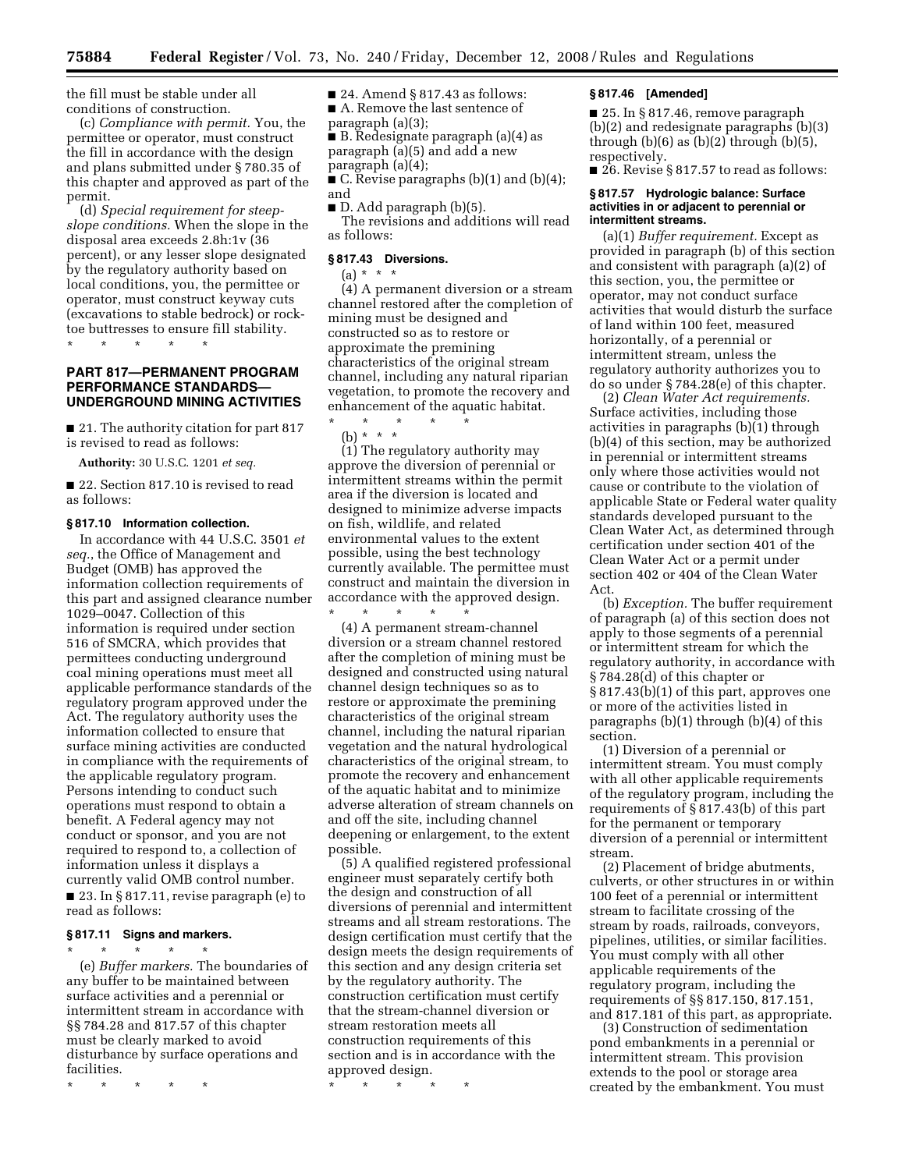the fill must be stable under all conditions of construction.

(c) *Compliance with permit.* You, the permittee or operator, must construct the fill in accordance with the design and plans submitted under § 780.35 of this chapter and approved as part of the permit.

(d) *Special requirement for steepslope conditions.* When the slope in the disposal area exceeds 2.8h:1v (36 percent), or any lesser slope designated by the regulatory authority based on local conditions, you, the permittee or operator, must construct keyway cuts (excavations to stable bedrock) or rocktoe buttresses to ensure fill stability.

\* \* \* \* \*

# **PART 817—PERMANENT PROGRAM PERFORMANCE STANDARDS-UNDERGROUND MINING ACTIVITIES**

■ 21. The authority citation for part 817 is revised to read as follows:

**Authority:** 30 U.S.C. 1201 *et seq.* 

■ 22. Section 817.10 is revised to read as follows:

#### **§ 817.10 Information collection.**

In accordance with 44 U.S.C. 3501 *et seq.*, the Office of Management and Budget (OMB) has approved the information collection requirements of this part and assigned clearance number 1029–0047. Collection of this information is required under section 516 of SMCRA, which provides that permittees conducting underground coal mining operations must meet all applicable performance standards of the regulatory program approved under the Act. The regulatory authority uses the information collected to ensure that surface mining activities are conducted in compliance with the requirements of the applicable regulatory program. Persons intending to conduct such operations must respond to obtain a benefit. A Federal agency may not conduct or sponsor, and you are not required to respond to, a collection of information unless it displays a currently valid OMB control number.  $\blacksquare$  23. In § 817.11, revise paragraph (e) to read as follows:

### **§ 817.11 Signs and markers.**

\* \* \* \* \* (e) *Buffer markers.* The boundaries of any buffer to be maintained between surface activities and a perennial or intermittent stream in accordance with §§ 784.28 and 817.57 of this chapter must be clearly marked to avoid disturbance by surface operations and facilities.

\* \* \* \* \*

 $\blacksquare$  24. Amend § 817.43 as follows: ■ A. Remove the last sentence of

paragraph (a)(3); ■ B. Redesignate paragraph (a)(4) as paragraph (a)(5) and add a new paragraph (a)(4);

 $\blacksquare$  C. Revise paragraphs (b)(1) and (b)(4); and

 $\blacksquare$  D. Add paragraph (b)(5).

The revisions and additions will read as follows:

### **§ 817.43 Diversions.**

(a) \* \* \*

(4) A permanent diversion or a stream channel restored after the completion of mining must be designed and constructed so as to restore or approximate the premining characteristics of the original stream channel, including any natural riparian vegetation, to promote the recovery and enhancement of the aquatic habitat. \* \* \* \* \*

(b) \* \* \* (1) The regulatory authority may approve the diversion of perennial or

intermittent streams within the permit area if the diversion is located and designed to minimize adverse impacts on fish, wildlife, and related environmental values to the extent possible, using the best technology currently available. The permittee must construct and maintain the diversion in accordance with the approved design. \* \* \* \* \*

(4) A permanent stream-channel diversion or a stream channel restored after the completion of mining must be designed and constructed using natural channel design techniques so as to restore or approximate the premining characteristics of the original stream channel, including the natural riparian vegetation and the natural hydrological characteristics of the original stream, to promote the recovery and enhancement of the aquatic habitat and to minimize adverse alteration of stream channels on and off the site, including channel deepening or enlargement, to the extent possible.

(5) A qualified registered professional engineer must separately certify both the design and construction of all diversions of perennial and intermittent streams and all stream restorations. The design certification must certify that the design meets the design requirements of this section and any design criteria set by the regulatory authority. The construction certification must certify that the stream-channel diversion or stream restoration meets all construction requirements of this section and is in accordance with the approved design.

\* \* \* \* \*

#### **§ 817.46 [Amended]**

■ 25. In § 817.46, remove paragraph (b)(2) and redesignate paragraphs (b)(3) through  $(b)(6)$  as  $(b)(2)$  through  $(b)(5)$ , respectively.

■ 26. Revise § 817.57 to read as follows:

### **§ 817.57 Hydrologic balance: Surface activities in or adjacent to perennial or intermittent streams.**

(a)(1) *Buffer requirement.* Except as provided in paragraph (b) of this section and consistent with paragraph (a)(2) of this section, you, the permittee or operator, may not conduct surface activities that would disturb the surface of land within 100 feet, measured horizontally, of a perennial or intermittent stream, unless the regulatory authority authorizes you to do so under § 784.28(e) of this chapter.

(2) *Clean Water Act requirements.*  Surface activities, including those activities in paragraphs (b)(1) through (b)(4) of this section, may be authorized in perennial or intermittent streams only where those activities would not cause or contribute to the violation of applicable State or Federal water quality standards developed pursuant to the Clean Water Act, as determined through certification under section 401 of the Clean Water Act or a permit under section 402 or 404 of the Clean Water Act.

(b) *Exception.* The buffer requirement of paragraph (a) of this section does not apply to those segments of a perennial or intermittent stream for which the regulatory authority, in accordance with § 784.28(d) of this chapter or § 817.43(b)(1) of this part, approves one or more of the activities listed in paragraphs (b)(1) through (b)(4) of this section.

(1) Diversion of a perennial or intermittent stream. You must comply with all other applicable requirements of the regulatory program, including the requirements of § 817.43(b) of this part for the permanent or temporary diversion of a perennial or intermittent stream.

(2) Placement of bridge abutments, culverts, or other structures in or within 100 feet of a perennial or intermittent stream to facilitate crossing of the stream by roads, railroads, conveyors, pipelines, utilities, or similar facilities. You must comply with all other applicable requirements of the regulatory program, including the requirements of §§ 817.150, 817.151, and 817.181 of this part, as appropriate.

(3) Construction of sedimentation pond embankments in a perennial or intermittent stream. This provision extends to the pool or storage area created by the embankment. You must